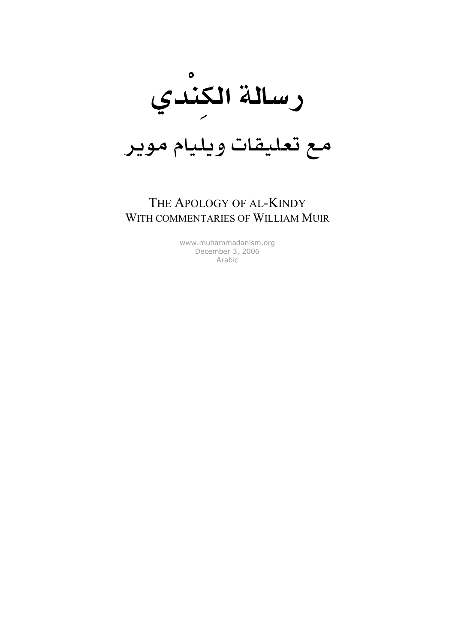

# مع تعليقات ويليام موير

### THE APOLOGY OF AL-KINDY WITH COMMENTARIES OF WILLIAM MUIR

[www.muhammadanism.org](http://www.muhammadanism.org/Arabic/default.htm) December 3, 2006 Arabic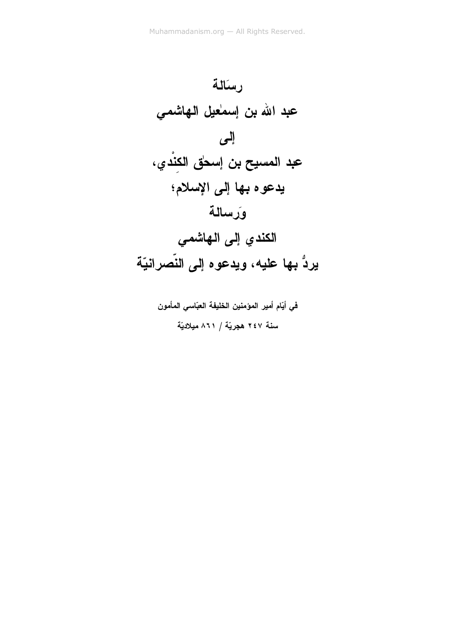

في أيّام أمير المؤمنين الخليفة العبّاسي المأمون سنة ٢٤٧ هجريّة / ٨٦١ ميلاديّة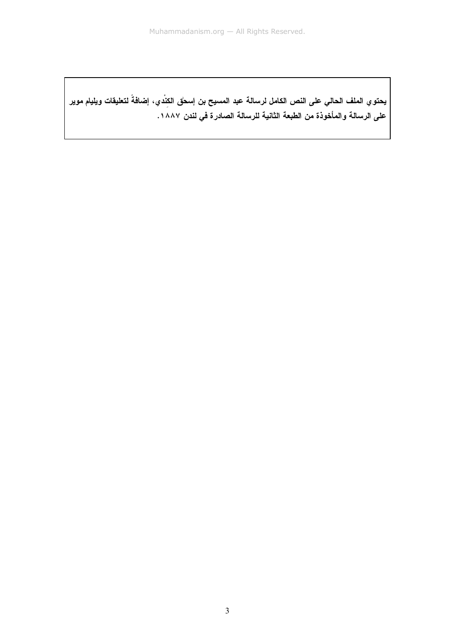يحتو ي الملف الحالي على النص الكامل لرسالة عبد المسيح بن إسحٰق الكِنْدي، إضافةً لتعليقات ويليام موير على الرسالة والمأخوذة من الطبعة الثانية للرسالة الصادرة في لندن ١٨٨٧.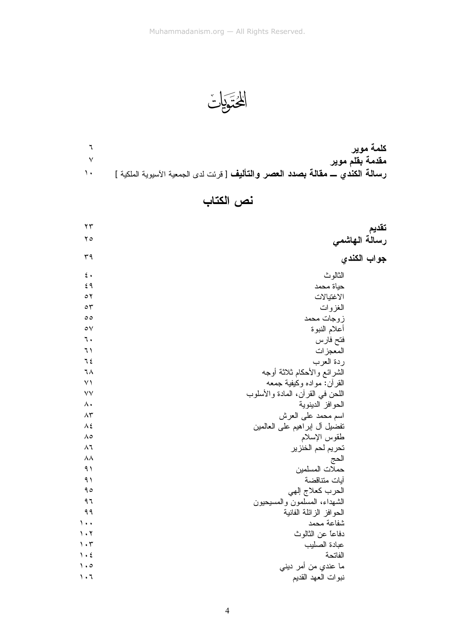المُتَوَيَاتُ

|                                                                                  | كلمة موير       |
|----------------------------------------------------------------------------------|-----------------|
|                                                                                  | مقدمة بقلم موير |
| رسالة الكندي ـــ مقالة بصدد العصر والتأليف [ قرئت لدى الجمعية الأسيوية الملكية ] |                 |

# نص الكتاب

| ۲۳                              |                                  | تقديم         |
|---------------------------------|----------------------------------|---------------|
| $\mathbf{y}$                    |                                  | رسالة الهاشمى |
| ٣٩                              |                                  | جواب الكندي   |
| $\epsilon$ .                    | الثالوث                          |               |
| ٤٩                              | حياة محمد                        |               |
| $\circ$                         | الاغتيالات                       |               |
| $\circ$                         | الغزوات                          |               |
| $\circ$                         | زوجات محمد                       |               |
| $\circ \vee$                    | أعلام النبوة                     |               |
| ٦.                              | فتح فارس                         |               |
| ٦١                              | المعجزات                         |               |
| ٦٤                              | ردة العرب                        |               |
| ٦٨                              | الشرائع والأحكام ثلاثة أوجه      |               |
| $\vee$                          | القرأن: مواده وكَيفية جمعه       |               |
| $\vee\vee$                      | اللحن في القرأن، المادة والأسلوب |               |
| $\wedge\cdot$                   | الحو افز الدينوية                |               |
| $\Lambda \mathsf{r}$            | اسم محمد على العرش               |               |
| $\Lambda$ ٤                     | تفضيل أل إبراهيم على العالمين    |               |
| $\Lambda$ 0                     | طقوس الإسلام                     |               |
| $\wedge$ ٦                      | تحريم لحم الخنزير                |               |
| $\lambda\lambda$                | الحج                             |               |
| 9)                              | حملات المسلمين                   |               |
| 9)                              | أيات منتاقضة                     |               |
| 90                              | الحرب كعلاج إلهي                 |               |
| ٩٦                              | الشهداء، المسلمون والمسيحيون     |               |
| 99                              | الحوافز الزائلة الفانية          |               |
| $\lambda \cdot \cdot$           | شفاعة محمد                       |               |
| $\mathcal{N}$                   | دفاعاً عن الثالوث                |               |
| $\mathcal{L} \cdot \mathcal{L}$ | عبادة الصليب                     |               |
| $\mathcal{N} \cdot \mathcal{E}$ | الفاتحة                          |               |
| $\cdot \circ$                   | ما عندي من أمر ديني              |               |
| $\mathcal{L} \cdot \mathcal{L}$ | نبوات العهد القديم               |               |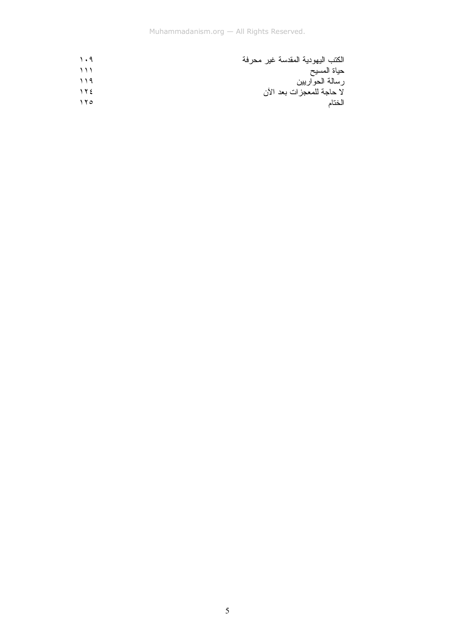| $\eta$ . 9       | الكتب اليهودية المقدسة غير محرفة |
|------------------|----------------------------------|
| $\rightarrow$    | حياة المسيح                      |
| $\bigwedge$      | رسالة الحواريين                  |
| $\gamma$         | لا حاجة للمعجزات بعد الآن        |
| $\lambda \delta$ | الختام                           |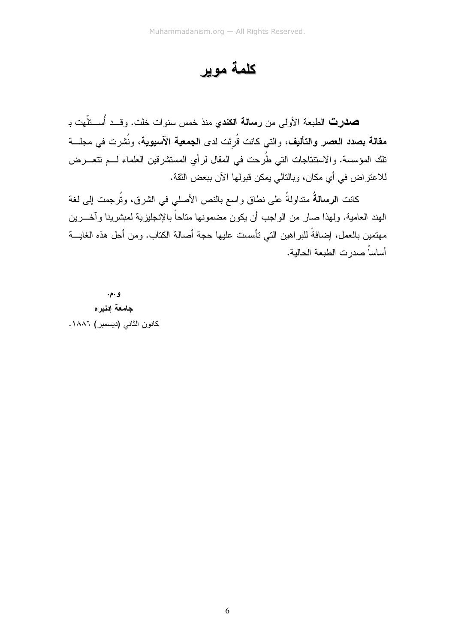كلمة موير

صدرت الطبعة الأولى من رسالة الكندي منذ خمس سنوات خلت. وقــد أُســنلّهت بـ **مقالة بصدد العصر والتأليف،** والتي كانت قُرئت لدى ا**لجمعية الآسيوية،** ونُشرت في مجلسة تلك المؤسسة. والاستنتاجات التي طُرحت في المقال لرأي المستشرقين العلماء لـــم تتعــــرض للاعتراض في أي مكان، وبالنالي يمكن قبولها الآن ببعض الثقة.

كانت ا**لرسالةُ** متداولةً على نطاقٍ واسع بالنص الأصلي في الشرق، وتُرجِمت إلى لغة الهند العامية. ولهذا صار من الواجب أن يكون مضمونها متاحاً بالإنجليزية لمبشرينا وآخـــرين مهتمين بالعمل، إضافةً للبراهين التي تأسست عليها حجة أصالة الكناب. ومن أجل هذه الغايـــة أساساً صدر ت الطبعة الحالية.

و .م. جامعة إدنيره كانون الثاني (ديسمبر) ١٨٨٦.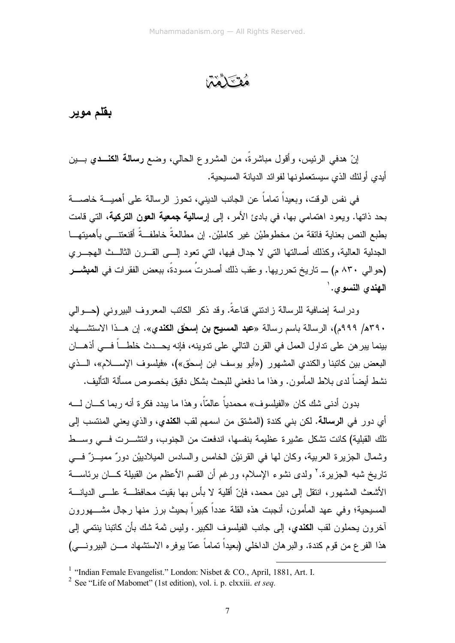فقنكاهما

#### بقلم موير

إنّ هدفي الرئيس، وأقول مباشرةً، من المشروع الحالي، وضع **رسالة الكنـــدي** بـــين أيدى أولئك الذي سيستعملونها لفوائد الديانة المسيحية.

في نفس الوقت، وبعيداً نماماً عن الجانب الديني، نحوز الرسالة على أهميـــة خاصــــة بحد ذاتها. ويعود اهتما*مي ب*ها، في بادئ الأمر، إلى إ**رسالية جمعية الـعون التركية**، التي قامت بطبع النص بعناية فائقة من مخطوطيْن غير كامليْن. إن مطالعةً خاطفــةً أقنعتنـــى بأهميتهـــا الجدلية العالية، وكذلك أصالتها التي لا جدال فيها، التي تعود إلــي القـــرن الثالـــث الـهجـــري (حوالي ٨٣٠ م) \_ تاريخ تحرريها. وعقب ذلك أصدرتُ مسودةٌ، ببعض الفقرات في المبشـــر النهندي النسوي.'

ودراسة إضافية للرسالة زادنتي قناعةً. وقد ذكر الكانب المعروف البيروني (حـــوالـي ٣٩٠هـ/ ٩٩٩م)، الرسالة باسم رسالة «**عبد المسيح بن إسحٰق الكند**ي». إن هــذا الاستشـــهاد بينما يبر هن على نداول العمل في القرن النالي على ندوينه، فإنه يحـــدث خلطــــاً فــــي أذهــــان البعض بين كاتبنا والكندي المشهور («أبو يوسف ابن إسحٰق»)، «فيلسوف الإســــلام»، الــــذي نشط أيضاً لدى بلاط المأمون. وهذا ما دفعني للبحث بشكل دقيق بخصوص مسألة التأليف.

بدون أدنـى شك كان «الفيلسوف» محمدياً عالمـّاً، وهذا ما ببدد فكرة أنـه ربمـا كــــان لـــــه أي دور في ا**لرسالـة.** لكن بني كندة (المشتق من اسمهم لقب ا**لكندي**، والذي يعني المنتسب إلي تلك القبلية) كانت تشكل عشيرة عظيمة بنفسها، اندفعت من الجنوب، وانتشــــرت فــــي وســـط وشمال الجزيرة العربية، وكان لها في القرنيْن الخامس والسادس الميلادييْن دورٌ مميــزٌ فـــي ناريخ شبه الجزيرة.' ولدى نشوء الإسلام، ورغم أن القسم الأعظم من القبيلة كـــان برئاســــة الأشعث المشهور، انتقل إلى دين محمد، فإنّ أقلية لا بأس بها بقيت محافظـــة علـــي الديانــــة المسيحية؛ وفي عهد المأمون، أنجبت هذه القلة عدداً كبيراً بحيث برز منها رجال مشـــهورون أخرون بحملون لقب ا**لكندي**، إلى جانب الفيلسوف الكبير . وليس ثمة شك بأن كاتبنا بنت*مي* إلى هذا الفرع من قوم كندة. والبرهان الداخلي (بعيداً تماماً عمّا بوفره الاستشهاد مـــن البيرونـــي)

<sup>&</sup>lt;sup>1</sup> "Indian Female Evangelist." London: Nisbet & CO., April, 1881, Art. I.

<sup>&</sup>lt;sup>2</sup> See "Life of Mabomet" (1st edition), vol. i. p. clxxiii. *et seq.*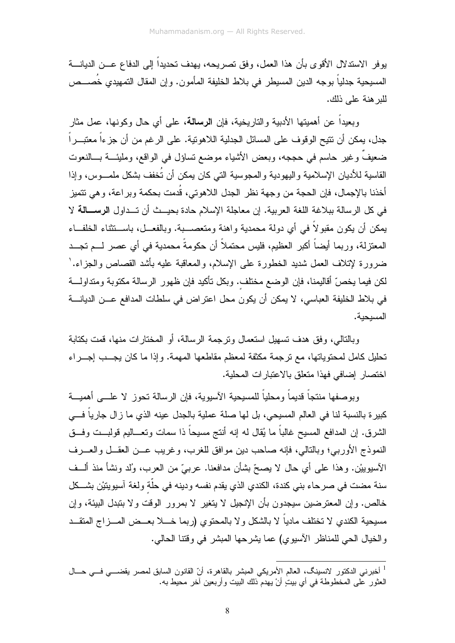يوفر الاستدلال الأقوى بأن هذا العمل، وفق تصريحه، يهدف تحديداً إلى الدفاع عـــن الديانــــة المسيحية جدلياً بوجه الدين المسيطر في بلاط الخليفة المأمون. وإن المقال النمهيدي خصـــص للبر هنة على ذلك.

وبعيداً عن أهميتها الأدبية والتاريخية، فإن ا**لرسالة**، على أي حال وكونها، عمل مثار جدل، بمكن أن نتيح الوقوف على المسائل الجدلية اللاهونية. على الرغم من أن جزءاً معتبــــراً ضعيفٌ وغير حاسم في حججه، وبعض الأشياء موضع نساؤل في الواقع، ومليئــــة بــــالنعوت القاسية للأديان الإسلامية واليهودية والمجوسية التي كان يمكن أن تُخفف بشكل ملمـــوس، وإذا أخذنا بالإجمال، فإن الحجة من وجهة نظر الجدل اللاهوتي، قُدمت بحكمة وبراعة، وهي تتميز في كل الرسالة ببلاغة اللغة العربية. إن معاجلة الإسلام حادة بحيــث أن تــداول الرســـالـة لا يمكن أن يكون مقبولاً في أي دولة محمدية واهنة ومتعصــــبة. وبالفعـــل، باســـنثناء الخلفـــاء المعتزلة، وربما أيضاً أكبر العظيم، فليس محتملاً أن حكومةً محمدية في أي عصر لـــم تجـــد ضرورة لإتلاف العمل شدبد الخطورة على الإسلام، والمعاقبة علبه بأشد القصاص والجزاء. ' لكن فيما يخصّ أقاليمنا، فإن الوضع مختلف. وبكل تأكيد فإن ظهور الرسالة مكتوبة ومتداولـــة في بلاط الخليفة العباسي، لا يمكن أن يكون محل اعتراض في سلطات المدافع عـــن الديانــــة المسبحية.

وبالتالي، وفق هدف تسهيل استعمال وترجمة الرسالة، أو المختار ات منها، قمت بكتابة تحليل كامل لمحتوياتها، مع ترجمة مكثفة لمعظم مقاطعها المهمة. وإذا ما كان يجلب إجلراء اختصار إضافي فهذا متعلق بالاعتبار ات المحلية.

وبوصفها منتجاً قديماً ومحلياً للمسيحية الأسيوية، فإن الرسالة تحوز لا علـــى أهميـــة كبير ة بالنسبة لنا في العالم المسيحي، بل لها صلة عملية بالجدل عينه الذي ما زال جارياً فـــي الشرق. إن المدافع المسيح غالباً ما يُقال له إنه أنتج مسيحاً ذا سمات وتعـــاليم قولبـــت وفـــق النموذج الأوربي؛ وبالتالي، فإنه صاحب دين موافق للغرب، وغريب عــن العقــل والعـــرف الأسبوبيْن. وهذا على أي حال لا يصحّ بشأن مدافعنا. عربيّ من العرب، وُلد ونشأ منذ ألــف سنة مضت في صرحاء بني كندة، الكندي الذي يقدم نفسه ودينه في حلَّة ولغة آسيويتيْن بشــكل خالص. وإن المعترضين سيجدون بأن الإنجيل لا يتغير لا بمرور الوقت ولا بتبدل البيئة، وإن مسيحية الكندي لا تختلف مادياً لا بالشكل و لا بالمحتوى (ربما خــــلا بعـــض المـــز اج المتقـــد والخيال الحي للمناظر الأسيوي) عما يشرحها المبشر في وقتنا الحالي.

<sup>&</sup>lt;sup>1</sup> أخبرني الدكتور لانسينگ، العالم الأمريكي المبشر بالقاهرة، أنّ القانون السابق لمصر يقضـــي فـــي حـــال العثور عْلَى المخطوطة في أي بيتٍ أنْ يهدمْ ذلك البيت وأربعين أخر محيط به.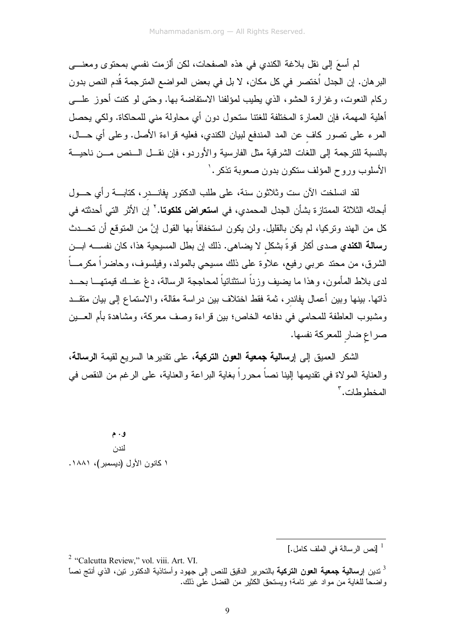لم أسعَ إلى نقل بلاغة الكندي في هذه الصفحات، لكن ألزمت نفسي بمحتوى ومعنــــي البر هان. إن الجدل اُختصر في كل مكان، لا بل في بعض المواضع المترجمة قُدم النص بدون ركام النعوت، وغزارة الحشو، الذي يطيب لمؤلفنا الاستفاضة بها. وحتى لو كنت أحوز علـــى أهلية المهمة، فإن العمارة المختلفة للغتنا ستحول دون أي محاولة مني للمحاكاة. ولكي يحصل المرء على نصور كاف عن المد المندفع لبيان الكندي، فعليه قراءة الأصل. وعلى أي حـــال، بالنسبة للترجمة إلى اللغات الشرقية مثل الفارسية والأوردو، فإن نقــل الــنص مـــن ناحيـــة الأسلوب وروح المؤلف ستكون بدون صعوبة تذكر .'

لقد انسلخت الأن ست وثلاثون سنة، على طلب الدكتور بفانـــدر، كتابـــة رأي حـــول أبحاثه الثلاثة الممتاز ة بشأن الجدل المحمدي، في ا**ستعراض كلكوتا**. <sup>٢</sup> إن الأثر التي أحدثته في كل من الـهند وتركيا، لم يكن بالقليل. ولن يكون استخفافاً بـها القول إنَّ من المتوقع أن تـحـــدث رسالة الكندي صدى أكثر قوةً بشكل لا يضاهي. ذلك إن بطل المسيحية هذا، كان نفســــه ابـــن الشرق، من محتد عربي رفيع، علاوة على ذلك مسيحي بالمولد، وفيلسوف، وحاضراً مكرمـــاً لدى بلاط المأمون، و هذا ما بضبف وزناً استثنائياً لمحاججة الرسالة، دعْ عنــك قبمتهـــا بحـــد ذاتها. بينها وبين أعمال بفاندر ، ثمة فقط اختلاف بين در اسة مقالة، والاستماع إلى بيان متقــد ومشبوب العاطفة للمحامي في دفاعه الخاص؛ بين قراءة وصف معركة، ومشاهدة بأم العـــين صراع ضار للمعركة نفسها.

الشكر العميق إلى إ**رسالية جمعية العون التركية**، على تقديرها السريع لقيمة ا**لرسالة**، والعناية المو لاة في نقديمها إلينا نصاً محرراً بغاية البراعة والعناية، على الرغم من النقص في المخطوطات.

و . م لندن ١ كانون الأول (ديسمبر )، ١٨٨١.

<sup>&</sup>lt;sup>1</sup> [نص الرسالة في الملف كامل.]

<sup>&</sup>lt;sup>2</sup> "Calcutta Review," vol. viii. Art. VI. <sup>3</sup> ندين إ**رسالية جمعية الـعون التركية** بالتحرير الدقيق للنص إلى جهود وأستاذية الدكتور نين، الذي أنتج نصـا واضبحًا للغابة من مواد غير تامة؛ ويستحق الكثير من الفضل على ذلك.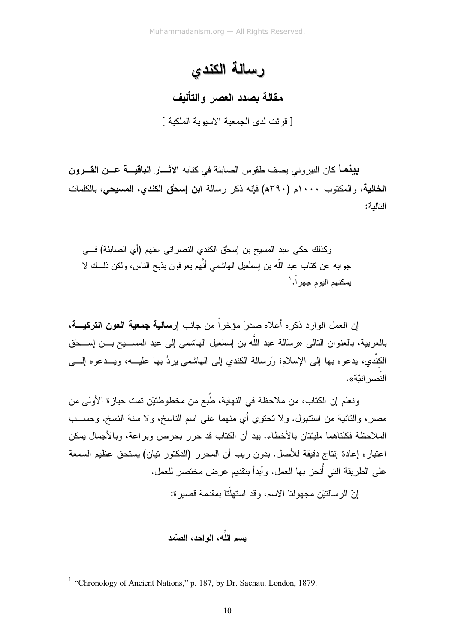# رسالة الكندي

#### مقالة بصدد العصر والتأليف

[ قر ئت لدى الجمعية الآسبو بة الملكية ]

**بينما** كان البيروني يصف طقوس الصابئة في كتابه الآشــار ال**باقيـــة عــن القـــرون** الخالية، و المكتوب ١٠٠٠م (٣٩٠هـ) فإنه ذكر رسالة ابن إسحاق الكندي، المسيحي، بالكلمات التالبة:

وكذلك حكى عبد المسيح بن إسحٰق الكندى النصر اني عنهم (أي الصابئة) فـــي جوابه عن كتاب عبد اللَّه بن إسمٰعيل الهاشمي أنَّهم يعرفون بذبح الناس، ولكن ذلـــك لا يمكنهم اليوم جهراً.'

إن العمل الوارد ذكر م أعلاه صدر َ مؤخر اً من جانب إرس**الية جمعية العون التركيـــة،** بالعربية، بالعنوان النالي «رسَالة عبد اللّه بن إسمٰعيل الـهاشمـي إلـي عبد المســـيح بـــن إســـحٰق الكنْدي، يدعوه بها إلى الإسلام؛ وَرسالة الكندي إلى الـهاشمي يردُّ بـها عليـــه، ويـــدعوه إلــــى النّصر انتّة».

ونعلم إن الكتاب، من ملاحظة في النهاية، طُبع من مخطوطتيْن تمت حياز ة الأولى من مصر، والثانية من استتبول. ولا تحتوي أي منهما على اسم الناسخ، ولا سنة النسخ. وحســب الملاحظة فكلناهما مليئتان بالأخطاء. بيد أن الكتاب قد حرر بحرص وبراعة، وبالأجمال يمكن اعتباره إعادة إنتاج دقيقة للأصل. بدون ريب أن المحرر (الدكتور تيان) يستحق عظيم السمعة علم الطريقة التي أُنجز بها العمل. وأبدأ بنقديم عرض مختصر للعمل.

انّ الرسالتيْن محهولتا الإسم، وقد استهلّتا بمقدمة قصير ة:

بسم اللّه، الواحد، الصّمد

<sup>&</sup>lt;sup>1</sup> "Chronology of Ancient Nations," p. 187, by Dr. Sachau. London, 1879.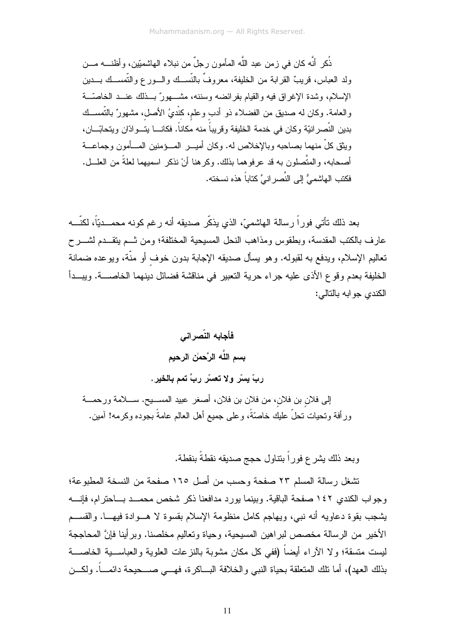ذُكر ۖ أنَّه كان في زمن عبد اللَّه المأمون رجلٌ من نبلاء الهاشميّين، وأظنـــه مـــن ولد العباس، قريبٌ القر ابة من الخليفة، معروفٌ بالنَّســك والـــورع والتَّمســك بـــدين الإسلام، وشدة الإغراق فيه والقيام بفرائضه وسننه، مشـــهورٌ بـــذلك عنـــد الخاصـّـــة والعامة. وكان له صديق من الفضلاء ذو أدب وعلم، كنْديُ الأصل، مشهورٌ بالتَّمســك بدين النّصر انيّة وكان في خدمة الخليفة وقر يباً منه مكاناً. فكانـــا يتـــو ادّان ويتحابّـــان، ويثق كلِّ منهما بصاحبه وبالإخلاص له. وكان أميـــر المــــؤمنين المــــأمون وجماعــــة أصحابه، والمتَّصلون به قد عرفوهما بذلك. وكرهنا أنْ نذكر اسميهما لعلةً من العلـــل. فكتب الهاشميُّ إلى النِّصرِ انيِّ كتاباً هذه نسخته.

بعد ذلك نأتي فوراً رسالة الهاشميّ، الذي يذكّر صديقه أنه رغم كونه محمـــديّاً، لكنّـــه عارف بالكتب المقدسة، وبطقوس ومذاهب النحل المسيحية المختلفة؛ ومن ثــم يتقــدم لشـــرح تعاليم الإسلام، ويدفع به لقبوله. وهو يسأل صديقه الإجابة بدون خوف أو منَّة، ويوعده ضمانة الخليفة بعدم وقوع الأذى عليه جراء حرية النعبير في مناقشة فضائل دينهما الخاصــــة. ويبـــدأ الكندى جو ابه بالتالي:

فأجابه النّصر اني بسم اللَّه الرَّحمٰن الرحيم ربِّ بِسِّر ولا تعسَّر ربِّ تمم بِالخير. إلى فلان بن فلان، من فلان بن فلان، أصغر عبيد المســـبح. ســــلامة ورحمــــة ورِ أفة وتحيات تحلَّ عليك خاصَّةً، وعلى جميع أهل العالم عامةً بجوده وكرمه! آمين.

وبعد ذلك يشرع فوراً بنتاول حجج صديقه نقطةً بنقطة.

تشغل ر سالة المسلم ٢٣ صفحة وحسب من أصل ١٦٥ صفحة من النسخة المطبوعة؛ وجواب الكندي ١٤٢ صفحة الباقية. وبينما يورد مدافعنا ذكر شخص محمــد بـــاحترام، فإنــــه يشجب بقوة دعاويه أنه نبي، ويهاجم كامل منظومة الإسلام بقسوة لا هـــوادة فيهـــا. والقســـم الأخير من الرسالة مخصص لبراهين المسيحية، وحياة وتعاليم مخلصنا. وبرأينا فإنَّ المحاججة ليست منسقة؛ ولا الآراء أيضاً (ففي كل مكان مشوبة بالنزعات العلوية والعباســـية الخاصــــة بذلك العهد)، أما نلك المتعلقة بحياة النبي والخلافة البساكرة، فهسى صـــحيحة دائمـــاً. ولكـــن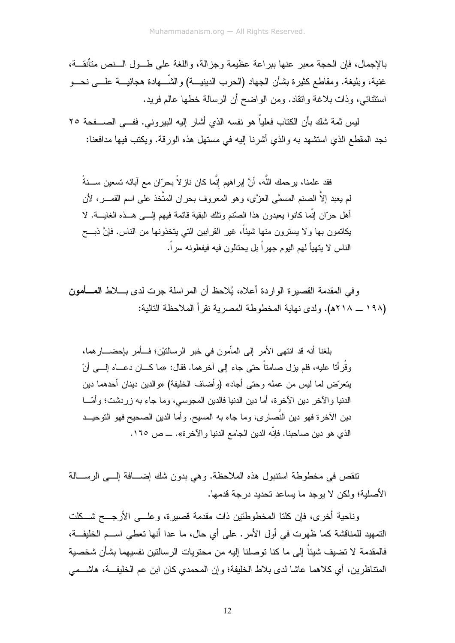بالإجمال، فإن الحجة معبر عنها ببراعة عظيمة وجزالة، واللغة على طــول الـــنص متأنقـــة، غنية، وبليغة. ومقاطع كثيرة بشأن الجهاد (الحرب الدينيـــة) والشّـــهادة هجائيـــة علــــي نحـــو استثنائي، وذات بلاغة وانقاد. ومن الواضح أن الرسالة خطها عالم فريد.

ليس ثمة شك بأن الكتاب فعلياً هو نفسه الذي أشار إليه البيروني. ففــي الصـــفحة ٢٥ نجد المقطع الذي استشهد به والذي أشرنا إليه في مستهل هذه الورقة. ويكتب فيها مدافعنا:

فقد علمنا، يرحمك اللَّه، أنَّ إبراهيم إنَّما كان ناز لاً بحرّان مع آبائه تسعين ســـنةً لم يعبد إلاّ الصنم المسمَّى العزَّى، وهو المعروف بحران المتَّخذ على اسم القصــر، لأن أهل حرَّان إنَّما كانوا بعبدون هذا الصَّنع ونلك البقية قائمة فيهم إلــــى هـــذه الغايـــة. لا يكاتمون بها ولا يسترون منها شيئاً، غير القرابين التي يتخذونها من الناس. فإنَّ ذبـــح الناس لا يتهيأ لهم اليوم جهراً بل يحتالون فيه فيفعلونه سراً.

وفي المقدمة القصيرة الواردة أعلاه، يُلاحظ أن المراسلة جرت لدى بـــلاط المــــأمون (١٩٨ \_ ٢١٨هـ). ولدى نهاية المخطوطة المصرية نقرٍ أ الملاحظة التالية:

بلغنا أنه قد انتهى الأمر إلى المأمون في خبر الرسالتيْن؛ فــأمر بإحضـــار هما، وقُرأتا عليه، فلم يزل صامتاً حتى جاء إلى آخرهما. فقال: «ما كـــان دعـــاه إلــــى أنْ بتعرّ ض لما لبس من عمله وحتى أجاد» (و أضاف الخليفة) «و الدين دينان أحدهما دين الدنيا والآخر دين الآخرة، أما دين الدنيا فالدين المجوسي، وما جاء به زردشت؛ وأمّـــا دين الآخرة فهو دين النَّصاري، وما جاء به المسيح. وأما الدين الصحيح فهو التوحيــد الذي هو دين صاحبنا. فإنّه الدين الجامع الدنيا و الآخر ة». ـــ ص ١٦٥.

نتقص في مخطوطة استتبول هذه الملاحظة. وهي بدون شك إضـــافة إلـــي الرســـالة الأصلية؛ ولكن لا يوجد ما يساعد تحديد درجة قدمها.

وناحية أخرى، فإن كلتا المخطوطتين ذات مقدمة قصيرة، وعلـــى الأرجـــح شـــكلت التمهيد للمناقشة كما ظهرت في أول الأمر . على أي حال، ما عدا أنها تعطي اســـم الخليفـــة، فالمقدمة لا تضيف شيئاً إلى ما كنا توصلنا إليه من محتويات الرسالتين نفسيهما بشأن شخصية المتناظرين، أي كلاهما عاشا لدى بلاط الخليفة؛ وإن المحمدي كان ابن عم الخليفــة، هاشـــمي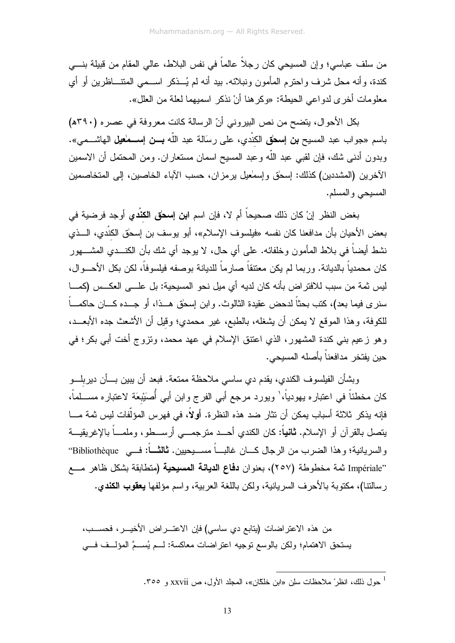من سلف عباسي؛ وإن المسيحي كان رجلاً عالماً في نفس البلاط، عالي المقام من قبيلة بنـــي كندة، وأنه محل شرف واحترم المأمون ونبلائه. بيد أنه لم يُـــذكر اســـمي المتتــــاظرين أو أي معلومات أخر ي لدو اعي الحيطة: «وكر هنا أنْ نذكر اسميهما لعلة من العلل».

بكل الأحوال، يتضح من نص البيروني أنّ الرسالة كانت معروفة في عصره (٣٩٠ه) باسم «جواب عبد المسيح **بن إسحٰق** الكنْدي، على رسَالة عبد اللّه **بــن إســـمٰعيل** الـهاشـــمى». وبدون أدنـى شك، فإن لقبـي عبد اللَّه وعبد المسيح اسمان مستعاران. ومن المحتمل أن الاسمين الآخرين (المشددين) كذلك: إسحٰق وإسمٰعيل برمزان، حسب الآباء الخاصين، إلى المتخاصمين المسيحي والمسلم.

بغض النظر إنْ كان ذلك صحيحاً أم لا، فإن اسم ا**بن إسحٰق الكنْدي** أوجد فرضية في بعض الأحيان بأن مدافعنا كان نفسه «فيلسوف الإسلام»، أبو يوسف بن إسحٰق الكنْدي، الـــذي نشط أيضاً في بلاط المأمون وخلفائه. على أي حال، لا يوجد أي شك بأن الكنـــدي المشــــهور كان محمدياً بالديانة. وربما لم يكن معتنقاً صارماً للديانة بوصفه فيلسوفاً، لكن بكل الأحـــوال، ليس ثمة من سبب للافتراض بأنه كان لديه أي ميل نحو المسيحية: بل علـــي العكــس (كمـــا سنر ي فيما بعد)، كتب بحثاً لدحض عقيدة الثالوث. وابن إسحٰق هـــذا، أو جـــده كــــان حاكمــــاً للكوفة، وهذا الموقع لا يمكن أن يشغله، بالطبع، غير محمدي؛ وقيل أن الأشعث جده الأبعـــد، وهو زعيم بني كندة المشهور، الذي اعتنق الإسلام في عهد محمد، وتزوج أخت أبي بكر؛ في حين يفتخر ٍ مدافعناً بأصله المسيحي.

وبشأن الفيلسوف الكندي، يقدم دي ساسي ملاحظة ممتعة. فبعد أن يبين بـــأن ديربلـــو كان مخطئاً في اعتباره يهودياً،' ويورد مرجع أبي الفرج وابن أبي أُصنَيْبعَة لاعتباره مســـلماً، فإنه يذكر ثلاثة أسباب يمكن أن تثار ضد هذه النظرة. أولاً، في فهرس المؤلَّفات ليس ثمة مـــا يتصل بالقرآن أو الإسلام. **ثانياً**: كان الكندي أحـــد مترجمـــي أرســـطو، وملمـــاً بالإغريقيـــة والسريانية؛ وهذا الضرب من الرجال كــــان غالبــــاً مســــيحيين. **ثـالثــــاً:** فـــي Bibliothèque<sup>..</sup> ''Impériale ثمة مخطوطة (٢٥٧)، بعنوان **دفاع الديانة المسيحية (**متطابقة بشكل ظاهر مـــع رِ سالنتا)، مكتوبة بالأحرف السريانية، ولكن باللغة العربية، واسم مؤلفها **يعقوب الكندي.** 

من هذه الاعتراضات (يتابع دي ساسي) فإن الاعتــــراض الأخيــــر، فحســـب، يستحق الاهتمام؛ ولكن بالوسع نوجيه اعتراضات معاكسة: لــم يُســمَّ المؤلــف فـــي

<sup>&</sup>lt;sup>1</sup> حول ذلك، انظر ْ ملاحظات سلِّن «ابن خلِّكَّان»، المجلِّد الأول، ص xxvii و ٣٥٥.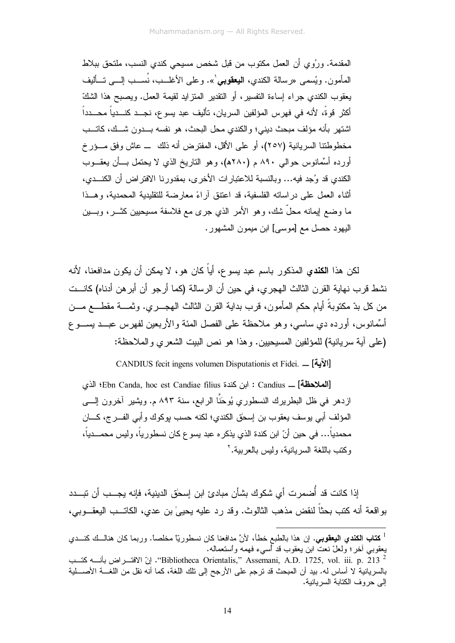المقدمة. ورُوى أن العمل مكتوب من قبل شخص مسيحي كندي النسب، ملتحق ببلاط العأمون. ويُسمى «رسالة الكندى، ا**لبعقوب**ي'». وعلى الأغلــب، نُســب الِـــبي تـــأليف يعقوب الكندي جراء إساءة التفسير ، أو التقدير المنز ايد لقيمة العمل. ويصبح هذا الشكّ أكثر قوةً، لأنه في فهرس المؤلفين السريان، تأليف عبد يسوع، نجـــد كنـــدياً محـــدداً اشتهر ِ بأنه مؤلف مبحث ديني؛ و الكندي محل البحث، هو نفسه بـــدون شـــك، كاتـــب مخطوطتنا السريانية (٢٥٧)، أو على الأقل، المفترض أنه ذلك ــ عاش وفق مـــؤرخ أورده أسَّمانوس حوالبي ٨٩٠ م (٢٨٠ه)، وهو الناريخ الذي لا يحتمل بسأن يعقــوب الكندي قد وُجِد فيه... وبالنسبة للاعتبارات الأخرى، بمقدورنا الافتراض أن الكنــدي، أثناء العمل على دراساته الفلسفية، قد اعتنق أراءً معارضة للتقليدية المحمدية، وهــذا ما وضع ايمانه محلٌّ شك، وهو الأمر الذي جرى مع فلاسفة مسيحيين كثـــر، وبــــين اليهود حصل مع [موسى] ابن ميمون المشهور.

لكن هذا ا**لكند**ى المذكور باسم عبد بسو ع، أياً كان هو ، لا يمكن أن يكون مدافعنا، لأنه نشط قر ب نـهايـة القر ن الثالث الـهجر ي، فـي حين أن الر سالـة (كمـا أر جو أن أبر هن أدنـاه) كانـــت من كل بدّ مكتوبةً أيام حكم المأمون، قرب بداية القرن الثالث الـهجــــري. وثمــــة مقطــــع مــــن أَسِّمانوس، أورده دي ساسي، وهو ملاحظة على الفصل المئة والأربعين لفهرس عبــد يســـو ع (على آية سريانية) للمؤلفين المسيحيين. وهذا هو نص البيت الشعرى والملاحظة:

CANDIUS fecit ingens volumen Disputationis et Fidei. \_ [الآية]

[الملاحظة] \_ Candius : ابن كندة Ebn Canda, hoc est Candiae filius؛ الذي ازدهر في ظل البطريرك النسطوري يُوحَنَّا الرابع، سنة ٨٩٣ م. ويشير آخرون إلـــي المؤلف أبي يوسف يعقوب بن إسحق الكندي؛ لكنه حسب يوكوك وأبي الفـــرج، كــــان محمدياً… في حين أنّ ابن كندة الذي يذكر ه عبد يسو ع كان نسطور ياً، وليس محمـــدياً، وكتب باللغة السر بانبة، ولبس بالعربية.'

اِذا كانت قد أُضمرت أي شكوك بشأن مبادئ ابن إسحٰق الدينية، فإنه يجــب أن نبـــدد بواقعة أنه كتب بحثاً لنقض مذهب الثالوث. وقد رد عليه بحيىٰ بن عدي، الكاتـــب البعقـــوبـي،

<sup>&</sup>lt;sup>ا</sup> **كتاب الكندي اليعقوبي**. إن هذا بالطبع خطأ، لأنَّ مدافعنا كان نسطوريّاً مخلصاً. وربما كان هنالــك كنـــدي يعقوبـي أخر؛ ولعلّ نـعت ابن يـعقوب قد أسـىء فـهمه واستعمالـه.

<sup>&</sup>quot;Bibliotheca Orientalis," Assemani, A.D. 1725, vol. iii. p. 213 " ونّ الافتـــراض بأنــــه كتــب" بالسريانية لا أساس له. بيد أن المبحث قد نرجم على الأرجح إلى نلك اللغة، كما أنه نقل من اللغــــة الأصــــلية إلى حر وف الكتابة السر بانية.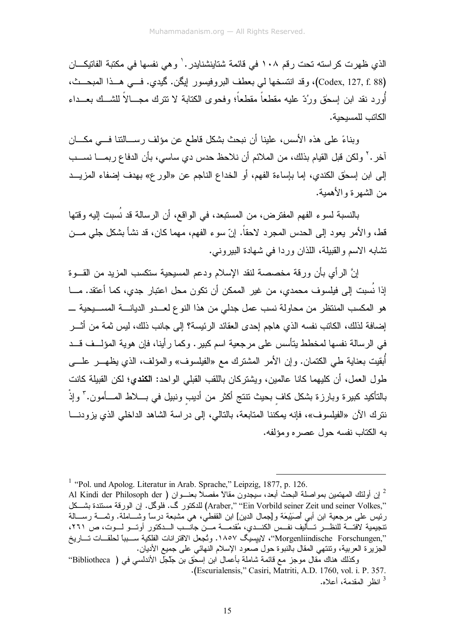الذي ظهر ت كر استه تحت ر قم ١٠٨ في قائمة شتاينشنايدر . ' و هي نفسها في مكتبة الفاتيكـــان (Codex, 127, f. 88)، وقد انتسخها لي بعطف البروفيسور ايكن. كيدي. فـــي هــذا المبحــث، أورد نقد ابن اِسحٰق ورُدّ عليه مقطعاً مقطعاً؛ وفحوى الكتابة لا نترك مجـــالاً للشــك بعـــداء الكاتب للمسبحبة.

وبناءً على هذه الأسس، علينا أن نبحث بشكل قاطع عن مؤلف رســالنتا فـــى مكـــان آخر .<sup>٢</sup> ولكن قبل القيام بذلك، من الملائم أن نلاحظ حدس دي ساسي، بأن الدفاع ربمــــا نســـب إلى ابن إسحٰق الكندي، إما بإساءة الفهم، أو الخداع الناجم عن «الور ع» بهدف إضفاء المزيــد من الشهر ة والأهمية.

بالنسبة لسوء الفهم المفترض، من المستبعد، في الواقع، أن الرسالة قد نُسبت إليه وقتها قط، والأمر يعود إلى الحدس المجرد لاحقاً. إنّ سوء الفهم، مهما كان، قد نشأ بشكل جلي مـــن تشابه الاسم والقبيلة، اللذان وردا في شهادة البيروني.

إنَّ الرأى بأن ورقة مخصصة لنقد الإسلام ودعم المسيحية ستكسب المزيد من القـــوة إذا نُسبت إلى فيلسوف محمدي، من غير الممكن أن تكون محل اعتبار جدي، كما أعتقد. مـــا هو المكسب المنتظر من محاولة نسب عمل جدلي من هذا النوع لعــدو الديانــــة المســـيحية ــــ إضافة لذلك، الكاتب نفسه الذي هاجم إحدى العقائد الرئيسة؟ إلى جانب ذلك، ليس ثمة من أثــــر في الرسالة نفسها لمخطط يتأسس على مرجعية اسم كبير . وكما ر أينا، فإن هوية المؤلَّــف قــد أبقيت بعناية طـي الكتمان. وإن الأمر المشترك مـع «الفيلسوف» والمؤلف، الذي يظهـــر علــــى طول العمل، أن كليهما كانا عالمين، ويشتركان باللقب القبلي الواحد: **الكندي؛** لكن القبيلة كانت بالتأكيد كبيرة وبارزة بشكل كاف بحيث تنتج أكثر من أديب ونبيل في بــــلاط المــــأمون." وإذْ نتر ك الآن «الفيلسوف»، فإنه يمكننا المتابعة، بالتالي، إلى در اسة الشاهد الداخلي الذي يز و دنـــا به الكتاب نفسه حول عصر ه ومؤلفه.

<sup>&</sup>lt;sup>1</sup> "Pol. und Apolog. Literatur in Arab. Sprache," Leipzig, 1877, p. 126.

<sup>ً</sup> إن أولئك المهتمين بمواصلة البحث أبعد، سيجدون مقالاً مفصلاً بعنـــوان ( Al Kindi der Philosoph der ".Araber," "Ein Vorbild seiner Zeit und seiner Volkes) للدكتور كي. فلو كل. إن الورقة مستندة بشــكل رئيس على مرجعية ابن أبي أصَبَيْعَة و[جمال الدين] ابن القفطي، هي مشبعة درساً وشـــاملة. وثمـــة رســـالة ر یہی ہی کہ بند ہے جی ہے ۔<br>نتجبیمیة لافتــــة للنظــــر تــــألبف نفــس الكنـــدي، مُقدمــــة مــــّن جانــــب الــــدكتور أوتـــو لــــوت، ص ٢٦١، '',Morgenliindische Forschungen''، لاييسيگ ١٨٥٧. وتُجعل الاقترانات الفلكية ســـببا لحلقـــات تـــاريخ الجزيرة العربية، وتتتهى المقال بالنبوة حول صعود الإسلام النهائي على جميع الأديان.

وكذلك هناك مقال موجز مع قائمة شاملة بأعمال ابن إسحٰق بن جَلْجل الأندلسي في ( Bibliotheca'' .(Escurialensis," Casiri, Matriti, A.D. 1760, vol. i. P. 357. <sup>3</sup> انظر المقدمة، أعلاه.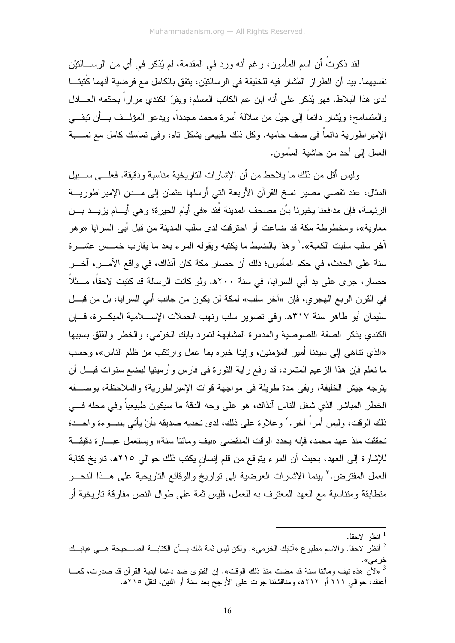لقد ذكرتَ أن اسم المأمون، رغم أنه ورد في المقدمة، لم يُذكر في أي من الرســـالتيْن نفسيهما. بيد أن الطراز المُشار فيه للخليفة في الرسالتيْن، يتفق بالكامل مع فرضية أنهما كَتبتـــا لدى هذا البلاط. فهو يُذكر على أنه ابن عم الكاتب المسلم؛ ويقرّ الكندي مراراً بحكمه العـــادل والمتسامح؛ ويُشار دائماً إلى جيل من سلالة أسرة محمد مجدداً، ويدعو المؤلـــف بـــأن ننقــــى الإمبراطورية دائماً في صف حاميه. وكل ذلك طبيعي بشكل نام، وفي نماسك كامل مع نســـبة العمل إلى أحد من حاشية المأمون.

وليس أقل من ذلك ما يلاحظ من أن الإشارات الناريخية مناسبة ودقيقة. فعلـــي ســـبيل المثال، عند نقصبي مصير نسخ القرآن الأربعة التي أرسلها عثمان إلى مــدن الإمبراطوريـــة الرئيسة، فإن مدافعنا يخبرنا بأن مصحف المدينة فُقد «في أيام الحيرة؛ وهي أيـــام يزيـــد بـــن معاوية»، ومخطوطة مكة قد ضاعت أو احترقت لدى سلب المدينة من قبل أبي السرايا «وهو آ**خ**ر سلب سلبت الكعبة». ` و هذا بالضبط ما بكتبه وبقوله المر ء بعد ما بقار ب خمـــس عشـــر ة سنة على الحدث، في حكم المأمون؛ ذلك أن حصار مكة كان آنذاك، في واقع الأمــــر، آخـــر حصارٍ، جرى على يد أبي السرايا، في سنة ٢٠٠هـ. ولو كانت الرسالة قد كتبت لاحقاً، مـــثلاً في القرن الربع الهجري، فإن «آخر سلب» لمكة لن يكون من جانب أبي السرايا، بل من قبـــل سليمان أبو طاهر سنة ٣١٧ه. وفي تصوير سلب ونهب الحملات الإســـلامية المبكـــرة، فــــإن الكندى يذكر الصفة اللصوصية والمدمرة المشابهة لتمرد بابك الخرّمي، والخطر والقلق بسببها «الذي نتاهي إلى سيدنا أمير المؤمنين، وإلينا خبره بما عمل وارتكب من ظلم الناس»، وحسب ما نعلم فإن هذا الزعيم المتمرد، قد رفع راية الثورة في فارس وأرمينيا لبضع سنوات قبـــل أن يتوجه جيش الخليفة، وبقى مدة طويلة في مواجهة قوات الإمبر اطورية؛ والملاحظة، بوصـــفه الخطر المباشر الذي شغل الناس أنذاك، هو على وجه الدقة ما سيكون طبيعياً وفي محله فـــي ذلك الوقت، وليس أمراً آخر . ْ وعلاوة على ذلك، لدى تحديه صديقه بأنْ يأتي بنبـــوءة واحـــدة تحققت منذ عهد محمد، فإنه يحدد الوقت المنقضبي «نيف ومائنا سنة» ويستعمل عبـــارة دقيقـــة للإشارة إلى العهد، بحيث أن المرء يتوقع من قلم إنسان يكتب ذلك حوالي ٢١٥ه، تاريخ كتابة العمل المفترض." بينما الإشارات العرضية إلى نواريخ والوقائع الناريخية على هــذا النحـــو منطابقة ومنتاسبة مع العهد المعترف به للعمل، فليس ثمة على طوال النص مفارقة ناريخية أو

انظر لاحقاً.  $^{\rm l}$ 

<sup>&</sup>lt;sup>2</sup> أنظر لاحقًا. والاسم مطبوع «أتابك الخزمي». ولكن ليس ثمة شك بــأن الكتابـــة الصـــحيحة هـــي «بابــك

<sup>&</sup>lt;sup>3</sup> «لأنّ هذه نيف ومائنا سنة قد مضت منذ ذلك الوقت». إن الفتوى ضد دغما أبدية القرآن قد صدرت، كمـــا أعتقد، حوالي ٢١١ أو ٢١٢ه، ومناقشتنا جرت علي الأرجح بعد سنة أو اثنين، لنقل ٢١٥هـ.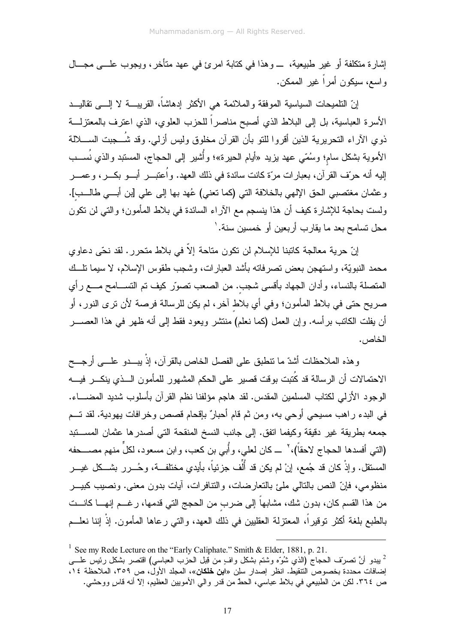إشارة منكلفة أو غير طبيعية، \_وهذا في كتابة امرئ في عهد متأخر، ويجوب علـــي مجـــال و اسع، سيكون أمر أ غير الممكن.

إنّ التلميحات السياسية الموفقة والملائمة هي الأكثر إدهاشاً، القريبــــة لا إلــــى نقاليــــد الأسرة العباسية، بل إلى البلاط الذي أصبح مناصراً للحزب العلوي، الذي اعترف بالمعتزلـــة ذوي الآراء النحريرية الذين أقروا للنو بأن القرآن مخلوق وليس أزلى. وقد شُــــجبت الســـــلالة الأموية بشكل سام؛ وسُمّي عهد بزيد «أيام الحيرة»؛ وأشير إلى الحجاج، المسنّبد والذي نُســـب إليه أنه حرّف القرآن، بعبارات مرّة كانت سائدة في ذلك العهد. وأعتبـــر أبـــو بكـــر، وعمـــر وعثمان مغتصبي الحق الإلهي بالخلافة التي (كما تعني) عُهد بها إلى على [بن أبـــي طالـــب]. ولست بحاجة للإشارة كيف أن هذا بنسجم مع الأراء السائدة في بلاط المأمون؛ والتي لن نكون محل تسامح بعد ما يقارب أربعين أو خمسين سنة. '

إنّ حرية معالجة كاتبنا للإسلام لن تكون متاحة إلاّ في بلاط متحرر . لقد نحّى دعاوى محمد النبويَّة، واستهجن بعض نصرفاته بأشد العبارات، وشجب طقوس الإسلام، لا سيما نلَّــك المنصلة بالنساء، وأدان الجهاد بأقسى شجب. من الصعب نصوَّر كيف تم النســـامح مــــع رأي صريح حتى في بلاط المأمون؛ وفي أي بلاط آخر، لم يكن للرسالة فرصة لأن ترى النور، أو أن يفلت الكانب برأسه. وإن العمل (كما نعلم) منتشر ويعود فقط إلى أنه ظهر في هذا العصــــــر الخاص.

وهذه الملاحظات أشدَّ ما نتطبق على الفصل الخاص بالقرآن، إذْ يبـــدو علــــي أرجـــح الاحتمالات أن الرسالة قد كُتبت بوقت قصير على الحكم المشهور للمأمون السذى ينكسر فيسه الوجود الأزلى لكتاب المسلمين المقدس. لقد هاجم مؤلفنا نظم القرآن بأسلوب شديد المضــــاء. في البدء راهب مسيحي أوحي به، ومن ثم قام أحبارٌ بإقحام قصص وخرافات يهودية. لقد تـــم جمعه بطريقة غير دقيقة وكيفما اتفق. إلى جانب النسخ المنقحة التي أصدرها عثمان المســــتبد (التي أفسدها الحجاج لاحقاً)، ` ـــ كان لعلي، وأُبي بن كعب، وابن مسعود، لكلِّ منهم مصـــحفه المستقل. وإذْ كان قد جُمع، إنْ لم يكن قد أُلُف جزئياً، بأيدي مختلفــة، وحُـــرر بشـــكل غيـــر منظومي، فإنّ النص بالتالي ملَّئ بالنعارضات، والنّنافرات، أيات بدون معنى. ونصيب كبيـــر من هذا القسم كان، بدون شك، مشابهاً إلى ضرب من الحجج التي قدمها، رغـــم إنـهــــا كانــــت بالطبع بلغة أكثر توقيراً، المعتزلة العقليين في ذلك العهد، والتي رعاها المأمون. إذْ إننا نعلــم

<sup>&</sup>lt;sup>1</sup> See my Rede Lecture on the "Early Caliphate." Smith & Elder, 1881, p. 21. ً يبدو أنَّ نصرَف الحجاج (الذي شُوَّه وشتم بشكل وافٍ من قِبل الحزب العباسي) اقتصر بشكل رئيس علــــى إضافات محددة بخصوص التنقيط. انظر إصدار سلِّن «ا**بن خلكان**»، المجلد الأول، ص ٣٥٩، الملاحظة ١٤، ص ٣٦٤. لكن من الطبيعي في بلاط عباسي، الحطّ من قدر وإلى الأمويين العظيم، إلاّ أنه قاس ووحشي.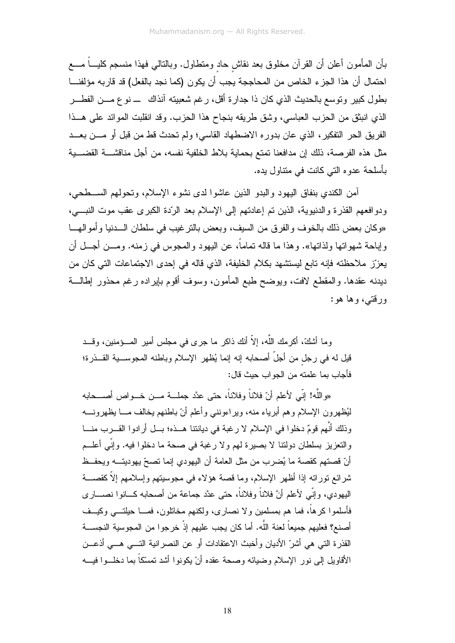بأن المأمون أعلن أن القرآن مخلوق بعد نقاش حاد ومنطاول. وبالنالي فهذا منسجم كليــــاً مــــع احتمال أن هذا الجزء الخاص من المحاججة يجب أن يكون (كما نجد بالفعل) قد قاربه مؤلفنـــا بطول كبير وتوسع بالحديث الذي كان ذا جدارة أقل، رغم شعبيته آنذاك ــ نو ع مـــن الفطـــر الذي انبثق من الحزب العباسي، وشق طريقه بنجاح هذا الحزب. وقد انقلبت الموائد على هــذا الفريق الحر النفكير، الذي عان بدوره الاضطهاد القاسي؛ ولم تحدث قط من قبل أو مـــن بعـــد مثل هذه الفرصة، ذلك إن مدافعنا تمتع بحماية بلاط الخلفية نفسه، من أجل مناقشــــة القضــــية بأسلحة عدو ہ التے كانت فى منتاول بدہ.

أمن الكندي بنفاق اليهود والبدو الذين عاشوا لدى نشوء الإسلام، وتحولهم الســـطحى، ودوافعهم القذرة والدنيوية، الذين تم إعادتهم إلى الإسلام بعد الرّدة الكبرى عقب موت النبـــي، «وكان بعض ذلك بالخوف والفرق من السيف، وبعض بالترغيب في سلطان الـــدنيا وأموالهـــا و إباحة شهو اتها و لذاتها». و هذا ما قاله تماماً، عن البهود و المجوس في ز منه. و مـــن أجـــل أن يعزِّز ملاحظته فإنه تابع ليستشهد بكلام الخليفة، الذي قاله في إحدى الاجتماعات التي كان من ديدنه عقدها. والمقطع لافت، ويوضح طبع المأمون، وسوف أقوم بإيراده رغم محذور إطالـــة ورقتبي، وها هو:

وما أشكَّ، أكر مك اللَّه، إلاّ أنك ذاكر ٍ ما جر ي في مجلس أمير المـــؤمنين، وقـــد قيل له في رجل من أجلَّ أصحابه إنه إنما يُظهر الإسلام وباطنه المجوســـية القـــذرة؛ فأجاب بما علمته من الجواب حيث قال:

«واللَّه! إنِّي لأعلم أنّ فلاناً وفلاناً، حتى عدَّد جملـــة مـــن خـــواص أصــــحابه لْيُظهِرونِ الإسلامِ وهم أبرياء منه، ويراءونني وأعلم أنّ باطنهم يخالف مـــا يظهرونــــه وذلك أنَّهم قومٌ دخلوا في الإسلام لا رغبة في ديانتنا هــذه؛ بــل أرادوا القـــرب منـــا والتعزيز بسلطان دولتنا لا بصيرة لهم ولا رغبة في صحة ما دخلوا فيه. وإنِّي أعلــم أنّ قصنهم كقصة ما يُضرب من مثل العامة أن اليهودي إنما نصحّ يهوديتـــه ويحفــظ شرائع نوراته إذا أظهر الإسلام، وما قصة هؤلاء في مجوسيتهم وإسلامهم إلاّ كقصــــة اليهودي، وإنِّي لأعلم أنَّ فلاناً وفلاناً، حتى عدَّد جماعة من أصحابه كـــانوا نصــــار ي فأسلموا كرهاً، فما هم بمسلمين ولا نصارى، ولكنهم مخانلون، فمـــا حيلتــــى وكيـــف أصنع؟ فعليهم جميعاً لعنة اللَّه. أما كان يجب عليهم إذْ خرجوٍ ا من المجوسية النجســـة القذرة التي هي أشرّ الأديان وأخبث الاعتقادات أو عن النصرانية التـــي هـــي أذعـــن الأقاويل إلى نور الإسلام وضيائه وصحة عقده أنْ يكونوا أشد تمسّكاً بما دخلــوا فيـــه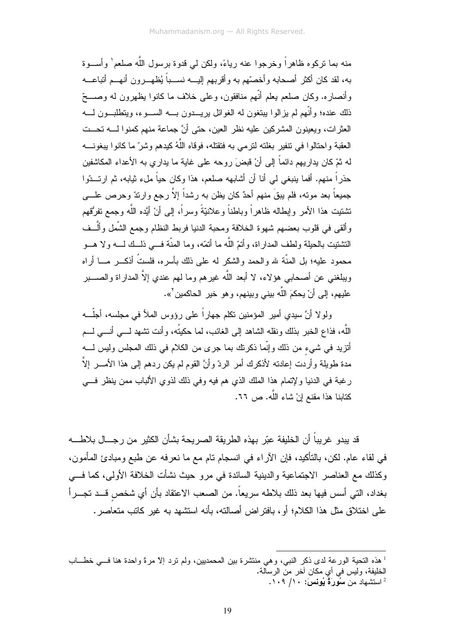منه بما نركوه ظاهر اً وخرجوا عنه رياءً، ولكن لم قدوة برسول اللَّه صلعم` وأســوة به، لقد كان أكثر أصحابه وأخصِّهم به وأقربهم إليـــه نســـباً يُظهـــر ون أنهـــم أتباعـــه وأنصار ه. وكان صلعم يعلم أنَّهم منافقون، وعلى خلاف ما كانوا يظهرون له وصــــحّ ذلك عنده؛ و أنَّهم لم يز الو ا بيتغون له الغوائل بريسـدون بـــه الســـوء، ويتطلبــون لـــه العثر ات، ويعينون المشركين عليه نظر العين، حتى أنَّ جماعة منهم كمنوا لــــه تحـــت العقبة واحتالوا في نتفير بغلته لترمي به فتقتله، فوقاه اللَّهُ كيدهم وشرَّ ما كانوا بيغونــــه له ثمّ كان يداريهم دائماً إلى أنْ قبضَ روحه على غاية ما يداري به الأعداء المكاشفين حذراً منهم. أفما بِنبغي لي أنا أن أشابهه صلعم، هذا وكان حياً ملء ثيابه، ثم ارتـــدّوا جميعاً بعد موته، فلم يبقَ منهم أحدٌ كان يظن به رشداً إلاّ رجع وارندّ وحرص علــــي تشتيت هذا الأمر وإبطاله ظاهراً وباطناً وعلانيّةً وسراً، إلى أنْ أيَّده اللّه وجمع نفرُقهم وألقى في قلوب بعضهم شهوة الخلافة ومحبة الدنيا فربط النظام وجمع الشَّمل وألَّــف التشتيت بالحيلة ولطف المداراة، وأتمّ اللّه ما أتمّه، وما المنّة فـــى ذلــك لـــه ولا هـــو محمود عليه؛ بل المنَّة لله والحمد والشكر له على ذلك بأسره، فلستُ أذكـــر مــــا أراه ويبلغني عن أصحابي هؤلاء، لا أبعد اللَّه غيرهم وما لهم عندي إلاَّ المداراة والصــــبر عليهم، إلى أنْ يحكمَ اللَّه بيني وبينهم، وهو خير الحاكمين<sup>٢</sup>».

ولو لا أنَّ سيدي أمير المؤمنين تكلَّم جهار اً على رؤوس الملأ في مجلسه، أجلَّـــه اللَّه، فذاع الخبر بذلك ونقله الشاهد إلى الغائب، لما حكيتُه، وأنت تشهد لــــى أنــــى لـــم أنزيد في شيء من ذلك وإنَّما ذكرتك بما جرى من الكلام في ذلك المجلس وليس لــــه مدة طويلة وأردت إعادته لأنكرك أمر الردّ وأنَّ القوم لم يكن ردهم إلى هذا الأمــــر إلاَّ ر غبة في الدنيا و لإتمام هذا الملك الذي هم فيه و في ذلك لذو ي الألباب ممن بنظر ٍ فـــي كتابنا هذا مقنع إنْ شاء اللَّه. ص ٦٦.

قد يبدو غريباً أن الخليفة عبّر بهذه الطريقة الصريحة بشأن الكثير من رجـــال بلاطــــه في لقاء عام. لكن، بالتأكيد، فإن الأراء في انسجام نام مع ما نعرفه عن طبع ومبادئ المأمون، وكذلك مع العناصر الاجتماعية والدينية السائدة في مرو حيث نشأت الخلافة الأولى، كما فسي بغداد، التي أسس فيها بعد ذلك بلاطه سريعاً. من الصعب الاعتقاد بأن أي شخص قــد تجـــراً على اختلاق مثل هذا الكلام؛ أو ، بافتر اض أصالته، بأنه استشهد به غير كاتب متعاصر .

<sup>&</sup>lt;sup>1</sup> هذه النحية الورعة لدى ذكر النبي، وهي منتشرة بين المحمديين، ولم نرد إلا مرةً واحدة هنا فسي خطـــاب الخليفة، وليس في أي مكان أخر من الرسالة. <sup>2</sup> استشهاد من **سُوِّرِرَةُ يُونِسَ:** ١٠٩/ ١٠٩.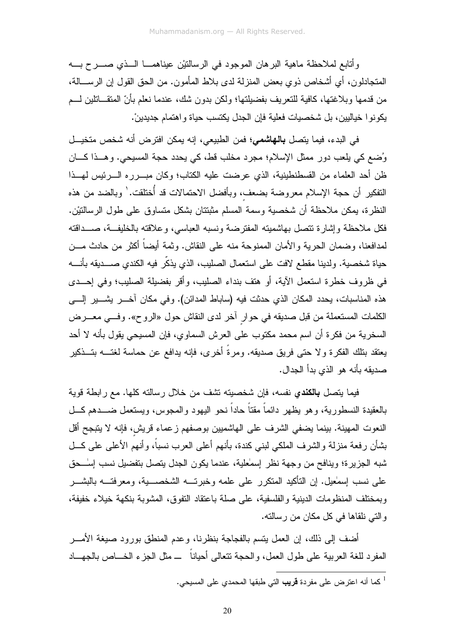وأتابع لملاحظة ماهية البرهان الموجود في الرسالتيْن عيناهمـــا الـــذي صــــرح بــــه المتجادلون، أي أشخاص ذوي بعض المنزلة لدى بلاط المأمون. من الحق القول إن الرســــالـة، من قدمها وبلاغتها، كافية للنعريف بفضيلتها؛ ولكن بدون شك، عندما نعلم بأنّ المنقـــاتلين لــــم يكونوا خياليين، بل شخصيات فعلية فإن الجدل يكتسب حياة واهتمام جديدين.

في البدء، فيما يتصل **بالهاشمي؛** فمن الطبيعي، إنه يمكن افترض أنه شخص متخيــل وُضع كي يلعب دور ممثل الإسلام؛ مجرد مخلب قط، كي يحدد حجة المسيحي. وهــذا كـــان ظن أحد العلماء من القسطنطينية، الذي عرضت عليه الكتاب؛ وكان مبـــرره الــــرئيس لمهـــذا النفكير أن حجة الإسلام معروضة بضعف، وبأفضل الاحتمالات قد أُختلقت.' وبالضد من هذه النظرة، يمكن ملاحظة أن شخصية وسمة المسلم مثبتتان بشكل متساوق على طول الرسالتيْن. فكل ملاحظة وإشارة تتصل بهاشميته المفترضة ونسبه العباسي، وعلاقته بالخليفة، صـــداقته لمدافعنا، وضمان الحربة والأمان الممنوحة منه على النقاش. وثمة أبضاً أكثر ً من حادث مـــن حياة شخصية. ولدينا مقطع لافت على استعمال الصليب، الذي يذكِّر فيه الكندي صـــــديقه بأنـــــه في ظروف خطرة استعمل الآية، أو هتف بنداء الصليب، وأقر يفضيلة الصليب؛ وفي إحــدى هذه المناسبات، يحدد المكان الذي حدثت فيه (ساباط المدائن). وفي مكان آخـــر يشـــير إلــــي الكلمات المستعملة من قبل صديقه في حوار أخر لدى النقاش حول «الروح». وفـــي معــــرض السخرية من فكرة أن اسم محمد مكتوب على العرش السماوي، فإن المسيحي يقول بأنه لا أحد يعتقد بنلك الفكرة ولا حتى فريق صديقه. ومرةً أخرى، فإنه يدافع عن حماسة لغتــــه بتـــذكير صديقه بأنه هو الذي بدأ الجدال.

فيما يتصل **بالكندى** نفسه، فإن شخصيته تشف من خلال رسالته كلها. مع رابطة قوية بالعقيدة النسطورية، وهو يظهر دائماً مقتاً حاداً نحو اليهود والمحوس، ويستعمل ضــــدهم كـــل النعوت المهينة. بينما يضفى الشرف على الهاشميين بوصفهم زعماء قريش، فإنه لا يتبجح أقل بشأن رفعة منزلة والشرف الملكى لبنى كندة، بأنهم أعلى العرب نسباً، وأنهم الأعلى على كـــل شبه الجزير ة؛ وينافح من وجهة نظر اسمٰعلية، عندما يكون الجدل يتصل بتفضيل نسب إسٰـــحق علي نسب إسمٰعيل. إن التأكيد المتكرر علي علمه وخبرتـــه الشخصــــية، ومعرفتـــه بالبشـــر وبمختلف المنظومات الدينية والفلسفية، على صلة باعتقاد النفوق، المشوبة بنكهة خيلاء خفيفة، والتي نلقاها في كل مكان من رسالته.

أضف إلى ذلك، إن العمل بنسم بالفجاجة بنظرنا، وعدم المنطق بورود صبغة الأمـــر المفرد للغة العربية على طول العمل، والحجة نتعالى أحياناً ـــ مثل الجزء الخــــاص بالجهــــاد

<sup>&</sup>lt;sup>1</sup> كما أنه اعتر ض على مفر دة **قريب** التي طبقها المحمدي على المسبحي.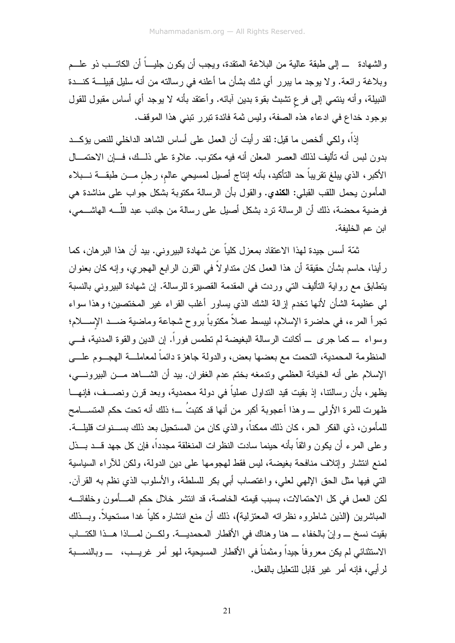و الشهادة إلى طبقة عالية من البلاغة المتقدة، ويجب أن يكون جليـــاً أن الكاتـــب ذو علـــم وبلاغة رائعة. ولا بوجد ما ببرر أي شك بشأن ما أعلنه في رسالته من أنه سليل قبيلـــة كنـــدة النبيلة، وأنه بنتمي إلى فرع تشبث بقوة بدين أبائه. وأعتقد بأنه لا يوجد أي أساس مقبول للقول بوجود خداع في ادعاء هذه الصفة، وليس ثمة فائدة تبرر تبني هذا الموقف.

إذاً، ولكي ألخص ما قيل: لقد رأيت أن العمل على أساس الشاهد الداخلي للنص يؤكـــد بدون لبس أنه تأليف لذلك العصر المعلن أنه فيه مكتوب. علاوة على ذلــك، فـــإن الاحتمـــال الأكبر ، الذي يبلغ تقريباً حد التأكيد، بأنه إنتاج أصيل لمسيحي عالم، رجل مـــن طبقـــة نـــبلاء المأمون بحمل اللقب القبلي: ا**لكندي**. والقول بأن الرسالة مكتوبة بشكل جواب على مناشدة هي فرضية محضة، ذلك أن الرسالة ترد بشكل أصيل على رسالة من جانب عبد اللَّــــه الهاشــــمى، ابن عم الخليفة.

ثمّة أسس جيدة لهذا الاعتقاد بمعزل كلياً عن شهادة البيروني. بيد أن هذا البر هان، كما ر أينا، حاسم بشأن حقيقة أن هذا العمل كان منداو لاً في القرن الرابع الـهجري، وإنـه كان بـعنوان يتطابق مع رواية التأليف التي وردت في المقدمة القصيرة للرسالة. إن شهادة البيروني بالنسبة لمي عظيمة الشأن لأنها تخدم إزالة الشك الذي يساور أغلب القراء غير المختصين؛ وهذا سواء تجرأ المرء، في حاضرة الإسلام، ليبسط عملاً مكتوباً بروح شجاعة وماضية ضـــد الإســــلام؛ وسواء \_ كما جرى \_ أكانت الرسالة البغيضة لم نطمس فوراً. إن الدين والقوة المدنية، فـــي المنظومة المحمدية، النحمت مع بعضها بعض، والدولة جاهزة دائماً لمعاملـــة الـهجـــوم علــــي الإسلام على أنه الخيانة العظمى وندمغه بختم عدم الغفران. بيد أن الشـــاهد مـــن الببيرونــــي، يظهر، بأن رسالتنا، إذ بقيت قيد النداول عملياً في دولة محمدية، وبعد قرن ونصـــف، فإنهـــا ظهرت للمرة الأولى \_ وهذا أعجوبة أكبر من أنها قد كتبتُ \_؛ ذلك أنه تحت حكم المتســـامح للمأمون، ذي الفكر الحر، كان ذلك ممكناً، والذي كان من المستحيل بعد ذلك بســـنوات قليلــــة. وعلى المرء أن يكون واثقاً بأنه حينما سادت النظرات المنغلقة مجدداً، فإن كل جهد قـــد بـــذل لمنع انتشار وإنلاف منافحة بغيضة، ليس فقط لهجومها على دين الدولة، ولكن للأراء السياسية النَّبي فيها مثل الحق اﻹلهي لعلي، واغتصاب أبي بكر للسلطة، واﻷسلوب الذي نظم به القرآن. لكن العمل في كل الاحتمالات، بسبب قيمته الخاصة، قد انتشر خلال حكم المسأمون وخلفائسه المباشرين (الذين شاطروه نظراته المعتزلية)، ذلك أن منع انتشاره كلياً غدا مستحيلاً. وبـــذلك بقيت نسخ \_ وإنْ بالخفاء \_ هنا وهناك في الأقطار المحمديـــة. ولكـــن لمــــاذا هـــذا الكتـــاب الاستثنائي لم يكن معروفاً جيداً ومثمناً في الأقطار المسيحية، لـهو أمر غريـــب، ـــ وبالنســـبة لرِ أَبِي، فإنه أمرٍ غيرٍ قابلٍ للتعليلِ بالفعلِ.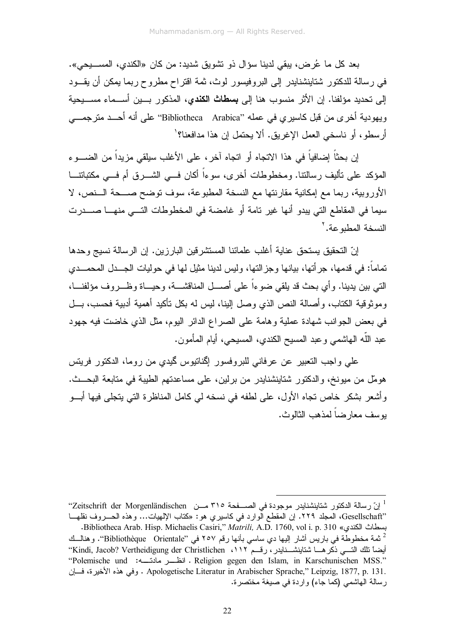بعد كل ما عُرِض، ببقى لدينا سؤال ذو نشويق شديد: من كان «الكندى، المســــيحي». في رسالة للدكتور شتاينشنايدر إلى البروفيسور لوث، ثمة اقتراح مطروح ربما يمكن أن يقــود إلى تحديد مؤلفنا. إن الأثر منسوب هنا إلى **بسطاتْ الكندي،** المذكور بـــين أســـماء مســـيحية ويهودية أخرى من قبل كاسيري في عمله ''Bibliotheca Arabica'' على أنه أحـــد مترجمـــي أرسطو، أو ناسخي العمل الإغريق. ألا يحتمل إن هذا مدافعنا؟'

إن بحثًا إضافياً في هذا الاتجاه أو اتجاه آخر ، على الأغلب سيلقي مزيداً من الضــــو ء المؤكد على نأليف رسالنتا. ومخطوطات أخرى، سوءاً أكان فـــى الشــــرق أم فـــى مكتباتنــــا الأوروبية، ربما مع إمكانية مقارنتها مع النسخة المطبوعة، سوف توضح صـــحة الـــنص، لا سيما في المقاطع التي يبدو أنها غير نامة أو غامضة في المخطوطات التسي منهـــا صـــــدرت النسخة المطبو عة.'

إنّ التحقيق يستحق عناية أغلب علمائنا المستشرقين البارزين. إن الرسالة نسيج وحدها تماماً: في قدمها، جر أتها، بيانها وجز التها، وليس لدينا مثيل لها في حوليات الجـــدل المحمـــدي التي بين يدينا. و أي بحث قد يلقى ضوءاً على أصـــل المناقشـــة، وحيـــاة وظـــروف مؤلفنـــا، وموثوقية الكتاب، وأصالة النص الذي وصل البينا، ليس له بكل نأكيد أهمية أدبية فحسب، بـــل في بعض الجوانب شهادة عملية وهامة على الصراع الدائر اليوم، مثل الذي خاضت فيه جهود عبد اللَّه الـهاشمـي وعبد المسيح الكندي، المسيحـي، أيـام المأمون.

على واجب التعبير عن عرفاني للبروفسور إكمناتيوس كميدي من روما، الدكتور فريتس هومل من ميونخ، والدكتور شتاينشنايدر من برلين، على مساعدتهم الطيبة في متابعة البحــث. و أشعر بشكر خاص تجاه الأول، على لطفه في نسخه لي كامل المناظرة التي يتجلَّى فيها أبـــو بوسف معارضاً لمذهب الثالوث.

<sup>&</sup>lt;sup>1</sup> إنّ رسالة الدكتور شتاينشنايدر موجودة في الصـــفحة ٣١٥ مـــن Zeitschrift der Morgenländischen' "Gesellschaft، الصجلد ٢٢٩. إن المقطع الوارد في كاسيري هو: «كتاب الإلهيات... وهذه الحـــروف نقلهـــا . Bibliotheca Arab. Hisp. Michaelis Casiri," Matrili, A.D. 1760, vol i. p. 310 «بسطاث الكندي» Bibliotheca Arab. <sup>2</sup> ثمة مخطوطة في باريس أشار اليها دي ساسي بأنها رقم ٢٥٧ في "Bibliothèque Orientale". و هنالــك

أيضاً تلك التـــي ذكر هـــا شتاينشـــنايدر ، ر قـــم ١١٢، Kindi, Jacob? Vertheidigung der Christlichen'' "Polemische und :سناسة Religion gegen den Islam, in Karschunischen MSS." . Apologetische Literatur in Arabischer Sprache," Leipzig, 1877, p. 131 . وفي هذه الأخيرة، فسان رسالة الهاشمي (كما جاء) واردة في صيغة مختصرة.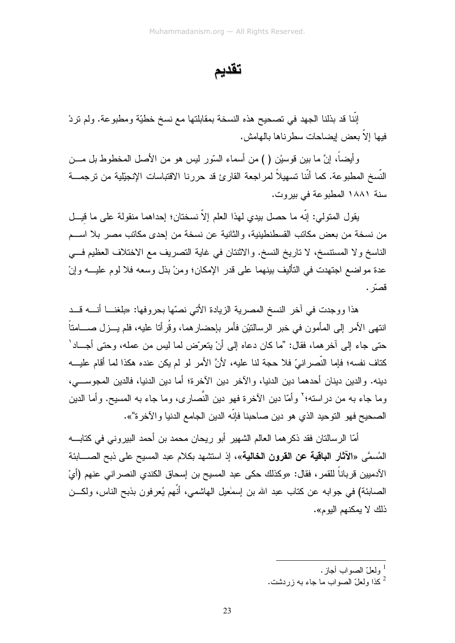تقديم

إننا قد بذلنا الجهد في تصحيح هذه النسخة بمقابلتها مع نسخ خطيّة ومطبوعة. ولم نردْ فيها إلاَّ بعض إيضاحات سطرناها بالهامش.

وأيضاً، إنَّ ما بين فوسيْن ( ) من أسماء السّور ليس هو من الأصل المخطوط بل مـــن النَّسخ المطبو عة. كما أنَّنا تسهيلاً لمر اجعة القار ئ قد حر رنا الاقتباسات الإنجبِّلبة من تر جمـــة سنة ١٨٨١ المطبوعة في بيروت.

يقول المتولى: إنَّه ما حصل بيدي لهذا العلم إلاَّ نسختان؛ إحداهما منقولة على ما قيــل من نسخة من بعض مكانب القسطنطينية، والثانية عن نسخة من إحدى مكانب مصر بلا اســـم الناسخ ولا المستتسخ، لا ناريخ النسخ. والاثنتان في غاية التصريف مع الاختلاف العظيم فــي عدة مو اضمع اجتهدت في التأليف بينهما على قدر الإمكان؛ ومنْ بذل وسعه فلا لوم عليـــه وإنْ قصرّ .

هذا ووجدت في آخر النسخ المصرية الزيادة الأتي نصّها بحروفها: «بلغنـــا أنــــه قـــد انتهى الأمر إلى المأمون في خبر الرسالنيْن فأمر بإحضارهما، وقُرأتا عليه، فلم يـــزل صــــامتاً حتى جاء إلى آخرهما، فقال: "ما كان دعاه إلى أنْ يتعرَّض لما ليس من عمله، وحتى أجـــاد ْ كتاف نفسه؛ فإما النِّصر انيِّ فلا حجة لنا عليه، لأنَّ الأمر لو لم يكن عنده هكذا لما أقام عليـــه دينه. والدين دينان أحدهما دين الدنيا، والآخر دين الآخرة؛ أما دين الدنيا، فالدين المجوســـى، وما جاء به من دراسته؛' وأمَّا دين الآخرة فهو دين النَّصاري، وما جاء به المسيح. وأما الدين الصحيح فهو التوحيد الذي هو دين صـاحبنا فإنّه الدين الجامع الدنيا و الآخرة"».

أمّا الرسالتان فقد ذكر هما العالم الشهير أبو ريحان محمد بن أحمد البيروني في كتابــــه المُسمَّى «الآثار ا**لباقية عن القرون الخالية**»، إذ استشهد بكلام عبد المسيح على ذبح الصــــابئة الآدميين قرباناً للقمر ، فقال: «وكذلك حكى عبد المسيح بن إسحاق الكندي النصر اني عنهم (أيْ الصـابئـة) فـي جوابـه عن كنـّاب عبد الله بن إسمٰعيل الـهاشمـي، أنّهم يُعرفون بذبـح النـاس، ولكـــن ذلك لا يمكنهم اليو م».

- <sup>1</sup> ولعلّ الصواب أحاز .
- كذا ولعلِّ الصواب ما جاء به زردشت.  $^2$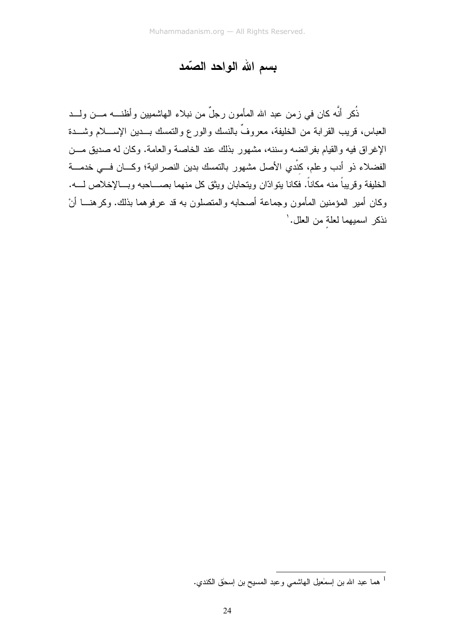## بسم الله الواحد الصّمد

ذُكر أنَّه كان في زمن عبد الله المأمون رجلٌ من نبلاء الـهاشميين وأظنــــه مــــن ولــــد العباس، قريب القرابة من الخليفة، معروفٌ بالنسك والورع والتمسك بـــدين الإســــلام وشــــدة الإغراق فيه والقيام بفرائضه وسننه، مشهور بذلك عند الخاصة والعامة. وكان له صديق مـــن الفضلاء ذو أدب وعلم، كنْدي الأصل مشهور بالنمسك بدين النصر انية؛ وكـــان فـــى خدمـــة الخليفة وقريباً منه مكاناً. فكانا يتوادّان ويتحابان ويثق كل منهما بصــــاحبه وبـــالإخلاص لــــه. وكان أمير المؤمنين المأمون وجماعة أصحابه والمتصلون به قد عرفوهما بذلك. وكرهنـــا أنْ نذكر اسميهما لعلة من العلل.'

ا<br>هما عبد الله بن إسماعيل الهاشمي وعبد المسيح بن إسحاق الكندي.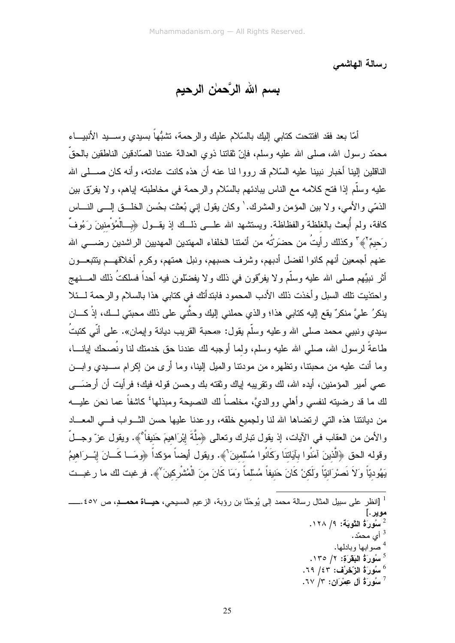رسالة الهاشمي

## بِسم الله الرَّحمٰن الرحيم

أمّا بعد فقد افتتحت كتابي إليك بالسّلام عليك والرحمة، تشبُّهاً بسيدي وســــيد الأنبيــــاء محمّد رسول الله، صلَّى الله عليه وسلَّم، فإنّ نقاتنا ذوى العدالة عندنا الصَّادقين الناطقين بالحقِّ الناقلين إلينا أخبار نبينا عليه السِّلام قد رووا لنا عنه أن هذه كانت عادته، وأنه كان صــــلـى الله عليه وسلَّم إذا فتح كلامه مع الناس ببادئهم بالسَّلام و الرحمة في مخاطبته اياهم، و لا يفرِّق بين الذمّي والأمبي، ولا بين المؤمن والمشرك.' وكان يقول إني بُعثت بحُسن الخلّــق إلـــي النّـــاس كافة، ولم أُبعث بالغلظة والفظاظة. ويستشهد الله علــــى ذلـــك إذ يقـــول ﴿بِـــالْمُؤْمِنينَ رَءُوفٌ رَحيمٌ لَهي ۖ وكذلك رأيتُ من حضرَتُه من أئمتنا الخلفاء المهتدين المهديين الراشدين رضــــى الله عنهم أجمعين أنهم كانوا لفضل أدبهم، وشرف حسبهم، ونبل همتهم، وكرم أخلاقهـــم بتتبعـــون أثر نبيِّهم صلى الله عليه وسلَّم ولا يفرِّقون في ذلك ولا يفضَّلون فيه أحداً فسلكتُ ذلك المــــنهج واحتذيت تلك السبل وأخذت ذلك الأدب المحمود فابتدأتك في كتابي هذا بالسلام والرحمة لـــئلا ينكرُ عليَّ منكرٌ يقع الِيه كتابي هذا؛ والذي حملني الِيك وحثَّني علي ذلك محبتي لــك، إذْ كـــان سيدي ونبيبي محمد صلبي الله و عليه وسلَّم يقول: «محبة القريب ديانـة و إيمان». علـي أنِّي كتبتُ طاعةً لر سول الله، صلَّى الله عليه وسلَّم، ولما أوجبه لك عندنا حقَّ خدمتك لنا ونُصحك إيانــــا، وما أنت عليه من محبتنا، وتظهر ه من مودنتا والميل إلينا، وما أرى من إكر ام ســـبدى وابـــن عمي أمير المؤمنين، أيده الله، لك ونقريبه إياك وثقته بك وحسن قوله فيك؛ فرأيت أن أرضَـــي لك ما قد رضيته لنفسي وأهلي ووالديَّ، مخلصاً لك النصيحة ومبذلها<sup>؛</sup> كاشفاً عما نحن عليـــه من ديانتنا هذه التي ارتضاها الله لنا ولجميع خلقه، ووعدنا عليها حسن الثـــواب فــــى المعــــاد والأمن من العقاب في الآيات، إذ يقول نبارك ونعالى ﴿مِلَّةَ إِبْرَاهِيمَ حَنيفاً ﴾. ويقول عزّ وجـــلّ وقوله الحق ﴿الَّذينَ آمَنُوا بِآيَاتِنَا وَكَانُوا مُسْلَمينَ ﴾. ويقول أيضاً مؤكداً ﴿ومَــا كَــانَ إبْـــرَاهيمُ يَهُوديّاً وَلاَ نَصْرَانيّاً وَلَكنْ كَانَ حَنيفاً مُسْلماً وَمَا كَانَ منَ الْمُشْرِكينَ ْ﴾. فرغبت لك ما رغبــت

مو پر .] <sup>2</sup> سُورَةُ التَّوبَة: ١/ ١٢٨. <sup>3</sup> أي محمّد. <sup>4</sup> صو ابها و بادلها.  $\cdot$ اسُورَةُ الْبَقَرَةَ: ١/ ١٣٥. سُورَةُ الزَّحْرُفِ: ٤٣/ ٦٩. سُورَةُ آلِ عِمْرَانِ: ٣/ ٦٧.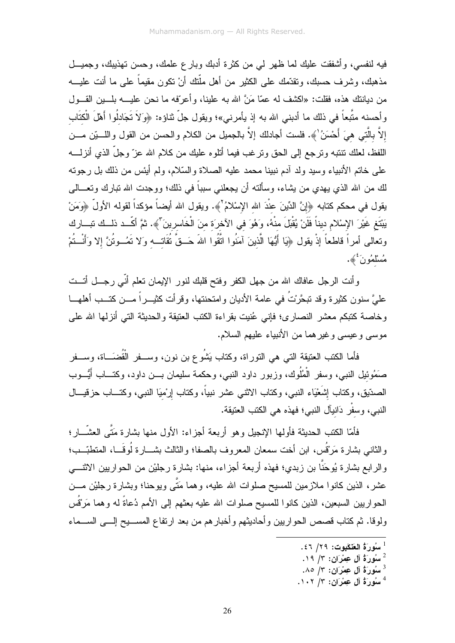فيه لنفسي، وأشفقت عليك لما ظهر لي من كثرة أدبك وبارع علمك، وحسن تهذيبك، وجميــل مذهبك، وشرف حسبك، ونقدَّمك على الكثير من أهل ملَّنك أنْ نكون مقيماً على ما أنت عليـــه من ديانتك هذه، فقلت: «اكشف له عمّا مَنَّ الله به علينا، وأعرّفه ما نحن عليــــه بلــــين القــــول وأحسنه متَّبعاً في ذلك ما أدبني الله به إذ يأمرني»؛ ويقول جلَّ ثناؤه: ﴿وَلاَ تَجَادلُوا أَهْلَ الْكتَاب إلاَّ بالَّتى هيَ أَحْسَنُ ٰ﴾. فلست أجادلك إلاَّ بالجميل من الكلام والحسن من القول واللـــبّن مـــن اللفظ، لعلك نتنبه ونرجع إلى الحق ونرغب فيما أنلوه عليك من كلام الله عزّ وجلّ الذي أنزلــــه على خاتم الأنبياء وسيد ولد آدم نبينا محمد عليه الصلاة والسّلام، ولم أيئس من ذلك بل رجوته لك من الله الذي يهدي من يشاء، وسألته أن يجعلني سبباً في ذلك؛ ووجدت الله تبارك وتعـــالي يقول في محكم كتابه ﴿إِنَّ الدِّينَ عنْدَ الله الإسْلامُ٬ ﴾. ويقول الله أيضاً مؤكداً لقوله الأولَّ ﴿وَمَنْ يَبْتَغِ غَيْرَ الإِسْلامِ ديناً فَلَنْ يُقْبِلَ منْهُ، وَهُوَ في الآخرَة منَ الْخَاسرينَ ۖ ﴾. ثمَّ أكّــد ذلــك تبـــارك وتعالى أمراً قاطعاً إذْ يقول ﴿يَا أَيُّهَا الَّذِينَ آمَنُوا اتَّقُوا اللهَ حَــقَّ تُقَاتـــه وَلا تَمُــوتُنَّ إلا وَأَنْــتُمْ مُسْلَمُونَ ٗ ﴾.

وأنت الرجل عافاك الله من جهل الكفر وفتح قلبك لنور الإيمان نعلم أنّي رجـــل أتـــت عليَّ سنون كثيرة وقد نبحَّرْتُ في عامة الأديان وامتحنتها، وقرأت كثيـــراً مـــن كتـــب أهلهـــا وخاصة كتبكم معشر النصارى؛ فإني عُنيت بقراءة الكتب العتيقة والحديثة التي أنزلها الله على موسى وعيسى وغيرهما من الأنبياء عليهم السلام.

فأما الكتب العتيقة التي هي التوراة، وكتاب يَشُو ع بن نون، وســـفر الْقُضـَـــاة، وســـفر صَمُوئيل النبي، وسفر الْمُلُوك، وزبور داود النبي، وحكمة سليمان بـــن داود، وكتـــاب أَيُّـــوب الصدّيق، وكتاب الشَعْيَاء النبي، وكتاب الاثنـي عشر نبياً، وكتاب إرْميَا النبـي، وكتـــاب حزقيـــال النبـي، وسفْر دَانبآل النبـي؛ فـهذه هـي الكتب الـعنيقة.

فأمَّا الكتب الحديثة فأولمها الإنجيل وهو أربعة أجزاء: الأول منها بشارة مَتَّى العشَّـــار؛ والثاني بشارة مَرْقُس، ابن أخت سمعان المعروف بالصفا؛ والثالث بشـــارة لُوقَـــا، المتطبّــب؛ والرابع بشارة يُوحَنَّا بن زبدي؛ فهذه أربعة أجزاء، منها: بشارة رجليْن من الحواريين الاثنــــى عشر، الذين كانوا ملازمين للمسيح صلوات الله عليه، وهما مَتَّى ويوحنا؛ وبشارة رجليْن مـــن الحواريين السبعين، الذين كانوا للمسيح صلوات الله عليه بعثهم إلى الأمم دُعاةً له وهما مَرْقُس ولوقا. ثم كتاب قصص الحواريين وأحاديثهم وأخبارهم من بعد ارتفاع المســـبح إلــــي الســـماء

- $\cdot$ سُورَةُ آل عِمْرَان: ٣/ ١٩.  $^2$
- سُورَةُ آلِ عِمْرَانِ: ٣/ ٨٥.
- $\cdot$  سُورَةُ آلِ عِمْرَانِ: ٣/ ١٠٢.

<sup>&</sup>lt;sup>1</sup> سُورَةُ العَنْكَبِوتِ: ٢٩/ ٤٦.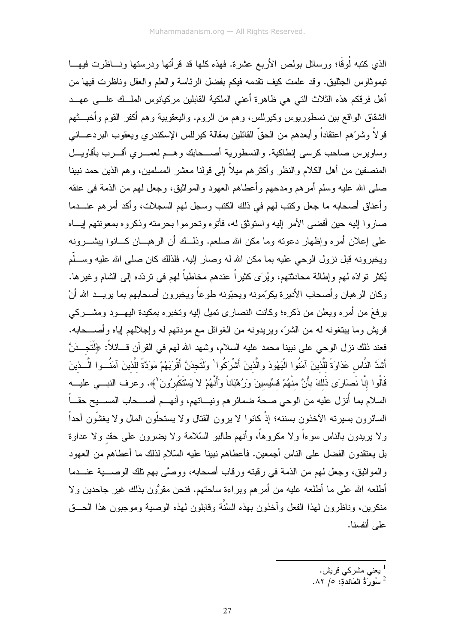الذي كتبه لُوقًا؛ ورسائل بولص الأربع عشرة. فهذه كلها قد قرأتها ودرستها ونـــاظرت فيهـــا تيموثاوس الجثليق. وقد علمت كيف نقدمه فيكم بفضل الرئاسة والعلم والعقل وناظرت فيها من أهل فرقكم هذه الثلاث التي هي ظاهرة أعني الملكية القابلين مركيانوس الملسك علسي عهسد الشقاق الواقع بين نسطوريوس وكيرللس، وهم من الروم. واليعقوبية وهم أكفر القوم وأخبــــثهم قو لاً وشرَّهم اعتقاداً وأبعدهم من الحقُّ القائلين بمقالة كيرللس الإسكندري ويعقوب البردعـــانـي وساويرس صاحب كرسي إنطاكية. والنسطورية أصـــحابك وهــم لعصــري أقـــرب بأقاويـــل المنصفين من أهل الكلام والنظر وأكثرهم ميلاً إلى قولنا معشر المسلمين، وهم الذين حمد نبينا صلبي الله عليه وسلم أمر هم ومدحهم وأعطاهم العهود والمواثيق، وجعل لمهم من الذمة في عنقه و أعناق أصحابه ما جعل وكتب لهم في ذلك الكتب وسجل لهم السجلات، و أكد أمر هم عنـــدما صاروا إليه حين أفضى الأمر إليه واستوثق له، فأتوه وتحرموا بحرمته وذكروه بمعونتهم إيساه على إعلان أمره وإظهار دعونه وما مكن الله صلعم. وذلـــك أن الرهبـــان كـــانوا يبشــــرونـه ويخبرونه قبل نزول الوحى عليه بما مكن الله له وصار إليه. فلذلك كان صلى الله عليه وســـلَّم يُكثر نوادّه لهم وإطالة محادثتهم، ويُرَى كثيراً عندهم مخاطباً لمهم في نردّده إلى الشام وغيرها. وكان الرهبان وأصحاب الأديرة يكرّمونه ويحبّونه طوعاً ويخبرون أصحابهم بما يريـــد الله أنْ برفعَ من أمره ويعلن من ذكره؛ وكانت النصاري تميل اليه وتخبره بمكيدة اليهـــود ومشــــركي قريش وما بيتغونه له من الشرِّ، ويريدونه من الغوائل مع مودتهم له وإجلالهم اياه وأصـــحابه. فعند ذلك نزل الوحي على نبينا محمد عليه السلام، وشهد الله لهم في القرآن قـــائلاً: ﴿لَتَجِــدَنَّ أَشَدَّ النَّاس عَدَاوَةً للَّذينَ آمَنُوا الْبَهُودَ والَّذينَ أَشْرِكُوا ٰ وَلَتَجدَنَّ أَقْرِبَهُمْ مَوَدَّةً للَّذينَ آمَنُـــوا الَّـــذينَ قَالُوا إنَّا نَصَارَى ذَلكَ بأَنَّ منْهُمْ قسِّيسينَ وَرُهْبَاناً وَأَنَّهُمْ لا يَسْتَكْبِرُونَ ْ﴾. وعرف النبــى عليـــه السلام بما أنزل عليه من الوحي صحة ضمائر هم ونيـــاتهم، وأنهـــم أصــــحاب المســـيح حقـــاً السائرون بسيرته الأخذون بسننه؛ إذْ كانوا لا يرون القتال ولا يستحلُّون المال ولا يغشُّون أحداً ولا بريدون بالناس سوءاً ولا مكروهاً، وأنهم طالبو السَّلامة ولا يضرون على حقد ولا عداوة بل يعتقدون الفضل على الناس أجمعين. فأعطاهم نبينا عليه السّلام لذلك ما أعطاهم من العهود و المو اثنِق، وجعل لمهم من الذمة في رفِّبته ورفاب أصحابه، ووصَّى بهم تلك الوصــــية عنـــدما أطلعه الله على ما أطلعه عليه من أمر هم وبر اءة ساحتهم. فنحن مقرُّون بذلك غير جاحدين ولا منكرين، وناظرون لهذا الفعل و آخذون بهذه السُنَّة وقابلون لهذه الوصية وموجبون هذا الحـــق على أنفسنا.

> يعنى مشركى قريش.  $^{\mathrm{l}}$  $\lambda$ 1 سُورٌ مُّ الْعَائِدَةَ: ٥/ ٨٢.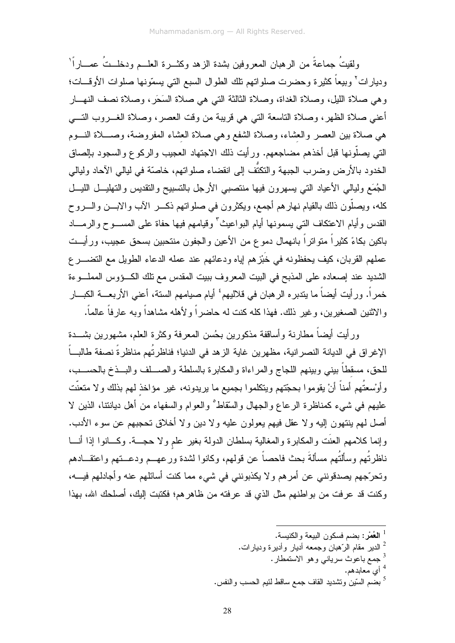ولقيتُ جماعةً من الرِّ هبان المعروفين بشدة الزِّ هد وكثـــرة العلـــم ودخلــتُ عمــــار أ ْ وديارات<sup>٢</sup> وبيعاً كثيرة وحضرت صلواتهم نلك الطوال السبع التي يسمّونها صلوات الأوقـــات؛ وهي صلاة الليل، وصلاة الغداة، وصلاة الثالثة التي هي صلاة السَحَرِ، وصلاة نصف النهــار أعني صلاة الظهر، وصلاة الناسعة التي هي قريبة من وقت العصر، وصلاة الغـــروب التــــي هي صلاة بين العصر والعشاء، وصلاة الشفع وهي صلاة العشاء المفروضة، وصـــلاة النـــوم التي يصلُّونها قبل أخذهم مضاجعهم. ورأيت ذلك الاجتهاد العجيب والركوع والسجود بالصاق الخدود بالأرض وضرب الجبهة والنكتُف إلى انقضاء صلواتهم، خاصّة في ليالي الآحاد وليالي الجُمَع وليالي الأعياد التي يسهرون فيها منتصبى الأرجل بالتسبيح والتقديس والتهليـــل الليـــل كله، ويصلُّون ذلك بالقيام نهارهم أجمع، ويكثِّرون في صلواتهم ذكـــر الآب والابــــن والــــروح القدس وأبام الاعتكاف التبي يسمونها أيام البواعيث كوقيامهم فيها حفاة على المســـوح والرمــــاد باكين بكاءً كثيراً متواتراً بانهمال دموع من الأعين والجفون منتحبين بسحق عجيب، ورأيــت عملهم القربان، كيف يحفظونه في خَبْز هم إياه ودعائهم عند عمله الدعاء الطويل مع التضــــر ع الشديد عند إصعاده على المذبح في البيت المعروف ببيت المقدس مع نلك الكووس المملوءة خمراً. ورأيت أيضاً ما يندبره الرهبان في فلاليهم ٔ أيام صيامهم السنة، أعنى الأربعــــة الكبــــار والاثنين الصغيرين، وغير ذلك. فهذا كله كنت له حاضراً ولأهله مشاهداً وبه عارفاً عالماً.

ورأيت أيضاً مطارنة وأساقفة مذكورين بحُسن المعرفة وكثرة العلم، مشهورين بشـــدة الإغراق في الديانة النصر انية، مظهرين غاية الزهد في الدنيا؛ فناظرتُهم مناظرةً نصفة طالباً للحق، مسقطاً بيني وبينهم اللجاج والمراءاة والمكابرة بالسلطة والصــــلف والبـــذخ بالحســـب، وأوْسعتُهم أمناً أنْ يقوموا بحجّتهم ويتكلموا بجميع ما يريدونه، غير مؤاخذ لهم بذلك ولا متعنّت عليهم في شيء كمناظرة الرعاع والجهال والسُّقاط والعوام والسفهاء من أهل ديانتنا، الذين لا أصل لهم ينتهون إليه ولا عقل فيهم يعولون عليه ولا دين ولا أخلاق تحجبهم عن سوء الأدب. وإنما كلامهم العنَّت والمكابرة والمغالبة بسلطان الدولة بغير علم ولا حجـــة. وكـــانوا إذا أنـــا ناظرتُهم وسألتُهم مسألةَ بحث فاحصاً عن قولهم، وكانوا لشدة ورعهــم ودعــتهم واعتقـــادهم وتحرَّجهم يصدقونني عن أمرهم ولا يكذبونني في شيء مما كنت أسائلهم عنه وأجادلهم فيـــه، وكنت قد عرفت من بواطنهم مثل الذي قد عرفته من ظاهرهم؛ فكتبت إليك، أصلحك الله، بهذا

<sup>4</sup> أي معابدهم.

<sup>5</sup> بضم السّين وتشديد القاف جمع ساقط لئيم الحسب والنفس.

<sup>&</sup>lt;sup>1</sup> ا**لعُم**ْر : بضم فسكون البيعة و الكنيسة.

الدير مقام الرّهبان وجمعه أديار وأديرة وديارات.  $^2$ 

<sup>&</sup>lt;sup>3</sup> جمع باعوث سرياني و هو الاستمطار .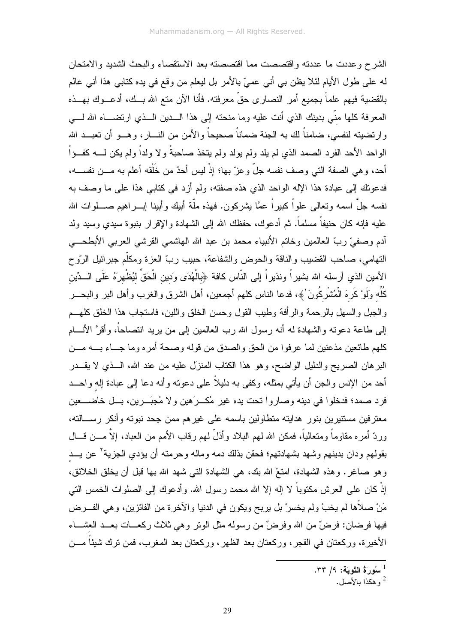الشرح وعددت ما عددته واقتصصت مما اقتصصته بعد الاستقصاء والبحث الشديد والامتحان له على طول الأيام لئلا يظن بي أني عميّ بالأمر بل ليعلم من وقع في يده كتابي هذا أني عالم بالقضية فيهم علماً بجميع أمر النصارى حقٍّ معرفته. فأنا الآن متع الله بــك، أدعــوك بهــذه المعرفة كلها منَّى بدينك الذي أنت عليه وما منحته إلى هذا الـــدين الـــذي ارتضــــاه الله لــــى وارتضيته لنفسى، ضامناً لك به الجنة ضماناً صحيحاً والأمن من النـــار، وهـــو أن تعبـــد الله الواحد الأحد الفرد الصمد الذي لم يلد ولم يولد ولم يتخذ صاحبةً ولا ولداً ولم يكن لـــــه كفـــؤاً أحد، وهي الصفة التي وصف نفسه جلٍّ وعزٍّ بها؛ إذْ ليس أحدٌ من خَلْقه أعلم به مـــن نفســـه، فدعونك إلى عبادة هذا الإله الواحد الذي هذه صفته، ولم أز د في كتابي هذا على ما وصف به نفسه جلَّ اسمه وتعالى علواً كبيراً عمَّا يشركون. فهذه ملَّة أبيك وأبينا ايـــراهيم صــــلوات الله عليه فانِه كان حنيفاً مسلماً. ثم أدعوك، حفظك الله إلى الشهادة والإقرار بنبوة سيدي وسيد ولد أدم وصفيٍّ ربِّ العالمين وخاتم الأنبياء محمد بن عبد الله الهاشمي القرشي العربي الأبطحـــي النهامي، صاحب القضيب والناقة والحوض والشفاعة، حبيب ربِّ العزة ومكلَّم جبرائيل الرَّوح الأمين الذي أرسله الله بشيراً ونذيراً إلى النّاس كافة ﴿بالْهُدَى وَدين الْحَقِّ ليُظْهِرَهُ عَلَى الْــدِّين كُلِّه وَلَوْ كَرِهَ الْمُشْرِكُونَ ْ﴾، فدعا الناس كلهم أجمعين، أهل الشرق والغرب وأهل البر والبحـــر والجبل والسهل بالرحمة والرأفة وطيب القول وحسن الخلق واللين، فاستجاب هذا الخلق كلهــم إلى طاعة دعوته والشهادة له أنه رسول الله رب العالمين إلى من يريد انتصاحاً، وأقرَّ الأنسام كلهم طائعين مذعنين لما عرفوا من الحق والصدق من قوله وصحة أمره وما جــاء بــــه مـــن البرهان الصريح والدليل الواضح، وهو هذا الكتاب المنزل عليه من عند الله، الــذي لا يقـــدر أحد من الإنس والجن أن يأتي بمثله، وكفي به دليلاً على دعونه وأنه دعا إلى عبادة إله واحــد فرد صمد؛ فدخلوا في دينه وصاروا تحت يده غير مُكــرَهين ولا مُجبَــرين، بـــل خاضــــعين معترفين مستنيرين بنور هدايته متطاولين باسمه على غيرهم ممن جحد نبوته وأنكر رســـالته، وردّ أمره مقاوماً ومتعالياً، فمكن الله لهم البلاد وأذلَّ لهم رقاب الأمم من العباد، إلاَّ مــــن قــــال بقولهم ودان بدينهم وشهد بشهادتهم؛ فحقن بذلك دمه وماله وحرمته أن يؤدي الجزية<sup>؟</sup> عن يــد وهو صاغرٍ. وهذه الشهادة، امتعْ الله بك، هي الشهادة التي شهد الله بها قبل أن يخلق الخلائق، إِذْ كان على العرش مكتوباً لا إله إلا الله محمد رسول الله. وأدعوك إلى الصلوات الخمس التي مَنْ صلاَّها لم يخبْ ولم يخسرْ بل يربح ويكون في الدنيا والآخرة من الفائزين، وهي الفـــرض فيها فرضان: فرضٌ من الله وفرضٌ من رسوله مثل الونر وهي ثلاث ركعـــات بعـــد العشـــاء الأخيرة، وركعتان في الفجر، وركعتان بعد الظهر، وركعتان بعد المغرب، فمن نرك شيئاً مـــن

سُورَةُ التَّوبَة: ٩/ ٣٣.

و هكذا بالأصل.  $^2$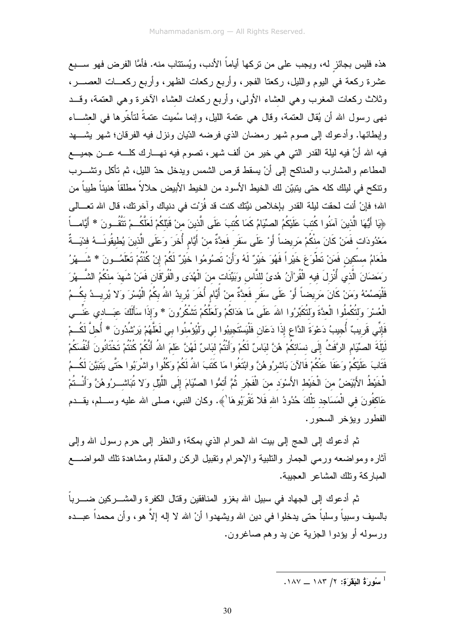هذه فليس بجائز له، ويجب على من نركها أياماً الأدب، ويُستتاب منه. فأمَّا الفرض فهو ســـبع عشرة ركعة في البيوم والليل، ركعتا الفجر، وأربع ركعات الظهر، وأربع ركعـــات العصـــــر، وثلاث ركعات المغرب وهي العشاء الأولى، وأربع ركعات العشاء الأخرة وهي العتمة، وقــد نهي رسول الله أن يُقال العتمة، وقال هي عتمة الليل، وإنما سُميت عتمةً لتأخَّرها في العشـــاء وإبطائها. وأدعوك إلى صوم شهر رمضان الذي فرضه الدّيان ونزل فيه الفرقان؛ شهر يشـــهد فيه الله أنَّ فيه ليلة القدر التي هي خير من ألف شهر، تصوم فيه نهـــارك كلــــه عـــن جميــــع المطاعم والمشارب والمناكح إلى أنْ يسقط قرص الشمس ويدخل حدّ الليل، ثم نأكل ونشــــرب و نتكح في لبلك كله حتى يتبيّن لك الخيط الأسود من الخيط الأبيض حلالاً مطلقاً هنيئاً طيباً من الله؛ فإنْ أنت لحقت ليلة القدر بإخلاص نيَّتك كنت قد فُزِيت في دنياك وآخرنك، قال الله تعـــالي ﴿يَا أَيُّهَا الَّذِينَ آمَنُوا كُتبَ عَلَيْكُمُ الصِّيَامُ كَمَا كُتبَ عَلَى الَّذِينَ منْ قَبْلَكُمْ لَعَلَّكُــمْ تَتَّقُــو نَ \* أَيَّامـــاً مَعْدُودَات فَمَنْ كَانَ منْكُمْ مَرِيضاً أَوْ عَلَى سَفَرٍ فَعدَّةٌ منْ أَيَّام أُخَرَ وَعَلَى الَّذينَ يُطيقُونَــهُ فدْيَــةٌ طَعَامُ مسْكين فَمَنْ تَطْوَعَ خَيْرٍاً فَهُوَ خَيْرٌ لَهُ وَأَنْ تَصنُومُوا خَيْرٌ لَكُمْ إِنْ كُنْتُمْ تَعْلَمُــونَ \* شَـــهْرُ رَمَضَانَ الَّذي أُنْزِلَ فيه الْقُرْآنُ هُدىً للنَّاسِ وَبَيِّنَات منَ الْهُدَى والْفُرْقَانِ فَمَنْ شَهدَ منْكُمُ الشَّـــهْرَ فَلْيَصِمُهُ وَمَنْ كَانَ مَرِيضاً أَوْ عَلَى سَفَرٍ فَعدَّةٌ منْ أَيَّامٍ أُخَرَ يُرِيدُ اللهُ بكُمُ الْيُسْرَ وَلا يُرِيــدُ بكُــمُ الْعُسْرَ وَلِتُكْمِلُوا الْعدَّةَ وَلِتُكَبِّرُوا اللهَ عَلَى مَا هَدَاكُمْ وَلَعَلَّكُمْ نَتْمْكُرُونَ \* وَإِذَا سَأَلَكَ عبَـــادي عَنِّـــى فَإِنِّي قَرِيبٌ أُجِيبُ دَعْوَةَ الدَّاعِ إِذَا دَعَانِ فَلْيَسْتَجِيبُوا لي وَلْيُؤْمِنُوا بي لَعَلَّهُمْ يَرْشُدُونَ \* أُحلَّ لَكُسْمْ لَيْلَةَ الصنِّيَامِ الرَّفَتُ إِلَى نسَائكُمْ هُنَّ لبَاسٌ لَكُمْ وَأَنْتُمْ لبَاسٌ لَهُنَّ عَلَمَ اللهُ أَنَّكُمْ كُنْتُمْ تَخْتَانُونَ أَنْفُسَكُمْ فَتَابَ عَلَيْكُمْ وَعَفَا عَنْكُمْ فَالآنَ بَاشرُوهُنَّ وابْتَغُوا مَا كَتَبَ اللهُ لَكُمْ وَكُلُوا واشرَبُوا حَتَّى يَتَبَيَّنَ لَكُسمُ الْخَيْطُ الأَبْيَضُ منَ الْخَيْطِ الأَسْوَد منَ الْفَجْرِ ثُمَّ أَتمُّوا الصِّيَامَ إِلَى اللَّيْلِ وَلا نُبَاشــرُوهُنَّ وَأَنْــتُمْ عَاكفُونَ في الْمَسَاجِد نلْكَ حُدُودُ الله فَلا نَقْرَبُوهَا ﴾. وكان النبي، صلى الله عليه وســـلم، يقـــدم الفطور ويؤخر السحور.

ثم أدعوك إلى الحج إلى بيت الله الحرام الذي بمكة؛ والنظر إلى حرم رسول الله وإلى أثاره ومواضعه ورمي الجمار والنلبية والإحرام ونقبيل الركن والمقام ومشاهدة نلك المواضـــع المباركة ونلك المشاعر العجيبة.

ثم أدعوك إلى الجهاد في سبيل الله بغزو المنافقين وقتال الكفرة والمشــــركين ضـــــرباً بالسيف وسبياً وسلباً حتى يدخلوا في دين الله ويشهدوا أنْ الله لا إله إلاّ هو، وأن محمداً عبـــده ورسوله أو يؤدوا الجزية عن يد وهم صاغرون.

سُورَةُ البَقَرَةِ: ٢/ ١٨٣ ــ ١٨٧.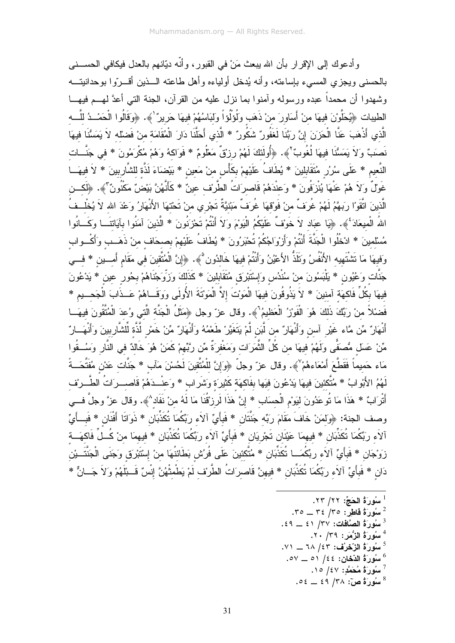و أدعو ك إلى الإقر ار بأن الله بيعث مَنْ في القدو ر ، و أنّه ديّانهم بالعدل فيكافي الحســـني بالحسنبي ويجزى المعسىء بإساعته، وأنه يُدخل أولياءه وأهل طاعته الـــذين أقــــرّوا بوحدانيتـــه وشهدوا أن محمداً عبده ورسوله وأمنوا بما نزل عليه من القرآن، الجنة التي أعدَّ لهـــم فيهـــا الطيبات ﴿يُحَلَّوْنَ فيهَا منْ أَسَاوِرَ منْ ذَهَبٍ وَلُوَلُوْاً وَلِبَاسُهُمْ فِيهَا حَرِيرٌ لَهُ. ﴿وَقَالُوا الْحَمْــدُ للَّـــه الَّذي أَذْهَبَ عَنَّا الْحَزَنَ إِنَّ رَبَّنَا لَغَفُورٌ شَكُورٌ \* الَّذي أَحَلَّنَا دَارَ الْمُقَامَة منْ فَضلله لاَ يَمَسُّنَا فيهَا نَصنبٌ وَلاَ يَمَسُّنَا فِيهَا لُغُوبٌ ۚ ﴾. ﴿أُولَئَكَ لَهُمْ رِزْقٌ مَعْلُومٌ \* فَوَاكهُ وَهُمْ مُكْرَمُونَ \* في جَنَّــات النَّعيم \* عَلَى سُرُرٍ مُتَقَابِلينَ \* يُطَافُ عَلَيْهمْ بِكَأْسٍ منْ مَعينٍ \* بَيْضَاءَ لَذَّة للشَّارِبينَ \* لاَ فيهَــا غَوْلٌ وَلاَ هُمْ عَنْهَا يُنْزِفُونَ \* وَعِنْدَهُمْ قَاصِرَاتُ الطَّرِيْف عينٌ \* كَأَنَّهُنَّ بَيْضٌ مَكْنُونٌ لَهج. ﴿لَكِــن الَّذينَ اتَّقَوْا رَبِهَّمُ لَهُمْ غُرَفٌ منْ فَوْقهَا غُرَفٌ مَبْنيَّةٌ تَجْرِي منْ تَحْتهَا الأَنْهَارُ وَعْدَ الله لاَ يُخْلِــفُ اللهُ الْمِيعَادَ ۚ ﴾. ﴿يَا عِبَادٍ لاَ خَوْفٌ عَلَيْكُمُ الْيَوْمَ وَلاَ أَنْتُمْ تَحْزَنُونَ \* الَّذينَ آمَنُوا بآيَاتنَــا وَكَــانُوا مُسْلمينَ \* ادْخُلُوا الْجَنَّةَ أَنْتُمْ وَأَرْوَاجُكُمْ تُحْبَرُونَ \* يُطَافُ عَلَيْهِمْ بصحَاف منْ ذَهَــب وأكْــواب وَفِيهَا مَا نَتْنْتَهِيه الأَنْفُسُ وَتَلَذُّ الأَعْيُنُ وَأَنْتُمْ فِيهَا خَالدُون ۚ﴾. ﴿إِنَّ الْمُتّقينَ في مَقَام أَمـــين \* فـــي جَنَّات وَعُيُون \* يَلْبَسُونَ منْ سُنْدُس وَإِسْتَبْرَقٍ مُتَقَابِلينَ \* كَذَلكَ وَزَوِّجْنَاهُمْ بحُور عين \* يَدْعُونَ فِيهَا بِكُلِّ فَاكهَة آمنينَ \* لاَ يَذُوقُونَ فيهَا الْمَوْتَ إِلاَّ الْمَوْتَةَ الأُولَى وَوَقَــاهُمْ عَــذَابَ الْجَحــيم \* فَضنْلاً منْ رَبِّكَ ذَلكَ هُوَ الْفَوْزِ الْعَظيمُ"﴾. وقال عز ّ وجل ﴿مَثَلُ الْجَنَّة الَّتى وُعدَ الْمُتَّفونَ فيهَــا أَنْهَارٌ مِّن مَّاء غَيْر آسن وَأَنْهَارٌ من لَّبَن لَّمْ يَتَغَيَّرْ طَعْمُهُ وَأَنْهَارٌ مِّنْ خَمْر لَّذَّة لِّلشَّاربينَ وَأَنْهَــارٌ مِّنْ عَسلَ مُصنَفَّى ولَهُمْ فيهَا من كُلِّ الثَّمَرَات ومَغْفرَةٌ مِّن ربَّهمْ كَمَنْ هُوَ خَالدٌ في النَّار وَسُــقُوا مَاء حَميماً فَقَطَّعَ أَمْعَاءهُمْ ﴾. وقال عز ّ وجلّ ﴿وَإِنَّ للْمُتَّقِينَ لَحُسْنَ مَآبٍ \* جَنَّات عَدْن مُفَتَّحَــةً لَهُمُ الأَبْوابُ \* مُتَّكئينَ فيهَا يَدْعُونَ فيَها بِفَاكهَة كَثيرَة وَشَرِابٍ \* وَعَنْــدَهُمْ قَاصـــرَاتُ الطَّــرْف أَتْرَابٌ \* هَذَا مَا تُوعَدُونَ لبَوْمِ الْحسَابِ \* إِنَّ هَذَا لَرِزْقُنَا مَا لَهُ منْ نَفَاد^﴾. وقال عزَّ وجلَّ فـــي وصف الجنة: ﴿وَلَمَنْ خَافَ مَقَامَ رِبِّه جَنَّتَانِ \* فَبِأَيِّ آلاَء رِبِّكُمَا نُكَذِّبَانِ \* ذَوَاتَا أَفْنَانِ \* فَبِــأَيِّ آلاَء ربِّكُمَا تُكَذِّبَان \* فيهمَا عَيْنَان تَجْرِيَان \* فَبأَيٍّ آلاَء ربِّكُمَا تُكَذِّبَان \* فيهمَا منْ كُــلِّ فَاكَهَــة زَوْجَان \* فَبِأَيٍّ آلاَء ربِّكُمَــا تُكَذِّبَان \* مُتَّكئينَ عَلَى فُرُش بَطَائنُهَا منْ إِسْتَبْرَق وَجَنَى الْجَنَّتَــيْن دَان \* فَبِأَيِّ آلاَء رَبِّكُمَا تُكَذِّبَان \* فيهنَّ قَاصرَاتُ الطَّرْف لَمْ يَطْمثْهُنَّ إِنْسٌ قَـ بآلَهُمْ وَلاَ جَــانٌّ \*

- سُورَةُ الْحَجِّ: ٢٢/ ٢٣. .۳٥ \_\_ ۳٤ /٣٥ . فَاطِرٌ: ٢٥ \_\_ ٣٥.  $.$  3 سُورَةُ الصَّافَات: ٣٧/ ٤١ \_ ٤٩. 4 سُورَةُ الزُّمَرِ: ٣٩/ ٢٠.  $\mathcal{N}=\mathcal{N}\setminus\mathcal{N}$ سُورَةُ الزَّحْرُفِ: ١٤٣ ــ ٧١.
	- سُورَةُ الدِّخانِ: ٤٤/ ٥١ \_ـ ٥٧.
		- $\cdot$ ا سُورَةُ مُحَمَّدِ: ٤٧/ ١٥.  $\cdot \circ \epsilon = \epsilon \circ (\mathbf{r} \wedge \mathbf{r}) \circ \epsilon = \epsilon \circ \mathbf{r}$
-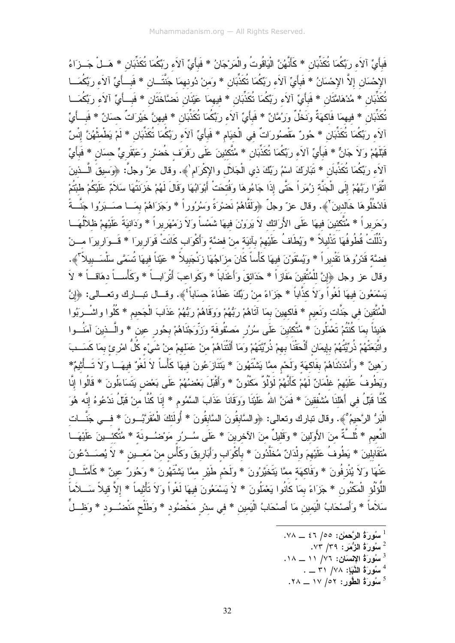فَبِأَىِّ آلاَء رِبِّكُمَا تُكَذِّبَانِ \* كَأَنَّهُنَّ الْبَاقُوتُ والْمَرْجَانُ \* فَبِأَيِّ آلاَء ربِّكُمَا تُكَذِّبَانِ \* هَــلْ جَــزَاءُ الإِحْسَانِ إِلاَّ الإِحْسَانُ \* فَبِأَيِّ آلاَء رِبِّكُمَا تُكَذِّبَانِ \* وَمنْ دُونهمَا جَنَّتَــانِ \* فَبِــأَيِّ آلاَء رِبِّكُمَــا تُكَذِّبَان \* مُدْهَامَّتَان \* فَبأَيٍّ آلاَء ربِّكُمَا تُكَذِّبَان \* فيهمَا عَيْنَان نَضنَّاخَتَان \* فَبــأَيِّ آلاَء ربِّكُمَــا تُكَذِّبَانِ \* فيهمَا فَاكهَةٌ ونَخْلٌ ورَمُّانٌ \* فَبأَيٍّ آلاَء ربِّكُمَا تُكَذِّبَانِ \* فيهنَّ خَيْرَاتٌ حسَانٌ \* فَبــأَيِّ آلاَء ربِّكُمَا تُكَذِّبَان \* حُورٌ مَقْصُورَاتٌ في الْخيَام \* فَبأَيٍّ آلاَء ربِّكُمَا تُكَذِّبَان \* لَمْ يَطْمثْهُنَّ إنْسٌ قَبْلَهُمْ وَلاَ جَانٌ \* فَبِأَيِّ آلاَء ربِّكُمَا تُكَذِّبَان \* مُتَّكئينَ عَلَى رَفْرَف خُضسْ وَعَبْقَريٍّ حسَان \* فَبِأَيِّ آلاَء ربِّكُمَا تُكَذِّبان \* تَبَارَكَ اسْمُ ربِّكَ ذي الْجَلاَل والإكْرَام'﴾. وقال عزَّ وجلَّ: ﴿وَسيقَ الَّــذينَ اتَّقَوْا رِبَّهُمْ إِلَى الْجَنَّة زِيُمَرٍاً حَتَّى إِذَا جَاءُوهَا وَفُتحَتْ أَبْوَابُهَا وَقَالَ لَهُمْ خَزَنتُهَا سَلاَمٌ عَلَيْكُمْ طبْتُمْ فَادْخُلُوهَا خَالدينَ ۚ ﴾. وقال عز ٌ وجلَّ ﴿وَلَقَّاهُمْ نَضرْرَةً وَسُرُوراً \* وَجَزَاهُمْ بِمَــا صَــبَرُوا جَنَّــةً وَحَرِيراً \* مُتَّكئينَ فيهَا عَلَى الأَرَائك لاَ يَرَوْنَ فيهَا شَمْساً ولاَ زَمْهَرِيراً \* وَدَانيَةً عَلَيْهمْ ظلآلُهَــا وَذُلِّلَتْ قُطُوفُهَا تَذْليلاً \* وَيُطَافُ عَلَيْهِمْ بِآنِيَة منْ فضَّة وَأَكْوَاب كَانَتْ قَوَارِيرَا \* قَــوَارِيرَا مـــنْ فضَّة قَدّرُوهَا تَقْديراً \* وَيُسْقَوْنَ فيهَا كَأْساً كَانَ مزَاجُهَا زِنْجَبِيلاً \* عَيْناً فيهَا تُسَمَّى سَلْسَــبيلاً \* ، وقالٌ عز وجل ﴿إِنَّ للْمُتَّقِينَ مَفَازٍاً \* حَدَائِقَ وَأَعْنَاباً \* وَكَواعبَ أَتْرَابِ ۖ \* وَكَأْسِـ أ دهَاق أ \* لاَ يَسْمَعُونَ فيهَا لَغْواً وَلاَ كذَّاباً \* جَزَاءً منْ رَبِّكَ عَطَاءً حسَاباً ۚ﴾. وقــال نبـــارك ونعـــالى: ﴿إِنَّ الْمُتَّقِينَ في جَنَّات وَنَعيم \* فَاكهينَ بمَا آتَاهُمْ رَبُّهُمْ وَوَقَاهُمْ رَبُّهُمْ عَذَابَ الْجَحيم \* كُلُوا واشْـــرَبُوا هَنيئاً بمَا كُنْتُمْ تَعْمَلُونَ \* مُتَّكئينَ عَلَى سُرُرٍ مَصْفُوفَة وَزِوِّجْنَاهُمْ بِحُورٍ عين \* والَّـــذينَ آمَنُـــوا واتَّبَعَتْهُمْ ذُرِّيَّتُهُمْ بإيمَان أَلْحَقْنَا بهمْ ذُرِّيَّتَهُمْ وَمَا أَلَتْتَاهُمْ منْ عَمَلهمْ منْ شَيْء كُلُّ امْرِئِ بِمَا كَسَــبَ رَهينٌ \* وَأَمْدَدْنَاهُمْ بِفَاكِهَة وَلَحْمِ مِمَّا بَشْتَهُونَ \* يَتَنَازَعُونَ فيهَا كَأْساً لاَ لَغُوٌ فيهَــا وَلاَ تَــأْثِيمٌ\* وَيَطُوفُ عَلَيْهِمْ غِلْمَانٌ لَهُمْ كَأَنَّهُمْ لَوَلُوٌّ مَكْنُونٌ \* وَأَقْبَلَ بَعْضُهُمْ عَلَى بَعْض يَتَسَاءَلُونَ \* قَالُوا إِنَّا كُنَّا قَبْلُ في أَهْلَنَا مُشْفقينَ \* فَمَنَّ اللهُ عَلَيْنَا وَوَقَانَا عَذَابَ السَّمُومِ \* إِنَا كُنَّا من قَبْلُ نَدْعُوهُ إنَّه هُوَ الْبَرُ الرَّحيمُ°﴾. وقال نبارك ونعالى: ﴿والسَّابقُونَ السَّابقُونَ \* أُولَٰئِكَ الْمُقَرَّبُـــونَ \* فـــي جَنَّـــات النَّعيم \* ثُلَّـةٌ منَ الأَولَينَ \* وَقَليلٌ منَ الآخرينَ \* عَلَى سُــرُر مَوْضُــونَة \* مُتَّكَئــينَ عَلَيْهَــا مُتَقَابِلينَ \* يَطُوفُ عَلَيْهِمَ ولْدَانٌ مُخَلَّدُونَ \* بِأَكْوَابٍ وَأَبَارِيقَ وَكَأْسٍ منْ مَعــين \* لاَ يُصَــدَّعُونَ عَنْهَا وَلاَ يُنْزِفُونَ \* وَفَاكمَة ممَّا يَتَخَيَّرُونَ \* وَلَحْم طَيْرٍ ممَّا يَشْتَهُونَ \* وَحُورٌ عينٌ \* كَأَمْثَــال اللُّوْلُو الْمَكْنُون \* جَزَاءً بمَا كَانُوا يَعْمَلُونَ \* لاَ يَسْمَعُونَ فيهَا لَغْواً وَلاَ تَأْثيماً \* إلاّ قيلاً سَـــلاَماً سَلاَماً \* وَأَصنْحَابُ الْيَمين مَا أَصنْحَابُ الْيَمين \* في سدْر مَخْضُود \* وَطَلْح مَنْضُــود \* وَظـــلٍّ

- <sup>1</sup> سُورَةُ الرَّحم*انِ: ١٥٥ ٤٦ \_ـ ٧*٨.
- سُورَةُ الزُّمَرَ : ٧٣/ ٧٣.  $\frac{2}{3}$
- $\Lambda = 11/N$ ، سُورِةَ الإنسانِ: ٧٦/ ١١ ــ ١٨.
	- $\cdot$  سُورَةُ الثَّبَاِ: ٧٨/ ٣١ \_ .
- سُورَةُ الطُّورِ : ١٧/٥٢ \_ ٢٨.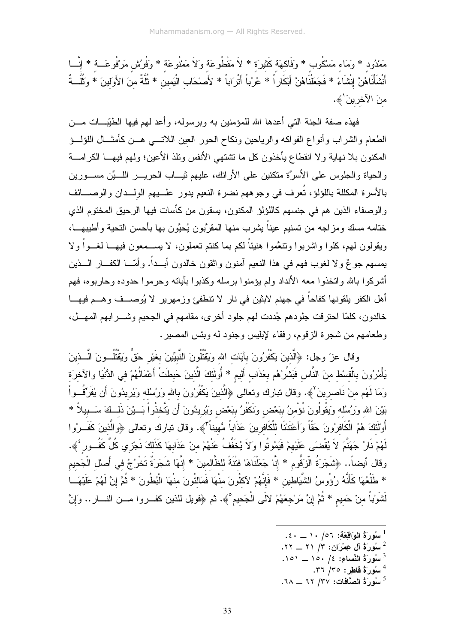مَمْدُود \* وَمَاء مَسْكُوب \* وَفَاكمَة كَثيرَة \* لاَ مَقْطُوعَة وَلاَ مَمْنُوعَة \* وَفُرُش مَرْفُوعَـــة \* إِنَّـــا أَنْشَأْنَاهُنَّ إِنْشَاءً \* فَجَعَلْنَاهُنَّ أَبْكَارٍ اً \* عُرُبَاً أَتْرَاباً \* لأَصْحَاب الْيَمين \* ثُلَّةٌ منَ الأَولينَ \* وَثُلَّــةٌ مِنَ الآخرينَ'﴾.

فهذه صفة الجنة التي أعدها الله للمؤمنين به وبرسوله، وأعد لهم فيها الطَيِّبـــات مــــن الطعام والشراب وأنواع الفواكه والرياحين ونكاح الحور العين اللاتسي هسن كأمثسال اللؤلسؤ المكنون بلا نهاية ولا انقطاع يأخذون كل ما تشتهي الأنفس ونلذ الأعين؛ ولمهم فيهـــا الكرامــــة والحياة والجلوس على الأسرَّة منكئين على الأرائك، عليهم ثيـــاب الحريــــر اللــــيِّن مســــورين بالأسرة المكللة باللؤلؤ، تُعرف في وجوههم نضرة النعيم يدور علـــيهم الولـــدان والوصــــائف والوصفاء الذين هم في جنسهم كاللؤلؤ المكنون، يسقون من كأسات فيها الرحيق المختوم الذي خنامه مسك ومزاجه من نسنيم عيناً بشرب منها المقرَّبون يُحبَّون بها بأحسن النحية وأطيبهـــا، وبقولون لهم، كلوا واشربوا ونتعَّموا هنبئاً لكم بما كنتم تعملون، لا بســمعون فبهــا لغــواً و لا يمسهم جوعٌ ولا لغوب فهم في هذا النعيم أمنون واثقون خالدون أبـــداً. وأمّـــا الكفـــار الــــذين أشركوا بالله واتخذوا معه الأنداد ولم بؤمنوا برسله وكذبوا بآياته وحرموا حدوده وحاربوه، فهم أهل الكفر يلقونها كفاحاً في جهنم لابثين في نار لا نتطفئ وزمهرير لا يُوصـــف وهـــم فيهـــا خالدون، كلَّمَّا احترفت جلودهم جُددت لهم جلود أخرى، مقامهم في الجحيم وشــــرابهم المهـــل، وطعامهم من شجرة الزقوم، رفقاء لإبليس وجنود له وبئس المصبر .

وقال عزّ وجل: ﴿الَّذِينَ يَكْفُرُونَ بِآيَاتِ اللهِ وَيَقْتُلُونَ النَّبِيِّينَ بِغَيْرِ حَقٍّ وَيَقْتُلُــونَ الَّــذينَ يَأْمُرُونَ بِالْقِسْطِ مِنَ النَّاسِ فَبَشِّرْهُم بعَذَاب أَليم \* أُولَئكَ الَّذينَ حَبطَتْ أَعْمَالُهُمْ في الدُّنْيَا والآخرَة وَمَا لَهُم منْ نَاصرينَ ْ﴾. وقال نبارك ونعالى ﴿الَّذينَ يَكْفُرُونَ بالله وَرُسُلُه وَيُرِيدُونَ أَن يُفَرِّقُــواْ بَيْنَ الله وَرُسُلُه وَيَقُولُونَ نُؤْمِنُ بِبَعْضٍ وَنَكْفُرُ بِبَعْضٍ وَيُرِيدُونَ أَن يَتَّخذُواْ بَــبْنَ ذَلــكَ سَــبيلاً \* أُوْلَٰئَكَ هُمُ الْكَافِرُونَ حَقًّا وَأَعْتَدْنَا لِلْكَافِرِينَ عَذَاباً مُّهيناً لَمُّه. وقال نبارك وتعالى ﴿والَّذينَ كَفَــرُوا لَهُمْ نَارُ جَهَنَّمَ لاَ يُقْضَى عَلَيْهِمْ فَيَمُوتُوا وَلاَ يُخَفَّفُ عَنْهُمْ منْ عَذَابِهَا كَذَلكَ نَجْزي كُلَّ كَفُــور ۚ ﴾. وقال أيضاً.. ﴿شَجَرَةُ الَّزَقُومِ \* إِنَّا جَعَلْنَاهَا فتْتَةً للظَّالمينَ \* إِنَّهَا شَجَرَةٌ تَخْرُجُ في أَصل الْجَحيم \* طَلْعُهَا كَأَنَّهُ رُوُوسُ الشَّيَاطين \* فَإِنَّهُمْ لآكلُونَ منْهَا فَمَالنُّونَ منْهَا الْبُطُونَ \* ثُمَّ إنَّ لَهُمْ عَلَيْهَــا لَشَوْباً من حَميم \* ثُمَّ إنَّ مَرْجعَهُمْ لآلَى الْجَحيم°﴾. ثم ﴿فويل للذين كفـــروا مـــن النــــار .. وَإنّ

- $1$  سُورَةُ الوَاقِعَةِ: ١٠/ ١٠ \_ ٤٠.
- $\cdot$  سُورَةُ آلِ عِمْرَانِ: ٣/ ٢١ \_ ٢٢.
- $101 = 10.$   $/2$  النِّسَاءِ: 16  $/$  10 .
	- <sup>4</sup> سُورَةُ فَاطِرٍ: ٣٥/ ٣٦.
- سُورَةُ الصَّافَات: ٣٧/ ٦٢ \_\_ ٦٨.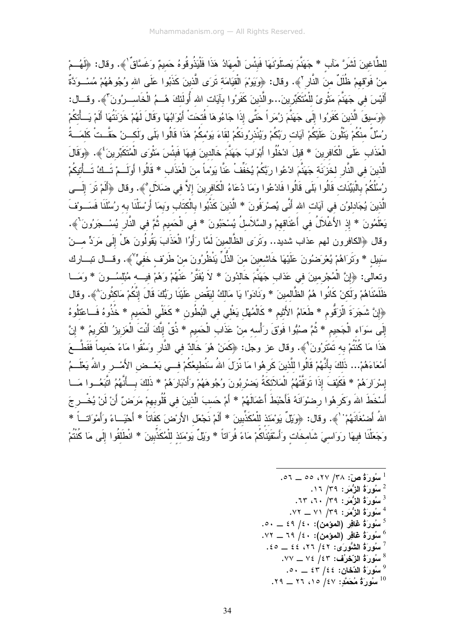للطَّاغينَ لَشَرَّ مَآبٍ \* جَهَنَّمَ بَصنَّوَتْهَا فَبِئْسَ الْمهَادُ هَذَا فَلْيَذُوقُوهُ حَميمٌ وَغَسَّاقٌ ٰ﴾. وقال: ﴿لَهُــمْ منْ فَوْقهمْ ظُلَلٌ منَ النَّارِ ۚ ﴾. وقال: ﴿وَيَوْمَ الْقِيَامَة تَرَى الَّذينَ كَذَبُوا عَلَى الله وُجُوهُهُمْ مُسْــوَدَّةً أَلَيْسَ في جَهَنَّمَ مَثْوىً للْمُتَكَبِّرينَ...والَّذينَ كَفَرُوا بِآيَات الله أُولَئكَ هُــمُ الْخَاســرُونَ ۖ﴾. وقـــال: ﴿وَسِيقَ الَّذِينَ كَفَرُوا إِلَى جَهَنَّمَ زِيُمَرٍ اً حَتَّى إِذَا جَاءُوهَا فُتحَتْ أَبْوَابُهَا وَقَالَ لَهُمْ خَزَنَتُهَا أَلَمْ يَسَأْتَكُمْ رُسُلٌ منْكُمْ يَتْلُونَ عَلَيْكُمْ آيَات رَبِّكُمْ وَيُنْذرُونَكُمْ لقَاءَ يَوْمكُمْ هَذَا قَالُوا بَلَى وَلَكــنْ حَقَّــتْ كَلمَــةُ الْعَذَابِ عَلَى الْكَافِرِينَ \* قِيلَ ادْخُلُوا أَبْوَابَ جَهَنَّمَ خَالدينَ فيهَا فَبِئْسَ مَثْوَى الْمُتَكَبِّرِينَ ۚ ﴾. ﴿وَقَالَ الَّذينَ في النَّار لخَزَنَة جَهَنَّمَ ادْعُوا رَبَّكُمْ يُخَفِّفْ عَنَّا يَوْماً منَ الْعَذَاب \* قَالُوا أولَــمْ تَــكُ تَــأْتيكُمْ رُسُلُكُمْ بِالْبَيِّنَات قَالُوا بَلَى قَالُوا فَادْعُوا وَمَا دُعَاءُ الْكَافِرِينَ إلاَّ في ضَلاَل°﴾. وقال ﴿أَلَمْ تَرَ إِلَـــي الَّذينَ يُجَادلوُن في آيَات الله أَنَّى يُصرْدَفُونَ \* الَّذينَ كَذَّبُوا بالْكتَاب وَبِمَا أَرْسَلْنَا به رُسُلَنَا فَسَــونفَ يَعْلَمُونَ \* إِذِ الأَغْلاَلُ في أَعْنَاقهمْ والسَّلاَسلُ يُسْحَبُونَ \* في الْحَميم ثُمَّ في النَّار يُسْــجَرُونَ ۚ ﴾. وقال ﴿الكافرون لمهم عذاب شديد.. وَتَرَى الظَّالمينَ لَمَّا رَأَوُا الْعَذَابَ يَقُولُونَ هَلْ إِلَى مَرَدٍّ مـــنْ سَبيل \* وَتَرَاهُمْ يُعْرَضُونَ عَلَيْهَا خَاشعينَ منَ الذُّلِّ يَنْظُرُونَ منْ طَرِيْف خَفيٍّ ٚ﴾. وقسال نبسارك وتعالى: ﴿إِنَّ الْمُجْرِمينَ في عَذَابٍ جَهَنَّمَ خَالدُونَ \* لاَ يُفَثَّرُ عَنْهُمْ وَهُمْ فيـــه مُبْلسُــونَ \* وَمَـــا ظَلَمْنَاهُمْ وَلَكنْ كَانُوا هُمُ الظَّالمينَ \* وَنَادَوْا يَا مَالكُ ليَقْض عَلَيْنَا رَبُّكَ قَالَ إنَّكُمْ مَاكثُونَ^﴾. وقال ﴿إِنَّ شَجَرَةَ الَّزَقُومِ \* طَعَامُ الأَثْيمِ \* كَالْمُهْل يَغْلى في الْبُطُونِ \* كَغَلْي الْحَميمِ \* خُذُوهُ فَــاعْتْلُوهُ إِلَى سَوَاء الْجَحيم \* ثُمَّ صبُبُوا فَوْقَ رَأْسه منْ عَذَاب الْحَميم \* ذُقْ إِنَّكَ أَنْتَ الْعَزيزُ الْكَريمُ \* إِنَّ هَذَا مَا كُنْتُمْ بِه تَمْتَرُونَ ْ﴾. وقال عز وجل: ﴿كَمَنْ هُوَ خَالدٌ في النَّارِ وَسُقُوا مَاءً حَميماً فَقَطَّــعَ أَمْعَاءَهُمْ... ذَلكَ بِأَنَّهُمْ قَالُوا للَّذينَ كَرِهُوا مَا نَّزلَ اللهُ سَنُطيعُكُمْ فــى بَعْــض الأَمْــر واللهُ يَعْلَــمُ إِسْرَارَهُمْ \* فَكَيْفَ إِذَا تَوَفَّتْهُمُ الْمَلاَئِكَةُ يَضْرِبُونَ وُجُوهَهُمْ وَأَدْبَارَهُمْ \* ذَلَكَ بِسأَنَّهُمُ اتَّبَعُسوا مَسا أَسْخَطَ اللهَ وَكَرِ هُوا رضوْانَهُ فَأَحْبَطَ أَعْمَالَهُمْ \* أَمْ حَسبَ الَّذينَ في قُلُوبهمْ مَرَضٌ أَنْ لَنْ يُخْــرِ جَ اللهُ أَضنْغَانَهُمْ ۚ ﴾. وقال: ﴿وَيِّلٌ يَوۡمَئذ لِلۡمُكَذِّبِينَ \* أَلَمْ نَجۡعَل الأَرۡضَ كفَاتاً \* أَحْيَــاءً وَأَمْوَاتَــاً \* وَجَعَلْنَا فيهَا رَوَاسيَ شَامخَات وَأَسْقَيْنَاكُمْ مَاءً فُرَاتاً \* وَيْلٌ يَوْمَئذ للْمُكَذِّبينَ \* انْطَلَقُوا إلَى مَا كُنْتُمْ

> . سُورَةُ صَ $\sim$  ، ٢٨ / ٢٧، ٥٥ \_ ٥٦.  $17/79:$ سُورَةُ الزُّمَرَ : 15/ ١٦. سُورَةُ الزُّمَرِ : ٣٩/ ٦٠، ٦٣.  $\cdot$ سُورَةُ الزُّمَرِ : ٣٩/ ٧١ \_ ٧٢.  $\sim$  - سُوَرَةُ غَافِرِ (المؤمن): ٤٩/ ٤٩ ــ ٥٠. سُورَةٌ غَافِرِ (المؤمن): ٤٠/ ٦٩ \_ ٧٢.  $\frac{7}{2}$ سُورَةُ الشُّورَى: ٤٢/ ٢٦، ٤٤ \_ ٤٥.  $\cdot$ سُورَةُ الزَّحْرُف: ٧٤ / ٧٤ \_\_ ٧٧.  $\sim$ سُورَةُ الدّخان: ٤٤/ ٤٢ \_ ٥٠. لسُورَةُ مُحَمَّدُ: ٤٧/ ١٥/ ٢٦ \_\_ ٢٩.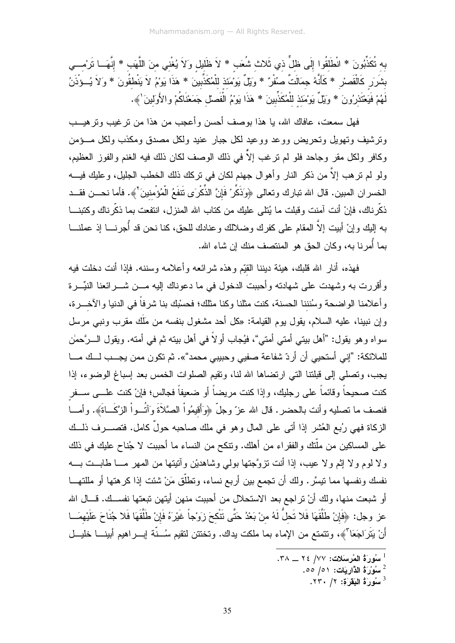به تُكَذِّبُونَ \* انْطَلَقُوا إِلَى ظلٍّ ذي ثَلاث شُعَب \* لاَ ظَليل وَلاَ يُغْني منَ اللَّهَب \* إِنَّهَــا تَرْمـــي بشَرَر كَالْقَصْرِ \* كَأَنَّهُ جِمَالَتٌ صُفْرٌ \* وَيْلٌ يَوْمَئذ للْمُكَذِّبينَ \* هَذَا يَوْمُ لاَ يَنْطْقُونَ \* وَلاَ يُــوْذَنُ لَهُمْ فَيَعْتَذِرُونَ \* وَيَلَّ يَوْمَئذ للْمُكَذِّبينَ \* هَذَا يَوْمُ الْفَصلْ جَمَعْنَاكُمْ والأَولينَ \ُ .

فهل سمعت، عافاك الله، يا هذا بوصف أحسن وأعجب من هذا من نرغيب ونرهيــب ونرشيف ونهويل ونحريض ووعد ووعيد لكل جبار عنيد ولكل مصدق ومكذب ولكل مسؤمن وكافر ولكل مقر وجاحد فلو لم ترغب إلاَّ في ذلك الوصف لكان ذلك فيه الغنم والفوز العظيم، ولو لم ترهب إلاَّ من ذكر النار وأهوال جهنم لكان في تركك ذلك الخطب الجليل، وعليك فيــــه الخسران المبين. قال الله تبارك وتعالى ﴿وَذَكِّرْ فَإِنَّ الذِّكْرَى تَتفَعُ الْمُؤْمِنينَ ۚ}. فأما نحــن فقــد ذكَّرناك، فإنْ أنت آمنت وقبلت ما يُتلى عليك من كتاب الله المنزل، انتفعت بما ذكَّرناك وكتبنـــا به إليك وإنْ أبيت إلاَّ المقام على كفرك وضلالك وعنادك للحق، كنا نحن قد أُجرنــــا إذ عملنــــا بما أُمرنا به، وكان الحق هو المنتصف منك إن شاء الله.

فهذه، أنار الله قلبك، هيئة ديننا القيّم وهذه شرائعه وأعلامه وسننه. فإذا أنت دخلت فيه وأقررت به وشهدت على شهادته وأحببت الدخول في ما دعوناك إليه مـــن شــــرائعنا النيِّـــرة وأعلامنا الواضحة وسُنننا الحسنة، كنت مثلنا وكنا مثلك؛ فحسْبك بنا شرفاً في الدنيا والآخـــرة، و إن نبينا، عليه السلام، يقول يوم القيامة: «كل أحد مشغول بنفسه من مَلَك مقرب ونبي مر سل سو اه و هو بقو ل: "أهل ببتي أمتي أمتي"، فبُجاب أو لاً في أهل ببته ثم في أمته. وبقول الـــر َّحمٰن للملائكة: "إني أستحيى أن أردّ شفاعة صفيي وحبيبي محمد"». ثم تكون ممن يجـــب لـــك مـــا يجب، وتصلَّى إلى قبلتنا التي ارتضاها الله لنا، وتقيم الصلوات الخمس بعد إسباغ الوضوء، إذا كنت صحيحاً وقائماً على رجليك، وإذا كنت مريضاً أو ضعيفاً فجالس؛ فإنْ كنت علـــى ســـفر فنصف ما نصليه وأنت بالحضر . قال الله عزّ وجلّ ﴿وَأَقِيمُواْ الصَّلاَةَ وَآتُــواْ الزَّكَــاةَ﴾. وأمـــا الزكاة فهي رُبع العُشر إذا أتى على المال وهو في ملك صاحبه حولٌ كامل. فتصــــرف ذلـــك على المساكين من ملَّتك والفقراء من أهلك. ونتكح من النساء ما أحببت لا جُناح عليك في ذلك ولا لوم ولا إثم ولا عيب، إذا أنت نزوَّجتها بولمي وشاهديْن وأنيتها من المهر مــا طابــت بـــه نفسك ونفسها مما نيسَّر . ولك أن نجمع بين أربع نساء، ونطلَّق مَنْ شئت إذا كرهتها أو مللتهـــا أو شبعت منها، ولك أنْ نراجع بعد الاستحلال من أحببت منهن أيتهن نبعتها نفســك. قـــال الله عز وجل: ﴿فَإِنْ طَلَّقَهَا فَلا تَحلُّ لَهُ منْ بَعْدُ حَتَّى تَتْكحَ زِوَيْجاً غَيْرَهُ فَإِنْ طَلَّقَهَا فَلا جُنَاحَ عَلَيْهمَــا أَنْ يَتَرَاجَعَا َّ﴾، ونتمتع من الإماء بما ملكت يداك. وتختتن لتقيم سُــنَّة إبـــراهيم أبينــــا خليـــل

- $\sim$  سُورَةُ الذَّارِ يَات: ٥١/ ٥٥.
	- سُورَةُ البَقَرَةِ: ٢/ ٢٣٠.

<sup>ً</sup> سُورَةُ المُرسَلات: ٧٧/ ٢٤ \_\_ ٣٨.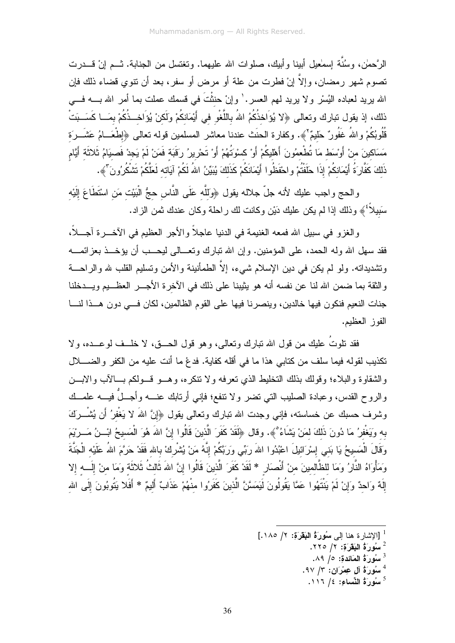الرَّحمٰن، وسُنَّة إسمٰعيل أبينا وأبيك، صلوات الله عليهما. وتغتسل من الجنابة. تــم إنْ قـــدرت تصوم شهر رمضان، وإلاَّ إنْ فطرت من علة أو مرض أو سفر، بعد أن نتوي قضاء ذلك فإن الله يريد لعباده اليُسْر ولا يريد لمهم العسر . ٰ وإنْ حنثْتَ في قسمك عملت بما أمر الله بـــــه فــــي ذلك، إذ يقول تبارك وتعالى ﴿لا يُوَاخذُكُمُ اللهُ باللَّغْو في أَيْمَانكُمْ ولَكنْ يُوَاخــذُكُمْ بمَـــا كَسَــبَتْ قُلُوبُكُمْ واللهُ غَفُورٌ حَليمٌ ْ﴾. وكفارة الحنَث عندنا معاشر المسلمين قوله تعالى ﴿إِطْعَــامُ عَشَــرَة مَسَاكينَ منْ أَوْسَط مَا تُطْعمُونَ أَهْليكُمْ أَوْ كسْوَتُهُمْ أَوْ تَحْرِيرُ رَقَبَةٍ فَمَنْ لَمْ يَجِدْ فَصبِيَامُ ثَلاثَةٍ أَيَّام ذَلكَ كَفَّارَةُ أَيْمَانكُمْ إِذَا حَلَفْتُمْ واحْفَظُوا أَيْمَانكُمْ كَذَلكَ يُبَيِّنُ اللهُ لَكُمْ آيَاته لَعَلَّكُمْ تَشْكُرُونَ ۚ ﴾.

والحج واجب عليك لأنه جلَّ جلاله يقول ﴿وَللَّه عَلَى النَّاس حجُّ الْبَيْت مَن اسْتَطَاعَ إِلَيْه سَبيلاً ﴾ وذلك إذا لم يكن عليك دَيْن وكانت لك راحلة وكان عندك ثمن الزاد.

والغزو في سبيل الله فمعه الغنيمة في الدنيا عاجلاً والأجر العظيم في الأخـــرة أجـــلاً، فقد سهل الله وله الحمد، على المؤمنين. وإن الله نبارك وتعــالى ليحــب أن يؤخـــذ بعزائمـــه ونشديدانه. ولو لم يكن في دين الإسلام شيء، إلاَّ الطمأنينة والأمن ونسليم القلب لله والراحـــة والنُّقة بما ضمن الله لنا عن نفسه أنه هو يثيبنا على ذلك في الأخرة الأجــــر العظـــيم ويــــدخلنا جنات النعيم فنكون فيها خالدين، وينصرنا فيها على القوم الظالمين، لكان فسى دون هــذا لنـــا الفوز العظيم.

فقد نلوتُ عليكِ من قول الله نباركِ ونعالمي، وهو قول الحـــق، لا خلـــف لوعـــده، ولا تكذيب لقوله فيما سلف من كتابي هذا ما في أقله كفاية. فدعْ ما أنت عليه من الكفر والضــــــــــــــــــــــــــــ والشقاوة والبلاء؛ وقولك بذلك التخليط الذي نعرفه ولا نتكره، وهــو قــولكم بـــالآب والابـــن والروح القدس، وعبادة الصليب التبي نضر ولا نتفع؛ فإنبي أرنابك عنــــه وأجـــلٌ فيــــه علمـــك وشرف حسبك عن خساسته، فإني وجدت الله نبارك ونعالى بقول ﴿إِنَّ اللهَ لا يَغْفِرُ أَن يُشْـــرَكَ به وَيَغْفِرُ مَا دُونَ ذَلكَ لمَنْ يَشَاءُ ۚ﴾. وقال ﴿لَقَدْ كَفَرَ الَّذينَ قَالُوا إِنَّ اللهَ هُوَ الْمَسيحُ ابْــنُ مَـــريْمَ وَقَالَ الْمَسيحُ يَا بَني إِسْرَائيلَ اعْبُدُوا اللهَ رَبِّي وَرَبَّكُمْ إِنَّهُ مَنْ يُشْرِكْ بالله فَقَدْ حَرَّمَ اللهُ عَلَيْه الْجَنَّةَ وَمَأْوَاهُ النَّارُ وَمَا للظَّالمينَ منْ أَنْصِارٍ \* لَقَدْ كَفَرَ الَّذينَ قَالُوا إِنَّ اللهَ ثَالثُ ثَلاثَة وَمَا منْ إِلَـــه إِلا إِلَهٌ وَاحِدٌ وَإِنْ لَمْ يَنْتَهُوا عَمَّا يَقُولُونَ لَيَمَسَّنَّ الَّذينَ كَفَرُوا مِنْهُمْ عَذَابٌ أَليمٌ \* أَفَلا يَتُوبُونَ إِلَى الله

- سُورَةُ الْبَقَرَة: ٢/ ٢٢٥.
	- $\cdot$ سُورَةُ المَائِدة: ٥/ ٨٩.
- سُورَةُ آلِ عِمْرَانِ: ٣/ ٩٧.
- سُورَةُ النِّسَاءِ: ٤/ ١١٦.  $^5$

<sup>&</sup>lt;sup>1</sup> [الإشار ة هنا إلى سُورةُ البَقَرَةِ: ٢/ ١٨٥.]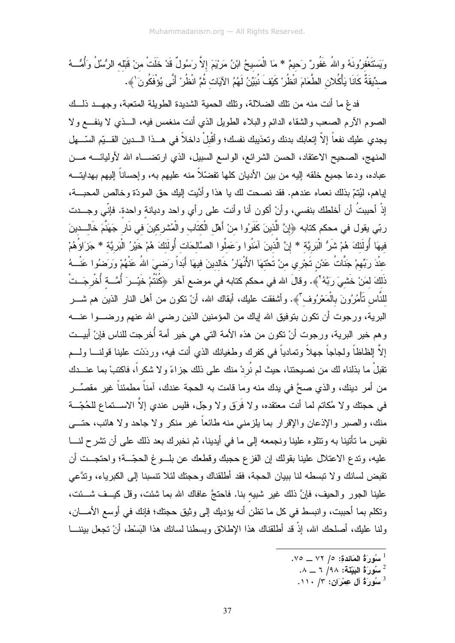وَيَسْتَغْفِرُونَهُ واللهُ غَفُورٌ رَحيمٌ \* مَا الْمَسيحُ ابْنُ مَرْيْمَ إلاَّ رَسُولٌ قَدْ خَلَتْ منْ قَبْله الرُّسُلُ وَأُمُّـــهُ صدِّيقَةٌ كَانَا يَأْكُلانِ الطِّعَامَ انْظُرْ كَيْفَ نُبَيِّنُ لَهُمُ الآيَاتِ ثُمَّ انْظُرِرْ أَنِّي يُؤفَكُونَ ٰ﴾.

فدعٌ ما أنت منه من نلك الضلالة، ونلك الحمية الشديدة الطويلة المنعبة، وجهـــد ذلـــك الصوم الأرم الصعب والشقاء الدائم والبلاء الطويل الذي أنت منغمس فيه، الـــذي لا ينفـــع ولا يجدي عليك نفعاً إلاّ إتعابك بدنك وتعذيبك نفسك؛ وأقْبلْ داخلاً في هـــذا الــــدين القــــبّم السّــــهل المنهج، الصحيح الاعتقاد، الحسن الشرائع، الواسع السبيل، الذي ارتضـــاه الله لأوليائــــه مـــن عباده، ودعا جميع خلقه إليه من بين الأديان كلها تفضّلاً منه عليهم به، وإحساناً إليهم بهدايتـــه لِباهم، لَيُتمّ بذلك نعماه عندهم. فقد نصحت لك يا هذا وأدَّيت إليك حق المودَّة وخالص المحبـــة، إِذْ أَحِبِبتُ أَن أَخلطك بنفسي، وأنْ أكون أنا وأنت على رأي واحد وديانة واحدة. فإنّي وجـــدت ربّي يقول في محكم كتابه ﴿إِنَّ الَّذِينَ كَفَرُوا منْ أَهْلِ الْكتَابِ والْمُشْرِكِينَ في نَارٍ جَهَنَّمَ خَالــدينَ فيهَا أُولَئكَ هُمْ شَرُّ الْبَرِيَّة \* إِنَّ الَّذينَ آمَنُوا وَعَملُوا الصَّالحَات أُولَئكَ هُمْ خَيْرُ الْبَرِيَّة \* جَزَاؤُهُمْ عنْدَ رَبِّهِمْ جَنَّاتُ عَدْنِ تَجْرِي منْ تَحْتهَا الأَنْهَارُ خَالدينَ فيهَا أَبَداً رِصَـيَ اللهُ عَنْهُمْ وَرَضُوا عَنْـــهُ ذَلِكَ لِمَنْ خَشِيَ رَبَّهُ لَمْ . وقالَ الله في محكم كتابه في موضع آخر ﴿كُنْتُمْ خَذِـرَ أُمَّـــة أُخْرِجَــتْ للنَّاس تَأْمُرُونَ بالْمَعْرُوف ّ'﴾. وأشفقت عليك، أبقاك الله، أنْ نكون من أهل النار الذين هم شــــر البرية، ورجوت أن نكون بنوفيق الله إياك من المؤمنين الذين رضي الله عنهم ورضـــوا عنــــه و هم خير البرية، ورجوت أنْ نكون من هذه الأمة التي هي خير أمة أُخرجت للناس فإنْ أبيــت إلاَّ الِظاظاً ولجاجاً جهلاً وتمادياً في كفرك وطغيانك الذي أنت فيه، وردَنت علينا قولنــــا ولــــم نقبلْ ما بذلناه لك من نصيحتنا، حيث لم نُردْ منك على ذلك جزاءً و لا شكراً، فاكتبْ بما عنـــدك من أمر دينك، والذي صحَّ في يدك منه وما قامت به الحجة عندك، آمناً مطمئناً غير مقصِّـــر في حجتك ولا مُكاتم لما أنت معتقده، ولا فَرَقٍ ولا وجلَّ، فليس عندي إلاَّ الاســــتماع للـحُجّـــة منك، والصبر والإذعان والإقرار بما يلزمني منه طائعاً غير منكر ولا جاحد ولا هائب، حتـــي نقيس ما تأتينا به وتتلوه علينا ونجمعه إلى ما في أيدينا، ثم نخبرك بعد ذلك على أن تشرح لنـــا عليه، وندع الاعتلال علينا بقولك إن الفزع حجبك وقطعك عن بلـــوغ الحجّـــة؛ واحتجـــت أن نقبض لسانك ولا نبسطه لنا ببيان الحجة، فقد أطلقناك وحجنك لئلا نتسبنا إلى الكبرياء، وندَّعي علينا الجور والحيف، فإنَّ ذلك غير شبيه بنا. فاحتجَّ عافاك الله بما شئت، وقل كيــف شـــئت، وتكلم بما أحببت، وانبسط في كل ما تظن أنه بؤديك إلى وثيق حجتك؛ فإنك في أوسع الأمــــان، ولنا عليك، أصلحك الله، إذْ قد أطلقناك هذا الإطلاق وبسطنا لسانك هذا البَسْط، أنْ تجعل بيننــــا

 $\sim$ اسُورَةُ المَائِدة: ٥/ ٧٢ \_\_ ٧٥.

سُورَةُ البَيِّنَةَ: ٩٨/ ٦ \_\_ ٨.

 $\cdot$  سُورَةُ آلِ عِمْرَانِ: ٣/ ١١٠.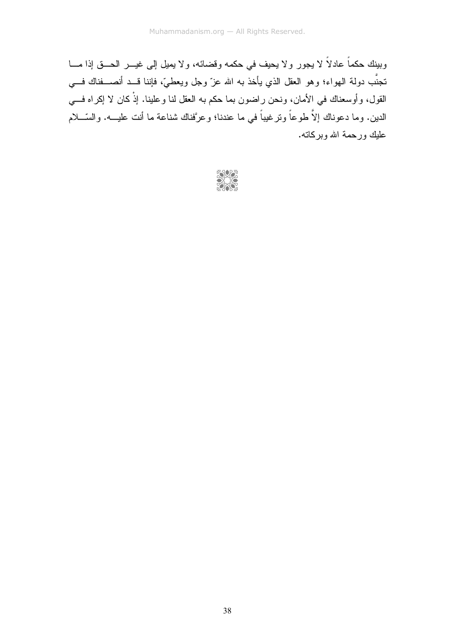وبينك حكماً عادلاً لا يجور ولا يحيف في حكمه وقضائه، ولا يميل إلى غيـــر الحـــق إذا مــــا نجنَّب دولة الـهواء؛ وهو العقل الذي يأخذ بـه الله عزَّ وجل ويعطـيَّ، فإننا قـــد أنصــــفناك فـــي القول، وأوسعناك في الأمان، ونحن راضون بما حكم به العقل لنا وعلينا. إذْ كان لا إكراه فـــي الدين. وما دعوناك إلاَّ طوعاً ونرغيباً في ما عندنا؛ وعرَّفناك شناعة ما أنت عليـــه. والسّــــلام عليك ورحمة الله وبركاته.

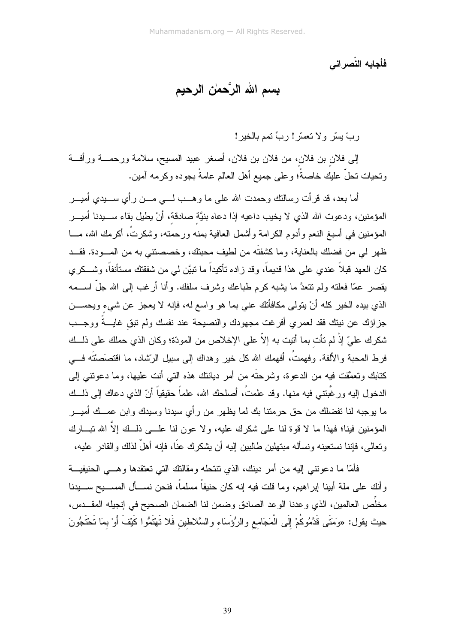فأجابه النّصراني

# بِسم الله الرَّحمٰن الرحيم

ربَّ بِسرٍّ ولا تعسَّر! ربٍّ تمم بالخير!

إلى فلان بن فلان، من فلان بن فلان، أصغر عبيد المسيح، سلامة ورحمـــة ورأفـــة ونـحيات نـحلٌ عليك خـاصـةٌ؛ وعلـى جميع أهل الـعالم عامـةٌ بـجوده وكرمـه آمين.

أما بعد، قد قرأت رسالنك وحمدت الله على ما وهـــب لــــي مــــن رأى ســــيدى أميــــر المؤمنين، ودعوت الله الذي لا يخيب داعيه إذا دعاه بنيَّة صادقة، أنْ يطيل بقاء ســــيدنا أميــــر المؤمنين في أسبغ النعم وأدوم الكرامة وأشمل العافية بمنه ورحمته، وشكرتُ، أكرمك الله، مـــا ظهر لمي من فضلك بالعناية، وما كشفتَه من لطيف محبتك، وخصصنتـي به من المـــودة. فقـــد كان العهد قبلاً عندي على هذا قديماً، وقد زاده تأكيداً ما نبيَّن لمي من شفقتك مستأنفاً، وشـــكري يقصر عمّا فعلّنه ولم نتنعدَّ ما يشبه كرم طباعك وشرف سلفك. وأنا أرغب إلى الله جلَّ اســـمه الذي بيده الخير كله أنْ يتولَّى مكافأتك عني بما هو واسع له، فإنه لا يعجز عن شيء ويحســـن جز اؤك عن نيتك فقد لعمر ي أفر غت مجهودك والنصيحة عند نفسك ولم تبق غايسةً ووجسب شكر ك عليّ إذْ لم تأت بما أتيت به إلاّ علي الإخلاص من المودّة؛ وكان الذي حملك علي ذلــك فرط المحبة والألفة. وفهمتُ، أفهمك الله كل خير وهداك إلى سبيل الرِّشاد، ما اقتصَصَتَه فـــي كتابك وتعمَّقت فيه من الدعوة، وشرحتَه من أمر ديانتك هذه التي أنت عليها، وما دعونتي إلى الدخول إليه ورغَّبتني فيه منها. وقد علمتُ، أصلحك الله، علماً حقيقياً أنّ الذي دعاك إلى ذلــك ما بوجبه لنا نفضلك من حق حرمتنا بك لما يظهر من رأي سيدنا وسيدك وابن عمــك أميـــر المؤمنين فينا؛ فهذا ما لا قوة لنا على شكرك عليه، ولا عون لنا علـــي ذلــك إلاَّ الله تبـــارك ونعالى، فإننا نستعينه ونسأله مبتهلين طالبين إليه أن يشكرك عنًّا، فإنه أهلٌ لذلك والقادر عليه،

فأمّا ما دعونتي إليه من أمر دينك، الذي نتتحله ومقالتك التي نعتقدها وهـــي الحنيفيـــة وأنك على ملة أبينا إبراهيم، وما قلت فيه إنه كان حنيفاً مسلماً، فنحن نســأل المســـيح ســــيدنا مخلِّص العالمين، الذي و عدنا الو عد الصادق و ضمن لنا الضمان الصحيح في إنجيله المقـــدس، حيث يقول: «وَمَتَى قَدَّمُوكُمْ إِلَى الْمَجَامع والرُّؤَسَاء والسَّلاطين فَلا تَهْتَمُّوا كَيْفَ أَوْ بمَا تَحْتَجُونَ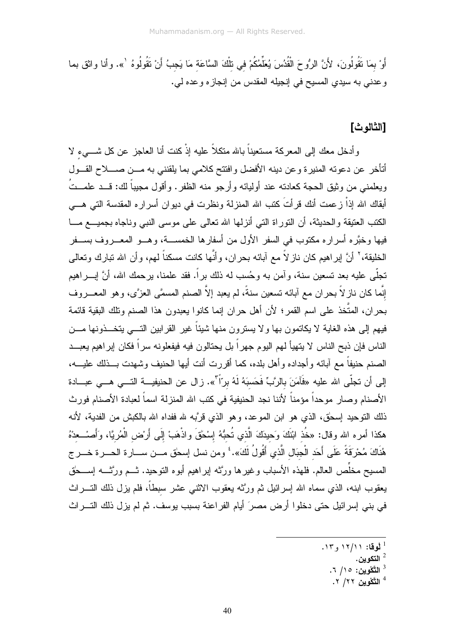أَوْ بِمَا نَقُولُونَ، لأَنَّ الرُّوحَ الْقُدُسَ يُعَلِّمُكُمْ في تلْكَ السَّاعَة مَا يَجبُ أَنْ نَقُولُوهُ <sup>\</sup>». وأنا واثق بما وعدني به سيدي المسيح في إنجيله المقدس من إنجازه وعده لي.

#### [الثالو ث]

وأدخل معك إلى المعركة مستعيناً بالله منكلاً عليه إذْ كنت أنا العاجز عن كل شـــيء لا أتأخر عن دعوته المنبرة وعن دينه الأفضل وافتتح كلامي بما يلقنني به مـــن صــــلاح القـــول ويعلمني من وثيق الحجة كعادته عند أوليائه وأرجو منه الظفر . وأقول مجيباً لك: قـــد علمـــتُ أبقاك الله إذاْ زعمت أنك قرأتَ كتب الله المنزلة ونظرت في ديوان أسراره المقدسة التي هـــي الكتب العتيقة و الحديثة، أن التور اة التي أنز لمها الله تعالى على موسى النبي و ناجاه بجميــــع مـــا فيها وخبَّر م أسر ار ه مكتوب في السفر الأول من أسفار ها الخمســـة، و هـــو المعـــر و ف بســـفر الخليقة، ` أنَّ لِبراهيم كان ناز لاً مع آبائه بحران، وأنَّها كانت مسكناً لمهم، وأن الله نبارك ونعالى نجلَّى عليه بعد نسعين سنة، وآمن به وحُسب له ذلك براً. فقد علمنا، برحمك الله، أنَّ إبــــراهيم إِنَّما كان نازٍ لاَّ بحران مع آبائه تسعين سنةً، لم يعبد إلاَّ الصنم المسمَّى العزَّى، وهو المعـــروف بحران، المتَّخذ علـى اسم القمر؛ لأن أهل حران إنما كانوا يعبدون هذا الصنم ونلك البقية قائمة فيهم إلى هذه الغاية لا يكاتمون بها ولا يسترون منها شيئاً غير القرابين التــــى يتخـــذونـها مــــن الناس فإن ذبح الناس لا يتهيأ لهم اليوم جهر اً بل يحتالون فيه فيفعلونه سر اً فكان إبر اهيم يعبـــد الصنع حنيفاً مع آبائه وأجداده وأهل بلده، كما أقررت أنت أيها الحنيف وشهدت بــذلك عليـــه، إلى أن تجلَّى الله عليه «فَآمَنَ بالرَّبِّ فَحَسبَهُ لَهُ برّأ<sup>7</sup>». زال عن الحنيفيـــة التـــى هـــى عبـــادة الأصنام وصار موحداً مؤمناً لأننا نجد الحنيفية في كتب الله المنزلة اسماً لعبادة الأصنام فورث .<br>ذلك النوحيد إسحٰق، الذي هو ابن الموعد، وهو الذي قرَّبه لله ففداه الله بالكبش من الفدية، لأنه هكذا أمره الله وقال: «خُذ ابْنَكَ وَحيدَكَ الَّذي تُحبُّهُ إِسْحَقَ واذْهَبْ إِلَى أَرْضِ الْمُرِيَّا، وَأَصـْــعدْهُ هُنَاكَ مُحْرِقَةً عَلَى أَحَد الْجِبَال الَّذي أَقُولُ لَكَ». ۚ ومن نسل إسحٰق مـــن ســـارة الحـــرة خـــر ج المسيح مخلِّص العالم. فلهذه الأسباب وغيرها ورَّثه إبراهيم أبوه التوحيد. ثـــم ورَّثــــه إســـحق يعقوب ابنه، الذي سماه الله إسر ائيل ثم ورَّثه يعقوب الاثنبي عشر سبطاً، فلم يز ل ذلك النسـر اث في بني إسرائيل حتى دخلوا أرض مصرَ أيام الفراعنة بسبب يوسف. ثم لم يزل ذلك التـــراث

- $15$ لُوقا: ۱۲/۱۱ و ۱۳.
	- التكوين  $^{\,2}$
	- التَّكْوِينِ: ١٥/ ٦.
	- <sup>4</sup> التَّكْوين ٢٢/ ٢.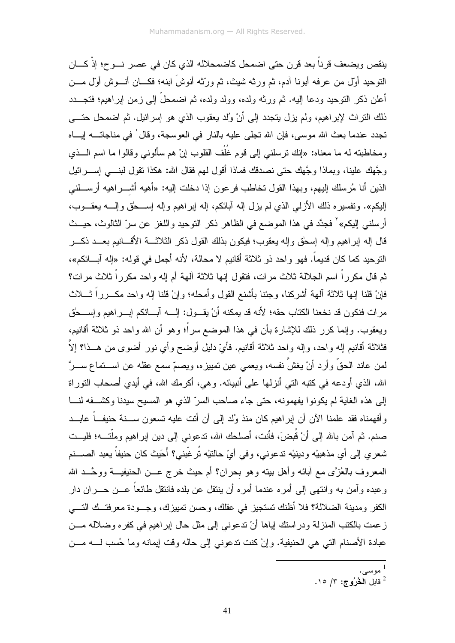ينقص ويضعف قرناً بعد قرن حتى اضمحل كاضمحلاله الذي كان في عصر نـــوح؛ إذْ كـــان النوحيد أول من عرفه أبونا آدم، ثم ورثه شيث، ثم ورتَّه أنوشَ ابنه؛ فكـــان أنـــوش أول مـــن أعلن ذكر النوحيد ودعا إليه. ثم ورثه ولده، وولد ولده، ثم اضمحلٌ إلى زمن إبراهيم؛ فتجـــدد ذلك النراث لإبراهيم، ولم يزل يتجدد إلى أنْ وُلد يعقوب الذي هو إسرائيل. ثم اضمحل حتـــي تجدد عندما بعث الله موسى، فإن الله تجلَّى عليه بالنار في العوسجة، وقال ٰ في مناجاتـــه لِيـــاه ومخاطبته له ما معناه: «إنك نرسلنبي إلى قوم غُلْف القلوب إنْ هم سألونبي وقالوا ما اسم الـــذي وجَّهك علينا، وبماذا وجَّهك حتى نصدقك فماذا أقول لهم فقال الله: هكذا نقول لبنـــي إســــرائيل الذين أنا مُرسلك إليهم، وبهذا القول تخاطب فرعون إذا دخلت إليه: «أهيه أشــــراهيه أرســـلنــي الِبِكم». وتفسير ِه ذلك الأزلمي الذي لم يزل الِه آبائكم، الِه اير اهيم والِه اســـحق والِــــه بعقـــوب، أرسلني إليكم»<sup>٬</sup> فجدَّد في هذا الموضع في الظاهر ذكر التوحيد واللغز عن سرّ الثالوث، حيـــث قال إله إبراهيم وإله إسحٰق وإله بعقوب؛ فيكون بذلك القول ذكر الثلاثـــة الأقــــانيم بعـــد ذكـــر التوحيد كما كان قديماً. فهو واحد ذو ثلاثة أقانيم لا محالة، لأنه أجمل في قوله: «إله آبـــائكم»، ثم قال مكرراً اسم الجلالة ثلاث مرات، فتقول إنها ثلاثة آلهة أم إله واحد مكرراً ثلاث مرات؟ فإنْ قلنا إنها ثلاثة ألهة أشركنا، وجئنا بأشنع القول وأمحله؛ وإنْ قلنا إله واحد مكـــرراً ثــــلاث مرات فنكون قد نخعنا الكتاب حقه؛ لأنه قد يمكنه أنْ يقــول: إلــــه آبــــائكم إبــــراهيم وإســــحلَّ ويعقوب. وإنما كرر ذلك للإشارة بأن في هذا الموضع سراً؛ وهو أن الله واحد ذو ثلاثة أقانيم، فثلاثة أقانيم إله واحد، وإله واحد ثلاثة أقانيم. فأيِّ دليل أوضح وأي نور أضوى من هـــذا؟ إلاَّ لمن عاند الحقّ وأرد أنْ يغشَّ نفسه، ويعمي عين نمييزه، ويصمّ سمع عقله عن اســـنماع ســـرَّ الله، الذي أودعه في كتبه التي أنزلها على أنبيائه. وهي، أكرمك الله، في أيدي أصـحاب التوراة إلى هذه الغاية لم يكونوا يفهمونه، حتى جاء صاحب السرِّ الذي هو المسيح سيدنا وكشفه لنــا وأفهمناه فقد علمنا الآن أن إبراهيم كان منذ وُلد إلى أن أنت عليه تسعون ســـنة حنيفــاً عابـــد صنم. ثم آمن بالله إلى أنْ قُبِضَ، فأنت، أصلحك الله، ندعوني إلى دين إبراهيم وملَّتـــه؛ فليــت شعري إلى أي مذهبيْه ودينيْه ندعوني، وفي أيِّ حالتيْه تُرغَّبني؟ أَحَيث كان حنيفاً يعبد الصــــنم المعروف بالعُزَّى مع أبائه وأهل بيته وهو بحران؟ أم حيث خرج عـــن الحنيفيـــة ووحَّـــد الله وعبده وآمن به وانتهى إلى أمره عندما أمره أن ينتقل عن بلده فانتقل طائعاً عـــن حــــران دار الكفر ومدينة الضلالة؟ فلا أظنك تستجيز في عقاك، وحسن تمييزك، وجـــودة معرفتــك التــــي زعمت بالكتب المنزلة ودراستك إياها أنْ ندعوني إلى مثل حال إبراهيم في كفره وضلاله مـــن عبادة الأصنام التي هي الحنيفية. وإنْ كنت ندعوني إلى حاله وقت لِيمانه وما حُسب لــــه مــــن

ا <sub>موسى</sub>.<br><sup>2</sup> قابل ا**لْـثُرُوج: ٣/ ١٥.**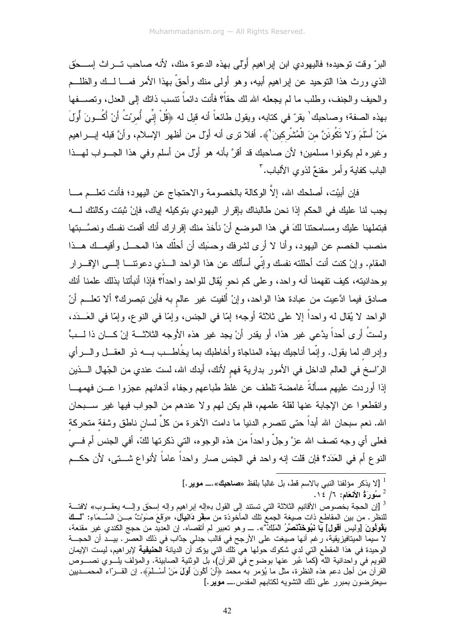البر ّ وقت نو حيده؛ فاليهو دي ابن ابر اهيم أَوْ لي بهذه الدعو ة منك، لأنه صاحب تـــر اث اِســـحٰق الذي ورث هذا النوحيد عن ايراهيم أبيه، وهو أولى منك وأحقَّ بهذا الأمر فمـــا لـــك والظلـــم والحيف والجنف، وطلب ما لم يجعله الله لك حقاً؟ فأنت دائماً نتسب ذاتك إلى العدل، وتصـــفها بهذه الصفة؛ وصاحبك ٰ يقرّ في كتابه، ويقول طائعاً أنه قيل له ﴿قُلْ إِنِّي أُمرِينُ أَنْ أَكُــونَ أَولَ مَنْ أَسْلَمَ وَلا نَكُونَنَّ منَ الْمُشْرِكينَ'﴾. أفلا نرى أنه أول من أظهر الإسلام، وأنَّ قبله إبـــراهيم وغيره لم يكونوا مسلمين؛ لأن صاحبك قد أقرَّ بأنه هو أول من أسلم وفي هذا الجـــواب لمهـــذا الباب كفاية وأمر مقنعٌ لذوي الألباب.

فإن أبيْت، أصلحك الله، إلاَّ الوكالة بالخصومة والاحتجاج عن اليهود؛ فأنت تعلـــم مــــا يجب لنا عليك في الحكم إذا نحن طالبناك بإقرار اليهودي بتوكيله إياك، فإنْ ثبتت وكالنك لــــه فبتملهنا عليك ومسامحتنا لكَ في هذا الموضع أنْ نأخذ منك إقرارك أنك أقمت نفسك ونصَّــبتها منصب الخصم عن البهود، وأنا لا أرى لشر فك وحسَبِك أن أحلَّك هذا المحـــل وأقبِصــك هـــذا المقام. و إنْ كنت أنت أحللته نفسك و إنّي أسألك عن هذا الواحد الـــذي دعو تنـــا إلـــي الإقـــر ار بوحدانيته، كيف تفهمنا أنه واحد، وعلى كم نحو يُقال للواحد واحداً؟ فإذا أنبأتنا بذلك علمنا أنك صادق فيما ادَّعيت من عبادة هذا الواحد، وإنْ ألفيت غير عالم به فأين تبصرك؟ ألا تعلـــم أنّ الواحد لا يُقال له واحداً إلا على ثلاثة أوجه؛ إمّا في الجنس، وإمّا في النوع، وإمّا في العَـــدَد، ولستُ أرى أحداً بدَّعى غيرٍ هذا، أو بقدرٍ أنْ بجد غيرٍ هذه الأوجه الثلاثــــة إنْ كــــان ذا لــــبٍّ وإدراك لما يقول. وإنَّما أناجيك بهذه المناجاة وأخاطبك بما يخُاطــب بــــه ذو العقـــل والــــرأي الرّاسخ في العالم الداخل في الأمور بدارية فهم لأنك، أيدك الله، لست عندي من الجّهال الـــذين إذا أوردت عليهم مسألةً غامضة تلطف عن غلظ طباعهم وجفاء أذهانهم عجزوا عـــن فهمهـــا وانقطعوا عن الإجابة عنها لقلة علمهم، فلم يكن لهم ولا عندهم من الجواب فيها غير ســـبحان الله. نعم سبحان الله أبداً حتى نتصرم الدنيا ما دامت الآخرة من كلِّ لسان ناطق وشفة متحركة فعلـي أي وجه نصف الله عزَّ وجلَّ واحداً من هذه الوجوه، النِّي ذكرتها لكَّ، أفـي الجنس أم فـــي النوع أم في العَدَد؟ فإن قلت إنه واحد في الجنس صار واحداً عاماً لأنواع شــتي، لأن حكــم

- <sup>1</sup> [لا يذكر مؤلفنا النبي بالاسم قط، بل غالباً بلفظ «**صاحبك»… موير .**]
	- $\cdot$ ا سُورَةُ الأَنْعَامِ: ٦/ ١٤.

<sup>&</sup>lt;sup>3</sup> [إن الحجة بخصوص الأقانيم الثلاثة التي تستند إلى القول بـ«إلـه اير اهيم وإلـه إسحٰق وإلــــه يـعقـــوب» لافتـــة للنظر . من بين المقاطع ذات صيغة الجمع نلك المأخوذة من **سِفْرٍ دَانِيَالْ،** «وقَعَ صَوْتٌ مِــنَ السَّــمَاءِ: "لَـــكَ **يَقْوِلُونَ** [وليس أ**قول] يَا نَبُوخَذَّنَصَرُ** الْمَلِكُ"». ـــ وهو تعبير لم أتقصاه. إن العديد من حجج الكندي غير مقنعة، لا سيما الميتافيزيقية، رغم أنها صيغت على الأرجح في فالب جدلي جدّاب في ذلك العصر . بيــد أن الحجـــة الوحيدة في هذا المقطع التي لدي شكوك حولها هي تلك التي يؤكد أن الديانة ا**لحنيفية** لإبر اهيم، ليست الإيمان القويم في واحدانية الله (كما عُبر عنها بوضوح في القرآن)، بل الوثنية الصابيئة. والمؤلف يلـــوي نصــــوص القرآن من أجل دعم هذه النظرة، مثل ما يُؤمر به محمد ﴿أَنْ أَكُونَ أَوْلَىَ مَنْ أَسْــلَمَ﴾. إن القــراء المحمـــديين سيعترضون بمبرر على ذلك التشويه لكتابهم المقدس.\_ موير.]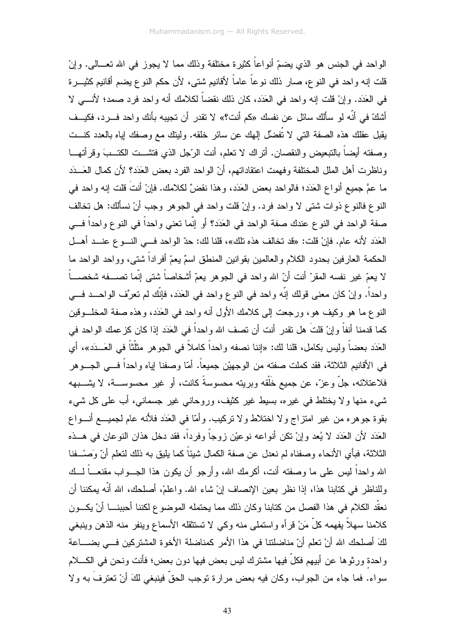الواحد في الجنس هو الذي يضمّ أنواعاً كثيرة مختلفة وذلك مما لا يجوز في الله تعـــالـي. وإنْ قلت إنه واحد في النو ع، صـار ذلك نوعاً عاماً لأقانيم شتى، لأن حكم النو ع يضم أقانيم كثيـــرة في العَدَد. وإنْ قلت إنه واحد في العَدَد، كان ذلك نقضاً لكلامك أنه واحد فرد صمد؛ لأنــــى لا أشكَّ في أنَّه لو سألك سائل عن نفسك «كم أنت؟» لا نقدر أن نـجيبه بأنك واحد فــــرد، فكيـــف يقبل عقلك هذه الصفة النبي لا نُفضِّل الِهك عن سائر خلقه. ولينك مع وصفك اِباه بالعدد كنـــت وصفته أيضاً بالنبعيض والنقصان. أنراك لا نعلم، أنت الرَّجل الذي فتشـــت الكتـــبَ وقرأتهـــا وناظرت أهل الملل المختلفة وفهمت اعتقاداتهم، أنّ الواحد الفرد بعض العَدَد؟ لأن كمال العَـــدَد ما عمَّ جميع أنواع العَدَد؛ فالواحد بعض العَدَد، وهذا نقضٌ لكلامك. فإنْ أنتَ قلت إنه واحد في النوع فالنوع ذوات شتى لا واحد فرد. وإنْ قلت واحد في الجوهر وجب أنْ نسألك: هل تخالف صفة الواحد في النوع عندك صفة الواحد في العَدَد؟ أو إنَّما نعني واحداً في النوع واحداً فـــي العَدَد لأنه عام. فإنْ قلت: «قد تخالف هذه تلك»، قلنا لك: حدّ الواحد فـــي النـــو ع عنـــد أهـــل الحكمة العارفين بحدود الكلام والعالمين بقوانين المنطق اسمٌ يعمّ أفراداً شتى، وواحد الواحد ما لا يعمّ غير نفسه المقرّ أنت أنّ الله واحد في الجوهر يعمّ أشخاصاً شتى إنّما تصــــفه شخصــــاً واحداً. وإنْ كان معنى قولك إنّه واحد في النوع واحد في العَدَد، فإنّك لم تعرّف الواحـــد فـــي النوع ما هو وكيف هو، ورجعت إلى كلامك الأول أنه واحد في العَدَد، وهذه صفة المخلَّــوقين كما قدمنا أنفاً وإنْ قلتَ هل نقدر أنت أن نصف الله واحداً في العَدَد إذا كان كزعمك الواحد في العَدَد بعضاً وليس بكامل، قلنا لك: «إننا نصفه واحداً كاملاً في الجوهر مثلَّثاً في العَـــدَد»، أي في الأقانيم الثلاثة، فقد كملت صفته من الوجهيْن جميعاً. أمّا وصفنا إياه واحداً فـــي الجـــوهر فلاعتلائه، جلَّ وعزَّ، عن جميع خَلْقه وبريته محسوسةً كانت، أو غير محسوســـة، لا يشـــبهه شبیء منها ولا یختلط فی غیرہ، بسیط غیر کثیف، وروحانی غیر جسمانی، أب علی کل شبیء بقوة جوهره من غير امتزاج ولا اختلاط ولا تركيب. وأمّا في العَدَد فلأنه عام لجميـــع أنـــواع العَدَد لأن العَدَد لا يُعد وإنْ نكن أنواعه نوعيْن زوجاً وفرداً، فقد دخل هذان النوعان في هـــذه الثلاثة، فبأي الأنحاء وصفناه لم نعدل عن صفة الكمال شيئاً كما يليق به ذلك لنعلم أنّ وَصـْــفنا الله واحداً ليس على ما وصفته أنت، أكرمك الله، وأرجو أن يكون هذا الجـــواب مقنعــــاً لـــك وللناظر في كتابنا هذا، إذا نظر بعين الإنصاف إنْ شاء الله. واعلمْ، أصلحك، الله أنَّه بمكننا أن نعقُّد الكلام في هذا الفصل من كتابنا وكان ذلك مما يحتمله الموضوع لكننا أحببنــــا أنْ يكـــون كلامنا سهلاً يفهمه كلّ مَنْ قرأه واستملى منه وكي لا تستثقله الأسماع وينفر منه الذهن وينبغي لكَ أصلحك الله أنْ تعلَّم أنّ مناضلتنا في هذا الأمر كمناضلة الأخوة المشتركين فــي بضــــاعة واحدة ورثوها عن أبيهم فكلَّ فيها مشترك ليس بعض فيها دون بعض؛ فأنت ونحن في الكــــلام سواء. فما جاء من الجواب، وكان فيه بعض مرارة توجب الحقِّ فينبغي لكَ أنْ تعترفَ به ولا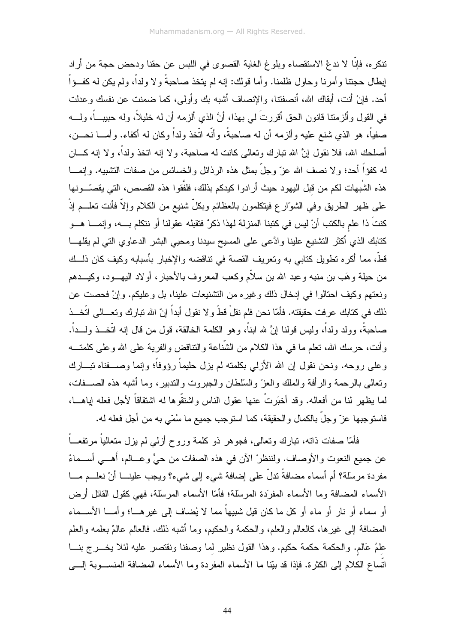نتكره، فإنَّا لا ندعُ الاستقصاء وبلوغ الغاية القصوى في اللبس عن حقنا ودحض حجة من أراد إبطال حجتنا وأمرنا وحاول ظلمنا. وأما قولك: إنه لم يتخذ صاحبةً ولا ولداً، ولم يكن له كفــؤاً أحد. فإنْ أنت، أبقاك الله، أنصفتنا، والإنصاف أشبه بك وأولى، كما ضمنت عن نفسك وعدلت في القول وألزمننا قانون الحق أقررتَ لي بهذا، أنَّ الذي ألزمه أن له خليلاً، وله حبيب ً، ولـــه صغياً، هو الذي شنع عليه وألزمه أن له صاحبةً، وأنَّه اتَّخذ ولداً وكان له أكفاء. وأمـــا نـحـــن، أصلحك الله، فلا نقول إنَّ الله نبارك وتعالى كانت له صاحبة، ولا إنه انخذ ولداً، ولا إنه كـــان لـه كفؤاً أحد؛ و لا نصف الله عزّ وجلّ بمثل هذه الرذائل والخسائس من صفات التثنيبيه. وإنمــــا هذه الشُبهات لكم من قبل اليهود حيث أرادوا كيدكم بذلك، فلفَّقوا هذه القصص، التي يقصِّـــونها علـى ظـهر الطريق وفـى الشوّار ع فيتكلمون بالعظائم وبكلِّ شنيع من الكلام وإلاّ فأنت تعلـــم إذْ كنتَ ذا علم بالكتب أنْ ليس في كتبنا المنزلة لهذا ذكرٌ فتقبله عقولنا أو نتكلم بـــه، وإنمــــا هـــو كتابك الذي أكثر التشنيع علينا وادَّعى على المسيح سيدنا ومحيى البشر الدعاوي التي لم يقلهـــا قطَّ، مما أكره نطويل كتابي به وتعريف القصة في نتاقضه والإخبار بأسبابه وكيف كان ذلــك من حيلة وهَب بن منبه وعبد الله بن سلاَّم وكعب المعروف بالأحبار، أولاد اليهـــود، وكيــــدهم ونعتهم وكيف احتالوا في إدخال ذلك وغيره من التشنيعات علينا، بل وعليكم. وإنْ فحصت عن ذلك في كتابك عرفت حقيقته. فأمّا نحن فلم نقلْ قطّ ولا نقول أبداً إنّ الله تبارك وتعـــالـى اتَّخـــذ صـاحبةً، وولد ولداً، وليس قولنا إنَّ لله ابناً، وهو الكلمة الخالقة، قول من قال إنه اتَّخــذ ولـــداً. وأنت، حرسك الله، نعلم ما في هذا الكلام من الشَّناعة والنتاقض والفرية على الله وعلى كلمتـــه وعلى روحه. ونحن نقول إن الله الأزلـى بكلمته لم بزل حليماً رؤوفاً؛ وإنما وصــــفناه تبـــارك ونعالى بالرحمة والرأفة والملك والعزّ والسلطان والجبروت والندبير، وما أشبه هذه الصـــفات، لما بِظهر لنا من أفعاله. وقد أخبَرتْ عنها عقول الناس واشتقُّوها له اشتقاقاً لأجل فعله إياهـــا، فاستوجبها عزَّ وجلَّ بالكمال والحقيقة، كما استوجب جميع ما سُمَّى به من أجل فعله له.

فأمَّا صفات ذاته، نبارك وتعالى، فجوهر ذو كلمة وروح أزلمي لم بزل متعالياً مرتفعــاً عن جميع النعوت والأوصاف. ولننظرْ الآن في هذه الصفات من حيٍّ وعـــالم، أهــــي أســـماءٌ مفردة مرسلة؟ أم أسماء مضافةً ندلٌ على إضافة شيء إلى شيء؟ ويجب علينــــا أنْ نعلـــم مــــا الأسماء المضافة وما الأسماء المفرَدة المرسلة؛ فأمّا الأسماء المرسلة، فهي كقول القائل أرض أو سماء أو نار أو ماء أو كل ما كان قيل شبيهاً مما لا يُضاف إلى غيرهـــا؛ وأمـــا الأســـماء المضافة إلى غيرها، كالعالم والعلم، والحكمة والحكيم، وما أشبه ذلك. فالعالم عالمٌ بعلمه والعلم علمُ عَالم. والحكمة حكمة حكيم. وهذا القول نظير لما وصفنا ونقتصر عليه لئلا يخـــرج بنـــا اتساع الكلام إلى الكثرة. فإذا قد بيِّنا ما الأسماء المفردة وما الأسماء المضافة المنســـوبة إلــــي

44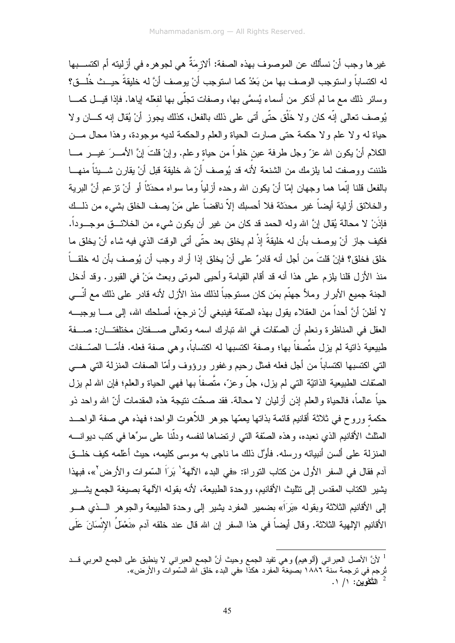غير ها وجب أنْ نسألك عن الموصوف بهذه الصفة: ألازمَةٌ هي لجو هر ه في أزليته أم اكتســـبها له اكتساباً و استو جب الو صف بها من بَعْدُ كما استو جب أنْ يو صف أنَّ له خليقةً حيــث خُلــق؟ وسائر ذلك مع ما لم أذكر من أسماء يُسمَّى بها، وصفات نـجلَّى بـها لفعْلـه إياها. فإذا قيـــل كمــــا يُوصف نعالى إنَّه كان ولا خَلْق حتَّى أتـى علـى ذلك بالفعل، كذلك يجوز أنْ يُقال إنه كــــان ولا حياة له ولا علم ولا حكمة حتى صارت الحياة والعلم والحكمة لديه موجودة، وهذا محال مـــن الكلام أنْ يكون الله عزّ وجل طرفة عين خلواً من حياة وعلم. وإنْ قلتَ إنَّ الأمــــرَ غيــــر مــــا ظننت ووصفت لما بلزمك من الشنعة لأنه قد بُوصف أنّ لله خلبقة قبل أنْ بقار ن شـــبئاً منهـــا بِالفعلِ قلنا إنَّما هما وجهان إمّا أنْ يكون الله وحده أز لياً وما سواه محدَثاً أو أنْ تز عم أنَّ البرية والخلائق أزلية أيضاً غير محدَثة فلا أحسبك إلاّ ناقضاً على مَنْ يصف الخلق بشيء من ذلــك فإذَنْ لا محالة يُقال إنَّ الله وله الحمد قد كان من غير أن يكون شيء من الخلائـــق موجـــوداً. فكيف جاز ِ أنْ يوصف بأن له خليقةً إذْ لم يخلق بعد حتّى أتى الوقت الذي فيه شاء أنْ يخلق ما خلق فخلق؟ فإنْ قلتَ من أجل أنه قادرٌ على أنْ يخلق إذا أراد وجب أن يُوصف بأن له خلقــاً منذ الأزل قلنا يلزم على هذا أنه قد أقام القيامة وأحيى الموتى وبعث مَنْ في القبور. وقد أدخل الجنة جميع الأبرار وملأ جهنَّم بمَن كان مستوجباً لذلك منذ الأزل لأنه قادر على ذلك مع أنَّـــى لا أظنّ أنَّ أحداً من العقلاء يقول بهذه الصنّفة فينبغي أنْ نرجعَ، أصلحك الله، إلى مـــا يوجبـــه العقل في المناظر ة ونعلم أن الصَّفات في الله نبارك اسمه وتعالى صــــفتان مختلفتـــان: صــــفة طبيعية ذاتية لم يزل متَّصفًا بها؛ وصفة اكتسبها له اكتسابًا، وهي صفة فعله. فأمَّـــا الصَّــفات النبي اكتسبها اكتساباً من أجل فعله فمثل رحيم وغفور ورؤوف وأمّا الصفات المنزلة التبي هـــي الصَّفات الطبيعية الذاتيّة التي لم يزل، جلّ وعزّ، متَّصفاً بها فهي الحياة والعلم؛ فإن الله لم يزل حياً عالماً، فالحياة والعلم إذن أزليان لا محالة. فقد صحَّت نتيجة هذه المقدمات أنّ الله واحد ذو حكمة وروح في ثلاثة أقانيم قائمة بذاتها يعمّها جوهر اللأهوت الواحد؛ فهذه هي صفة الواحــد المثلث الأقانيم الذي نعبده، وهذه الصَّفة التي ارتضاها لنفسه ودلَّنا على سرِّها في كتب ديوانــــه المنزلة على ألسن أنبيائه ورسله. فأوَّل ذلك ما ناجي به موسى كليمه، حيث أعلمه كيف خلَّــق أدم فقال في السفر الأول من كتاب التوراة: «في البدء الآلهة' بَرَاً السَّموات والأرض َّ»، فبهذا يشير الكتاب المقدس إلى نتثليث الأقانيم، ووحدة الطبيعة، لأنه بقوله الآلهة بصيغة الجمع يشــــير إلى الأقانيم الثلاثة وبقوله «بَرَاً» بضمير المفرد يشير إلى وحدة الطبيعة والجوهر الـــذي هـــو الأقانيم الإلهية الثلاثة. وقال أيضاً في هذا السفر إن الله قال عند خلقه آدم «نَعْمَلَ الإِنْسَانَ عَلَى

<sup>&</sup>lt;sup>1</sup> لأنَّ الأصل العبراني (ألوهيم) وهي نفيد الجمع وحيث أنَّ الجمع العبراني لا ينطبق على الجمع العربي قـــد تُرجِم في نرجِمة سنة ١٨٨٦ بصيغة المفرد هكذا «في البدء خلق الله السِّموات والأرض». التَّكْوينِ: ١/ ١.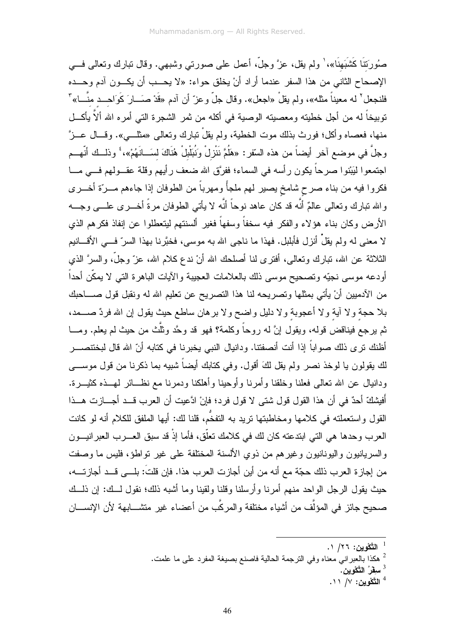صُورَتَنَا كَشَبَهِنَا»، ٰ ولم يقل، عزَّ وجلَّ، أعمل علي صورتي وشبهي. وقال نبارك ونعالي فـــي الإصحاح الثاني من هذا السفر عندما أراد أنْ يخلق حواء: «لا يحـب أن يكـون آدم وحــده فلنجعل<sup>٢</sup> له معيناً مثله»، ولم يقلْ «اجعل». وقال جلّ وعزّ أن آدم «قَدْ صَــارَ كَوَاحــد منّـــا» ً نوبيخاً له من أجل خطيته ومعصيته الوصية في أكله من ثمر الشجرة التي أمره الله ألاّ يأكـــل منها، فعصاه وأكل؛ فورث بذلك موت الخطية، ولم يقلْ نبارك ونعالى «مثلـــي». وقـــال عـــزَّ وجلَّ في موضع آخر أيضاً من هذه السّقر: «هَلُمَّ نَنْزِلْ وَنُبَلْبِلْ هُنَاكَ لسَــانَهُمْ»، ۚ وذلــك أنّهـــم اجتمعوا ليَبْنوا صرحاً يكون رأسه في السماء؛ ففرَّق الله ضعف رأيهم وقلة عقــولهم فـــي مـــا فكروا فيه من بناء صرح شامخ يصير لهم ملجأً ومهرباً من الطوفان إذا جاءهم مـــرّة أخـــرى والله نبارك وتعالى عالمٌ أنَّه قد كان عاهد نوحاً أنَّه لا يأتـى الطوفان مرةً أخـــرى علـــى وجـــه الأرض وكان بناء هؤلاء والفكر فيه سخفاً وسفهاً فغير ألسنتهم ليتعطلوا عن إنفاذ فكرهم الذي لا معنى له ولم يقلْ أنزل فأبلبل. فهذا ما ناجي الله به موسى، فخبَّرنا بهذا السرِّ فـــي الأقــــانيم الثلاثة عن الله، تبارك وتعالى، أفترى لنا أصلحك الله أنْ ندع كلام الله، عزّ وجلَّ، والسرَّ الذي أودعه موسى نجيّه وتصحيح موسى ذلك بالعلامات العجيبة والآيات الباهرة التي لا يمكّن أحداً من الأدميين أنْ يأتي بمثلها وتصريحه لنا هذا التصريح عن تعليم الله له ونقبل قول صــــاحبك بلا حجة ولا أية ولا أعجوبة ولا دليل واضح ولا برهان ساطع حيث يقول إن الله فردٌ صــــمد، ثم برجع فيناقض قوله، ويقول إنَّ له روحاً وكلمة؟ فهو قد وحَّد وثلَّث من حيث لم يعلم. ومـــا أظنك نرى ذلك صواباً إذا أنت أنصفتنا. ودانيال النبي يخبرنا في كتابه أنّ الله قال لبختنصـــــر لك يقولون يا لوخذ نصر ولم يقل لكَ أقول. وفي كذابك أيضاً شبيه بما ذكرنا من قول موســـي ودانيال عن الله نعالى فعلنا وخلقنا وأمرنا وأوحينا وأهلكنا ودمرنا مع نظــائر لمهــذه كثيـــرة. أَفيشكَ أحدٌ في أن هذا القول قول شتى لا قول فرد؛ فإنْ ادَّعيت أن العرب قــد أجـــازت هـــذا القول واستعملته في كلامها ومخاطبتها تريد به التفخُّم، قلنا لك: أيها الملفق للكلام أنه لو كانت العرب وحدها هي التي ابتدعته كان لك في كلامك تعلَّق، فأما إذْ قد سبق العـــرب العبر انيـــون والسريانيون واليونانيون وغيرهم من ذوي الألسنة المختلفة على غير نواطؤ، فليس ما وصفت من إجازة العرب ذلك حجّة مع أنه من أين أجازت العرب هذا. فإن قلت: بلـــي قـــد أجازتــــه، حيث بقول الرجل الواحد منهم أمرنا وأرسلنا وقلنا ولقينا وما أشبه ذلك؛ نقول لـــك: إن ذلـــك صحيح جائز في المؤلَّف من أشياء مختلفة والمركَّب من أعضاء غير متشـــابـهة لأن الإنســـان

<sup>2</sup> هكذا بالعبر اني معناه وفي الترجمة الحالية فاصنع بصيغة المفرد على ما علمت.

<sup>3</sup> سِفْرُ التَّكْوِينِ.

التَّكْوين: ٧/ ١١.  $^4$ 

التَّكْوين: ٢٦/ ١.  $^1$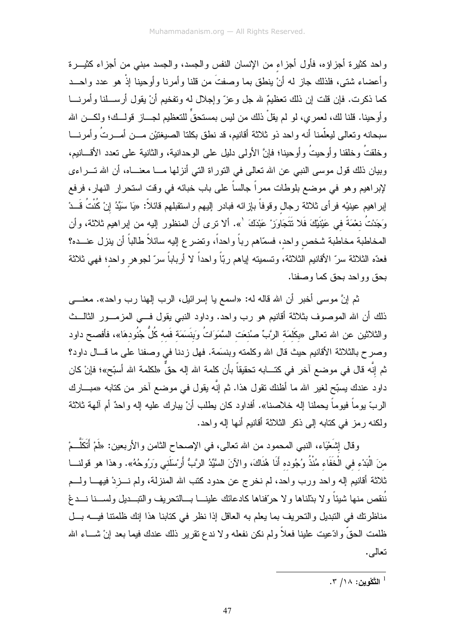واحد كثيرة أجزاؤه، فأول أجزاء من الإنسان النفس والجسد، والجسد مبنى من أجزاء كثيـــرة وأعضاء شتي، فلذلك جاز له أنْ ينطق بما وصفتَ من قلنا وأمرنا وأوحينا إذْ هو عدد واحــد كما ذكرت. فإن قلت إن ذلك تعظيمٌ لله جل وعزّ وإجلال له وتفخيم أنْ يقول أرســـلنا وأمرنـــا وأوحينا. قلنا لك، لعمري، لو لم يقلْ ذلك من ليس بمستحقٍّ للتعظيم لـجـــاز قولـــك؛ ولكـــن الله سبحانه وتعالى ليعلَّمنا أنه واحد ذو ثلاثة أقانيم، قد نطق بكلتا الصيغتيْن مـــن أمــــرتُ وأمرنــــا وخلقتُ وخلقنا وأوحيتُ وأوحينا؛ فإنَّ الأولى دليلٍ على الوحدانية، والثانية على تعدد الأقسانيم، وبيان ذلك قول موسى النبي عن الله تعالى في النوراة التي أنزلها مـــا معنـــاه، أن الله تـــراءي لإبراهيم وهو في موضع بلوطات ممراً جالساً على باب خبائه في وقت استحرار النهار، فرفع إبراهيم عينيْه فرأى ثلاثة رجال وقوفاً بإزائه فبادر إليهم واستقبلهم قائلاً: «يَا سَيِّدُ إنْ كُنْتُ قَـــدْ وَجَدْتُ نعْمَةً في عَيْنَيْكَ فَلا نَتَجَاوَزْ عَبْدَكَ `». ألا نرى أن المنظور إليه من إبراهيم ثلاثة، وأن المخاطبة مخاطبة شخص واحد، فسمّاهم رباً واحداً، ونضر ع إليه سائلاً طالباً أن ينزل عنـــده؟ فعدّه الثلاثة سرّ الأقانيم الثلاثة، وتسميته لِباهم ربّاً واحداً لا أرباباً سرّ لجوهر واحد؛ فهي ثلاثة بحق وواحد بحق كما وصفنا.

ثم إنَّ موسى أخبر أن الله قاله له: «اسمع يا إسرائيل، الرب إلـهنا رب واحد». معنــــي ذلك أن الله الموصوف بثلاثة أقانيم هو رب واحد. وداود النبي يقول فـــي المزمـــور الثالـــث والثلاثين عن الله تعالى «بكَلَمَة الرَّبِّ صُنْعَت السَّمَوَاتُ وبَنَسَمَة فَمه كُلُّ جُنُودهَا»، فأفصح داود وصرح بالثلاثة الأقانيم حيث قال الله وكلمته وبنسَمة. فهل زدنا في وصفنا على ما قـــال داود؟ ثم إنَّه قال في موضـع آخر في كتـــابـه تحقيقاً بأن كلمـة الله إلـه حقَّ «لكلمـة الله أسبّح»؛ فإنْ كان داود عندك يسبّح لغير الله ما أظنك نقول هذا. ثم إنّه يقول في موضع آخر من كتابه «مبـــارك الربِّ بوماً فيوماً يحملنا إله خلاصنا». أفداود كان يطلب أنْ يبارك عليه إله واحدٌ أم آلمهة ثلاثة ولكنه رمز في كتابه إلى ذكر الثلاثة أقانيع أنها إله واحد.

وفال إِشَعْيَاء، النبي المحمود من الله تعالى، في الإصحاح الثامن والأربعين: «لَمْ أَتَكَلُّــمْ منَ الْبَدْء في الْخَفَاء مُنْذُ وُجُوده أَنَا هُنَاكَ، والآنَ السَّيِّدُ الرَّبُّ أَرْسَلَني وَرُوحُهُ». وهذا هو قولنـــا ثلاثة أقانيم إله واحد ورب واحد، لم نخرج عن حدود كتب الله المنزلة، ولم نـــزدْ فيهـــا ولـــم نُنقص منها شيئاً ولا بدّلناها ولا حرّفناها كادعائك علينـــا بــــالنحريف والنبـــديل ولســـنا نــــدغ مناظرتك في النبديل والتحريف بما يعلم به العاقل إذا نظر في كتابنا هذا إنك ظلمتنا فيــــه بـــل ظلمت الحقَّ وادَّعيت علينا فعلاً ولم نكن نفعله ولا ندع نقرير ذلك عندك فيما بعد إنْ شـــاء الله تعالمي.

التَّكْوينِ: ١٨/ ٣.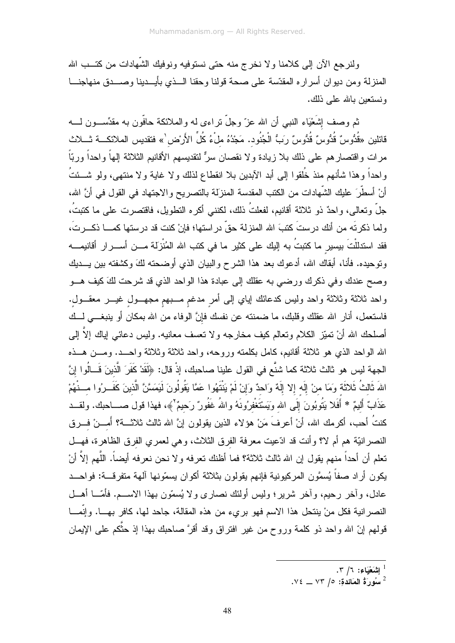ولنرجع الآن إلى كلامنا ولا نخرج منه حتى نستوفيه ونوفيك الشَّهادات من كتــب الله المنزلة ومن ديوان أسراره المقدّسة على صحة قولنا وحقنا السذى بأيسدينا وصسدق منهاجنسا ونستعبن بالله على ذلك.

ثم وصف إِشَعْيَاء النبـي أن الله عزّ وجلّ نراءى له والملائكة حافّون به مقدِّســـون لــــه قائلين «قُدُّوسٌ قُدُّوسٌ قُدُّوسٌ رَبُّ الْجُنُود. مَجْدُهُ ملْءُ كُلِّ الأَرْض<sup>(</sup>» فتقديس الملائكـــة ثــــلاث مرات واقتصارهم على ذلك بلا زيادة ولا نقصان سرٌّ لنقديسهم الأقانيم الثلاثة إلهاً واحداً وربّاً واحداً وهذا شأنهم منذ خُلقوا إلى أبد الآبدين بلا انقطاع لذلك ولا غاية ولا منتهى، ولو شـــئتُ أنْ أسطَّرَ عليك الشَّهادات من الكتب المقدسة المنزلة بالتصريح والاجتهاد في القول في أنَّ الله، جلَّ وتعالى، واحدٌ ذو ثلاثة أقانيم، لفعلتُ ذلك، لكننـى أكره النطويل، فاقتصـرت علـى ما كتبتُ، ولما ذكرتَه من أنك درستَ كتبَ الله المنزلة حقَّ دراستها؛ فإنْ كنت قد درستها كمــــا ذكـــرتَ، فقد استدللْتَ بيسير ما كتبتُ به إليك على كثير ما في كتب الله المُنْزَلة مـــن أســـرار أقانيمـــه وتوحيده. فأنا، أبقاك الله، أدعوك بعد هذا الشرح والبيان الذي أوضحنه لكَ وكشفته بين يـــديك وصح عندك وفي ذكرك ورضي به عقلك إلى عبادة هذا الواحد الذي قد شرحت لكَ كيف هـــو واحد ثلاثة وثلاثة واحد وليس كدعائك إياي إلىي أمر مدغم مـــبهم مجهـــول غيــــر معقـــول. فاستعمل، أنار الله عقلك وقلبك، ما ضمنته عن نفسك فإنَّ الوفاء من الله بمكان أو ينبغـــي لـــك أصلحك الله أنْ نميّز الكلام وتعالم كيف مخارجه ولا نعسف معانيه. وليس دعائي إياك إلاّ إلى الله الواحد الذي هو ثلاثة أقانيم، كامل بكلمته وروحه، واحد ثلاثة وثلاثة واحـــد. ومـــن هـــذه الجهة ليس هو ثالث ثلاثة كما شنَّع في القول علينا صاحبك، إذْ قال: ﴿لَقَدْ كَفَرَ الَّذينَ قَــالُوا إِنَّ اللهَ ثَالثُ ثَلاثَة وَمَا منْ إِلَه إلا إِلَهٌ وَاحدٌ وَإِنْ لَمْ يَنْتَهُوا عَمَّا يَقُولُونَ لَيَمَسَّنَّ الَّذينَ كَفَــرُوا مـــنْهُمْ عَذَابٌ أَلبمٌ \* أَفَلا بَتُوبُونَ إِلَى الله وَبَسْتَغْفرُونَهُ واللهُ غَفُورٌ رَحِيمٌ ﴾، فهذا قول صــــاحبك. ولقـــد كنتُ أحب، أكرمك الله، أنْ أعرفَ مَنْ هؤلاء الذين يقولون إنَّ الله ثالث ثلاثــــة؟ أَمــــنْ فــــرق النصر انيَّة هم أم لا؟ وأنت قد ادِّعيت معرفة الفرق الثلاث، وهي لعمري الفرق الظاهرة، فهـــل تعلم أن أحداً منهم يقول إن الله ثالث ثلاثة؟ فما أظنك تعرفه ولا نحن نعرفه أيضاً. اللَّهم إلاَّ أنْ يكون أراد صفاً يُسمَّون المركيونية فإنهم يقولون بثلاثة أكوان يسمّونها آلهة متفرقـــة: فواحـــد عادل، وأخر رحيم، وأخر شرير؛ وليس أولئك نصارى ولا يُسمّون بهذا الاســـم. فأمّــــا أهـــل النصر انية فكل منْ ينتحل هذا الاسم فهو بريء من هذه المقالة، جاحد لها، كافر بهـــا. وإنَّمـــا قولهم إنّ الله واحد ذو كلمة وروح من غير افتراق وقد أقرَّ صاحبك بهذا إذ حثَّكم على الإيمان

- . الشَعْيَاء: ٦/ ٣.
- $\sim$  لَا سُورٍ قُ الْمَائِدُة: ٥/ ٧٣ \_ ٧٤.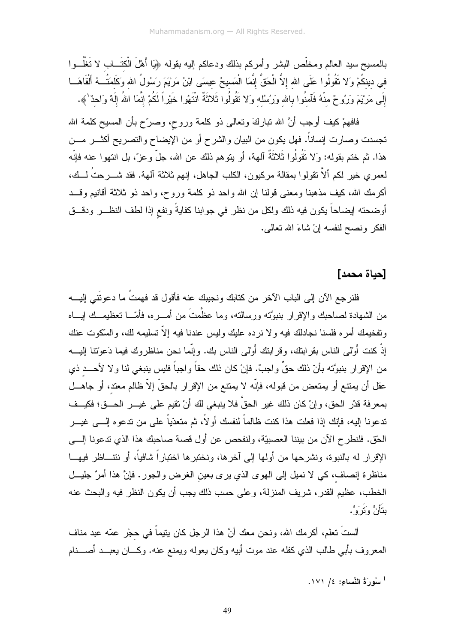بالمسيح سيد العالم ومخلّص البشر وأمركم بذلك ودعاكم إليه بقوله ﴿يَا أَهْلَ الْكَتَــاب لا تَغْلُـــوا في دينكُمْ وَلا نَقُولُوا عَلَى الله إِلاَّ الْحَقَّ إِنَّمَا الْمَسيحُ عيسَى ابْنُ مَرْيَمَ رَسُولُ الله وكَلمَتُكه أَلْقَاهَــا إِلَى مَرْيَمَ وَرُوحٌ منْهُ فَآمنُوا بالله وَرُسُله وَلا نَقُولُوا ثَلاثَةٌ انْتَهُوا خَيْراً لَكُمْ إِنَّمَا اللهُ إِلَهٌ وَاحدٌ \».

فافهمْ كيف أوجب أنَّ الله نباركَ ونعالى ذو كلمة وروح، وصرّح بأن المسيح كلمة الله تجسدت وصـارت إنساناً. فهل يكون من البيان والشرح أو من الإيضـاح والنصـريح أكثـــر مـــن هذا. ثم ختم بقوله: وَلا نَقُولُوا ثَلاثَةٌ ٱلمهة، أو يتوهم ذلك عن الله، جلَّ وعزَّ، بل انتهوا عنه فإنّه لعمري خير لكم ألاَّ نقولوا بمقالة مركيون، الكلب الجاهل، إنهم ثلاثة آلهة. فقد شــــرحتُ لـــك، أكرمك الله، كيف مذهبنا ومعنى قولنا إن الله واحد ذو كلمة وروح، واحد ذو ثلاثة أقانيم وقـــد أوضحته لِبضاحاً يكون فيه ذلك ولكل من نظر في جوابنا كفايةً ونفع إذا لطف النظـــر ودقـــق الفكر ونصح لنفسه إنْ شاءَ الله نعالمي.

### [حياة محمد]

فلنرجع الآن إلى الباب الآخر من كتابك ونجيبك عنه فأقول قد فهمتُ ما دعونَتي إليـــه من الشهادة لصاحبك والإقرار بنبوَّته ورسالته، وما عظَّمتَ من أمـــره، فأمّـــا تعظيمــك إبـــاه ونفخيمك أمره فلسنا نجادلك فيه ولا نرده عليك وليس عندنا فيه إلاّ تسليمه لك، والسكوت عنك إذْ كنت أَوْلى الناس بقرابنك، وقرابنك أَوْلى الناس بك. وإنَّما نحن مناظروك فيما دَعوْتنا إليــــه من الإقرار بنبوَّته بأنّ ذلك حقٍّ واجبٌ. فإنْ كان ذلك حقاً واجباً فليس بنبغي لنا ولا لأحـــد ذي عقل أن يمتنع أو يمتعض من قبوله، فإنّه لا يمتنع من الإقرار بالحقّ إلاّ ظالم معتد، أو جاهـــل بمعرفة قدْر الحق، وإنْ كان ذلك غير الحقِّ فلا ينبغي لك أنْ تقيم على غيـــر الحـــق؛ فكيــف تدعونا إليه، فإنك إذا فعلت هذا كنت ظالماً لنفسك أو لاً، ثم متعدّياً على من تدعوه إلــــى غيـــر الحِّقِ. فلنطرح الآن من بيننا العصبيَّة، ولنفحص عن أول قصة صاحبك هذا الذي تدعونا إلـــي الإقرار له بالنبوة، ونشرحها من أولها إلى آخرها، ونختبرها اختباراً شافياً، أو نتتـــاظر فيهـــا مناظرة إنصاف، كي لا نميل إلى الهوى الذي يرى بعين الغرض والجور. فإنَّ هذا أمرٌ جليـــل الخطب، عظيم القدر، شريف المنزلة، وعلى حسب ذلك يجب أن يكون النظر فيه والبحث عنه بِتَأَنٍّ وَ تَرَ وَ ٍّ.

ألستَ نعلم، أكرمك الله، ونحن معك أنَّ هذا الرجل كان يتيماً في حجْرٍ عمّه عبد مناف المعروف بأبي طالب الذي كفله عند موت أبيه وكان يعوله ويمنع عنه. وكـــان يعبـــد أصــــنام

 $1$ سُورَةُ النِّسَاءِ: ١٧١ / ١٧١.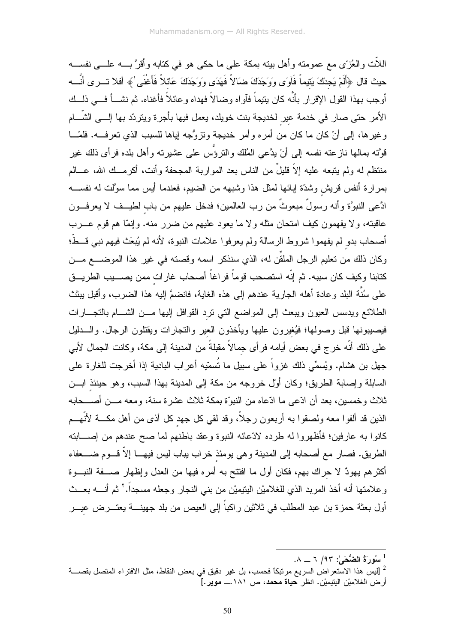اللأت والعُزَّى مع عمومته وأهل بيته بمكة على ما حكي هو في كتابه وأقرَّ بــــه علــــي نفســـه حيث قال ﴿أَلَمْ يَجِدْكَ يَتِيماً فَآوَى وَوَجَدَكَ ضَالاً فَهَدَى وَوَجَدَكَ عَائلاً فَأَغْنَى ٰ﴾ أفلا تـــرى أنَّـــه أوجب بهذا القول الإقرار بأنَّه كان بتيماً فآواه وضالاً فهداه وعائلاً فأغناه. ثم نشـــأ فـــي ذلـــك الأمر حتى صار في خدمة عير لخديجة بنت خويلد، يعمل فيها بأجرة ويتردّد بها إلـــي الشّـــام وغيرها، إلى أنْ كان ما كان من أمره وأمر خديجة ونزوُّجه إياها للسبب الذي نعرفـــه. فلمّـــا قوَّته بمالها نازعته نفسه إلى أنْ يدَّعى المُلك والنروُّس على عشيرته وأهل بلده فرأى ذلك غير منتظم له ولم يتبعه عليه إلاَّ قليلٌ من الناس بعد المواربة المجحفة وأنت، أكرمــك الله، عـــالم بمرارة أنفس قريش وشدّة إبائها لمثل هذا وشبهه من الضبيم، فعندما أيس مما سوَّلت له نفســـه ادَّعي النبوَّة وأنه رسولٌ مبعوثٌ من رب العالمين؛ فدخل عليهم من باب لطيــف لا يعرفـــون عاقبته، ولا يفهمون كيف امتحان مثله ولا ما يعود عليهم من ضرر منه. وإنمّا هم قوم عـــرب أصحاب بدو لم يفهموا شروط الرسالة ولم يعرفوا علامات النبوة، لأنه لم يُبعَث فيهم نبي قــطَّ؛ وكان ذلك من تعليم الرجل الملقِّن له، الذي سنذكر اسمه وقصته في غير هذا الموضـــــع مــــن كتابنا وكيف كان سببه. ثم إنّه استصحب قوماً فراغاً أصحاب غارات ممن يصــــيب الطريـــق علـى سُنَّة البلد وعادة أهله الـجارية عندهم إلـى هذه الـغايـة، فانضمَّ إليه هذا الضـرب، وأقبل ببثث الطلائع ويدسس العيون ويبعث إلى المواضع التي نزد القوافل إليها مـــن الشــــام بالتجـــارات فيصيبونها قبل وصولها؛ فيُغيرون عليها ويأخذون العير والتجارات ويقتلون الرجال. والسدليل على ذلك أنَّه خرج في بعض أيامه فر أي جمالاً مقبلةً من المدينة إلى مكة، وكانت الجمال لأبي جهل بن هشام. ويُسمِّي ذلك غزواً على سبيل ما نُسمّيه أعراب البادية إذا أخرجت للغارة على السابلة وإصابة الطريق؛ وكان أوّل خروجه من مكة إلى المدينة بهذا السبب، وهو حينئذ ابـــن ثلاث وخمسين، بعد أن ادّعى ما ادّعاه من النبوّة بمكة ثلاث عشرة سنة، ومعه مـــن أصــــحابه الذين قد ألفوا معه ولصقوا به أربعون رجلاً، وقد لقي كل جهد كل أذى من أهل مكـــة لأنَّهـــم كانوا به عارفين؛ فأظهروا له طرده لادّعائه النبوة وعقد باطنهم لما صح عندهم من إصــــابته الطريق. فصـار مـع أصـحابـه إلـى المدينـة و هـى يومئذ خراب يبـاب ليس فيهـــا إلاّ قــــوم ضـــــعفاء أكثرهم بهودٌ لا حراك بهم، فكان أول ما افتتح به أمره فيها من العدل وإظهار صـــفة النبـــوة وعلامتها أنه أخذ المربد الذي للغلاميْن اليتيميْن من بني النجار وجعله مسجداً.' ثم أنــــه بعـــث أول بعثة حمزة بن عبد المطلب في ثلاثين راكباً إلى العيص من بلد جهينــــة يعتــــرض عيــــر

 $\lambda = 7/97$ : سُورَةُ الضُّحَىٰ: 1,00

<sup>&</sup>lt;sup>2</sup> [ليس هذا الاستعراض السريع مرتبكا فحسب، بل غير دقيق في بعض النقاط، مثل الافتراء المتصل بقصــــة

أرض الغلاميْن اليتيميْن. انظر حياة محمد، ص ١٨١.ـــ موير.] ً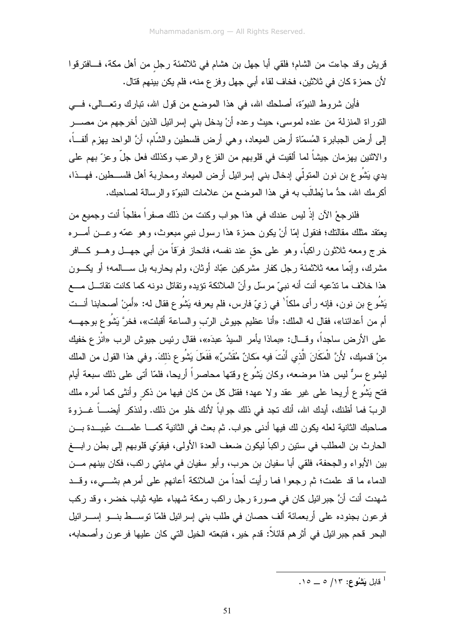قريش وقد جاءت من الشام؛ فلقي أبا جهل بن هشام في ثلاثمئة رجل من أهل مكة، فـــافترقوا لأن حمزة كان في ثلاثين، فخاف لقاء أبي جهل وفز ع منه، فلم يكن بينهم قتال.

فَأَيْنِ شروط النبوَّة، أصلحك الله، في هذا الموضع من قول الله، نبارك ونعـــالـي، فــــي النّوراة المنزلة من عنده لموسى، حيث وعده أنْ يدخل بني إسرائيل الذين أخرجهم من مصــــر إلى أرض الجبابرة المُسمّاة أرض الميعاد، وهي أرض فلسطين والشَّام، أنَّ الواحد بـهزم ألفـــاً، والاثنين يهزمان جيشاً لما ألقيت في قلوبهم من الفزع والرعب وكذلك فعل جلَّ وعزَّ بهم علمي يدي يَشُو ع بن نون المتولَّمي إدخال بنبي إسرائيل أرض الميعاد ومحاربة أهل فلســـطين. فهـــذا، أكرمك الله، حدُّ ما يُطالَب به في هذا الموضع من علامات النبوّة والرسالة لصـاحبك.

فلنرجعْ الآن إذْ ليس عندك في هذا جواب وكنت من ذلك صفراً مفلجاً أنت وجميع من يعتقد مثلك مقالتك؛ فنقول إمَّا أنْ يكون حمزة هذا رسول نبي مبعوث، وهو عمَّه وعـــن أمــــره خرج ومعه ثلاثون راكباً، وهو على حق عند نفسه، فانحاز فرَقاً من أبي جهـــل وهـــو كــــافر مشرك، وإنَّما معه ثلاثمئة رجل كفار مشركين عبَّاد أوثان، ولم يحاربه بل ســـالمه؛ أو يكـــون هذا خلاف ما ندّعيه أنت أنه نبيّ مرسل وأنّ الملائكة نؤيده ونقاتل دونه كما كانت نقاتـــل مـــع يَشُو ع بن نون، فإنه ر أي ملكاً ' في زيّ فارس، فلم يعرفه يَشُو ع فقال له: «أَمنْ أصحابنا أنــت أم من أعدائنا»، فقال له الملك: «أنا عظيم جيوش الرّب والساعة أقبلت»، فخرَّ يَشُو ع بوجهـــه علي الأرض ساجداً، وقـــال: «بِماذا بِأَمرِ السبِدُ عبدَه»، فقال رئيس جبوش الرب «انْزِ ع خفيك منْ قدميك، لأَنَّ الْمَكَانَ الَّذي أَنْتَ فيه مَكانٌ مُقَدَّسٌ» فَفَعَلَ يَشُو ع ذلكَ. وفي هذا القول من الملك ليثموع سرٌّ ليس هذا موضعه، وكان يَشُوع وقتها محاصراً أريحا، فلمّا أتـى علـى ذلك سبعة أيام فتح يَشُوع أريحا على غير عقد ولا عهد؛ فقتل كل من كان فيها من ذكر وأنثى كما أمره ملك الربّ فما أظنك، أيدك الله، أنك نجد في ذلك جواباً لأنك خلو من ذلك. ولنذكر أيضــــاً غـــزوة صاحبك الثانية لعله يكون لك فيها أدنى جواب. ثم بعث في الثانية كمـــا علمــت عُبيــدة بـــن الحارث بن المطلب في ستين راكباً ليكون ضعف العدة الأولى، فيقوّي قلوبهم إلى بطن رابـــغ بين الأبواء والجحفة، فلقى أبا سفيان بن حرب، وأبو سفيان في مايتي راكب، فكان بينهم مـــن الدماء ما قد علمت؛ ثم رجعوا فما رأيت أحداً من الملائكة أعانهم على أمرهم بشـــيء، وقـــد شهدت أنت أنَّ جبرائيل كان في صورة رجل راكب رمكة شهباء عليه ثياب خضر، وقد ركب فرعون بجنوده على أربعمائة ألف حصان في طلب بني إسرائيل فلمّا توســط بنـــو إســـرائيل البحر قحم جبرائيل في أثر هم قائلاً: قدم خير ، فتبعته الخيل التي كان عليها فر عون وأصحابه،

. فايل بَشْهُوع: ١٣/ ٥ \_ ١٥.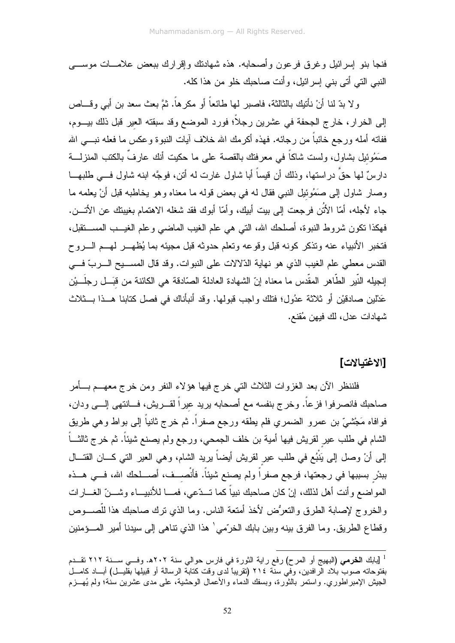فنجا بنو ۖ إسر ائيل و غر ق فر عون و أصـحـابـه. هذه شـهادنك و إفر ار ك ببعض علامــــات موســـــى النبي التي أتي بنبي إسرائيل، وأنت صاحبك خلو من هذا كله.

و لا بدّ لنا أنْ نأتيك بالثالثة، فاصبر لمها طائعاً أو مكرهاً. ثمَّ بعث سعد بن أبي وقـــاص إلى الخرار ، خارج الجحفة في عشرين رجلًا؛ فورد الموضع وقد سبقته العير قبل ذلك بيـــوم، ففاته أمله ورجع خائباً من رجائه. فهذه أكرمك الله خلاف آيات النبوة وعكس ما فعله نبــــى الله صَمُوئيل بِشاول، ولست شاكاً في معرفتك بالقصة على ما حكيت أنك عارفٌ بالكتب المنزلــــة دارسٌ لمها حقَّ دراستها، وذلك أن قيساً أبا شاول غارت له أنن، فوجَّه ابنه شاول فـــي طلبهـــا وصار شاول إلى صَمُوئيل النبي فقال له في بعض قوله ما معناه وهو يخاطبه قبل أنْ يعلمه ما جاء لأجله، أمَّا الأُنُن فرجعت إلى بيت أبيك، وأمَّا أبوك فقد شغله الاهتمام بغيبتك عن الأتــــن. فهكذا نكون شروط النبوة، أصلحك الله، التي هي علم الغيب الماضبي وعلم الغيـــب المســـنقبل، فتخبر الأنبياء عنه ونذكر كونه قبل وقوعه وتعلم حدوثه قبل مجبئه بما بُظهــر لهــم الــروح القدس معطى علم الغيب الذي هو نهاية الدِّلالات على النبوات. وقد قال المســـيح الــــربّ فــــى إنجيله النّبير الطّاهر المقّدس ما معناه إنّ الشهادة العادلة الصّادقة هي الكائنة من قبَـــل رجلَـــيْن عَدْلين صادقيْن أو ثلاثة عدُول؛ فتلك واجب قبولها. وقد أنبأناك في فصل كتابنا هـــذا بـــثلاث شهادات عدل، لك فيهن مُقنع.

## [الاغتبالات]

فلننظر الآن بعد الغزوات الثلاث الني خرج فيها هؤلاء النفر ومن خرج معهـــم بــــأمر صاحبك فانصرفوا فزعا. وخرج بنفسه مع أصحابه بريد عيرا لقـــريش، فـــانتهى إلــــى ودان، فوافاه مَجْشَّمٍ ٌ بن عمر و الضمر ي فلم يطقه ورجع صفرٍ أ. ثم خرج ثانياً إلى بواط و هي طريق الشام في طلب عير لقريش فيها أمية بن خلف الجمحي، ورجع ولم يصنع شيئاً. ثم خرج ثالثـــاً إلى أنْ وصل إلى يَنْبُع في طلب عير لقريش أيضاً يريد الشام، وهي العير التي كـــان القتـــال ببدْر بسببها في رجعتها، فرجع صفراً ولم يصنع شيئاً. فأنْصــف، أصــلحك الله، فــي هــذه المواضع وأنت أهل لذلك، إنْ كان صاحبك نبياً كما تــدّعي، فمـــا للأنبيـــاء وشـــنّ الغـــارات والخروج لإصابة الطرق والنعرُض لأخذ أمتعة الناس. وما الذي نرك صاحبك هذا للَّصـــوص و قطاع الطريق. وما الفرق بينه وبين بابك الخرِّمي ٰ هذا الذي تناهي إلى سيدنا أمير المسؤمنين

<sup>&</sup>lt;sup>1</sup> [بابك ا**لخرمي (**البهيج أو المرح) رفع راية الثورة في فارس حوالي سنة ٢٠٢ه. وفــي ســـنة ٢١٢ تقـــدم بفتوحاته صوب بلاد الرافدين، وفي سنة ٢١٤ (تقريباً لدى وقت كتابة الرسالة أو قبيلها بقليــل) أبـــاد كامـــل الْجِيش الإمبر اطوري. واستمر بالثورة، وبسفك الدماء والأعمال الوحشية، على مدى عشرين سنة؛ ولم يُهـــزم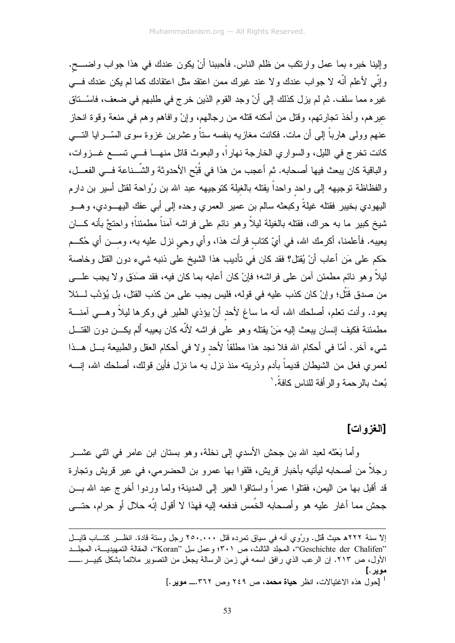وإلينا خبره بما عمل وارتكب من ظلم الناس. فأحببنا أنْ يكون عندك في هذا جواب واضــــح. وإِنِّي لأعلم أنَّه لا جواب عندك ولا عند غيرك ممن اعتقد مثل اعتقادك كما لم يكن عندك فـــي غيره مما سلف. ثم لم يزل كذلك إلى أنْ وجد القوم الذين خرج في طلبهم في ضعف، فاسْــتاق عيرهم، وأخذ تجارتهم، وقتل من أمكنه قتله من رجالهم، وإنْ وافاهم وهم في منعة وقوة انحاز عنهم وولى هارباً إلى أن مات. فكانت مغازيه بنفسه ستاً وعشرين غزوة سوى السّـــرايا التــــى كانت نخرج في الليل، والسواري الخارجة نهاراً، والبعوث قاتل منهـــا فـــي تســـع غـــزوات، والباقية كان يبعث فيها أصحابه. ثم أعجب من هذا في قُبْح الأحدوثة والشَّــناعة فـــي الفعـــل، والفظاظة توجيهه إلىي واحد واحداً بقتله بالغيلة كتوجيهه عبد الله بن رُواحة لقتل أسير بن دارم اليهودي بخيبر فقتله غيلةً وكبعثه سالم بن عمير العمري وحده إلى أبى عفك اليهـــودي، وهـــو شيخ كبير ما به حراك، فقتله بالغيلة ليلاً وهو نائم على فراشه آمناً مطمئناً؛ واحتجَّ بأنه كـــان يعيبه. فأعلمنا، أكرمك الله، في أيِّ كناب قرأت هذا، وأي وحي نزل عليه به، ومـــن أي حُكـــم حَكم على مَن أعاب أنْ يُقتل؟ فقد كان في تأديب هذا الشيخ على ذنبه شيء دون القتل وخاصة ليلاً وهو نائم مطمئن آمن على فراشه؛ فإنْ كان أعابه بما كان فيه، فقد صَدَق ولا يجب علــــى من صدق قُتْل؛ وإنْ كان كذب عليه في قوله، فليس يجب على من كذب القتل، بل يُؤدَّب لـــئلا يعود. وأنت نعلم، أصلحك الله، أنه ما ساغ لأحد أنْ يؤذي الطير في وكرها ليلاً وهـــي آمنــــة مطمئنة فكيف إنسان ببعث إليه مَنْ بقتله وهو على فر اشه لأنّه كان بعبيه ألم بكـــن دون القتـــل شيء آخر . أمّا في أحكام الله فلا نجد هذا مطلقاً لأحد ولا في أحكام العقل والطبيعة بـــل هـــذا لعمري فعل من الشيطان قديماً بآدم وذريته منذ نزل به ما نزل فأين قولك، أصلحك الله، إنــــه يُعث بالر حمة و الر أفة للناس كافةً.'

#### [الغزوات]

و أما بَعْثَه لعبد الله بن جحش الأسدى إلى نخلة، و هو بستان ابن عامر في اثني عشـــر رجلاً من أصحابه ليأتيه بأخبار قريش، فلقوا بها عمرو بن الحضرمي، في عير قريش وتجارة قد أقبل بـها من اليمن، فقتلوا عمراً واستاقوا الـعير إلـى المدينة؛ ولما وردوا أخرج عبد الله بـــن جحش مما أغار عليه هو وأصحابه الخُمس فدفعه إليه فهذا لا أقول إنّه حلال أو حرام، حتّـــي

إلاّ سنة ٢٢٢هـ حيث قُتل. ورُوي أنه في سياق تمرده قُتل ٢٥٠,٠٠٠ رجل وستة قادة. انظـــر كتـــاب ڤايـــل "Geschichte der Chalifen"، المجلد الثالث، ص ٣٠١؛ وعمل سل "Koran"، المقالة التمهيديــــة، المجلـــد الأول، ص ٢١٣. إن الرعب الذي رافق اسمه في زمن الرسالة يجعل من التصوير ملائماً بشكل كبيـــر .ـــــــــ موير .] <sup>1</sup> [حول هذه الاغتيالات، انظر **حياة محمد**، ص ٢٤٩ وص ٣٦٢... موير.]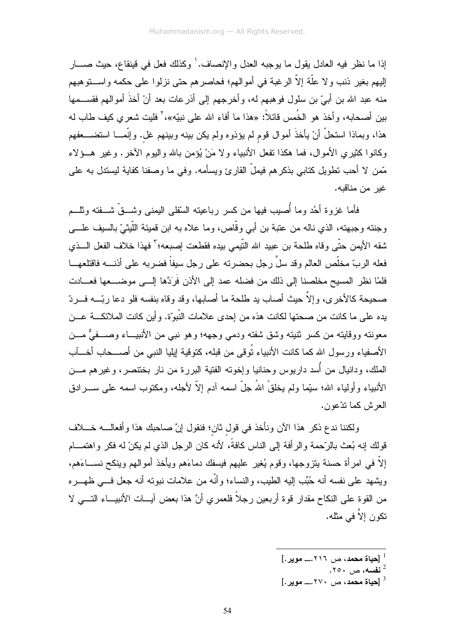إذا ما نظر فيه العادل يقول ما يوجبه العدل والإنصاف. ٰ وكذلك فعل في قينقاع، حيث صــــار إليهم بغير ذنب ولا علَّة إلاَّ الرغبة في أموالهم؛ فحاصرهم حتى نزلوا على حكمه واســـتوهبهم منه عبد الله بن أبيّ بن سلول فوهبهم له، وأخرجهم إلى أذرعات بعد أنْ أخذَ أموالهم فقســـمها بين أصحابه، وأخذ هو الخُمس قائلاً: «هذا ما أفاء الله على نبيّه»،'` فليت شعري كيف طاب له هذا، وبماذا استحلَّ أنْ يأخذَ أموال قوم لم يؤذوه ولم يكن بينه وبينهم غل. وإنَّمـــا استضــــعفهم وكانوا كثيري الأموال، فما هكذا نفعل الأنبياء ولا مَنْ يُؤمن بالله واليوم الآخر. وغير هــؤلاء مَّمن لا أحب تطويل كتابي بذكرهم فيملُّ القارئ ويسأمه. وفي ما وصفنا كفاية ليستدل به علي غبر من مناقبه.

فأما غزوة أخُد وما أصبب فيها من كسر رباعينه السُّفلى اليمنى وشـــقٌ شـــفته ونلـــم وجنته وجبهته، الذي ناله من عتبة بن أبي وقَّاص، وما علاه به ابن قميئة اللَّيْثيّ بالسيف علـــي شقه الأبمن حتَّى وقاه طلحة بن عبيد الله التَّبمي بيده فقطعت إصبعه؛ " فهذا خلاف الفعل السذي فعله الربِّ مخلِّص العالم وقد سلَّ رجلٍ بحضر ته على رجلٍ سبفاً فضر به على أذنـــه فاقتلعهـــا فلمّا نظر المسيح مخلصنا إلى ذلك من فضله عمد إلى الأذن فَر<sup>ِ</sup>دَّها إلــــى موضــــعها فعـــادت صحيحة كالأخرى، وإلاَّ حيث أصاب يد طلحة ما أصابها، وقد وقاه بنفسه فلو دعا ربَّـــه فـــردّ يده على ما كانت من صحتها لكانت هذه من إحدى علامات النّبوّة. و أين كانت الملائكـــة عـــن معونته ووقايته من كسر ثنيته وشق شفته ودمى وجهه؛ وهو نبي من الأنبيــاء وصـــفيٌّ مـــن الأصفياء ورسول الله كما كانت الأنبياء نُوفي من قبله، كتوفية لِيليا النبي من أصـــحاب أخــــأب الملك، ودانيال من أسد داريوس وحنانيا وإخوته الفتية البررة من نار بختنصر، وغيرهم مـــن الأنبياء وأولياء الله؛ سيِّما ولم يخلقْ اللهُ جلَّ اسمه آدم إلاَّ لأجله، ومكنَّوب اسمه على ســـر ادق العرش كما تدّعون.

ولكننا ندع ذكر هذا الآن ونأخذ في قول ثان؛ فنقول إنَّ صاحبك هذا وأفعالــــه خــــلاف قولك إنه بُعث بالرَّحمة والرَّافة إلى الناس كافةً، لأنه كان الرجل الذي لم يكنْ له فكر واهتمـــام إلاَّ في امرأة حسنة بنزوجها، وقوم يُغير عليهم فيسفك دماءَهم ويأخذ أموالهم وينكح نســـاءَهم، وبِشهد على نفسه أنه حُبِّب إليه الطيب، والنساء؛ وأنَّه من علامات نبونه أنه جعل فـــي ظهـــره من القوة على النكاح مقدار قوة أربعين رجلاً فلعمر ي أنَّ هذا بعض آيسات الأنبيساء التسبي لا تكون إلاّ في مثله.

- $\left[ . \right.$ [حیاة محمد، ص $1 \times 1$ .... مویر  $^{-1}$ 
	-
- $[.$  [حیاة محمد، ص $\cdot$  ۲۷۰ $\ldots$  مویر  $^3$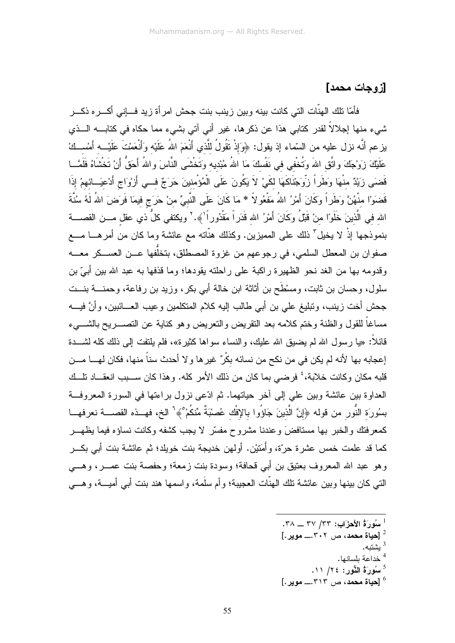### [ز و حات محمد]

فأمّا نلك الهنّات الني كانت بينه وبين زينب بنت جحش امر أة زيد فـــاني أكـــر ه ذكـــر شيء منها إجلالاً لقدر كتابي هذا عن ذكرها، غير أني آتي بشيء مما حكاه في كتابــــه الــــذي يزعم أنَّه نزل عليه من السَّماء إذ يقول: ﴿وَإِذْ نَقُولُ للَّذي أَنْعَمَ اللهُ عَلَيْه وَأَنْعَمْتَ عَلَيْـــه أمْســكْ عَلَيْكَ زَوْجَكَ واتَّق اللهَ وَتُخْفى فى نَفْسكَ مَا اللهُ مُبْديه وَتَخْشَى النَّاسَ واللهُ أَحَقُّ أَنْ تَخْشَاهُ فَلَمَّـــا قَضَى زَيْدٌ منْهَا وَطَراً زَوِّجْنَاكَهَا لكَيْ لاَ يَكُونَ عَلَى الْمُؤْمِنينَ حَرَجٌ فــي أَرْوَاج أَدْعيَــائهمْ إذَا قَضمَوْا منْهُنَّ وَطَرٍاً وَكَانَ أَمْرُ اللهُ مَفْعُو لاً \* مَا كَانَ عَلَى النَّبِيِّ منْ حَرَج فيمَا فَرَضَ اللهُ لَهُ سُنَّةَ الله في الَّذينَ خَلَوْا منْ قَبْلُ وكَانَ أَمْرُ الله قَدَراً مَقْدُوراً ٰ﴾. ` ويكتفي كلٌ ذي عقل مـــن القصــــة بنموذجها إذْ لا يخيل<sup>"</sup> ذلك على المميزين. وكذلك هنَّاته مع عائشة وما كان من أمرهـــا مــــع صفوان بن المعطل السلمي، في رجوعهم من غزوة المصطلق، بتخلَّفها عـــن العســـكر معــــه وقدومه بها من الغد نحو الظهير ة راكبة على راحلته بقودها؛ وما قذفها به عبد الله بين أبيّ بن سلول، و حسان بن ثابت، و مسْطَح بن أثاثة ابن خالة أبي بكر ، وزيد بن ر فاعة، و حمنــــة بنـــت جحش أخت زينب، وتبليغ على بن أبي طالب إليه كلام المتكلمين وعيب العـــائبين، وأنَّ فيــــه مساغاً للقول والظنة وختم كلامه بعد النقريض والنعريض وهو كناية عن التصــــريح بالشـــــيء قائلاً: «يا رسول الله لم يضيق الله عليك، والنساء سواها كثيرة»، فلم يلتفت إلى ذلك كله لشـــدة إعجابه بها لأنه لم يكن في من نكح من نسائه بكْرٌ غير ها و لا أحدث سناً منها، فكان لهـــا مـــن قلبه مكان وكانت خلابة،' فرضي بما كان من ذلك الأمر كله. وهذا كان ســـبب انعقـــاد تلـــك العداوة بين عائشة وبين علي إلى أخر حياتهما. ثم ادّعى نزول براءتها في السورة المعروفة بسُورَة النُّورِ من قوله ﴿إِنَّ الَّذِينَ جَاؤُوا بِالإِفْكِ عُصِبْبَةٌ مِّنكُمْ ۚ﴾ [ الخ، فهــذه القصـــة نعرفهــا كمعرفتك والخبر بها مستافضَ وعندنا مشروح مفسَّر لا يجب كشفه وكانت نساؤه فيما يظهـــر كما قد علمت خمس عشر ة حرّة، و أُمَتِيْنِ. أولهن خديجة بنت خوبلد؛ ثم عائشة بنت أبي بكــر وهو عبد الله المعروف بعتيق بن أبي قحافة؛ وسودة بنت زمعة؛ وحفصة بنت عصــر، وهـــي النتي كان بينها وبين عائشة نلك الهنّات العجيبة؛ وأم سلَّمة، واسمها هند بنت أبي أميــــة، وهــــي

- سُورَةُ الأحرَابِ: ٣٣/ ٣٣ \_ ٣٨.
- [حياة محمد، ص ٣٠٢... موير.]
	- ْشْتَه.
	- <sup>4</sup> خداعة بلسانها.
	- $11 / 72$ : سُورَةُ الثُّورِ $25$
- $[0.1, 0.0]$ حياة محمد، ص $(0.7)$ . موير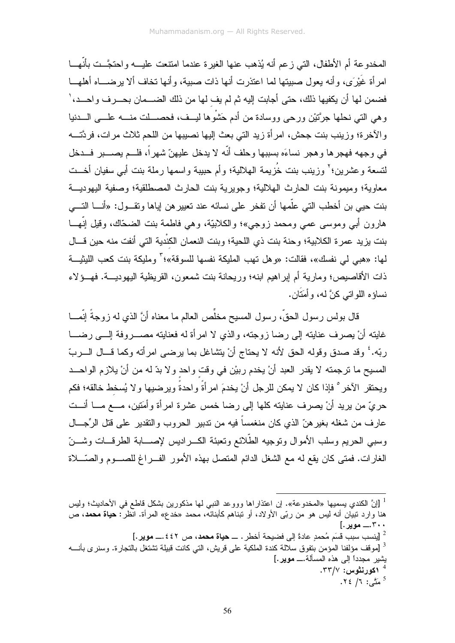المخدو عة أم الأطفال، التي ز عم أنه يُذهب عنها الغير ة عندما امنتعت عليـــه و احتجَّــت بأنَّهـــا امرأة غيْرَى، وأنه يعول صبيتها لما اعتذرت أنها ذات صبية، وأنها نخاف ألا يرضـــاه أهلهـــا فضمن لها أن يكفيها ذلك، حتى أجابت إليه ثم لم يف لها من ذلك الضـــمان بحــــرف واحــــد، ٰ و هي التي نحلها جرَّتيْن ورحى ووسادة من أدم حَشْوها ليسف، فحصسات منسه علـــي السدنيا والآخرة؛ وزينب بنت جحش، امرأة زيد التي بعث إليها نصيبها من اللحم ثلاث مرات، فردَّتـــه في وجهه فهجر ها و هجر نساءَه بسببها وحلف أنَّه لا يدخل عليهنّ شهر أ، فلـــم يصــــبر فـــدخل لتسعة وعشرين؛' وزينب بنت خُزيمة الـهلالية؛ وأم حبيبة واسمها رملة بنت أبـي سفيان أخــت معاوية؛ وميمونة بنت الحارث الهلالية؛ وجويرية بنت الحارث المصطلقية؛ وصفية اليهوديـــة بنت حيي بن أخطب التي علَّمها أن تفخر علي نسائه عند تعيير هن اياها وتقـــول: «أنــــا التــــي هارون أبي وموسى عصى ومحمد زوجي»؛ والكلابيَّة، وهي فاطمة بنت الضحَّاك، وقيل إنَّهـــا بنت يزيد عمرة الكلابية؛ وحنة بنت ذي اللحية؛ وبنت النعمان الكنْدية التي أنفت منه حين قـــال لها: «هبي لي نفسك»، فقالت: «و هل تهب المليكة نفسها للسوقة»؛<sup>7</sup> ومليكة بنت كعب الليثيــة ذات الأقاصيص؛ ومارية أم ايراهيم ابنه؛ وريحانة بنت شمعون، القريظية اليهوديـــة. فهـــؤلاء نساؤه اللواتبي كنَّ له، و أَمَتَان.

قال بولس ر سول الحقِّ، ر سول المسيح مخلِّص العالم ما معناه أنَّ الذي له ز وجةً إنَّمـــا غابته أنْ بِصرف عنابته إلى رضا زوجته، والذي لا امرأة له فعنابته مصــــروفة إلــــي رضــــا ربِّه.' وقد صدق وقوله الحق لأنه لا يحتاج أنْ يتشاغل بما يرضي امرأته وكما قــال الـــربّ المسيح ما نرجمته لا يقدر العبد أنْ يخدم ربيْن في وقت واحد ولا بدّ له من أنْ يلازم الواحــد ويحتقر الآخر ° فإذا كان لا يمكن للر جل أنْ يخدمَ امر أةً و احدةً و ير ضبيها و لا يُسخط خالقه؛ فكم حريٍّ من يريد أنْ يصرف عنايته كلها إلى رضا خمس عشرة امرأة وأمَتين، مــــع مــــا أنـــت عارف من شغله بغيرهنّ الذي كان منغمساً فيه من ندبير الحروب والنقدير على قتل الرِّجـــال وسببي الحريم وسلب الأموال ونوجيه الطّلائع ونعبئة الكـــراديس لإصــــابة الطرفـــات وشــــنّ الغارات. فمتى كان يقع له مع الشغل الدائم المتصل بهذه الأمور الفــراغ للصـــوم والصّـــلاة

<sup>&</sup>lt;sup>1</sup> [إنَّ الكندي بسميها «المخدوعة». إن اعتذار اها وووعد النبي لمها مذكورين بشكل قاطع في الأحاديث؛ وليس هنا وارد نبيَّان أنه ليس هو من ربّي الأولاد، أو تبناهم كأبنائهٌ، محمد «خدع» المرأة. انظرٌ: **حياة محمد**، ص ۳۰۰...... مویر .]

<sup>[</sup>ينسب سبب قَسَم مُحمدٍ عادةَ إلى فضيحة أخطر . ـــ حياة محمد ، ص ٤٤٢.ــــ موير .] [ <sup>3</sup> [مو قف مؤلفنا المؤمن بتفو ق سلالة كندة الملكية على قريش، التي كانت قبيلة تشتغل بالتجار ة. وسنر ي بأنــــه يشير مجدداً إلى هذه المسألة.\_ موير .] .۳۳/۷ کورنٹوس: ۳۳/۷. <sup>5</sup> مَتَّى: ١/ ٢٤.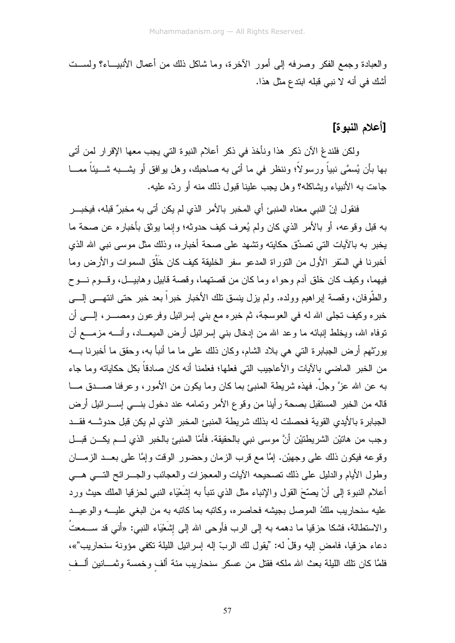والعبادة وجمع الفكر وصرفه إلى أمور الآخرة، وما شاكل ذلك من أعمال الأنبيـــاء؟ ولســـت أشك في أنه لا نبي قبله ابندع مثل هذا.

#### [أعلام النبو ة]

ولكن فلندعْ الآن ذكر هذا ونأخذ في ذكر أعلام النبوة التي يجب معها الإقرار لمن أتـي بـها بأن يُسمَّى نبياً ورسولاً؛ وننظر فـى ما أتـى بـه صـاحبك، وهل يوافق أو يشـــبه شـــيئاً ممـــا جاءت به الأنبياء ويشاكله؟ وهل يجب علينا قبول ذلك منه أو ردّه عليه.

فنقول إنّ النبي معناه المنبئ أي المخبر بالأمر الذي لم يكن أتى به مخبرٌ قبله، فيخبـــر به قبل وقوعه، أو بالأمر الذي كان ولم يُعرف كيف حدوثه؛ وإنما يوثق بأخباره عن صحة ما يخبر به بالأيات التي تصدِّق حكايته وتشهد على صحة أخباره، وذلك مثل موسى نبي الله الذي أخبرنا في السّقر الأول من النّوراة المدعو سفر الخليقة كيف كان خلّق السموات والأرض وما فيهما، وكيف كان خلق أدم وحواء وما كان من قصتهما، وقصة قابيل وهابيـــل، وقـــوم نـــوح والطُّوفان، وقصة اير اهيم وولده. ولم يزل بنسق تلك الأخبار خبر أ بعد خبر حتى انتهـــي الِــــي خبره وكيف نجلَّى الله له في العوسجة، ثم خبره مع بني إسرائيل وفرعون ومصـــــر، إلـــــي أن نوفاه الله، ويخلط إنبائه ما وعد الله من إدخال بنـى إسرائيل أرض المبعـــاد، وأنــــه مزمــــع أن بورتْنهم أرض الجبابرة النبي هي بلاد الشام، وكان ذلك على ما ما أنبأ به، وحقق ما أخبرنا بــــه من الخبر الماضبي بالآيات والأعاجيب التي فعلها؛ فعلمنا أنه كان صادقاً بكل حكاياته وما جاء به عن الله عزَّ وجلَّ. فهذه شريطة المنبئ بما كان وما يكون من الأمور، وعرفنا صـــدق مـــا قاله من الخبر المستقبل بصحة رأينا من وقوع الأمر وتمامه عند دخول بنسي إســـرائيل أرض الجبابر ة بالأيدى القوية فحصلت له بذلك شريطة المنبئ المخبر الذي لم يكن قبل حدوثــــه فقـــد وجب من هاتيْن الشريطنيْن أنَّ موسى نبي بالحقيقة. فأمّا المنبئ بالخبر الذي لـــم يكـــن قبـــل وقوعه فيكون ذلك على وجهيْن. إمَّا مع قرب الزمان وحضور الوقت وإمَّا على بعــد الزمـــان وطول الأيام والدليل على ذلك تصحيحه الآيات والمعجزات والعجائب والجسرائح التسى هسى أعلام النبوة إلى أنْ يصَّحَ القول والإنباء مثل الذي نتبأ به إشْعْيَاء النبـي لـحزقيا الملك حيث ورد عليه سنحاريب ملكُ الموصل بجيشه فحاصره، وكانبه بما كانبه به من البغي عليـــه والوعيـــد والاستطالة، فشكا حزقيا ما دهمه به إلى الرب فأوحى الله إلى إشَعْيَاء النبي: «أنـي قد ســـمعتُ دعاء حزقيا، فامض إليه وقلْ له: "يقول لك الربّ إله إسرائيل الليلة تكفي مؤونة سنحاريب"»، فلمَّا كان نلك اللَّلِيلة بعث الله ملكه فقتل من عسكر سنحاريب مئة ألف وخمسة وثمـــانين ألـــف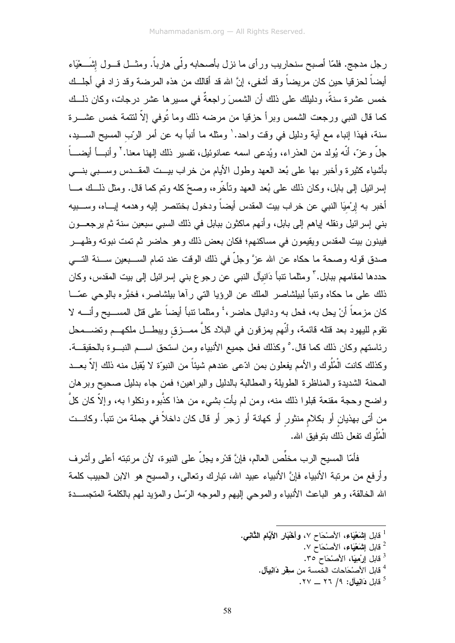رجل مدجج. فلمّا أصبح سنحاريب ورأى ما نزل بأصحابه ولَّى هارباً. ومثـــل قـــول إشَـــعْيَاء أيضـاً لـحز قيا حين كان مر يضـاً و قد أشفـى، إنَّ الله قد أقالك من هذه المر ضـة و قد ز اد فـى أجلـــك خمس عشرة سنةً، ودليلك على ذلك أن الشمسَ راجعةٌ في مسيرها عشر درجات، وكان ذلــك كما قال النبي ورجعت الشمس وبرأ حزقيا من مرضه ذلك وما تُوفى إلاّ لنتمة خمس عشـــرة سنة، فهذا إنباء مع أية ودليل في وقت واحد. ٰ ومثله ما أنبأ به عن أمر الرّب المسيح الســـيد، جلَّ وعزَّ، أنَّه يُولد من العذر اء، ويُدعى اسمه عمانوئيل، تفسير ذلك إلهنا معنا. ` وأنبـــأ أيضــــأ بأشياء كثيرة وأخبر بها على بُعد العهد وطول الأيام من خراب بيــت المقــدس وســبي بنـــي إسر ائيل إلى بابل، وكان ذلك على بُعد العهد وتأخَّر ه، وصحِّ كله وتم كما قال. ومثل ذلــك مـــا أخبر به إرْميَا النبي عن خراب بيت المقدس أيضاً ودخول بخنتصر إليه وهدمه إيـــاه، وســـبيه بني إسر ائيل ونقله إياهم إلى بابل، و أنهم ماكثون ببابل في ذلك السبي سبعين سنة ثم يرجعـــون فيبنون بيت المقدس ويقيمون في مساكنهم؛ فكان بعض ذلك وهو حاضر ثم تمت نبوته وظهـــر صدق قوله وصحة ما حكاه عن الله عزَّ وجلَّ في ذلك الوقت عند تمام الســـبعين ســــنة التــــي حددها لمقامهم ببابل." ومثلما نتبأ دَانيآل النبي عن رجوع بني إسرائيل إلىي بيت المقدس، وكان ذلك على ما حكاه ونتبأ لبيلشاصر الملك عن الرؤيا التي رأها بيلشاصر، فخبَّره بالوحي عصَّــا كان مزمعاً أنْ يحل به، فحل به ودانيال حاضر، ٔ ومثلما نتبأ أيضاً على قتل المســـيح وأنــــه لا نقوم لليهود بعد قتله قائمة، وأنَّهم بمزقون في البلاد كلَّ ممـــزق ويبطـــل ملكهـــم وتضــــمحل رئاستهم وكان ذلك كما قال.° وكذلك فعل جميع الأنبياء ومن استحق اســـم النبـــوة بالحقيقـــة. وكذلك كانت الْمُلُوك والأمم يفعلون بمن ادّعى عندهم شيئاً من النبوّة لا يُقبل منه ذلك إلاّ بعـــد المحنة الشديدة والمناظرة الطويلة والمطالبة بالدليل والبراهين؛ فمن جاء بدليل صحيح وبرهان واضح وحجة مقنعة قبلوا ذلك منه، ومن لم يأت بشيء من هذا كذَّبوه ونكلوا به، وإلاَّ كان كلَّ من أتى بهذيان أو بكلام منثور أو كهانة أو زجر أو قال كان داخلاً في جملة من نتبأ. وكانــت الْمُلُوك تفعل ذلك بتوفيق الله.

فأمّا المسيح الرب مخلَّص العالم، فإنَّ قدْره يجلُّ على النبوة، لأن مرتبته أعلى وأشرف وأرفع من مرتبة الأنبياء فإنَّ الأنبياء عبيد الله، تبارك وتعالى، والمسيح هو الابن الحبيب كلمة الله الخالقة، وهو الباعث الأنبياء والموحى إليهم والموجه الرَّسل والمؤيد لمهم بالكلمة المنجســدة

- <sup>1</sup> قابل اٍشَعْيَاء، الأصنْحَاح ٧، وأَخْبَار الأيَّامِ الثَّانِ*ي.* 
	- <sup>2</sup> قابل ا**شَعْيَاء،** الأصنْحَاح ٧.
	- <sup>3</sup> قابل إرْمِيَا، الأصْحَاح ٣٥.
	- <sup>4</sup> قابل الأصنْحَاحات الخمسة من سفِّر دَانِيآل.
		- قابل **دَانيآل: ٩/ ٢٦ \_\_ ٢٧.**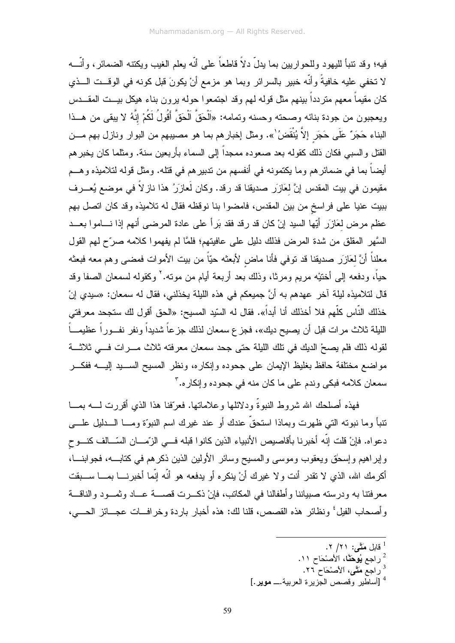فيه؛ وقد نتبأ لليهو د وللحو اربين بما يدلّ دلاً قاطعاً على أنّه يعلم الغيب ويكنته الضمائر ، وأنّـــه لا تخفي عليه خافيةً وأنَّه خبير بالسرائر وبما هو مزمع أنْ يكونَ قبل كونه في الوقــت الـــذي كان مقيماً معهم منزدداً بينهم مثل قوله لهم وقد اجتمعوا حوله برون بناء هيكل بيـــت المقـــدس ويعجبون من جودة بنائه وصحته وحسنه وتمامه: «اَلْحَقَّ اَلْحَقَّ أَقُولُ لَكُمْ إِنَّهُ لا يبقى من هــذا البناء حَجَرٌ عَلَى حَجَرٍ إلاَّ يُنْقَضُ ْ\». ومثل إخبارهم بما هو مصيبهم من البوار ونازل بهم مـــن القتل والسببي فكان ذلك كقوله بعد صعوده ممجداً إلى السماء بأربعين سنة. ومثلما كان يخبرهم أيضاً بما في ضمائر هم وما يكتمونه في أنفسهم من ندبير هم في قتله. ومثل قوله لتلاميذه و هـــم مقيمون في بيت المقدس إنَّ لعَازِر صديقنا قد رقد. وكان لَعازِرُ هذا ناز لاً في موضع يُعـــرف ببيت عنيا على فراسخ من بين المقدس، فامضوا بنا نوقظه فقال له تلاميذه وقد كان اتصل بهم عظم مرض لعَازَرٍ أَيِّها السيد إنْ كان قد رقد فقد بَرأ على عادة المرضى أنهم إذا نـــاموا بعـــد السَّهر المقلق من شدة المرض فذلك دليل على عافيتهم؛ فلمَّا لم يفهموا كلامه صرَّح لهم القول معلناً أنَّ لعَازَر صديقنا قد نوفي فأنا ماض لأبعثه حيّاً من بيت الأموات فمضىى وهم معه فبعثه حياً، ودفعه إلى أخننيه مريم ومرثا، وذلك بعد أربعة أيام من مونه.' وكقوله لسمعان الصفا وقد قال لتلاميذه ليلة آخر عهدهم به أنَّ جميعكم في هذه الليلة يخذلني، فقال له سمعان: «سيدي إنْ خذلك النّاس كلّهم فلا أخذلك أنا أبداً». فقال له السّيد المسيح: «الحق أقول لك ستجحد معرفتي الليلة ثلاث مرات قبل أن يصيح ديك»، فجز ع سمعان لذلك جز عاً شديداً ونفر نفــوراً عظيمـــاً لقوله ذلك فلم يصحْ الديك في تلك الليلة حتى جحد سمعان معرفته ثلاث مـــرات فـــي ثلاثـــة مواضع مختلفة حافظ بغليظ الإيمان على جحوده وإنكاره، ونظر المسيح الســـيد إليــــه ففكـــر سمعان كلامه فبكي وندم على ما كان منه في جحوده وإنكاره. "

فهذه أصلحك الله شروط النبوةً ودلائلها وعلاماتها. فعرّفنا هذا الذي أقررت لــــه بمـــا نتبأ وما نبوته التبي ظهرت وبماذا استحقَّ عندك أو عند غيرك اسم النبوَّة ومـــا الــــدليل علــــي دعواه. فإنْ قلت إنّه أخبرنا بأقاصيص الأنبياء الذين كانوا قبله فــي الزّمـــان السّــالف كنـــوح وإبراهيم وإسحٰق ويعقوب وموسى والمسيح وسائر الأولين الذين ذكرهم في كتابـــه، فجوابنـــا، أكرمك الله، الذي لا نقدر أنت ولا غيرك أنْ ينكره أو يدفعه هو أنَّه إنَّما أخبرنــــا بمــــا ســـبقت معرفتنا به ودرسته صبياننا وأطفالنا في المكاتب، فإنْ ذكــرت قصــــة عـــاد وثمـــود والناقـــة وأصحاب الفيلُ ونظائرٍ هذه القصص، قلنا لك: هذه أخبارٍ باردة وخرافــات عجـــائز الحــــي،

- قابل مَتَّى: ٢١/ ٢.
- <sup>2</sup> راجع **يُوحَثَّا،** الأصنْحَاح ١١.
- <sup>3</sup>راجع مَتَّى، الأصْحَاح ٢٦.
- <sup>4</sup> [أساطير وقصص الجزيرة العربية.\_ موير.]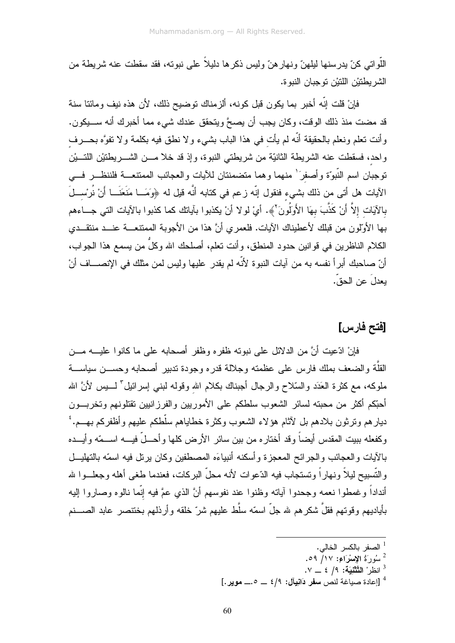اللَّو اتبي كنّ يدر سنها ليلهنّ و نهار هنّ و ليس ذكر ها دليلاً علي نبو ته، فقد سقطت عنه شر يطة من الشر يطنيْن اللنيْن نو جبان النبو ة.

فإنْ قلت إنه أخبر بما يكون قبل كونه، ألزمناك توضيح ذلك، لأن هذه نيف ومائنا سنة قد مضت منذ ذلك الوقت، وكان يجب أن يصحَّ ويتحقق عندك شيء مما أخبرك أنه ســـبكون. وأنت نعلم ونعلم بالحقيقة أنَّه لم يأت في هذا الباب بشيء ولا نطق فيه بكلمة ولا نفوَّه بحــــرف واحد، فسقطت عنه الشريطة الثانيّة من شريطتي النبوة، وإذ قد خلا مـــن الشــــريطتيْن اللتـــيْن توجبان اسم النَّبوَّة وأصفرَ ٰ منهما وهما متضمنتان للأيات والعجائب الممنتعـــة فلننظـــر فـــي الآيات هل أتى من ذلك بشيء فنقول إنّه زعم في كتابه أنَّه قيل له ﴿وَمَــا مَنَعَنَــا أَنْ نُرْســلَ بالآيَات إلاَّ أَنْ كَذَّبَ بهَا الأَولَٰونَ٬﴾. أيْ لولا أنْ يكذبوا بآياتك كما كذبوا بالآيات التي جـــاءهم بها الأولون من قبلك لأعطيناك الآيات. فلعمري أنَّ هذا من الأجوبة الممتنعـــة عنـــد منتقـــدي الكلام الناظر بن في قو انبن حدود المنطق، و أنت تعلم، أصلحك الله و كلِّ من بسمع هذا الجو اب، أنّ صاحبك أبر أ نفسه به من آبات النبو ة لأنّه لم بقدرٍ عليها ولبس لمن مثلك في الإنصـــاف أنْ بعدلَ عن الحقِّ.

# [فتح فارس]

فإنْ ادِّعيت أنَّ من الدلائل على نبوته ظفرٍ ، وظفر أصحابه على ما كانوا عليـــه مـــن القلَّة والضعف بملك فارس على عظمته وجلالة قدره وجودة ندبير أصحابه وحســن سياســـة ملوكه، مع كثرة الحَدَد والسَّلاح والرجال أجبناك بكلام الله وقوله لبنـي إسرائيل َّ لـــــبس لأنَّ الله أحبِّكم أكثر من محبته لسائر الشعوب سلطكم على الأموريين والفرزانيين تقتلونهم وتخريسون دبار هم و تر ثون بلادهم بل لآثام هؤ لاء الشعوب وكثر ة خطاباهم سلَّطكم عليهم و أظفر كم بهـــم. ' وكفعله ببيت المقدس أيضاً وقد أختاره من بين سائر الأرض كلها وأحـــلّ فيــــه اســـمّه وأيـــده بالأيات والعجائب والجرائح المعجزة وأسكنه أنبياءَه المصطفين وكان برنل فيه اسمّه بالتهايـــل و التَّسببح لبلاً و نهار اً و تستجاب فبه الدِّعو ات لأنه محلِّ البر كات، فعندما طغي أهله و جعلـــو ا شر أنداداً وغمطوا نعمه وجحدوا آباته وظنوا عند نفوسهم أنَّ الذي عمَّ فيه إنَّما نالوه وصاروا إليه بأياديهم وقوتهم فقلَّ شكرهم لله جلَّ اسمَّه سلَّط عليهم شرَّ خلقه وأرذلهم بختنصر عابد الصــــنم

- <sup>1</sup> الصفر بالكسر الخالي.
- سُورَةُ الإِسْرَاءِ: ١٧/ ٥٩.
- $\mathcal{N} = \mathcal{N}$ انظر ْ التَّتَثْنِيَة: ١٩ ٤ \_ ٧.
- <sup>4</sup> [إعادة صباغة لنص **سف**ر دَانيآل: ٤/٩ \_\_ ٥.\_\_ موير .]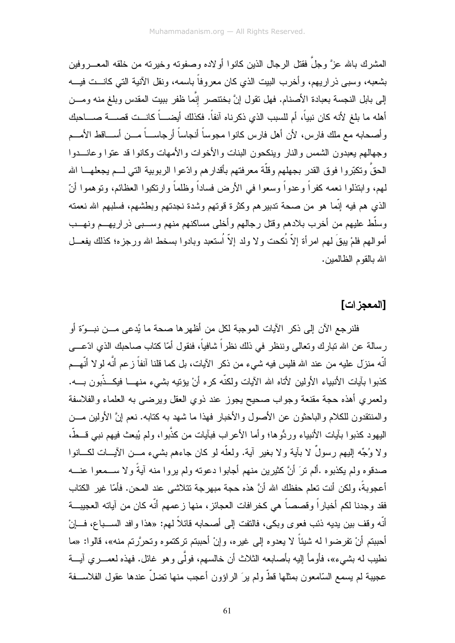المشرك بالله عزَّ وجلَّ فقتل الرجال الذين كانو ا أو لاده وصفوته وخيرته من خلقه المعـــر وفين بشعبه، وسبى ذر ار يهم، و أخر ب البيت الذي كان معر و فاً باسمه، و نقل الآنية التي كانـــت فيـــه إلى بابل النجسة بعبادة الأصنام. فهل نقول إنَّ بخنتصر إنَّما ظفر ببيت المقدس وبلغ منه ومـــن أهله ما بلغ لأنه كان نبياً، أم للسبب الذي ذكرناه آنفاً. فكذلك أيضـــاً كانــت قصـــة صــــاحبك وأصحابه مع ملك فارس، لأن أهل فارس كانوا مجوساً أنجاساً أرجاســـاً مـــن أســـاقط الأمـــم وجهالهم يعبدون الشمس والنار وينكحون البنات والأخوات والأمهات وكانوا قد عتوا وعانـــدوا الحقِّ وتكبَّروا فوق القدر بجهلهم وقلَّة معرفتهم بأقدارهم وادَّعوا الربوبية التي لـــم يجعلهــــا الله لمهم، وابتذلوا نعمه كفر اً و عدواً وسعوا في الأرض فساداً وظلماً و ارتكبوا العظائم، وتو هموا أنّ الذي هم فيه إنَّما هو من صحة ندبير هم وكثرة قوتهم وشدة نجدتهم وبطشهم، فسلبهم الله نعمته وسلّط عليهم من أخرب بلادهم وقتل رجالهم وأخلى مساكنهم منهم وســبي ذراريهــم ونهــب أمو الـهم فلمْ بيقَ لـهم امرٍ أة إلاّ نُكحت ولا ولد إلاّ اُستعبد وبادوا بسخط الله ورجزه؛ كذلك يفعـــل الله بالقوم الظالمين.

# [المعجز ات]

فلنرجع الآن إلى ذكر الآيات الموجبة لكل من أظهرها صحة ما يُدعى مـــن نبـــوّة أو رسالة عن الله تبارك وتعالى وننظر في ذلك نظراً شافياً، فنقول أمّا كتاب صاحبك الذي ادّعـــي أنّه منزل عليه من عند الله فليس فيه شيء من ذكر الآيات، بل كما قلنا آنفاً زعم أنَّه لو لا أنَّهــم كذبوا بآيات الأنبياء الأولين لأتاه الله الآيات ولكنَّه كره أنْ يؤتيه بشيء منهـــا فيكـــذَّبون بــــه. ولعمري أهذه حجة مقنعة وجواب صحيح يجوز عند ذوي العقل ويرضىي به العلماء والفلاسفة و المنتقدون للكلام و الباحثون عن الأصول والأخبار فهذا ما شهد به كتابه. نعم إنَّ الأولين مـــن اليهود كذبوا بآيات الأنبياء وردُّوها؛ وأما الأعراب فبآيات من كذَّبوا، ولم يُبعث فيهم نبي قـــطَّ، ولا وُجِّه إليهم رسولٌ لا بآية ولا بغير آية. ولعلَّه لو كان جاءهم بشيء مـــن الأيــــات لكــــانوا صدقوه ولم يكذبوه .ألم نرَ أنَّ كثيرين منهم أجابوا دعونه ولم يروا منه آيةً ولا ســمعوا عنـــه أعجوبةً، ولكن أنت تعلم حفظك الله أنَّ هذه حجة مبهرجة تتلاشى عند المحن. فأمّا غير الكتاب فقد و جدنا لكم أخبار اً و قصصاً هي كخر افات العجائز ، منها ز عمهم أنّه كان من آياته العجيبـــة أنَّه و قف بين يديه ذئب فعو ي و بكي، فالتفت إلى أصبحابه قائلاً لـهم: «هذا و افد الســـباع، فـــانْ أحببتم أنْ تفرضوا له شيئاً لا يعدوه إلى غيره، وإنْ أحببتم تركتموه وتحرَّرتم منه»، قالوا: «ما نطيب له بشيء»، فأومأ إليه بأصابعه الثلاث أن خالسهم، فولَّى وهو غائل. فهذه لعمـــري آيـــة عجيبة لم يسمع السّامعون بمثلها قطَّ ولم يرَ الراؤون أعجب منها نضلَّ عندها عقول الفلاســفة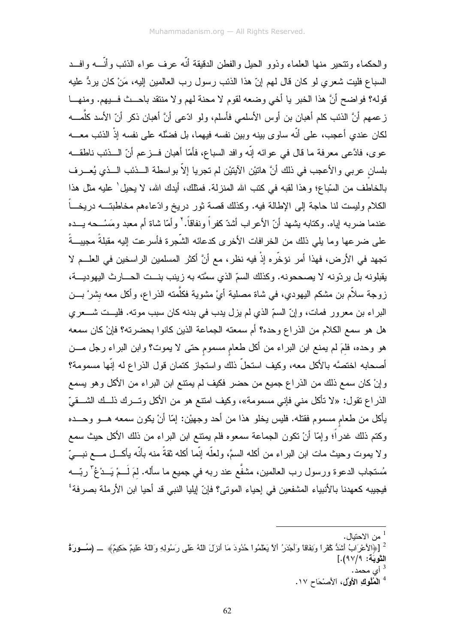والحكماء وتتحير ًمنها العلماء وذوو الحيل والفطن الدقيقة أنّه عرف عواء الذئب وأنّـــه وافـــد السباع فليت شعري لو كان قال لهم إنّ هذا الذئب رسول رب العالمين إليه، مَنْ كان يردُّ عليه قوله؟ فو اضح أنَّ هذا الخبر يا أخي وضعه لقوم لا محنة لهم و لا منتقد باحــث فـــيهم. ومنهـــا ز عمهم أنَّ الذئب كلم أهبان بن أوس الأسلمي فأسلم، ولو ادّعي أنَّ أهبان ذكر أنّ الأسد كلَّمــــه لكان عندي أعجب، على أنَّه ساوى بينه وبين نفسه فيهما، بل فضَّله على نفسه إذْ الذئب معـــه عوى، فادَّعى معرفة ما قال في عوائه إنَّه وافد السباع، فأمَّا أهبان فــزعم أنّ الـــذئب ناطقـــه بلسان عربي والأعجب في ذلك أنَّ هاتيْن الآيتيْن لم تجريا إلاَّ بواسطة الـــذئب الـــذي يُعـــرف بالخاطف من السّباع؛ وهذا لقبه في كتب الله المنزلة. فمثلك، أيدك الله، لا يحيل ٰ عليه مثل هذا الكلام وليست لنا حاجة إلى الإطالة فيه. وكذلك قصة ثور دريخ وإدّعاءهم مخاطبتـــه دريخـــاً عندما ضربه اياه. وكتابه بشهد أنّ الأعراب أشدّ كفر اً ونفاقاً.' و أمّا شاة أم معبد ومَسْـــحه بـــده على ضرعها وما يلي ذلك من الخرافات الأخرى كدعائه الشّجرة فأسرعت إليه مقبلةً مجيبةً تجهد في الأرض، فهذا أمر نؤخِّره إذْ فيه نظرٍ ، مع أنَّ أكثر المسلمين الراسخين في العلـــم لا يقبلونه بل يردّونه لا يصححونه. وكذلك السمّ الذي سمَّته به زينب بنـــت الحــــارث اليهوديــــة، زوجة سلاَّم بن مشكم اليهودي، في شاة مصلية أيْ مشوية فكلُّمته الذراع، وأكل معه بشرْ بـــن البراء بن معرور فمات، وإنّ السمّ الذي لم يزل يدب في بدنه كان سبب موته. فليــت شــعرى هل هو سمع الكلام من الذراع وحده؟ أم سمعته الجماعة الذين كانوا بحضرته؟ فإنْ كان سمعه هو وحده، فلمَ لم يمنع ابن البراء من أكل طعام مسموم حتى لا يموت؟ وابن البراء رجل مـــن أصحابه اختصَّه بالأكل معه، وكيف استحلَّ ذلك واستجاز كتمان قول الذراع له إنَّها مسمومة؟ وإنْ كان سمع ذلك من الذراع جميع من حضر فكيف لم يمننع ابن البراء من الأكل وهو يسمع الذراع نقول: «لا نأكل منى فإني مسمومة»، وكيف امتنع هو من الأكل وتـــرك ذلـــك الشـــقيّ يأكل من طعام مسموم فقتله. فليس يخلو هذا من أحد وجهيْن: إمَّا أنْ يكون سمعه هـــو وحـــده وكتم ذلك غدراً؛ وإمَّا أنْ نكون الجماعة سمعوه فلم يمنتع ابن البراء من ذلك الأكل حيث سمع ولا يموت وحيث مات ابن البراء من أكله السمَّ، ولعلَّه إنَّما أكله نقةً منه بأنَّه يأكــل مـــع نبـــيّ مُستجاب الدعوة ورسول رب العالمين، مشفَّع عند ربه في جميع ما سأله. لمَ لَـــمْ يَـــدْعُ ّ ربّــــه فيجيبه كعهدنا بالأنبياء المشفعين في إحياء الموتى؟ فإنّ إيليا النبي قد أحيا ابن الأرملة بصرفة'

<sup>3</sup> أي محمد .

<sup>4</sup> الْمُلُوكِ الأوَّلِ، الأَصْحَاحِ ١٧.

من الاحتبال.  $^1$ 

<sup>&</sup>lt;sup>2</sup> [﴿الأعْرَابُ أَشَدُّ كُفْراً وَنِفَاقاً وَأَجْدَرُ أَلاَّ يَعْلَمُوا حُدُودَ مَا أنزلَ اللّهُ عَليم وَسُولِهِ وَاللّهُ عَليمٌ حَكِيمٌ﴾ \_ (مُسورة التَّوبَّة: ٩٧/٩).]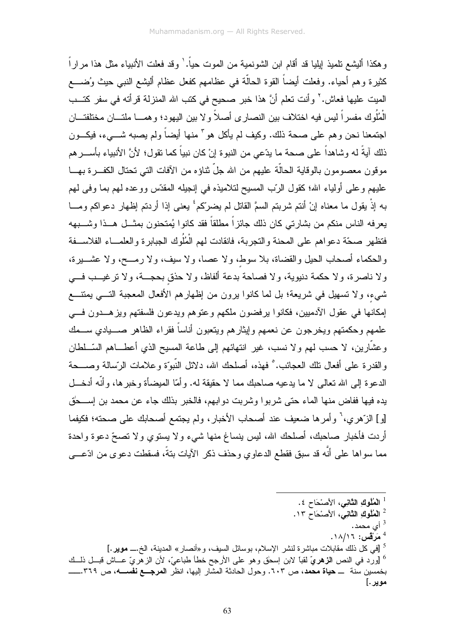و هكذا أليشع تلميذ إيليا قد أقام ابن الشونمية من الموت حياً. ' وقد فعلت الأنبياء مثل هذا مر ار اً كثير ة و هم أحياء. و فعلت أيضاً القو ة الحالَّة في عظامهم كفعل عظام أليشع النبي حيث وُضــــع الميت عليها فعاش.' وأنت تعلم أنَّ هذا خبر صحيح في كتب الله المنزلة قرأته في سفر كتــب الْمُلُوكِ مفسرٍ اّ ليس فيه اختلاف بين النصار ِي أصلاً و لا بين اليهود؛ و همـــا ملتـــان مختلفتـــان اجتمعنا نحن وهم على صحة ذلك. وكيف لم يأكل هو ً منها أيضاً ولم يصبه شـــيء، فيكـــون ذلك آيةً له وشاهداً على صحة ما يدّعى من النبوة إنْ كان نبياً كما نقول؛ لأنَّ الأنبياء بأســــرهم موقون معصومون بالوقاية الحالَّة عليهم من الله جلِّ نْناؤه من الآفات التي تحتال الكفـــرة بهـــا عليهم وعلى أولياء الله؛ كقول الرَّب المسيح لتلاميذه في إنجيله المقدَّس ووعده لمهم بما وفي لمهم به إذْ يقول ما معناه إنْ أنتم شربتم السمَّ القاتل لم يضرِّكم ٔ يعني إذا أربنتم إظهار دعو اكم ومـــا يعرفه الناس منكم من بشارتي كان ذلك جائزاً مطلقاً فقد كانوا يُمتحنون بمثـــل هـــذا وشــــبهه فتظهر بصحّة دعو اهم على المحنة والنجرية، فانقادت لهم الْمُلُوك الجبابر ة والعلمـــاء الفلاســـفة والحكماء أصحاب الحيل والقضاة، بلا سوط، ولا عصا، ولا سيف، ولا رمـــح، ولا عشـــيرة، ولا ناصرة، ولا حكمة دنيوية، ولا فصاحة بدعة ألفاظ، ولا حذق بحجـــة، ولا ترغيـــب فـــي شيء، ولا تسهيل في شريعة؛ بل لما كانوا برون من إظهارهم الأفعال المعجبة التـــي بمنتــــع لِمكانها في عقول الأدميين، فكانوا يرفضون ملكهم وعتوهم ويدعون فلسفتهم ويزهــدون فـــي علمهم وحكمتهم ويخرجون عن نعمهم وليثارهم ويتعبون أناساً فقراء الظاهر صــــيادي ســـمك وعشَّارين، لا حسب لمهم ولا نسب، غير انتهائهم إلى طاعة المسيح الذي أعطـــاهم السَّـــلطان والقدر ة على أفعال تلك العجائب. ْ فهذه، أصلحك الله، دلائل النَّبوَّة و علامات الرَّسالة وصــــحة الدعوة إلى الله تعالى لا ما يدعيه صاحبك مما لا حقيقة له. وأمّا الميضاًة وخبر ها، وأنّه أدخــل يده فيها ففاض منها الماء حتى شربوا وشربت دوابهم، فالخبر بذلك جاء عن محمد بن إســحٰق [و] الزَّهري، ۚ وأمرها ضعيف عند أصحاب الأخبار، ولم يجتمع أصحابك على صحته؛ فكيفما أردت فأخبار صاحبك، أصلحك الله، ليس بنساغ منها شيء ولا يستوى ولا نصحِّ دعوة واحدة مما سواها على أنَّه قد سبق فقطع الدعاوي وحذف ذكر الآيات بتةً، فسقطت دعوى من ادَّعـــي

- <sup>1</sup> الْمُلُوكِ الثَّانِي، الأَصْحَاحِ ٤.
- <sup>2</sup> الْعُلُوكِ الثَّانِيِّ، الأَصنْحَاحِ ١٣.
	- أي محمد.  $^3$
	- $\cdot$ 4 مَرْقْس: ١٨/١٦.
- <sup>5</sup> [في كل ذلك مقابلات مباشرة لنشر الإسلام، بوسائل السيف، و«أنصار» المدينة، الخ.ـــ **موير .**] ° [ورد في النص ا**لزهريّ** لقباً لابن اسحٰق وهو على الأرجح خطأ طباعيّ، لأن الزهريّ عـــاش قبـــل ذلـــك موير .]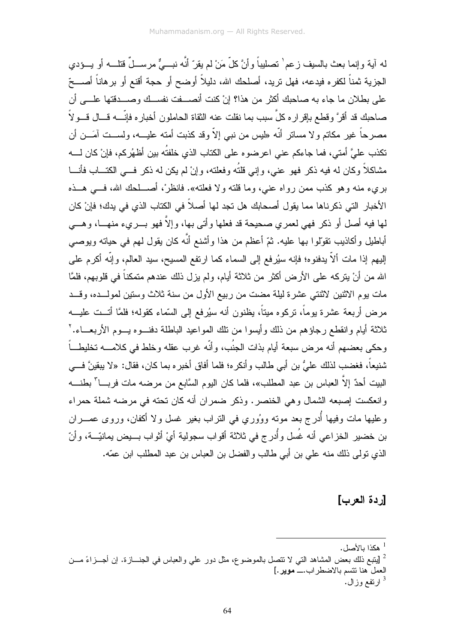له آية وإنما بعث بالسيف زعم` تصليباً وأنَّ كلّ مَنْ لم يقرّ أنَّه نبـــيٌّ مرســـلٌ قتلـــه أو يـــؤدي الجزية ثمناً لكفره فيدعه، فهل تريد، أصلحك الله، دليلاً أوضح أو حجة أقنع أو برهاناً أصــــحّ على بطلان ما جاء به صاحبك أكثر من هذا؟ إنْ كنت أنصـــفت نفســك وصــــدقتها علــــي أن صـاحبك قد أقرَّ وقطـع بإقرار ه كلِّ سبب بما نقلت عنه الثقاة الحاملون أخبار ه فإنَّــــه قـــال قـــو لاً مصـرحاً غير مكاتم ولا مساتر أنَّه «ليس من نبـي إلاّ وقد كذبت أمته عليـــه، ولســـت آمَـــن أن تكذب عليَّ أمتي، فما جاءكم عني اعرضوه على الكتاب الذي خلفتُه بين أظهُركم، فإنْ كان لــــه مشاكلاً وكان له فيه ذكر فهو عني، وإني قلتُه وفعلته، وإنْ لم يكن له ذكر فـــي الكتـــاب فأنـــا بريء منه وهو كذب ممن رواه عنبي، وما قلته ولا فعلته». فانظر ْ، أصطحك الله، فسي هــذه الأخبار ِ التي ذكر ناها مما يقول أصحابك هل تجد لها أصلاً في الكتاب الذي في يدك؛ فإنْ كان لها فيه أصل أو ذكر فهي لعمري صحيحة قد فعلها وأتي بها، وإلاَّ فهو بـــريء منهــــا، وهـــي أباطيل وأكاذيب نقولوا بـها عليه. ثمّ أعظم من هذا وأشنع أنَّه كان يقول لمهم فـي حياته ويوصـي إليهم إذا مات ألاّ يدفنوه؛ فإنه سيُرفع إلى السماء كما ارتفع المسيح، سيد العالم، وإنّه أكرم على الله من أنْ يتركه على الأرض أكثر من ثلاثة أيام، ولم يزل ذلك عندهم متمكناً في قلوبهم، فلمَّا مات يوم الاثنين لاثنتي عشرة ليلة مضت من ربيع الأول من سنة ثلاث وستين لمولـــده، وقـــد مرض أربعة عشرة بوماً، نركوه ميناً، يظنون أنه سيُرفع إلى السّماء كقوله؛ فلمَّا أنـــت عليـــه ثلاثة أبام وانقطع رجاؤهم من ذلك وأبسوا من نلك المواعبد الباطلة دفنــوه بــوم الأربعـــاء. ` و حكي بعضهم أنه مر ض سبعة أيام بذات الجنُب، و أنَّه غر ب عقله و خلط في كلامــــه تخليطــــاً شنيعاً، فغضب لذلك عليُّ بن أبي طالب و أنكر ه؛ فلما أفاق أخبر ه بما كان، فقال: «لا ببقينَّ فــــِ ِ البيت أحدٌ إلاّ العباس بن عبد المطلب»، فلما كان اليوم السَّابع من مرضـه مات فربـــا ّ بطنــــه وانعكست إصبعه الشمال وهي الخنصر. وذكر ضمران أنه كان تحته في مرضه شملة حمراء وعليها مات وفيها أُدرج بعد مونـُه ووُوري في النراب بغير غسل ولا أكفان، وروى عمــــران بن خضير الخزاعي أنه غُسل وأُدرج في ثلاثة أقواب سجولية أيْ أثواب بـــيض يمانيّـــة، وأنّ الذي تولَّى ذلك منه على بن أبي طالب والفضل بن العباس بن عبد المطلب ابن عمَّه.

#### [ردة العرب]

- مكذا بالأصل.  $^{\rm l}$
- 2 [يتبع ذلك بعض المشاهد التي لا تتصل بالموضوع، مثل دور على والعباس في الجنـــازة. إن أجـــزاءً مـــن العمل هنا نتسم بالاضطراب.\_ موير.]
	- ارتفع وز ال  $^3$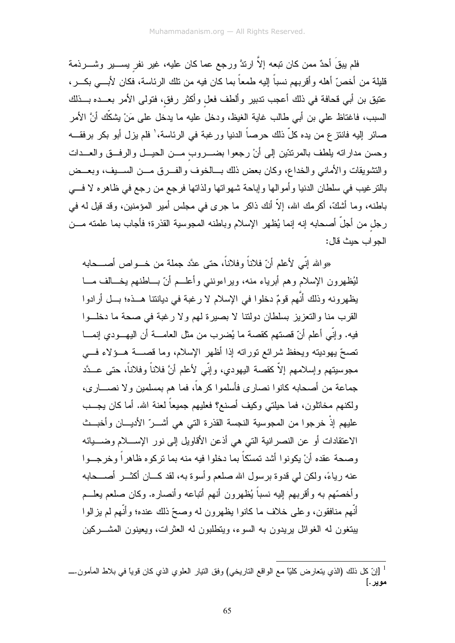فلم يبقَ أحدٌ ممن كان نبعه إلاّ ارتدَّ ورجع عما كان عليه، غير نفر يســـير وشــــرذمة قليلة من أخصّ أهله وأقربهم نسباً إليه طمعاً بما كان فيه من تلك الرئاسة، فكان لأبـــي بكـــر، عتيق بن أبي قحافة في ذلك أعجب تدبير وألطف فعل وأكثر رفق، فتولى الأمر بعــده بـــذلك السبب، فاغتاظ علي بن أبي طالب غاية الغيظ، ودخل عليه ما يدخل على مَنْ يشكِّك أنَّ الأمر صائر إليه فانتز ع من يده كلّ ذلك حرصاً الدنيا ورغبة في الرئاسة،' فلم يزل أبو بكر برفقـــه وحسن مداراته يلطف بالمرنتتين إلىي أن رجعوا بضــــروب مـــن الحيـــل والرفـــق والعـــدات والنشويقات والأمانبي والخداع، وكان بعض ذلك بـــالخوف والفـــرق مـــن الســـبف، وبعـــض بالنز غيب في سلطان الدنيا وأموالها وإباحة شهواتها ولذاتها فرجع من رجع في ظاهره لا فسي باطنه، وما أشكَّ، أكرمك الله، إلاَّ أنك ذاكر ما جرى في مجلس أمير المؤمنين، وقد قيل له في رجل من أجلَّ أصحابه إنه إنما يُظهر الإسلام وباطنه المجوسية القذرة؛ فأجاب بما علمته مـــن الحو اب حيث قال:

«و الله إنِّي لأعلم أنَّ فلاناً و فلاناً، حتى عدَّد جملة من خـــو اص أصــــحابه لْمُظْهِرُونِ الإِسْلَامِ وهُمْ أَبْرِياءِ مِنه، ويراءونني وأعلــم أنّ بـــاطنهم يخـــالف مـــا يظهرونه وذلك أنَّهم قومٌ دخلوا في الإسلام لا رغبة في ديانتنا هــذه؛ بــل أرادوا القرب منا والتعزيز بسلطان دولتنا لا بصيرة لهم ولا رغبة في صحة ما دخلـوا فيه. وإنِّي أعلم أنّ قصنتهم كقصة ما يُضرب من مثل العامــــة أن اليهـــودي إنمــــا تصحَّ بهوديته ويحفظ شرائع نوراته إذا أظهر الإسلام، وما قصــــة هـــؤلاء فــــي مجوسيتهم وإسلامهم إلاّ كقصنة اليهودي، وإنّي لأعلم أنَّ فلاناً وفلاناً، حتى عــدَّد جماعة من أصحابه كانوا نصار ي فأسلموا كر هاً، فما هم بمسلمين و لا نصــــار ي، ولكنهم مخاتلون، فما حيلتي وكيف أصنع؟ فعليهم جميعاً لعنة الله. أما كان يجـــب عليهم إذْ خرجوا من المجوسية النجسة القذرة التي هي أشـــرّ الأديــــان وأخبـــث الاعتقادات أو عن النصر انية التي هي أذعن الأقاويل إلى نور الإســــلام وضـــــبائه وصحة عقده أنْ يكونوا أشد نمسّكاً بما دخلوا فيه منه بما نركوه ظاهراً وخرجــوا عنه رياءً، ولكن لم قدوة برسول الله صلعم وأسوة به، لقد كـــان أكثـــر أصــــحابه و أخصَّهم به و أفريهم إليه نسباً يُظهرون أنهم أتباعه وأنصاره. وكان صلعم يعلــم أنَّهم منافقون، وعلى خلاف ما كانوا يظهرون له وصحِّ ذلك عنده؛ وأنَّهم لم يزالوا بيتغون له الغوائل بريدون به السوء، ويتطلبون له العثرات، ويعينون المشـــركين

موير .]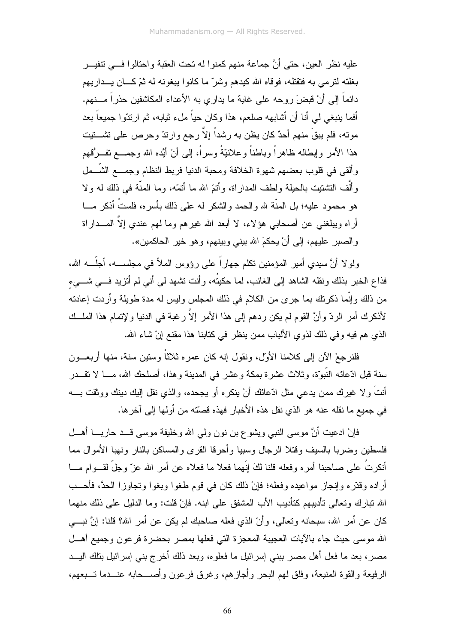عليه نظر العين، حتى أنَّ جماعة منهم كمنوا له تحت العقبة واحتالوا فسي تتفيــر بغلته لترمي به فتقتله، فوقاه الله كيدهم وشرٌ ما كانوا بيغونه له ثمّ كـــان يـــداريهم دائماً إلى أنْ قبضَ روحه على غاية ما يدار ي به الأعداء المكاشفين حذر اً مـــنهم. أفما بنبغي لي أنا أن أشابهه صلعم، هذا وكان حياً ملء نثيابه، ثم ارنتوا جميعاً بعد مونـه، فلم يبقَ منـهم أحدٌ كان يظن بـه رشداً إلاّ رجع وارندّ وحرص علـى نشــــتيت هذا الأمر وإبطاله ظاهراً وباطناً وعلانيّةً وسراً، إلى أنْ أيّده الله وجمـــع نفـــرُقهم وألقى في قلوب بعضهم شهوة الخلافة ومحبة الدنيا فربط النظام وجمـــع الشّــمل وألَّف التشتيت بالحيلة ولطف المدار اة، وأتمَّ الله ما أتمَّه، وما المدَّة في ذلك له و لا هو محمود عليه؛ بل المنَّة لله والحمد والشكر له على ذلك بأسره، فلستُ أذكر مـــا أراه ويبلغني عن أصحابي هؤلاء، لا أبعد الله غيرهم وما لهم عندي إلاَّ المـــداراة و الصبر عليهم، إلى أنْ يحكمَ الله بيني وبينهم، وهو خير الحاكمين».

ولو لا أنَّ سبدي أمبر المؤمنين نكلم جهار اً علي رؤوس الملأ في مجلســه، أجلَّــه الله، فذاع الخبر بذلك ونقله الشاهد إلى الغائب، لما حكيتُه، و أنت تشهد لي أني لم أنزيد فسي شـــيء من ذلك وإنَّما ذكرتك بما جرى من الكلام في ذلك المجلس وليس له مدة طويلة وأردت إعادته لأذكرك أمر الردّ وأنَّ القوم لم يكن ردهم إلى هذا الأمر إلاّ رغبة في الدنيا ولإتمام هذا الملــك الذي هم فيه وفي ذلك لذوي الألباب ممن ينظر في كتابنا هذا مقنع إنْ شاء الله.

فلنر جعْ الآن إلى كلامنا الأول، ونقول إنه كان عمر ه ثلاثاً وستين سنة، منها أر بعــون سنة قبل ادّعائه النّبوّة، وثلاث عشرة بمكة وعشر في المدينة وهذا، أصلحك الله، مـــا لا نقـــدر أنتَ ولا غيرك ممن يدعى مثل ادّعائك أنْ ينكره أو يجحده، والذي نقل إليك دينك ووثقت بــــه في جميع ما نقله عنه هو الذي نقل هذه الأخبار فهذه قصَّته من أولها إلى آخرها.

فإنْ ادعيت أنَّ موسى النبي ويشوع بن نون ولمي الله وخليفة موسى قـــد حاربــــا أهـــل فلسطين وضربا بالسبف وقتلا الرجال وسبيا وأحرقا القرى والمساكن بالنار ونهبا الأموال مما أنكرتُ على صاحبنا أمره وفعله قلنا لكَ إنَّهما فعلا ما فعلاه عن أمر الله عزَّ وجلَّ لقـــوام مــــا أراده وقدَّره وإنجاز مواعيده وفعله؛ فإنْ ذلك كان في قوم طغوا وبغوا ونجاوزا الحدَّ، فأحــب الله نبارك وتعالى نأديبهم كتأديب الأب المشفق على ابنه. فإنْ قلت: وما الدليل على ذلك منهما كان عن أمر الله، سبحانه ونعالى، وأنَّ الذي فعله صاحبك لم يكن عن أمر الله؟ قلنا: إنَّ نبـــي الله موسى حيث جاء بالآيات العجيبة المعجزة التي فعلها بمصر بحضرة فرعون وجميع أهــل مصر ، بعد ما فعل أهل مصر ببني إسرائيل ما فعلوه، وبعد ذلك أخر ج بنبي إسرائيل بنلك اليـــد الرفيعة والقوة المنيعة، وفلق لهم البحر وأجازهم، وغرق فرعون وأصـــحابه عنـــدما تـــبعهم،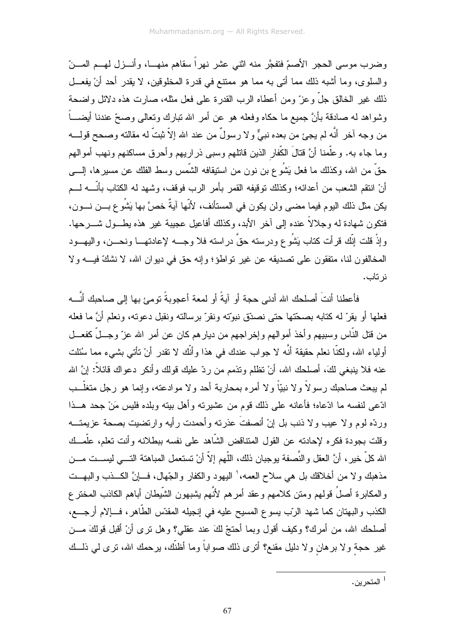وضرب موسى الحجر الأصمّ فتفجَّر منه اثني عشر نهراً سقاهم منهــا، وأنـــزل لهـــم المـــنّ والسلوى، وما أشبه ذلك مما أتى به مما هو ممنتع في قدرة المخلوقين، لا يقدر أحد أنْ يفعــل ذلك غير الخالق جلَّ وعز ٍّ ومن أعطاه الرب القدرة على فعل مثله، صـارت هذه دلائل واضـحة وشواهد له صادقة بأنَّ جميع ما حكاه وفعله هو عن أمرٍ الله نبارك ونعالمي وصحِّ عندنا أيضـــــاً من وجه آخر أنَّه لم يجئ من بعده نبيٌّ ولا رسولٌ من عند الله إلاّ ثبتٌ له مقالته وصحح قولــــه وما جاء به. وعلَّمنا أنَّ قتالَ الكَّفار الذين قاتلهم وسبي ذراريهم وأحرق مساكنهم ونهب أموالهم حقَّ من الله، وكذلك ما فعل يَشُوع بن نون من استيقافه الشَّمس وسط الفلك عن مسير ها، إلــــي أنْ انتقم الشعب من أعدائه؛ وكذلك نوقيفه القمر بأمر الرب فوقف، وشهد له الكتاب بأنَّــــه لــــم يكن مثل ذلك اليوم فيما مضيي ولن يكون في المستأنف، لأنَّها آيةٌ خصَّ بها يَشْو ع بـــن نــــون، فتكون شهادة له وجلالاً عنده إلى آخر الأبد، وكذلك أفاعيل عجيبة غير هذه يطـــول شـــرحها. وإذْ قلت إنَّك قرأت كتاب يَشُوع ودرسته حقَّ دراسته فلا وجـــه لإعادتهـــا ونحـــن، واليهـــود المخالفون لنا، منفقون على نصديقه عن غير نواطؤ؛ وإنه حق في ديوان الله، لا نشكَّ فيـــه ولا نر تاب.

فأعطنا أنتَ أصلحك الله أدني حجة أو آبةً أو لمعة أعجوبةً نومئ بها الى صاحبك أنَّــه فعلها أو بقرّ له كتابه بصحّتها حتى نصدّق نبوّته ونقرّ برسالته ونقبل دعوته، ونعلم أنَّ ما فعله من قتل النَّاس وسبيهم وأخذ أموالهم وإخراجهم من ديارهم كان عن أمر الله عزّ وجـــلّ كفعـــل أولياء الله، ولكنَّا نعلم حقيقة أنَّه لا جواب عندك في هذا وأنَّك لا نقدر أنْ نأتـى بشـيء مما سُئلت عنه فلا بنبغي لكَ، أصلحك الله، أنْ نظلم ونذمم من ردّ عليك قولك وأنكر دعواك قائلاً: إنَّ الله لم بيعث صاحبك ر سو لاً و لا نبيّاً و لا أمر ه بمحار بـة أحد و لا مو ادعته، و إنمـا هو ر جل متغلّــب ادّعي لنفسه ما ادّعاه؛ فأعانه علي ذلك قوم من عشيرته وأهل بيته وبلده فليس مَنْ جحد هـــذا وردَّه لوم ولا عيب ولا ذنب بل إنْ أنصفتَ عذرته وأحمدت رأيه وارتضيت بصحة عزيمتـــه وقلت بجودة فكره لإحادته عن القول المنتاقض الشَّاهد على نفسه ببطلانه وأنت تعلم، علَّمــك الله كلِّ خيرٍ، أنَّ العقل والنُّصفة بوجبان ذلك، اللُّهم إلاَّ أنْ نستعمل المباهنة التـــي ليســـت مــــن مذهبك ولا من أخلاقك بل هي سلاح العمه،' اليهود والكفار والجّهال، فـــإنَّ الكـــذب والبهـــت والمكابرة أصلُ قولهم ومتن كلامهم وعقد أمرهم لأنَّهم بشبهون الشَّبطان أباهم الكاذب المختر ع الكذب والبهتان كما شهد الرّب يسوع المسيح عليه في إنجيله المقدّس الطّاهر، فإلام أرجـــع، أصلحك الله، من أمرك؟ وكيف أقول وبما أحتجّ لكَ عند عقلي؟ وهل نرى أنْ أقبل قولكَ مـــن غير حجة ولا برهان ولا دليل مقنع؟ أُنرى ذلك صواباً وما أظنَّك، برحمك الله، نرى لـي ذلـــك

 $^{-1}$ المتحرين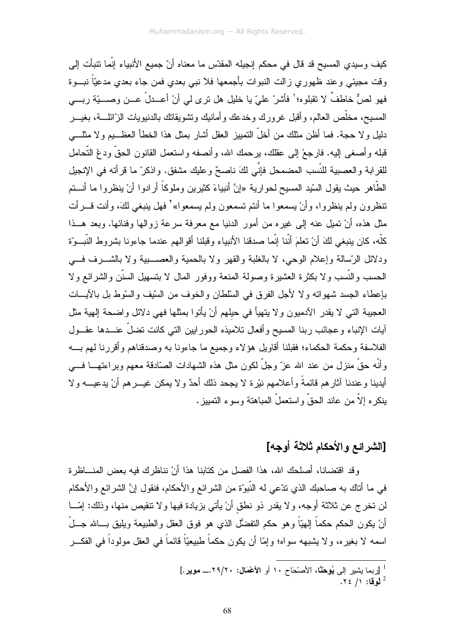كيف وسيدي المسيح قد قال في محكم إنجيله المقدّس ما معناه أنّ جميع الأنبياء إنّما نتبأت إلى وقت مجيئي وعند ظهوري زالت النبوات بأجمعها فلا نبي بعدي فمن جاء بعدي مدعيّاً نبـــوة فهو لصٌّ خاطفٌ لا نقبلوه؛' فأشرْ عليّ يا خليل هل نرى لي أنْ أعــدلْ عــن وصــــيّة ربـــي المسيح، مخلَّص العالم، وأقبل غرورك وخدعك وأمانيك وتشويقاتك بالدنيويات الزَّائلـــة، بغيـــر دليل ولا حجة. فما أظن مثلك من أخلَّ النمييز العقل أشار بمثل هذا الخطأ العظـــيم ولا مثلــــي قبله وأصغى إليه. فارجعْ إلى عقلك، برحمك الله، وأنصفه واستعمل القانون الحقَّ ودعْ النَّحامل للقرابة والعصبية للنِّسب المضمحل فإنِّي لكَ ناصحٌ وعليك مشفق. واذكر ْ ما قرأته في الإنجيل الطَّاهر حيث يقول السّيد المسيح لحوارية «إنَّ أنبياءً كثيرين وملوكاً أرادوا أنْ ينظروا ما أنـــتم نتظرون ولم ينظروا، وأنْ يسمعوا ما أنتم تسمعون ولم يسمعوا» ْ فهل ينبغي لكَ، وأنت قـــرأت مثل هذه، أنْ تميل عنه إلى غيره من أمور الدنيا مع معرفة سرعة زوالها وفنائها. وبعد هــذا كلُّه، كان ينبغي لكَ أنْ تعلَّمَ أنَّنا إنَّما صدقنا الأنبياء وقبلنا أقوالهم عندما جاءونا بشروط النَّبــوّة ودلائل الرّسالة وإعلام الوحي، لا بالغلبة والقهر ولا بالحمية والعصــــبية ولا بالشــــرف فــــي الحسب والنَّسب ولا بكثرة العشيرة وصولة المنعة ووفور المال لا بتسهيل السنَّن والشرائع ولا بإعطاء الجسد شهواته ولا لأجل الفرق في السلطان والخوف من السَّبِف والسَّوط بل بالآيـــات العجيبة التي لا يقدر الأدميون ولا يتهيأ في حيلهم أنْ يأتوا بمثلها فهي دلائل واضحة إلهية مثل أيات الإنباء وعجائب ربنا المسيح وأفعال تلاميذه الحور ابين التبي كانت تضلَّ عنـــدها عقـــول الفلاسفة وحكمة الحكماء؛ فقبلنا أقاويل هؤلاء وجميع ما جاءونا به وصدقناهم وأقررنا لمهم بــــه وأنَّه حقَّ منزل من عند الله عزَّ وجلَّ لكون مثل هذه الشهادات الصَّادقة معهم وبراءتهـــا فــــى أيدينا وعندنا أثارهم قائمةً وأعلامهم نيّرة لا يجحد ذلك أحدٌ ولا يمكن غيـــرهم أنْ يدعيــــه ولا ينكره إلاَّ من عاند الحقَّ واستعملَّ المباهنة وسوء التمييز .

# [الشرائع والأحكام ثلاثة أوجه]

وقد اقتضانا، أصلحك الله، هذا الفصل من كتابنا هذا أنْ نناظرك فيه بعض المنـــاظرة في ما أناك به صاحبك الذي ندّعي له النّبوّة من الشرائع والأحكام، فنقول إنَّ الشرائع والأحكام لن تخرج عن ثلاثة أوجه، ولا يقدر ذو نطق أنْ يأتي بزيادة فيها ولا نتقيص منها، وذلك: إمّـــا أنْ يكون الحكم حكماً إلـهيّاً وهو حكم التفضُّل الذي هو فوق العقل والطبيعة ويليق بـــالله جـــلّ اسمه لا بغيره، ولا يشبهه سواه؛ وإمَّا أن يكون حكماً طبيعيّاً قائماً في العقل مولوداً في الفكـــر

<sup>&</sup>lt;sup>1</sup> [ربما يشير إلى **يُوحَنَّ**ا، الأصنّحاح ١٠ أو ا**لأعْمَال: ٢٩/٢٠.\_ موير .**]  $.75/1$  نُوقا: ١/ ٢٤.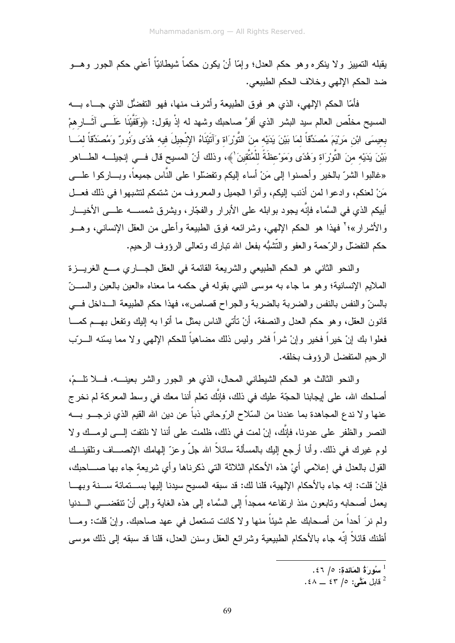يقبله التمييز ولا ينكره وهو حكم العدل؛ وإمّا أنْ يكون حكماً شيطانيّاً أعنـى حكم الـجور وهـــو ضد الحكم الإلهي وخلاف الحكم الطبيعي.

فأمَّا الحكم اﻹلهي، الذي هو فوق الطبيعة وأشرف منها، فهو التفضُّل الذي جـــاء بــــه المسيح مخلَّص العالم سيد البشر الذي أقرَّ صاحبك وشهد له إذْ يقول: ﴿وَقَفَيْنَا عَلَـــي آثَـــار همْ بعيسَى ابْنِ مَرْيَمَ مُصَدِّقاً لمَا بَيْنَ يَدَيْه منَ النُّورَاة وَآتَيْنَاهُ الإِنْجِيلَ فيه هُدًى وَنُورٌ وَمُصدِّقاً لمَسا بَيْنَ يَدَيْه منَ النُّوْرَاة وَهُدًى وَمَوْعظَةً للْمُتَّقينَ`﴾، وذلك أنّ المسيح قال فـــي إنجيلـــه الطــــاهر «غالبوا الشرّ بالخير وأحسنوا إلى مَنْ أساء إليكم وتفضَّلوا على النَّاس جميعاً، وبـــاركوا علــــى مَنْ لعنكم، وإدعوا لمن أذنب البكم، وآتوا الجميل والمعروف من شتمكم لتشبهوا في ذلك فعـــل أبيكم الذي في السَّماء فإنَّه يجود بوابله على الأبرار والفجَّار، ويشرق شمســـه علــــى الأخيــــار والأشرار»؛<sup>٢</sup> فهذا هو الحكم الإلهي، وشرائعه فوق الطبيعة وأعلـي من العقل الإنسانـي، وهـــو حكم النفضلُّ والرَّحمة والعفو والنُّشْبُّه بفعل الله نبارك ونعالمي الرؤوف الرحيم.

والنحو الثاني هو الحكم الطبيعي والشريعة القائمة في العقل الجـــاري مـــع الغريــــزة الملايع الإنسانية؛ وهو ما جاء به موسى النبي بقوله في حكمه ما معناه «العين بالعين والســـنّ بالسنِّ والنفس بالنفس والضربة بالضربة والجراح قصاص»، فهذا حكم الطبيعة الــداخل فـــي قانون العقل، وهو حكم العدل والنصفة، أنْ نأتـى النـاس بمثل مـا أنوا بـه إليك ونفعل بـهـــم كمــــا فعلوا بك إنْ خبرٍ أ فخبرٍ وإنْ شر أ فشرٍ ولبس ذلك مضاهباً للحكم الإلهي و لا مما بسِّنه الـــربِّبِ الرحيم المتفضل الرؤوف بخلقه.

والنحو الثالث هو الحكم الشيطانبي المحال، الذي هو الجور والشر بعينــــه. فــــلا نلــــمْ، أصلحك الله، على إيجابنا الحجّة عليك في ذلك، فإنّك تعلّم أننا معك في وسط المعركة لم نخر ج عنها و لا ندع المجاهدة بما عندنا من السِّلاح الرَّوحاني ذباً عن دين الله القيم الذي نرجـــو بــــه النصر والظفر على عدونا، فإنَّك، إنْ لمت في ذلك، ظلمت على أننا لا نلتفت إلـــي لومـــك ولا لوم غيرك في ذلك. وأنا أرجع البك بالمسألة سائلاً الله جلَّ وعزّ إلهامك الإنصــــاف ونلقينـــك القول بالعدل في إعلامي أيْ هذه الأحكام الثلاثة التي ذكرناها وأي شريعة جاء بها صــــاحبك، فإنْ قلت: إنه جاء بالأحكام الإلهية، قلنا لك: قد سبقه المسيح سيدنا إليها بســـتمائة ســــنة وبهـــا يعمل أصحابه ونابعون منذ ارنفاعه ممجداً إلى السَّماء إلى هذه الغاية وإلى أنْ نتقضـــى الــــدنيا ولم نرَ أحدًا من أصحابك علم شيئًا منها ولا كانت تستعمل في عهد صاحبك. وإنْ قلت: ومـــا أظنك فائلاً إنَّه جاء بالأحكام الطبيعية وشرائع العقل وسنن العدل، قلنا قد سبقه إلى ذلك موسى

قابل مَتَّحَى: ٤٣ / ٤٣ \_ ٤٨.

 $\cdot$ سُورِرَةُ الْمَائِدةِ: ٥/ ٤٦.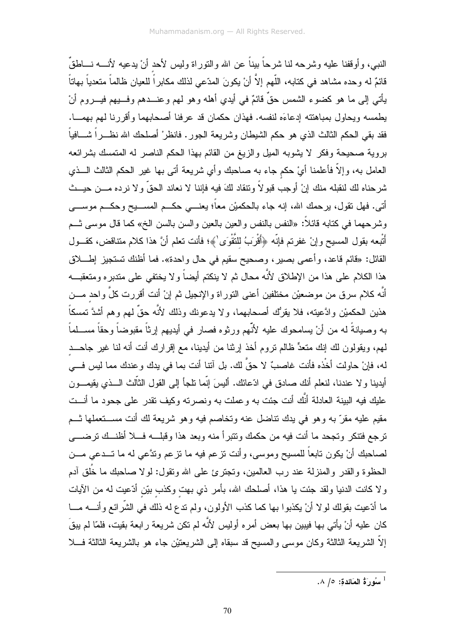النبي، و أو قفنا عليه و شر حه لنا شر حاً بيناً عن الله و النور اة وليس لأحد أنْ يدعيه لأنــــه نـــاطقٌ قائمٌ له وحده مشاهد في كتابه، اللَّهم إلاَّ أنْ يكونَ المدّعى لذلك مكابراً للعيان ظالماً متعدياً بهاناً يأتـي إلـي مـا هو كضـوء الشمس حقٌّ قائمٌ فـي أيدي أهله وهو لـهم وعنــــدهم وفـــيهم فيــــروم أنْ يطمسه ويحاول بمباهنته إدعاءَه لنفسه. فهذان حكمان قد عرفنا أصحابهما وأقررنا لهم بهمـــا. فقد بقى الحكم الثالث الذي هو حكم الشيطان وشريعة الـجور . فانظر ْ أصلحك الله نظــــراً شــــافياً ۖ بروية صحيحة وفكر لا يشوبه الميل والزيغ من القائم بهذا الحكم الناصر له المتمسك بشرائعه العامل به، وإلاَّ فأعلمنا أيْ حكم جاء به صاحبك وأي شريعة أتى بها غير الحكم الثالث الـــذي شرحناه لك لنقبله منك إنْ أوجب قبو لاً ونتقاد لكَ فيه فإننا لا نعاند الحقِّ و لا نرده مـــن حيـــث أتـي. فـهل نقول، برحمك الله، إنه جاء بالحكميْن معاً؛ يعنـــي حكـــم المســـيح وحكـــم موســــي وشرحهما في كتابه قائلاً: «النفس بالنفس والعين بالعين والسن بالسن الخ» كما قال موسى شــم أَتْبِعه بقول المسيح وإنْ غفرتم فإنّه ﴿أَقْرَبُ للنَّقْوَى ٰ﴾؛ فأنت تعلم أنَّ هذا كلام متناقض، كقــول القائل: «فائع قاعد، وأعمى بصير، وصحيح سقيع في حال واحدة». فما أظنك نستجيز إطــــلاق هذا الكلام على هذا من الإطلاق لأنَّه محال ثم لا ينكتم أيضاً ولا يختفي على متدبره ومتعقبـــه أنَّه كلام سرق من موضعيْن مختلفين أعني النوراة والإنجيل ثم إنْ أنت أقررت كلَّ واحد مـــن هذين الحكميْن وادَّعيته، فلا يقرُّك أصحابهما، ولا يدعونك وذلك لأنَّه حقٌّ لمهم وهم أشدَّ تمسكاً به وصبانةً له من أنْ يسامحوك عليه لأنَّهم ورثوه فصارٍ في أيديهم إرثاً مقبوضاً وحقاً مســـلماً لمهم، ويقولون لك إنك متعدٍّ ظالم نروم أخذ إرثنا من أيدينا، مع إقرارك أنت أنه لنا غير جاحـــد له، فإنْ حاولت أخْذه فأنت غاصبٌ لا حقَّ لك. بل آنتا أنت بما في يدك وعندك مما ليس فـــي أيدينا ولا عندنا، لنعلم أنك صادق في ادّعائك. أليسَ إنّما نلجأ إلى القول الثّالث الــذي يقيمـــون عليك فيه البينة العادلة أنَّك أنت جئت به وعملت به ونصرته وكيف نقدر على جحود ما أنـــت مقيم عليه مقرَّ به وهو في يدك نتاضل عنه وتخاصم فيه وهو شريعة لك أنت مســـتعملها ثـــم ترجع فتتكر وتجحد ما أنت فيه من حكمك ونتبرأ منه وبعد هذا وقبلسه فسلا أظنسك ترضسي لصاحبك أنْ يكون تابعاً للمسيح وموسى، وأنت نزعم فيه ما نزعم وندَّعي له ما تـــدعى مـــن الحظوة والقدر والمنزلة عند رب العالمين، وتجترئ على الله وتقول: لولا صاحبك ما خُلق أدم ولا كانت الدنيا ولقد جئت يا هذا، أصلحك الله، بأمر ذي بهت وكذب بيّن أدّعيت له من الآيات ما أدَّعيت بقولك لو لا أنْ يكذبوا بها كما كذب الأولون، ولم ندع له ذلك في الشَّرائع وأنــــه مــــا كان عليه أنْ يأتي بها فيبين بها بعض أمره أوليس لأنَّه لم نكن شريعة رابعة بقيت، فلمّا لم يبقَ إلاَّ الشريعة الثالثة وكان موسى والمسيح قد سبقاه إلى الشريعتيْن جاء هو بالشريعة الثالثة فـــلا

سُورَةُ المَائدة: ٥/ ٨.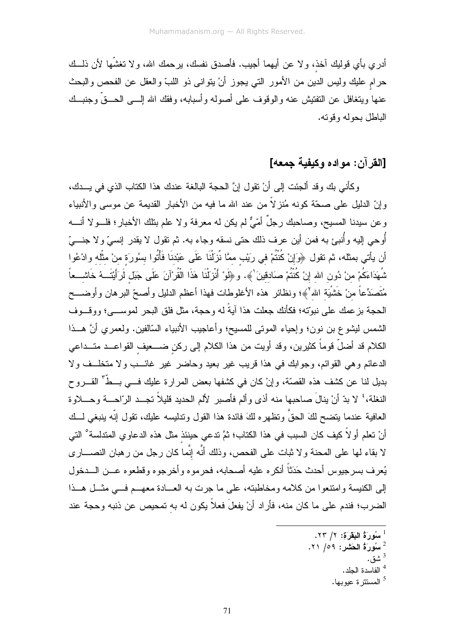أدر ي بأي قوليك آخذ، و لا عن أيهما أجيب. فأصدق نفسك، ير حمك الله، و لا نغشَّها لأن ذلــك حرام عليك وليس الدين من الأمور التي يجوز أنْ يتواني ذو اللبِّ والعقل عن الفحص والبحث عنها ويتغافل عن النفنيش عنه والوقوف على أصوله وأسبابه، وفقك الله إلــــى الـحـــقٌ وجنبـــك الباطل بحوله وقوته.

## [القر آن: مو اده وكيفية حمعه]

وكأني بك وقد ألجئت إلى أنْ نقول إنَّ الحجة البالغة عندك هذا الكتاب الذي في يــدك، و إنّ الدليل على صحّة كونه مُنز لاً من عند الله ما فيه من الأخبار القديمة عن موسى والأنبياء وعن سيدنا المسيح، وصـاحبك رجلٌ أمّيٌّ لم يكن له معرفة و لا علم بتلك الأخبار ؛ فلـــو لا أنــــه أُوحى إليه وأُنبئ به فمن أين عرف ذلك حتى نسقه وجاء به. ثم تقول لا يقدر إنسيَّ ولا جنــــيّ أن يأتي بمثله، ثم تقول ﴿وَإِنْ كُنْتُمْ في رِيْبٍ ممَّا نَّزِلْنَا عَلَى عَبْدنَا فَأْتُوا بِسُورَة منْ مثْله وادْعُوا شُهَدَاءَكُمْ منْ دُون الله إنْ كُنْتُمْ صَادقينَ ٰ﴾. و ﴿لَوْ أَنْزِلْنَا هَذَا الْقُرْآنَ عَلَى جَبَل لَرَأَيْتَــهُ خَاشـــعاً مُتَصَدِّعاً منْ خَشْيَة الله'﴾؛ ونظائر هذه الأغلوطات فهذا أعظم الدليل وأصحّ البرهان وأوضـــح الحجة بزعمك على نبوّته؛ فكأنك جعلت هذا آيةً له وحجة، مثل فلق البحر لموســـي؛ ووقـــوف الشمس ليشوع بن نون؛ وإحياء الموتى للمسيح؛ وأعاجيب الأنبياء السَّالفين. ولعمري أنَّ هــذا الكلام قد أضلٌ قوماً كثيرين، وقد أويت من هذا الكلام إلى ركن ضــــعيف القواعـــد متـــداعى الدعائم و هي القوائم، وجوابك في هذا قريب غير بعيد وحاضر غير غائـــب ولا متخلــف ولا بديل لنا عن كشف هذه القصَّة، وإنْ كان في كشفها بعض المرارة عليك فـــي بـــطَّ<sup>ّ</sup> القـــروح النغلة، ۚ لا بدِّ أنْ ينالَ صاحبها منه أذى وألم فأصبر لألم الحديد قليلاً نجــد الرّاحـــة وحـــلاوة العافية عندما يتضح لكَ الحقَّ وتظهره لكَ فائدة هذا القول وتدليسه عليك، تقول إنَّه ينبغي لـــك أنْ تعلم أو لاً كيف كان السبب في هذا الكتاب؛ ثمَّ تدعى حينئذ مثل هذه الدعاوي المتدلسة<sup>°</sup> التي لا بقاء لمها على المحنة ولا ثبات على الفحص، وذلك أنَّه إنَّما كان رجل من رهبان النصــــار ي يُعرف بسرجيوس أحدث حَدَثاً أنكره عليه أصحابه، فحرموه وأخرجوه وقطعوه عــن الـــدخول إلى الكنيسة وامتنعوا من كلامه ومخاطبته، على ما جرت به العسادة معهــم فـــى مثـــل هـــذا الضرب؛ فندم على ما كان منه، فأراد أنْ يفعلُ فعلاً يكون له به تمحيص عن ذنبه وحجة عند

- <sup>1</sup> سُورَةُ الْبَقَرَةِ: ٢/ ٢٣.
- سُورَةُ الْحَشْرِ : ٥٩/ ٢١.
	- <sup>3</sup> شق.
	- الفاسدة الجلد.

<sup>&</sup>lt;sup>5</sup> المستتر ة عبويها.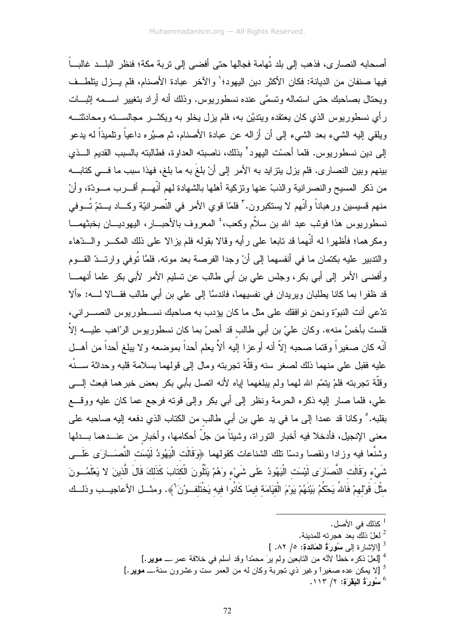أصـحابه النصـار ي، فذهب إلى بلد تُهامة فجالها حتى أفضـى إلى تر بة مكة؛ فنظر البلــد غالبــاً فيها صنفان من الديانة: فكان الأكثر دين اليهو د؛ ٰ و الآخر عبادة الأصنام، فلم يــز ل يتلطــف ويحتال بصاحبك حتى استماله وتسمَّى عنده نسطوريوس. وذلك أنه أراد بتغيير اســـمه إثبـــات رأي نسطوريوس الذي كان يعتقده ويتديَّن به، فلم يزل يخلو به ويكثــــر مجالســــته ومحادثتــــه ويلقي الِيه الشيء بعد الشيء إلى أن أزاله عن عبادة الأصنام، ثم صبَّره داعياً ونلميذاً له يدعو إلى دين نسطوريوس. فلما أحسّت اليهود<sup>٬</sup> بذلك، ناصبته العداوة، فطالبته بالسبب القديم الـــذي بينهم وبين النصاري. فلم يزل يتزايد به الأمر إلى أنْ بلغَ به ما بلغ، فهذا سبب ما فـــى كتابـــه من ذكر المسيح و النصر انية و الذبِّ عنها و تز كية أهلها بالشهادة لهم أنَّهــم أقـــر ب مـــودَّة، و أنّ منهم قسيسين ور هباناً وأنَّهم لا يستكبرون. " فلمّا قوى الأمر في النَّصر انيّة وكـــاد يـــنمّ تُـــوفي نسطور بوس هذا فوثب عبد الله بن سلاَّم وكعب، ٔ المعر وف بالأحبـــار ، البهودبـــان بخبثهمـــا ومكر هما؛ فأظهر ا له أنَّهما قد تابعا على رأيه وقالا بقوله فلم يز الا على ذلك المكـــر والـــدّهاء والندبير عليه بكتمان ما في أنفسهما إلى أنْ وجدا الفرصة بعد مونه. فلمَّا نُوفي وارنـــدّ القـــوم وأفضى الأمر إلى أبي بكر، وجلس على بن أبي طالب عن نسليم الأمر لأبي بكر علما أنهمـــا قد ظفرا بما كانا يطلبان ويريدان في نفسيهما، فاندسًّا إلى على بن أبي طالب فقـــالا لــــه: «ألا ندَّعي أنت النبوِّة ونحن نوافقك على مثل ما كان يؤدب به صاحبك نســـطوريوس النصـــراني، فلست بأخسَّ منه». وكان عليّ بن أبي طالب قد أحسّ بما كان نسطور بوس الرّ اهب علبـــه إلاّ ا أنَّه كان صغير أ وقتما صحبه إلاَّ أنه أو عز ا إليه ألاَّ يعلم أحداً بموضعه و لا بيلغ أحداً من أهـــل عليه فقبل على منهما ذلك لصغر سنه و قلَّة تجر بنه و مال إلى قولهما بسلامة قلبه و حداثة ســـنَّه وقلَّة تجربته فلمْ يتمَّم الله لهما ولم يبلغهما إياه لأنه اتصل بأبي بكر بعض خبر هما فبعث إلــــي علي، فلما صار إليه ذكره الحرمة ونظر إلى أبي بكر وإلى قوته فرجع عما كان عليه ووقع بقلبه. ° وكانا قد عمدا إلى ما في يد على بن أبي طالب من الكتاب الذي دفعه إليه صاحبه على معنى الإنجيل، فأدخلا فيه أخبار النوراة، وشيئاً من جلَّ أحكامها، وأخبار من عنـــدهما بـــدلها وشنُّعا فيه وزادا ونقصا ودسَّا نلك الشناعات كقولهما ﴿وَقَالَت الْبَهُودُ لَيْسَت النُّصَـــارَى عَلَـــى شَىءْ وَقَالَت النَّصَارَى لَيْسَت الْيَهُودُ عَلَى شَىءْ وَهُمْ يَتْلُونَ الْكتَابَ كَذَلِكَ قَالَ الَّذينَ لا يَعْلَمُــونَ مثْلَ قَوْلهمْ فَاللهُ يَحْكُمُ بَيْنَهُمْ يَوْمَ الْقِيَامَة فيمَا كَانُوا فيه يَخْتَلف وُنَ ْ﴾. ومثـــل الأعاجيـــب وذلـــك

- <sup>1</sup> كذلك في الأصل.
- لعلّ ذلك بعد هجر ته للمدبنة.  $^2$
- $\left[ \begin{array}{cc} .\wedge \Upsilon & / \circ & . \end{array} \right]$ الاشار ة الى سُورةُ المَائدة: ٥/ ٨٢. ]
- <sup>4</sup> [لعلّ ذكر ه خطأ لأنَّه من التابعين ولم ير َ محمّداً وقد أسلم في خلافة عمر ــــ **موير .**]
- <sup>5</sup> [لا يمكن عده صغيراً وغير ذي تجربة وكان له من العمر ست وعشرون سنة.ـــ **موير .**]

 $\cdot$ ا سُورَةُ البَقَرَة: ١/ ١١٣.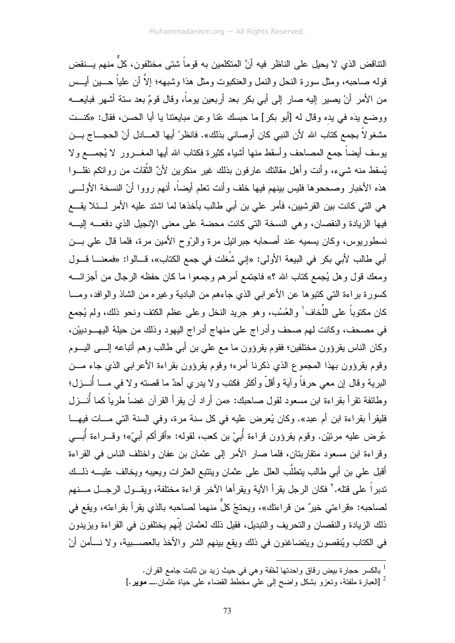النتاقض الذي لا يحيل على الناظر فيه أنَّ المتكلمين به قوماً شتى مختلفون، كلِّ منهم يـــنقض قوله صاحبه، ومثل سور ة النحل و النمل و العنكبوت ومثل هذا وشبهه؛ إلاَّ أن علياً حـــين أيــس من الأمر أنْ يصير إليه صار إلى أبي بكر بعد أربعين يوماً، وقال قومٌ بعد سنة أشهر فبايعـــه ووضع بدَه في بده وقال له [أبو بكر] ما حبسك عّنا وعن مبايعتنا يا أبا الحسن، فقال: «كنــت مشغو لاً بجمع كتاب الله لأن النبي كان أوصاني بذلك». فانظرْ أيها العـــادل أنّ الحجـــاج بـــن يوسف أيضاً جمع المصاحف وأسقط منها أشياء كثيرة فكناب الله أيها المغــــرور لا يُجمــــع ولا يُسقط منه شيء، وأنت وأهل مقالتك عارفون بذلك غير منكرين لأنَّ الثَّقات من رواتكم نقلـــوا هذه الأخبار وصححوها فليس بينهم فيها خلف وأنت تعلم أيضاً، أنهم رووا أنّ النسخة الأولـــي هي التي كانت بين القرشيين، فأمر علي بن أبي طالب بأخذها لما اشتد عليه الأمر لـــئلا يقــــع فيها الزيادة والنقصان، وهي النسخة التي كانت محضة على معنى الإنجيل الذي دفعــــه إليــــه نسطوريوس، وكان يسميه عند أصحابه جبرائيل مرة والرّوح الأمين مرة، فلما قال على بـــن أبي طالب لأبي بكر في البيعة الأولى: «إني شُغلت في جمع الكتاب»، قـــالوا: «فمعنـــا قـــول ومعك قول وهل يُجمع كتاب الله ؟» فاجتمع أمرهم وجمعوا ما كان حفظه الرجال من أجزائــــه كسورة براءة التي كتبوها عن الأعرابي الذي جاءهم من البادية وغيره من الشاذ والوافد، ومـــا كان مكتوباً على اللُّخاف' والعُسُب، وهو جريد النخل وعلى عظم الكتف ونحو ذلك، ولم يُجمع في مصحف، وكانت لهم صحف وأدراج على منهاج أدراج اليهود وذلك من حيلة اليهــودييْن، وكان الناس بقرؤون مختلفين؛ فقوم بقرؤون ما مع على بن أبي طالب وهم أنباعه إلـــي اليـــوم وقوم بقرؤون بهذا المجموع الذي ذكرنا أمره؛ وقوم بقرؤون بقراءة الأعرابي الذي جاء مـــن البرية وقال إن معي حرفاً وآية وأقلَّ وأكثر فكتب ولا يدري أحدٌ ما قصنته ولا في مـــا أُنــــزل؛ وطائفة نقرأ بقراءة ابن مسعود لقول صاحبك: «من أراد أن يقرأ القرآن غضاً طرياً كما أُنـــزل فليقرأ بقراءة ابن أم عبد». وكان يُعرِض عليه في كل سنة مرة، وفي السنة التي مـــات فيهـــا عُرض عليه مرتيْن. وقوم يقرؤون قراءة أُبيّ بن كعب، لقوله: «أقرأكم أبيّ»؛ وقـــراءة أُبـــي وقراءة ابن مسعود منقاربتان، فلما صار الأمر إلى عثمان بن عفان واختلف الناس في القراءة أقبل على بن أبي طالب بنطلَب العلل على عثمان وينتبع العثرات ويعيبه ويخالف عليــــه ذلـــك ندبراً على قتله.'' فكان الرجل بقرأ الآية ويقرأها الآخر قراءة مختلفة، ويقـــول الرجـــل مـــنهم لصاحبه: «فراءتـي خيرٌ من فراءتك»، ويحتجّ كلّ منهما لصاحبه بالذي يقرأ بقراءته، ويقع في ذلك الزيادة والنقصان والتحريف والتبديل، فقيل ذلك لعثمان إنّهم يختلفون في القراءة ويزيدون في الكتاب ويُنقصون ويتضاغنون في ذلك ويقع بينهم الشر والأخذ بالعصـــــبية، ولا نــــأمن أنْ

ً [العبارة ملفتة، وتعزو بشكل واضح إلى على مخطَّط القضاء على حياة عثَّمان ـــ موير .]

<sup>&</sup>lt;sup>1</sup> بالكسر حجارة بيض رقاق واحدتها لخفة وهي في حيث زيد بن ثابت جامع القرآن.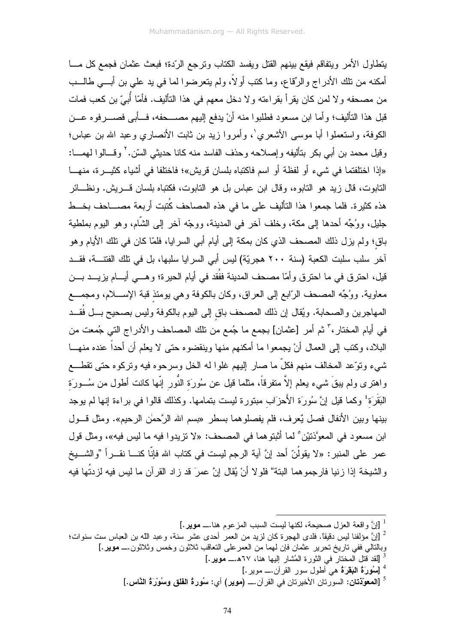يتطاول الأمر ويتفاقم فيقع بينهم القتل ويفسد الكتاب وترجع الرّدة؛ فبعث عثمان فجمع كل مسا أمكنه من نلك الأدراج والرِّقاع، وما كتب أولاً، ولم يتعرضوا لما في يد علي بن أبـــي طالــب من مصـحفه و لا لمن كان يقر أ بقر اءته و لا دخل معهم في هذا التأليف. فأمّا أُبيّ بن كعب فمات قبل هذا التأليف؛ وأما ابن مسعود فطلبوا منه أنْ يدفع إليهم مصـــحفه، فـــأبـي فصـــــرفوه عـــن الكوفة، واستعملوا أبا موسى الأشعري'، وأمروا زيد بن ثابت الأنصاري وعبد الله بن عباس؛ وفيل محمد بن أبي بكر بتأليفه وإصلاحه وحذف الفاسد منه كانا حديثي السّن.' وقسالوا لهمسا: «إذا اختلفتما في شيء أو لفظة أو اسم فاكتباه بلسان قريش»؛ فاختلفا في أشباء كثيـــرة، منهــــا التابوت، قال زيد هو التابو ه، وقال ابن عباس بل هو التابوت، فكتباه بلسان قـــر بش. ونظـــائر هذه كثير ة. فلما جمعو ا هذا التأليف على ما في هذه المصاحف كُتبت أربعة مصــــاحف بخـــط جلبل، ووُجِّه أحدها إلى مكة، وخلف آخر ً في المدبنة، ووجّه آخر إلى الشَّام، وهو البوم بملطبة باق؛ ولم يزل ذلك المصحف الذي كان بمكة إلى أيام أبي السرايا، فلمّا كان في تلك الأيام وهو آخر سلب سلبت الكعبة (سنة ٢٠٠ هجريّة) ليس أبي السرايا سلبها، بل في تلك الفتنـــة، فقـــد قيل، احترق في ما احترق وأمّا مصحف المدينة ففُقد في أيام الحيرة؛ وهـــي أيــــام يزيــــد بــــن معاوية. ووُجِّه المصحف الرّابع إلى العراق، وكان بالكوفة وهي يومئذ قبة الإســــلام، ومجمـــع المهاجرين والصحابة. ويُقال إن ذلك المصحف باق إلى اليوم بالكوفة وليس بصحيح بـــل فُقـــد في أيام المختار ،" ثم أمر [عثمان] بجمع ما جُمع من تلك المصاحف والأدراج التي جُمعت من البلاد، وكتب إلى العمال أنْ بجمعو ا ما أمكنهم منها وينقضو ه حتى لا يعلم أن أحداً عنده منهـــا شيء وتوَّعد المخالف منهم فكلَّ ما صار إليهم غلوا له الخل وسرحوه فيه وتركوه حتى تقطـــع واهترى ولم يبقَ شيىء يعلم إلاّ منفرقاً، مثلما قيل عن سُورَة النَّور إنَّها كانت أطول من سُـــورَة البَقَرَة ۚ وكما قيل إنَّ سُورَة الأَحزَاب مبتورة ليست بتمامها. وكذلك قالوا في براءة إنها لم يوجد بينها وبين الأنفال فصل يُعرف، فلم يفصلوهما بسطرٍ «بسم الله الرَّحمٰن الرحيم». ومثل قـــول ابن مسعود في المعوَّذنيْن ْ لما أَثبتوهما في المصحف: «لا نزيدوا فيه ما ليس فيه»، ومثل قول عمر على المنبر : «لا يقولُنّ أحد إنَّ آية الرجم ليست في كتاب الله فإنَّا كنـــا نقـــراً "والشـــبخ و الشيخة إذا زينيا فارجمو هما البتة" فلو لا أنْ يُقال إنَّ عمرَ قد زاد القرآن ما ليس فيه لزيتُها فيه

- <sup>3</sup> [لقد قتل المختار في الثورة المُشار إليها هنا، ٦٧هـــــ **موير .**]
	- <sup>4</sup> [سُهُورَةُ ال**بَقَر**َةُ هي أَطول سور القرآن.ـــ موير .]
- <sup>5</sup> [المعوّذتان: السورتان الأخيرتان في القرآن.ـــ (موير) أي: سُورةُ الفَلْق وسُوْرَةُ النَّاس.]

<sup>&</sup>lt;sup>1</sup> [إنَّ واقعة العز ل صحيحة، لكنها ليست السبب المزعوم هنا.ـــ موير .]

لِنَّ مؤلفنا ليس دقيقاً. فلدى الهجرة كان لزيد من العمر أحدى عشر سنة، وعبد الله بن العباس ست سنوات؛ " وبالنالي ففي ناريخ نحرير عثمان فإن لهما من العمرعلى النعاقب ثلاثون وخمس وثلاثون.\_ موير .]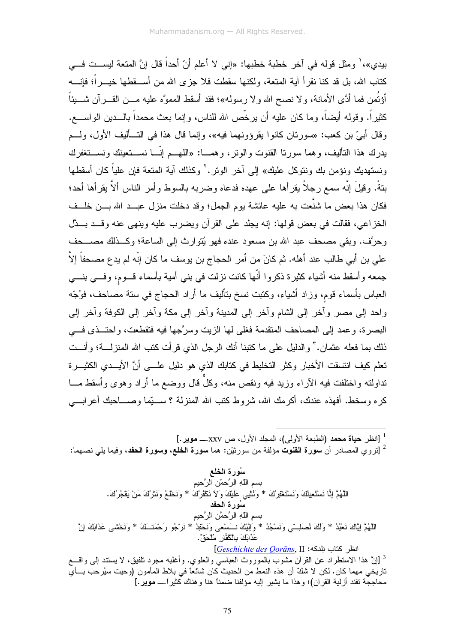بيدي»، ٰ ومثل قوله في آخر خطبة خطبها: «إني لا أعلم أنّ أحداً قال إنَّ المتعة ليســت فـــي كتاب الله، بل قد كنا نقر أ آية المتعة، ولكنها سقطت فلا جز ي الله من أســـقطها خيــــر أ؛ فإنــــه أَوْتُمِن فما أدَّى الأمانة، و لا نصح الله و لا رسوله»؛ فقد أسقط المموَّه عليه مـــن القـــر آن شــــيئاً كثيراً. وقوله أيضاً، وما كان عليه أن يرخَّص الله للناس، وإنما بعث محمداً بالــــدين الواســــع. وقال أبيّ بن كعب: «سورتان كانوا يقرؤونهما فيه»، وإنما قال هذا في التــأليف الأول، ولــم يدرك هذا التأليف، وهما سورتا القنوت والونر، وهمـــا: «اللهـــم إنّـــا نســـتعينك ونســـتغفرك ونستهديك ونؤمن بك ونتوكل عليك» إلى أخر الونر .<sup>٢</sup> وكذلك أية المتعة فإن علياً كان أسقطها بِتةً. وقيلَ إنَّه سمع رجلاً بقر أها على عهده فدعاه وضربه بالسوط وأمر الناس ألاَّ بقر أها أحد؛ فكان هذا بعض ما شنَّعت به عليه عائشة يوم الجمل؛ وقد دخلت منزل عبــد الله بـــن خلــف الْخِزِ اعنِ، فقالت في بعض قولها: إنه بجلد على القرآن وبضرب عليه وبنهي عنه وقب بِسِدَّل وحرَّف. وبقى مصحف عبد الله بن مسعود عنده فهو يُتوارث إلى الساعة؛ وكـــذلك مصــــحف على بن أبي طالب عند أهله. ثم كانَ من أمر الحجاج بن يوسف ما كان إنّه لم يدع مصحفاً إلاّ جمعه وأسقط منه أشياء كثيرة ذكروا أنّها كانت نزلت في بني أمية بأسماء قـــوم، وفـــي بنــــي العباس بأسماء قوم، وزاد أشياء، وكتبت نسخ بنأليف ما أراد الـحجاج في سنة مصـاحف، فوُجّه واحد إلى مصر وأخر إلى الشام وأخر إلى المدينة وأخر إلى مكة وأخر إلى الكوفة وأخر إلى البصر ة، و عمد إلى المصاحف المتقدمة فغلي لها الزبت وسرَّجها فيه فتقطعت، واحتــذى فـــي ذلك بما فعله عثمان." والدليل على ما كتبنا أنك الرجل الذي قر أت كتب الله المنز لــــة؛ و أنـــت تعلم كيف انتسقت الأخبار وكثر التخليط في كتابك الذي هو دليل علـــي أنَّ الأيـــدي الكثيـــرة نداولته واختلفت فيه الأراء وزيد فيه ونقص منه، وكلَّ قال ووضع ما أراد وهوى وأسقط مـــا كر ه وسخط. أفهذه عندك، أكر مك الله، شر وط كتب الله المنزلة ؟ ســـبّما وصــــاحبك أعر ابــــى

<sup>1</sup> [انظر حياة محمد (الطبعة الأولى)، المجلد الأول، ص xxv.ــــ موير.]

ً [تروي المصادر أن **سورة القنوت** مؤلفة من سورتَيْن: هما **سورة الخلع، وسورة الحفد**، وفيما يل<sub>ّى</sub> نصهما:

سُورة الخلع بسم اللَّهِ الرَّحمّن الرَّحيمِ اللَّهُمَّ إِنَّا نَسْتَعِيثُكَ وَنَسْتَغْفِرُكَ \* وَثْنَيْبِي عَلَيْكَ وَلاَ نَكْفُرُكَ \* وَنَخْلَعُ وَنَثْرُكَ مَنْ يَقْجُرُكَ. سُورة الحفد بسمِ اللَّهِ الرَّحمَّنِ الرَّحيمِ اللَّهُمَّ إِيَّاكَ نَعْبُدُ \* وَلَكَ نُصلِّــّي وَنَسْجُدُ \* وَالِبَيْكَ نـــَسْعي وَنَحْفِدُ \* نَرْجُو رَحْمَتَــكَ \* وَنَخْشمي عَذَابَكَ إِنَّ عَذَابَكَ بِالْكُفَّارِ مُلْحَقٌ. انظر كتاب نلدكه: Geschichte des Qorāns, II <sup>3</sup> [إنَّ هذا الاستطراد عن القرآن مشوب بالموروث العباسي والعلوي. وأغلبه مجرد نلفيق، لا يستند إلى واقسع تاريخي مهما كان. لكن لا شكّ أن هذه النمط من الحديث كان شائعاً في بلاط المأمون (وحيت سيُرحب بـــأي محاججة تفند أز لية القر آن)؛ و هذا ما بشير اليه مؤلفنا ضمناً هنا و هناك كَثير أ.ـــ موير .]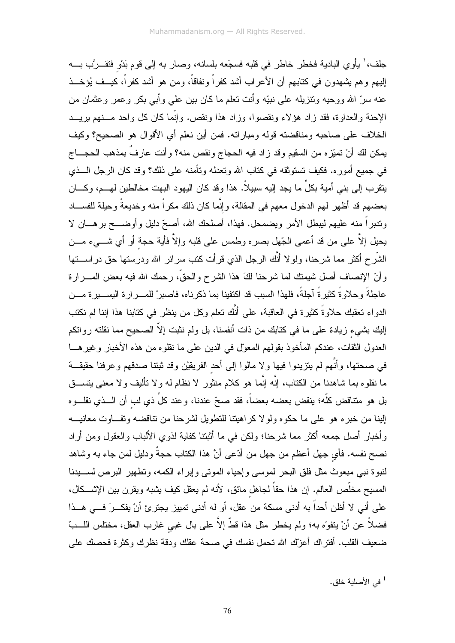جلف، ٰ يأوي البادية فخطر خاطر في قلبه فسجَعه بلسانه، وصار به إلى قوم بَدْوِ فتقـــرَّب بــــه إليهم وهم يشهدون في كتابهم أن الأعراب أشد كفراً ونفاقاً، ومن هو أشد كفراً، كيــف يُؤخــذ عنه سرّ الله ووحيه ونتزيله على نبيّه وأنت تعلّم ما كان بين علي وأبي بكر وعمر وعثمان من الإحنة والعداوة، فقد زاد هؤلاء ونقصوا، وزاد هذا ونقص. وإنَّما كان كل واحد مـــنهم يريـــد الخلاف على صاحبه ومناقضته قوله ومباراته. فمن أين نعلم أي الأقوال هو الصحيح؟ وكيف يمكن لك أنْ تميّزه من السقيم وقد زاد فيه الحجاج ونقص منه؟ وأنت عارفٌ بمذهب الحجـــاج في جميع أموره. فكيف تستوثقه في كتاب الله وتعدله وتأمنه على ذلك؟ وقد كان الرجل الـــذي يتقرب إلى بني أمية بكلٍّ ما يجد إليه سبيلاً. هذا وقد كان اليهود البهت مخالطين لمهـــم، وكــــان بعضهم قد أظهر لهم الدخول معهم في المقالة، وإنَّما كان ذلك مكراً منه وخديعةً وحيلة للفســـاد وندبراً منه عليهم ليبطل الأمر ويضمحل. فهذا، أصلحك الله، أصحِّ دليلٍ وأوضـــح برهـــان لا يحيل إلاَّ على من قد أعمى الجّهل بصره وطمس على قلبه وإلاَّ فأية حجة أو أي شـــيء مـــن الشَّرح أكثر مما شرحنا، ولولا أنَّك الرجل الذي قرأت كتب سرائر الله ودرستها حق دراســـتها وأنَّ الإنصاف أصل شيمنك لما شرحنا لكَ هذا الشرح والحقَّ، رحمك الله فيه بعض المــــرارة عاجلةً وحلاوةً كثيرةً آجلةً، فلهذا السبب قد اكتفينا بما ذكرناه، فاصبر ْ للمــــرارة اليســـيرة مـــن الدواء تعقبك حلاوةً كثيرة في العاقبة، على أنَّك تعلم وكل من ينظر في كتابنا هذا إننا لم نكتب إليك بشيء زيادة على ما في كتابك من ذات أنفسنا، بل ولم نثبت إلاّ الصحيح مما نقلته رواتكم العدول الثقات، عندكم المأخوذ بقولهم المعول في الدين على ما نقلوه من هذه الأخبار وغير هـــا في صحتها، وأنَّهم لم يتزيدوا فيها ولا مالوا إلى أحد الفريقيْن وقد ثبتنا صدقهم وعرفنا حقيقـــة ما نقلوه بما شاهدنا من الكتاب، إنَّه إنَّما هو كلام منثور لا نظام له ولا نأليف ولا معنى بتســـق بل هو منتاقض كلّه؛ ينقض بعضه بعضاً، فقد صحّ عندنا، وعند كلِّ ذي لب أن الـــذي نقلـــوه إلينا من خبره هو على ما حكوه ولولا كراهيتنا للنطويل لشرحنا من نتاقضه ونفـــاوت معانيــــه وأخبار أصل جمعه أكثر مما شرحنا؛ ولكن في ما أثبتنا كفاية لذوي الألباب والعقول ومن أراد نصح نفسه. فأي جهل أعظم من جهل من أدّعي أنَّ هذا الكتاب حجةٌ ودليل لمن جاء به وشاهد لنبوة نبي مبعوث مثل فلق البحر لموسى وإحباء الموتى وإبراء الكمه، وتطهير البرص لســـبدنا المسيح مخلَّص العالم. إن هذا حقاً لجاهل مائق، لأنه لم يعقل كيف يشبه ويقرن بين الإشـــكال، على أني لا أظن أحداً به أدنى مسكة من عقل، أو له أدنى تمييز يجترئ أنْ يفكـــرَ فـــي هـــذا فضلاً عن أنْ يتفوّه به؛ ولم يخطر مثل هذا قطّ إلاَّ على بال غبي غارب العقل، مختلس اللـــبّ ضعيف القلب. أفتراك أعزّك الله نحمل نفسك في صحة عقلك ودقة نظرك وكثرة فحصك على

<sup>&</sup>lt;sup>1</sup> في الأصلبة خلق.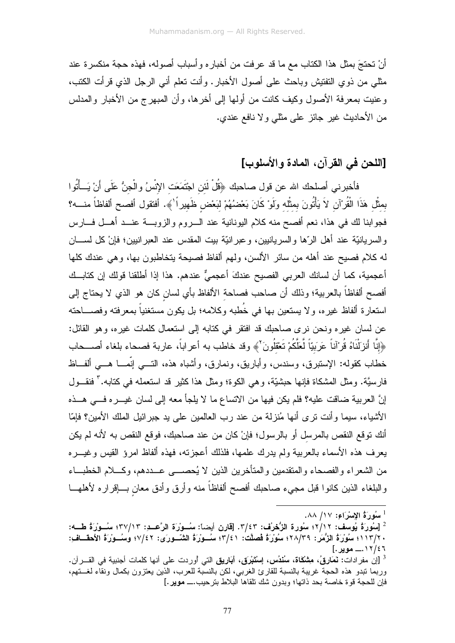أنْ تحتجَ بمثل هذا الكتاب مع ما قد عرفت من أخباره وأسباب أصوله، فهذه حجة منكسرة عند مثلي من ذوي التفتيش وباحث على أصول الأخبار . وأنت تعلم أني الرجل الذي قرأت الكتب، وعنيت بمعرفة الأصول وكيف كانت من أولها إلى أخرها، وأن المبهرج من الأخبار والمدلس من الأحاديث غير جائز على مثلي ولا نافع عندي.

# [اللحن في القرآن، المادة و الأسلوب]

فأخبرني أصلحك الله عن قول صاحبك ﴿قُلْ لَئن اجْتَمَعَت الإِنْسُ والْجنُّ عَلَى أَنْ يَــأْتُوا بمثَّل هَذَا الْقُرْآنِ لاَ يَأْتُونَ بمثَّله ولَوْ كَانَ بَعْضُهُمْ لبَعْض ظَهيراً لَهٖ. أفتقول أفصح ألفاظاً منــــه؟ فجوابنا لك في هذا، نعم أفصح منه كلام البونانية عند السروم والزوبسة عنسد أهسل فسارس والسريانيَّة عند أهل الرَّها والسريانيين، وعبرانيَّة بيت المقدس عند العبرانيين؛ فإنْ كل لســـان له كلام فصيح عند أهله من سائر الألسن، ولهم ألفاظ فصيحة يتخاطبون بها، وهي عندك كلها أعجمية، كما أن لسانك العربي الفصيح عندكَ أعجميٌّ عندهم. هذا إذا أطلقنا قولك إن كتابــك أفصح ألفاظاً بالعربية؛ وذلك أن صاحب فصاحة الألفاظ بأي لسان كان هو الذي لا يحتاج إلى استعارة ألفاظ غيره، ولا يستعين بها في خُطبه وكلامه؛ بل يكون مستغنياً بمعرفته وفصــــاحته عن لسان غيره ونحن نرى صاحبك قد افتقر في كتابه إلى استعمال كلمات غيره، وهو القائل: ﴿إِنَّا أَنزَلْنَاهُ قُرْآناً عَرَبَيّاً لِّعَلَّكُمْ نَعْقُلُونَ ۚ وقد خاطب به أعر اباً، عاربة فصحاء بلغاء أصـــحاب خطاب كقوله: الإستبرق، وسندس، وأباريق، ونمارق، وأشباه هذه، التــــى إنَّمــــا هــــى ألفـــاظ فارسيَّة. ومثل المشكاة فإنها حبشيَّة، وهي الكوة؛ ومثل هذا كثير قد استعمله في كتابه." فنقـــول إنَّ العربية ضاقت عليه؟ فلم يكن فيها من الانساع ما لا يلجأ معه إلى لسان غيـــره فـــي هـــذه الأشباء، سيما وأنت نرى أنها مُنزلة من عند رب العالمين على يد جبرائيل الملك الأمين؟ فإمّا أنك توقع النقص بالمرسل أو بالرسول؛ فإنْ كان من عند صاحبك، فوقع النقص به لأنه لم يكن يعرف هذه الأسماء بالعربية ولم يدرك علمها، فلذلك أعجزته، فهذه ألفاظ امرؤ القيس وغيـــره من الشعراء والفصحاء والمنقدمين والمتأخرين الذين لا يُحصـــي عـــددهم، وكــــلام الخطبـــاء والبلغاء الذين كانوا قبل مجيء صاحبك أفصح ألفاظاً منه وأرق وأدق معان بساقراره لأهلهسا

<sup>-</sup> سُورَةُ الإِسْرَاءِ: ١٧/ ٨٨.

<sup>&</sup>lt;sup>2</sup> [سُورَةُ يُوسف: ٢/١٢؛ سُورة الزُّحْرُف: ٣/٤٣. [قارن أيضاً: سُــورَة الرَّعــدِ: ٣٧/١٣؛ سُــورَةُ طـــه: ٢ /١١٣/٢؛ سُورَةُ الزُّمَرِ: ٢٨/٣٩؛ سُورَةُ فَصلَّتَ: ٣/٤١؛ سُــورَةُ الشَّــورَى: ٧/٤٢؛ وسُــورَةُ الأحقــافِ: ١٢/٤٦.\_\_ موير .]

<sup>&</sup>lt;sup>3</sup> [إن مفرادات: **نَمَارقُ، مِشْكَاة، سُنْدُس، إسْتَبْرَق، أبَاريق** التي أوردت على أنها كلمات أجنبية في القـــرآن. وربما نبدو هذه الحجة غريبة بالنسبة للقارئ الغربي، لكن بالنسبة للعرب، الذين يعتزون بكمال ونقاء لغــتهم، فإن للحجة قو ة خاصة بحد ذاتها؛ وبدون شك تلقاها البلاط بتر حبب.ـــ موير .]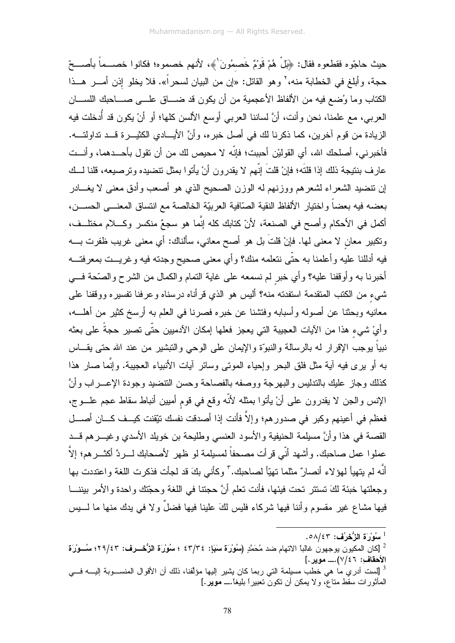حيث حاجّوه فقطعوه فقال: ﴿بِلْ هُمْ قَوْمٌ خَصمُونَ ٰ﴾، لأنهم خصموه؛ فكانوا خصـــماً بأصــــحّ حجة، وأبلغ في الخطابة منه، ْ وهو القائل: «إن من البيان لسحر أ». فلا يخلو إذن أمـــر هـــذا الكتاب وما وُضع فيه من الألفاظ الأعجمية من أن يكون قد ضـــاق علـــي صــــاحبك اللســـان العربي، مع علمنا، نحن وأنت، أنَّ لساننا العربي أوسع الألسن كلها؛ أو أنْ يكون قد أُدخلت فيه الزيادة من قوم أخرين، كما ذكرنا لك في أصل خبره، وأنَّ الأيـــادي الكثيـــرة قـــد تداولتــــه. فأخبرني، أصلحك الله، أي القوليْن أحببت؛ فإنّه لا محيص لك من أن تقول بأحـــدهما، وأنـــت عارف بنتيجة ذلك إذا قلتَه؛ فإنْ قلتَ إنّهم لا يقدرون أنْ يأتوا بمثل نتضيده وترصيعه، قلنا لـــك إن نتضيد الشعراء لشعرهم ووزنهم له الوزن الصحيح الذي هو أصعب وأدق معنى لا يغـــادر بعضه فيه بعضاً واختيار الألفاظ النقية الصّافية العربيّة الخالصة مع انتساق المعنـــي الحســـن، أكمل في الأحكام وأصح في الصنعة، لأنّ كتابك كله إنّما هو سجعٌ منكسرٍ وكـــلام مختلّــف، ونكبير معان لا معنى لها. فإنْ قلتَ بل هو أصح معاني، سألناك: أي معنى غريب ظفرت بــــه فيه أدللنا عليه وأعلمنا به حتّى نتعلمه منك؟ وأي معنى صحيح وجدته فيه وغريــت بمعرفتـــه أخبرنا به وأوقفنا عليه؟ وأي خبر لم نسمعه على غاية النمام والكمال من الشرح والصَّحة فـــي شيء من الكتب المتقدمة استفدته منه؟ أليس هو الذي قرأناه درسناه وعرفنا تفسيره ووقفنا على معانيه وبحثنا عن أصوله وأسبابه وفتشنا عن خبره فصرنا في العلم به أرسخ كثير من أهلـــه، و أيْ شيء هذا من الآيات العجيبة التي يعجز فعلها إمكان الآدميين حتّى تصبر حجةً على بعثه نبياً بوجب الإقرار له بالرسالة والنبوّة والإيمان على الوحي والتبشير من عند الله حتى بقـــاس به أو برى فيه آية مثل فلق البحر وإحياء الموتى وسائر آيات الأنبياء العجيبة. وإنَّما صار هذا كذلك وجاز عليك بالندليس والبهرجة ووصفه بالفصاحة وحسن النتضيد وجودة الإعـــراب وأنَّ الإنس والجن لا يقدرون على أنْ يأتوا بمثله لأنَّه وقع في قوم أميين أنباط سقاط عجم علـــوج، فعظم في أعينهم وكبر في صدورهم؛ وإلاَّ فأنت إذا أصدقت نفسك نتِّقنت كيــف كـــان أصــــل القصة في هذا وأنَّ مسيلمة الحنيفية والأسود العنسي وطليحة بن خويلد الأسدي وغيــــرهم قــــد عملوا عمل صاحبك. وأشهد أنّي قرأت مصحفاً لمسيلمة لو ظهر الأصحابك لــــردَّ أكثــــرهم؛ إلاَّ أنَّه لم يتهيأ لمهوَلاء أنصارٌ مثلما تهيّاً لصاحبك." وكأنبي بكَ قد لجأت فذكرت اللغة واعتددت بها وجعلتها خبئة لكَ تستتر تحت فيئها، فأنت تعلم أنَّ حجتنا في اللغة وحجّتك واحدة والأمر بيننـــا فيها مشاع غير مقسوم وأننا فيها شركاء فليس لكَ علينا فيها فضلٌ ولا في يدك منها ما لــــبس

 $1$ سُوْرَة الزُّحْرُف: ٥٨/٤٣.

<sup>&</sup>lt;sup>2</sup> [كان المكبون بوجهون غالباً الاتهام ضد مُحَمَّدِ (سُوُرَة سَبَإ: ٤٣/٣٤ ؛ سُوُرَة الزُّحْــرف: ٢٩/٤٣؛ سُــوْرَة الأحقاف: ٧/٤٦).\_ موير .]

<sup>&</sup>lt;sup>3</sup> [لست أدري ما هي خطب مسلِمة التي ربما كان يشير إليها مؤلّفنا، ذلك أن الأقوال المنســـوبة إليــــه فــــي المأثورات سقط متاعٌ، ولا يمكن أن تكونٌ تعبيراً بليغاً ـــ مويرٍ.]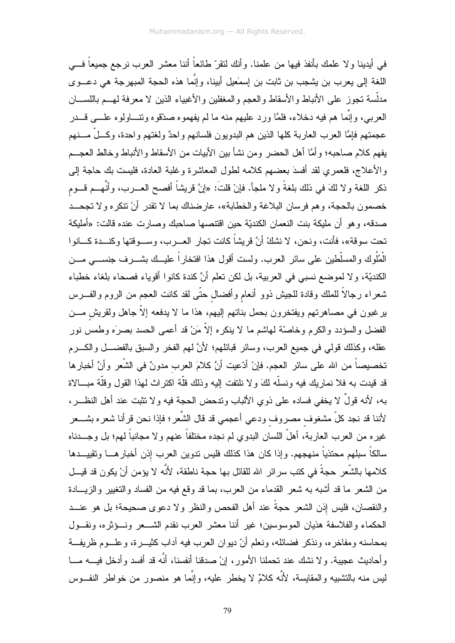في أيدينا ولا علمك بأنفذ فيها من علمنا. وأنك لنقرّ طائعاً أننا معشر العرب نرجع جميعاً فـــي اللغة إلى يعرب بن يشجب بن ثابت بن إسمٰعيل أبينا، وإنَّما هذه الحجة المبهرجة هي دعـــوى مدلَّسة نـجوز علـى الأنباط والأسقاط والـعجم والمغفلين والأغبياء الذين لا مـعرفة لـهـــم باللســــان العربـي، وإنَّمـا هم فيه دخلاء، فلمَّا ورد عليهم منه ما لم يفهموه صدَّقوه ونتــــاولوه علــــي قــــدر عجمتهم فإمَّا العرب العاربة كلها الذين هم البدويون فلسانهم واحدٌ ولغتهم واحدة، وكـــلٌ مــــنهم يفهم كلام صـاحبه؛ وأمَّا أهل الـحضر ومن نشأ بين الأبيات من الأسقاط والأنباط وخالط العجـــم والأعلاج، فلعمري لقد أفسدَ بعضهم كلامه لطول المعاشرة وغلبة العادة، فليست بك حاجة إلى ذكر اللغة ولا لكَ في ذلك بلغةً ولا ملجأ. فإنْ قلتُ: «إنَّ قريشاً أفصح العـــرب، وأنَّهـــم قـــوم خصمون بالحجة، وهم فرسان البلاغة والخطابة»، عارضناك بما لا نقدر أنْ نتكره ولا تجحــد صدقه، و هو أن ملبكة بنت النعمان الكنديّة حبن اقتتصـها صـاحبك وصـار ت عنده قالت: «أملبكة تحت سوقة»، فأنت، ونحن، لا نشكّ أنَّ قريشاً كانت تجار العـــرب، وســـوقتها وكنـــدة كـــانوا الْمُلُوك والمسلَّطين على سائر العرب. ولست أقول هذا افتخاراً عليــك بشــــرف جنســــى مــــن الكنديّة، ولا لموضع نسبي في العربية، بل لكن نعلم أنَّ كندة كانوا أقوياء فصحاء بلغاء خطباء شعراء رجالاً للملك وقادة للجيش ذوو أنعام وأفضال حتّى لقد كانت العجم من الروم والفـــرس برغبون في مصاهرتهم ويفتخرون بحمل بناتهم إليهم، هذا ما لا يدفعه إلاَّ جاهل ولقريش مـــن الفضل والسؤدد والكرم وخاصّة لمهاشم ما لا ينكره إلاّ مَنْ قد أعمى الحسد بصرَه وطمس نور عقله، وكذلك قولي في جميع العرب، وسائر قبائلهم؛ لأنَّ لهم الفخر والسبق بالفضــــل والكــــرم تخصيصاً من الله على سائر العجم. فإنْ أدّعيت أنَّ كلامَ العرب مدونٌ في الشَّعر وأنَّ أخبارها قد قيدت به فلا نماريك فيه ونسلّه لكَ ولا نلتفت إليه وذلك قلّة اكتراث لهذا القول وقلّة مبـــالاة به، لأنه قولٌ لا يخفى فساده على ذوي الألباب وندحض الحجة فيه ولا نتثبت عند أهل النظـــر، لأننا قد نجد كلِّ مشغوف مصروف ودعي أعجمي قد قال الشُّعر ؛ فإذا نحن قرأنا شعره بشــــعر غيره من العرب العاربة، أهلَّ اللسان البدوي لم نجده مختلفاً عنهم ولا مجانباً لهم؛ بل وجـــدناه سالكاً سبلهم محتذياً منهجهم. وإذا كان هذا كذلك فليس ندوين العرب إذن أخبارهـــا ونقييـــدها كلامها بالشَّعر ِ حجةً في كتب سر ائر ِ الله للقائل بها حجة ناطقة، لأنَّه لا يؤمن أنْ يكون قد قيـــل من الشعر ما قد أشبه به شعر القدماء من العرب، بما قد وقع فيه من الفساد والنغيير والزيــــادة والنقصان، فليس إذن الشعر حجةً عند أهل الفحص والنظر ولا دعوى صحيحة؛ بل هو عنـــد الحكماء والفلاسفة هذيان الموسوسين؛ غير أننا معشر العرب نقدم الشـــعر ونـــؤثره، ونقـــول بمحاسنه ومفاخره، ونذكر فضائله، ونعلم أنّ ديوان العرب فيه آداب كثيـــرة، وعلـــوم ظريفـــة وأحاديث عجيبة. ولا نشك عند نحملنا الأمور، إنْ صدقنا أنفسنا، أنَّه قد أفسد وأدخل فيــــه مــــا ليس منه بالنشبيه والمقايسة، لأنَّه كلامٌ لا يخطر عليه، وإنَّما هو منصور من خواطر النفـــوس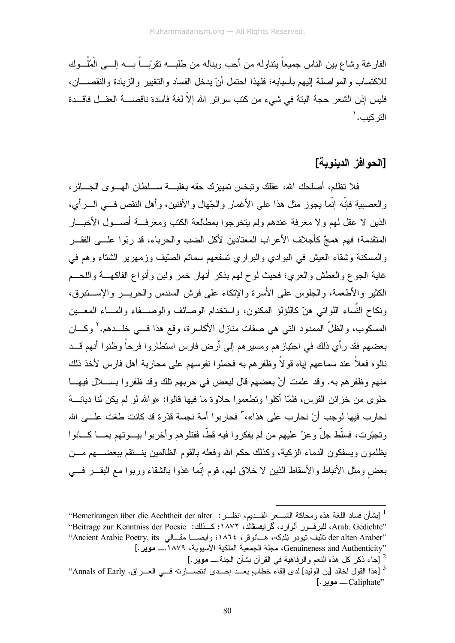الفارغة وشاع بين الناس جميعاً ينتاوله من أحب ويناله من طلبـــه نقرببـــاً بــــه اِلــــي الْمُلُـــو ك للاكتساب والمو اصلة إليهم بأسبابه؛ فلهذا احتمل أنْ يدخل الفساد والتغيير والزيادة والنقصـــان، فليس إذن الشعر \_حجة البتة في شيء من كتب سر ائر \_الله إلاّ لغة فاسدة ناقصـــــة العقـــل فاقـــدة التر كىب. '

#### [الحو افز/الدينوية]

فلا نظلم، أصلحك الله، عقلك وتبخس تمييزك حقه بغلبـــة ســــلطان الهـــوى الجــــائر ، والعصيبة فانَّه إنَّما بجوزٍ مثل هذا على الأغمار والجِّهال والآفنين، وأهل النقص في السر أي، الذين لا عقل لهم ولا معرفة عندهم ولم يتخرجوا بمطالعة الكتب ومعرفــة أصـــول الأخبـــار المتقدمة؛ فهم همجٌ كأجلاف الأعر اب المعتادين لأكل الضب والحرباء، قد ربّوا علـــى الفقـــر والمسكنة وشقاء العيش في البوادي والبراري نسفعهم سمائم الصَّيف وزمهرير الشتاء وهم في غاية الجوع والعطش والعري؛ فحيث لوح لهم بذكر أنهار خمر ولبن وأنواع الفاكهـــة واللحـــم الكثير والأطعمة، والجلوس على الأسرة والإتكاء على فرش السندس والحريــــر والإســـتبرق، ونكاح النُّساء اللواتـي هنّ كاللؤلؤ المكنون، واستخدام الوصـائف والوصـــفاء والمــــاء المعـــين المسكوب، والظلِّ الممدود التي هي صفات منازل الأكاسرة، وقع هذا فـــي خلـــدهم.' وكــــان بعضهم فقد ر أي ذلك في اجتياز هم ومسير هم إلى أرض فارس استطاروا فرحاً وظنوا أنهم قــد نالوه فعلاً عند سماعهم اياه قو لاً وظفر هم به فحملو ا نفوسهم على محاربة أهل فارس لأخذ ذلك منهم وظفر هم به. وقد علمت أنَّ بعضهم قال لبعض في حربهم تلك وقد ظفروا بســـلال فيهـــا حلوي من خزائن الفرس، فلمّا أكلوا وتطعموا حلاوة ما فيها قالوا: «والله لو لم يكن لنا ديانــــة نجار ب فيها لوجب أنْ نجار ب على هذا»،" فجار بو ا أمة نجسة قذر ة قد كانت طغت علـــى الله وتجبّرت، فسلّط جلّ وعز ّ عليهم من لم يفكروا فيه قطّ، فقتلوهم وأخربوا بيـــوتهم بمــــا كــــانوا يظلمون ويسفكون الدماء الزكية، وكذلك حكم الله وفعله بالقوم الظالمين ينسنقم ببعضسهم مسن بعض ومثل الأنباط والأسقاط الذين لا خلاق لمهم، قوم إنَّما غذوا بالشقاء وربوا مع البقـــر فــــي

<sup>&</sup>lt;sup>1</sup> [بشأن فساد اللغة هذه ومحاكة الشـــعر القـــديم، انظـــر: Bemerkungen über die Aechtheit der alter' 'Arab. Gedichte' للبرفسور ألوارد، كمرايفسڤالد، ١٨٧٢؛ كــذلك: Beitrage zur Kenntniss der Poesie'' ''der alten Araber تأليف نيودر نِلدِكه، هـــانوڤر ، ١٨٦٤؛ وأيضــــا مقـــالـي Ancient Arabic Poetry, its'' "Genuineness and Authenticity، مجلة الجمعية الملكية الأسبوية، ١٨٧٩.\_ موير.] 2 [جاء ذكر كل هذه النعم والرفاهية في القرآن بشأن الجنة.ـــ موير .]

<sup>&</sup>lt;sup>3</sup> [هذا القول لخالد [بن الوليد] لدى إلقاء خطابٍ بعـــد إحـــدى انتصــــارته فـــى العــــراق. Annals of Early''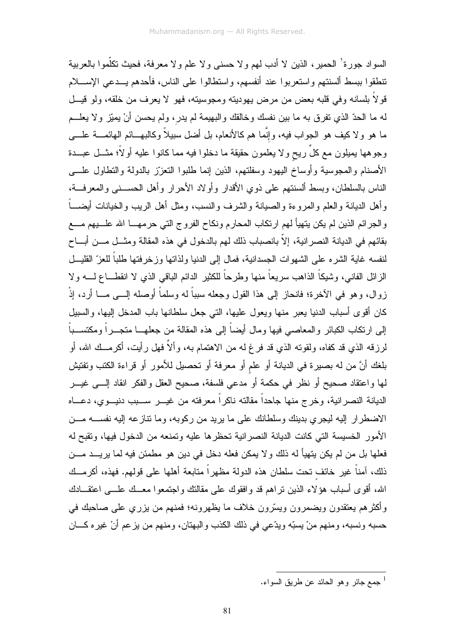السواد جورة' الحمير، الذين لا أدب لهم ولا حسني ولا علم ولا معرفة، فحيث نكلِّموا بالعربية نتطقوا ببسط ألسنتهم واستعربوا عند أنفسهم، واستطالوا على الناس، فأحدهم يـــدعى الإســــلام قولاً بلسانه وفي قلبه بعض من مرض يهودينه ومجوسينه، فهو لا يعرف من خلقه، ولو قيـــل لـه مـا الحدّ الذي نفرق بـه مـا بين نفسك وخالقك والبـهيمـة لم يدر ، ولم يـحسن أنْ يميّز ولا يـعلـــم ما هو ولا كيف هو الجواب فيه، وإنَّما هم كالأنعام، بل أضل سبيلاً وكالبهـــائم الـهائمــــة علــــى وجوهها بمبلون مع كلٍّ ريحٍ ولا يعلمون حقيقة ما دخلوا فيه مما كانوا عليه أولاً؛ مثـــل عبـــدة الأصنام والمجوسية وأوساخ اليهود وسفلتهم، الذين إنما طلبوا النعزز بالدولة والنطاول علسى الناس بالسلطان، وبسط ألسنتهم على ذوى الأقدار وأو لاد الأحر ار وأهل الحســني والمعرفــة، وأهل الديانة والعلم والمروءة والصيانة والشرف والنسب، ومثل أهل الريب والخيانات أيضــــاً والجرائم الذين لم يكن يتهيأ لمهم ارتكاب المحارم ونكاح الفروج التي حرمهــــا الله علـــــبيهم مـــــع بقائهم في الديانة النصر انية، إلاّ بانصباب ذلك لهم بالدخول في هذه المقالة ومثـــل مـــن أبــــاح لنفسه غاية الشره على الشهوات الجسدانية، فمال إلى الدنيا ولذاتها وزخرفتها طلباً للعزّ القليـــل الزائل الفانـي، وشيكاً الذاهب سريعاً منـها وطرحاً للكثير الدائم البـاقـي الذي لا انقطــــاع لـــــه ولا زوال، وهو في الآخرة؛ فانحاز إلى هذا القول وجعله سبباً له وسلماً أوصله إلـــى مــــا أرد، إذْ كان أقوى أسباب الدنيا يعبر منها ويعول عليها، التي جعل سلطانها باب المدخل إليها، والسبيل إلى ارتكاب الكبائر والمعاصبي فيها ومال أيضاً إلى هذه المقالة من جعلهـــا متجـــراً ومكتســـباً لرزقه الذي قد كفاه، ولقوته الذي قد فرغ له من الاهتمام به، وألاَّ فهل رأيت، أكرمــك الله، أو بلغك أنَّ من له بصيرة في الديانة أو علم أو معرفة أو تحصيل للأمور أو قراءة الكتب وتفتيش لمها واعتقاد صحيح أو نظر في حكمة أو مدعي فلسفة، صحيح العقل والفكر انقاد إلــــى غيــــر الديانة النصرانية، وخرج منها جاحداً مقالته ناكراً معرفته من غيـــر ســـبب دنيـــوي، دعــــاه الاضطرار إليه ليجرى بدينك وسلطانك على ما يريد من ركوبه، وما نتازعه إليه نفســه مـــن الأمور الخسيسة التي كانت الديانة النصر انية تحظرها عليه وتمنعه من الدخول فيها، وتقبح له فعلها بل من لم يكن يتهيأ له ذلك و لا يمكن فعله دخل في دين هو مطمئن فيه لما يريـــد مـــن ذلك، آمناً غير خائف تحت سلطان هذه الدولة مظهراً متابعة أهلها على قولهم. فهذه، أكرمــك الله، أقوى أسباب هؤلاء الذين نراهم قد وافقوك على مقالتك واجتمعوا معــك علـــي اعتقـــادك وأكثرهم يعتقدون ويضمرون ويسّرون خلاف ما يظهرونه؛ فمنهم من يزري على صاحبك في حسبه ونسبه، ومنهم منْ يسبّه ويدّعي في ذلك الكذب والبهتان، ومنهم من يزعم أنْ غيره كـــان

جمع جائر وهو الحائد عن طريق السواء.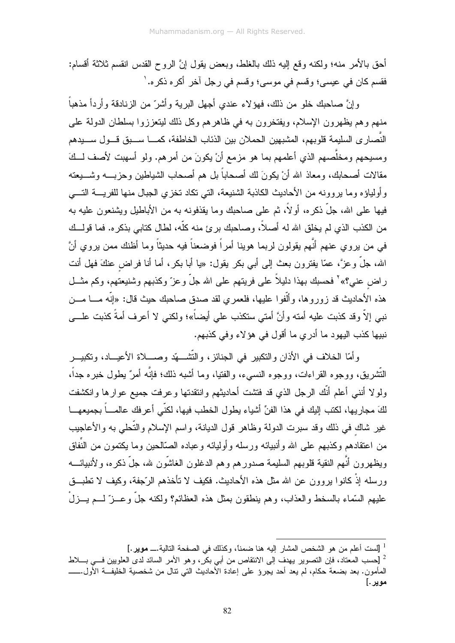أحق بالأمر منه؛ ولكنه وقع الِيه ذلك بالغلط، وبعض يقول إنَّ الروح القدس انقسم ثلاثة أقسام: فقسم كان في عيسى؛ وقسم في موسى؛ وقسم في رجل أخر أكره ذكره. '

و إنَّ صاحبك خلو من ذلك، فهؤ لاء عندي أجهل البرية وأشرٌ من الزنادقة وأردأ مذهباً منهم وهم يظهرون الإسلام، ويفتخرون به في ظاهرهم وكل ذلك ليتعززوا بسلطان الدولة على النَّصارى السليمة قلوبهم، المشبهين الحملان بين الذئاب الخاطفة، كمـــا ســـبق قـــول ســـيدهم ومسيحهم ومخلَّصهم الذي أعلمهم بما هو مزمع أنْ يكونَ من أمرهم. ولو أسهبت لأصف لـــكَ مقالات أصحابك، ومعاذ الله أنْ يكونَ لك أصحاباً بل هم أصحاب الشياطين وحزبــــه وشــــبعته و أولياؤه وما يروونه من الأحاديث الكاذبة الشنيعة، التي تكاد تخزى الجبال منها للفريسة التسي فيها علمي الله، جلَّ ذكر ه، أو لأ، ثم علمي صاحبك وما يقذفونه به من الأباطيل ويشنعون عليه به من الكذب الذي لم يخلق الله له أصلاً، وصاحبك برئ منه كلُّه، لطال كتابي بذكره. فما قولــك في من بر و ي عنهم أنّهم بقولون لر بما هوبنا أمر اً فوضعناً فيه حدبثاً و ما أظنك ممن بر و ي أنَّ الله، جلَّ وعزَّ، عمَّا يفترون بعث إلى أبي بكر يقول: «يا أبا بكر، أما أنا فراض عنكَ فهل أنت راض عني؟» ْ فحسبك بهذا دليلاً على فريتهم على الله جلَّ وعزَّ وكذبهم وشنيعتهم، وكم مثَّــل هذه الأحاديث قد زوروها، وألُّفوا عليها، فلعمري لقد صدق صاحبك حيث قال: «إنَّه مــــا مــــن نبـي إلاّ وقد كذبت عليه أمنـه وأنَّ أمتـى ستكذب علـى أيضـاً»؛ ولكنـى لا أعرف أمةً كذبت علــــى نبيها كذب اليهود ما أدري ما أقول في هؤلاء وفي كذبهم.

و أمّا الخلاف في الأذان والنكبير ً في الجنائز ، والنّشَّــــهّد وصــــلاة الأعيـــاد، وتكبيـــر النُّشر بق، ووجوه القر اءات، ووجوه النسبيء، والفتيا، وما أشبه ذلك؛ فإنَّه أمرٌ يطول خبر ه جداً، ولولا أننبي أعلم أنَّك الرجل الذي قد فتشت أحاديثهم وانتقدتها وعرفت جميع عوارها وانكشفت لكَ مجار بها، لكتب إليك في هذا الفنِّ أشياء يطول الخطب فيها، لكنِّي أعر فك عالمـــاً بجميعهـــا غير شاك في ذلك وقد سبرت الدولة وظاهر قول الديانة، واسم الإسلام والتَّحلي به والأعاجيب من اعتقادهم وكذبهم على الله وأنبيائه ورسله وأوليائه وعباده الصّالحين وما يكتمون من النّفاق ويظهرون أنَّهم النقية قلوبهم السليمة صدور هم وهم الدغلون الغاشُّون شه، جلَّ ذكر ه، و لأنبيائــــه ورسله إذْ كانوا بروون عن الله مثل هذه الأحاديث. فكيف لا تأخذهم الرَّجفة، وكيف لا نطبـــق عليهم السَّماء بالسخط والعذاب، وهم ينطقون بمثل هذه العظائم؟ ولكنه جلَّ وعـــزٌ لــــم يـــزلْ

<sup>&</sup>lt;sup>1</sup> [لست أعلم من هو الشخص المشار إليه هنا ضمناً، وكذلك في الصفحة التالية.ـــ **موير** .]

<sup>&</sup>lt;sup>2</sup> [حسب المعتاد، فإن التصوير يهدف إلى الانتقاص من أبي بكرٍ، وهو الأمر السائد لدى العلويين فـــي بــــلاط المأمون. بعد بضعة حكام، لم يعد أحد يجروْ على إعادة الْأحاديث الَّني نتال من شخصية الخليفــة الأول.ــــــــــــ موير .]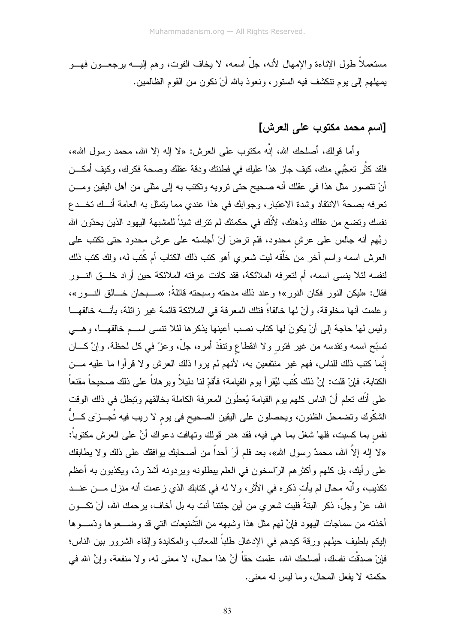مستعملاً طول الإناءة والإمهال لأنه، جلَّ اسمه، لا يخاف الفوت، وهم الِيــــه برجعــــون فهــــو يمهلهم إلى يوم نتكشف فيه السنور، ونعوذ بالله أنْ نكون من القوم الظالمين.

### [اسم محمد مكتوب على العرش]

وأما قولك، أصلحك الله، إنَّه مكتوب على العرش: «لا إله إلا الله، محمد رسول الله»، فلقد كثَّر تعجُّبي منك، كيف جازٍ هذا عليك في فطنتك ودقة عقلك وصحة فكرك، وكيف أمكـــن أنْ نتصور مثَّل هذا في عقلك أنه صحيح حتى نرويه ونكتب به إلى مثَّلي من أهل اليقين ومـــن تعرفه بصحة الانتقاد وشدة الاعتبار، وجوابك في هذا عندي مما يتمثل به العامة أنسك تخسدع نفسك وتضمع من عقلك وذهنك، لأنَّك في حكمتك لم نترك شيئاً للمشبهة اليهود الذين يحدّون الله ربَّهم أنه جالس على عرش محدود، فلم نرضَ أنْ أجلسته على عرش محدود حتى نكتب على العرش اسمه واسم آخر من خَلْقه ليت شعري أهو كتب ذلك الكتاب أم كُتب له، ولك كتب ذلك لنفسه لئلا ينسى اسمه، أم لتعرفه الملائكة، فقد كانت عرفته الملائكة حين أراد خلــق النـــور فقال: «ليكن النور فكان النور»؛ وعند ذلك مدحته وسبحته فائلةً: «ســـبحان خـــالق النـــور»، وعلمت أنها مخلوقة، وأنَّ لها خالقا؛ً فتلك المعرفة في الملائكة قائمة غير زائلة، بأنــــه خالقهـــا وليس لها حاجة إلى أنْ يكونَ لها كتاب نصب أعينها يذكرها لئلا نتسى اســم خالقهـــا، وهـــي تسبّح اسمه ونقدسه من غير فتور ولا انقطاع ونتفّذ أمره، جلَّ، وعزّ في كل لحظة. وإنْ كـــان إنَّما كتب ذلك للناس، فهم غير منتفعين به، لأنهم لم يروا ذلك العرش ولا قرأوا ما عليه مـــن الكتابة، فإنْ قلت: إنَّ ذلك كُتب ليُقر أ يو م القيامة؛ فأقمْ لنا دليلاً و بر هاناً على ذلك صحيحاً مقنعاً على أنَّك تعلَّم أنّ الناس كلُّهم يوم القيامة يُعطَون المعرفة الكاملة بخالقهم وتبطل في ذلك الوقت الشكُّوك وتضمحل الظنون، ويحصلون على اليقين الصحيح في يوم لا ريب فيه تُجـــزَى كـــلٌ نفس بما كسبت، فلها شغل بما هي فيه، فقد هدر قولك وتهافت دعواك أنَّ على العرش مكتوباً: «لا إله إلاَّ الله، محمدٌ رسول الله»، بعد فلم أرَ أحداً من أصـحابك بوافقك على ذلك ولا بطابقك على رأيك، بل كلهم وأكثرهم الرّاسخون في العلم ببطلونه ويردونه أشدّ ردّ، ويكذبون به أعظم تكذيب، و أنَّه محال لم يأت ذكر ه في الأثر ، و لا له في كتابك الذي ز عمت أنه منز ل مــــن عنـــد الله، عزَّ وجلَّ، ذكر البتةً فليت شعري من أين جئتنا أنت به بل أخاف، يرحمك الله، أنْ نكـــون أخذته من سماجات اليهود فإنَّ لهم مثل هذا وشبهه من النَّشنيعات التي قد وضــــعوها وتســـوها الِيكم بلطيف حيلهم ورقة كيدهم في الإدغال طلباً للمعاتب والمكايدة وإلقاء الشرور بين الناس؛ فإنْ صدَقْت نفسك، أصلحك الله، علمت حقًّا أنَّ هذا محال، لا معنى له، ولا منفعة، وإنَّ الله في حكمته لا يفعل المحال، وما ليس له معنى.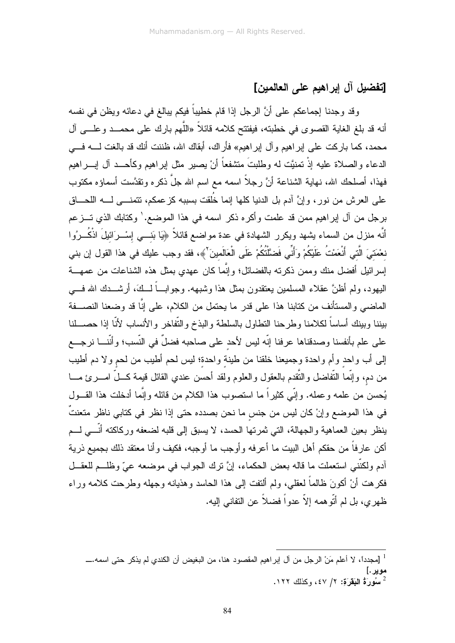## [تفضيل آل إبراهيم على العالمين]

وقد وجدنا إجماعكم على أنَّ الرجل إذا قام خطيباً فيكم ببالغ في دعائه ويظن في نفسه أنه قد بلغ الغاية القصوى في خطبته، فيفتتح كلامه قائلاً «اللُّهم بارك على محمــد و علـــي آل محمد، كما باركت على إبراهيم وأل إبراهيم» فأراك، أبقاك الله، ظننت أنك قد بالغت لـــــه فــــي الدعاء والصلاة عليه إذْ تمنيَّت له وطلبتَ منتثىفعاً أنْ يصبر مثل إبراهيم وكأحـــد أل إبــــراهيم فهذا، أصلحك الله، نهاية الشناعة أنَّ رجلاً اسمه مع اسم الله جلَّ ذكره وتقدَّست أسماؤه مكتوب على العرش من نور، وإنَّ آدم بل الدنيا كلها إنما خُلقت بسببه كزعمكم، نتمنـــي لــــه اللـحـــاق برجل من أل إبراهيم ممن قد علمت وأكره ذكر اسمه في هذا الموضع.' وكتابك الذي تـــزعم أنَّه منزل من السماء يشهد ويكرر الشهادة في عدة مواضع قائلاً ﴿يَا بَنـــي إِسْــرَائيلَ اذْكُــرُوا نعْمَتيَ الَّتي أَنْعَمْتُ عَلَيْكُمْ وَأَنِّي فَضَّلْتُكُمْ عَلَى الْعَالَمينَ ۚ ﴾، فقد وجب عليك في هذا القول إن بني إسر ائيل أفضل منك وممن ذكرته بالفضائل؛ و إنَّما كان عهدي بمثل هذه الشناعات من عمهــــة البِهود، ولم أظنَّ عقلاء المسلمين يعتقدون بمثل هذا وشبِهه. وجوابٍ أكَّفَ، أرشــدك الله فــبي الماضـي والمستأنف من كتابنا هذا علـى قدر ما يحتمل من الكلام، علـى إنَّا قد وضـعنا النصـــفة ببننا وببنك أساساً لكلامنا وطرحنا النطاول بالسلطة والبذخ والتّفاخر والأنساب لأنّا إذا حصـــلنا على علم بأنفسنا وصدقناها عرفنا إنّه ليس لأحد على صاحبه فضلٌ في النّسب؛ وأنّنــــا نرجــــع إلى أب واحد وأم واحدة وجميعنا خلقنا من طينة واحدة؛ ليس لحم أطيب من لحم ولا دم أطيب من دم، وإنَّما النُّفاضل والنُّقدم بالعقول والعلوم ولقد أحسن عندي القائل قيمة كـــلَّ امـــــرئ مــــا يُحسن من علمه وعمله. وإنّي كثيراً ما استصوب هذا الكلام من قائله وإنَّما أدخلت هذا القـــول في هذا الموضع وإنْ كان ليس من جنس ما نحن بصدده حتى إذا نظر في كتابي ناظر متعنتٌ ينظر بعين العماهية والجهالة، التي ثمرتها الحسد، لا يسبق إلى قلبه لضعفه وركاكته أنَّـــي لـــم أكن عارفاً من حقكم أهل البيت ما أعرفه وأوجب ما أوجبه، فكيف وأنا معتقد ذلك بجميع ذرية آدم ولكنَّني استعملت ما قاله بعض الحكماء، إنَّ ترك الجواب في موضعه عيٍّ وظلــم للعقـــل فكرهت أنْ أكونَ ظالماً لعقلي، ولم ألنفت إلى هذا الحاسد وهذيانه وجهله وطرحت كلامه وراء ظهري، بل لم أتّوهمه إلاّ عدواً فضلاً عن النفاني إليه.

<sup>&</sup>lt;sup>1</sup> [مجددًا، لا أعلم مَنْ الرجل من آل ابراهيم المقصود هنا، من البغيض أن الكندي لم يذكر حتى اسمه.ــــ موير .] -<br>- سُورَةُ البَقَرَة: ٢/ ٤٧، وكذلك ١٢٢.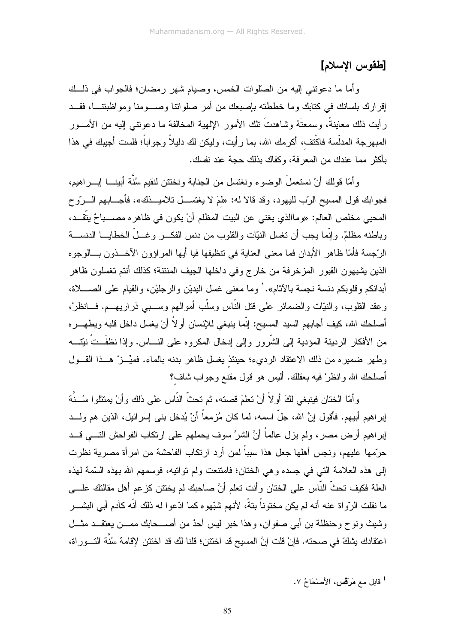# [طقوس الإسلام]

وأما ما دعونتي إليه من الصلّوات الخمس، وصبام شهر رمضان؛ فالجواب في ذلــك إقرار ك بلسانك في كتابك وما خططته بإصبعك من أمر حبلواتنا وصب منا ومواظبتنــا، فقــد رأيت ذلك معاينةً، وسمعتَهُ وشاهدتَ نلك الأمور الإلهية المخالفة ما دعونتـى إليه من الأمـــور المبهرجة المدلَّسة فاكْتف، أكرمك الله، بما رأيت، وليكن لك دليلاً وجواباً؛ فلست أجيبك في هذا بأكثر مما عندك من المعرفة، وكفاك بذلك حجة عند نفسك.

وأمَّا قولك أنْ نستعملَ الوضوء ونغتسل من الجنابة ونختتن لنقيم سُنَّة أبينـــا إبــــراهيم، فجوابك قول المسيح الرَّب لليهود، وقد قالا له: «لمَ لا يغتســل تلاميـــذك»، فأجــــابهم الــــرّوح المحيي مخلص العالم: «وماالذي يغني عن البيت المظلم أنْ يكون في ظاهره مصــــباحٌ يتَّقـــد، وباطنه مظلمٌ. وإنَّما يجب أن نغسل النيَّات والقلوب من دنس الفكــــر وغـــلَّ الخطايــــا الدنســـة الرَّجِسة فأمّا ظاهر الأبدان فما معنى العناية في نتظيفها فيا أيها المراؤون الآخــذون بـــالوجوه الذين يشبهون القبور المزخرفة من خارج وفي داخلها الجيف المنتنة؛ كذلك أنتم تغسلون ظاهر أبدانكم و قلو بكم دنسة نجسة بالآثام». ' وما معنى غسل البديْن و الر جليْن، و القيام على الصـــــلاة، وعقد القلوب، والنيّات والضمائر على قتل النَّاس وسلْب أموالهم وســـبي ذراريهـــم. فـــانظرْ، أصلحك الله، كيف أجابهم السيد المسيح: إنَّما ينبغي للإنسان أو لاَّ أنْ يغسل داخل قلبه ويطهــــره من الأفكار الرديئة المؤدية إلى الشَّرور وإلى إدخال المكروه على النــــاس. وإذا نظفَـــتْ نيّتــــه وطهر ضميره من ذلك الاعتقاد الرديء؛ حينئذ يغسل ظاهر بدنه بالماء. فميِّـــزْ هـــذا القـــول أصلحك الله وانظرْ فيه بعقلك. أليس هو قول مقنع وجواب شاف؟

وأمَّا الختان فينبغي لكَ أولاً أنْ تعلَّمَ قصته، ثم تحثُّ النَّاس على ذلك وأنْ يمتثلوا سُــنَّة إبراهيم أبيهم. فأقول إنَّ الله، جلَّ اسمه، لما كان مُزمعاً أنْ يُدخل بني إسرائيل، الذين هم ولـــد إبراهيم أرض مصر، ولم يزل عالماً أنَّ الشرَّ سوف يحملهم على ارتكاب الفواحش النــــى قـــد حرَّمها عليهم، ونجس أهلها جعل هذا سبباً لمن أرد ارتكاب الفاحشة من امرأة مصرية نظرت إلى هذه العلامة التي في جسده وهي الختان؛ فامنتعت ولم نواتيه، فوسمهم الله بهذه السَّمة لهذه العلة فكيف تحثُّ النَّاس على الختان وأنت تعلم أنَّ صاحبك لم يختتن كزعم أهل مقالتك علـــي ما نقلت الرّواة عنه أنه لم يكن مختوناً بتةً، لأنهم شبّهوه كما ادّعوا له ذلك أنّه كآدم أبي البشـــر وشيث ونوح وحنظلة بن أبي صفوان، وهذا خبر ليس أحدٌ من أصـــحابك ممـــن يعتقـــد مثـــل اعتقادك بشكِّ في صحته. فإنْ قلت إنَّ المسيح قد اختتن؛ قلنا لك قد اختتن لإقامة سُنَّة التـــور اة،

<sup>&</sup>lt;sup>1</sup> قابل مع مَرْقْس، الأصْحَاحُ ٧.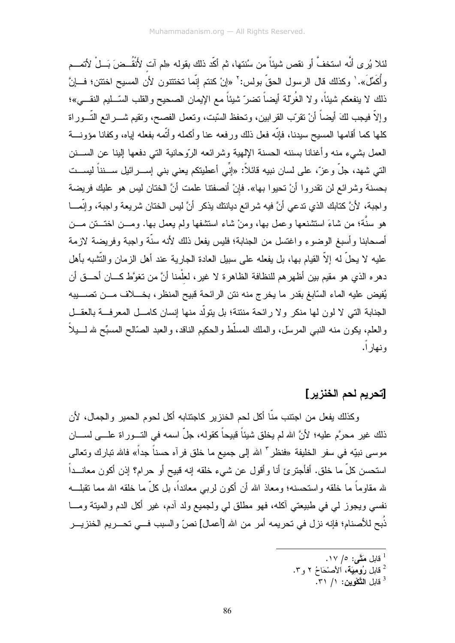لئلا يُرِ ي أنَّه استخفَّ أو نقص شيئاً من سُنتها، ثم أكَّد ذلك بقوله «لم آت لأَنقُــضَ بَــلْ لأتمـــم وأُكَمِّلَ». ' وكذلك قال الرسول الحقّ بولس: ' «إنْ كنتم إنَّما تختتنون لأن المسيح اختتن؛ فـــإنَّ ذلك لا ينفعكم شيئاً، ولا الغُرْلة أيضاً نضر ّشيئاً مع الإيمان الصحيح والقلب السّــليم النقـــي»؛ وٳلاً فيجب لكَ أيضاً أنْ نقرب القرابين، ونحفظ السّبت، ونعمل الفصح، ونقيم شــــرائـع النّــــوراة كلها كما أقامها المسيح سيدنا، فإنّه فعل ذلك ورفعه عنا وأكمله وأتّمه بفعله إياه، وكفانا مؤونــــة العمل بشيء منه وأغنانا بسننه الحسنة الإلهية وشرائعه الرّوحانية التي دفعها إلينا عن الســـنن التي شهد، جلَّ وعزَّ، على لسان نبيه قائلاً: «إنِّي أعطيتكم يعني بني إســــرائيل ســـنناً ليســـت بحسنة وشرائع لن تقدروا أنْ تحيوا بـها». فإنْ أنصفتنا علمت أنَّ الختان ليس هو عليك فريضة واجبة، لأنَّ كتابك الذي ندعي أنَّ فيه شرائع ديانتك يذكر أنَّ ليس الختان شريعة واجبة، وإنَّمـــا هو سنَّة؛ من شاءَ استثنىنعها وعمل بها، ومنْ شاء استثنفها ولم يعمل بها. ومـــن اختـــنن مـــن أصحابنا وأسبغ الوضوء واغتسل من الجنابة؛ فليس يفعل ذلك لأنه سنَّة واجبة وفريضة لازمة عليه لا يحلُّ له إلاَّ القيام بها، بل يفعله على سبيل العادة الجارية عند أهل الزمان والنُّشبه بأهل دهره الذي هو مقيم بين أظهرهم للنظافة الظاهرة لا غير، لعلْمنا أنَّ من تغوَّط كـــان أحـــق أن يُفيض عليه الماء السّابغ بقدر ما يخرج منه نتن الرائحة قبيح المنظر ، بخــــلاف مــــن تصـــــيبه الجنابة التي لا لون لها منكر ولا رائحة منتنة؛ بل يتولَّد منها إنسان كامـــل المعرفـــة بالعقـــل و العلم، يكون منه النبي المرسِّل، و الملك المسلِّط و الحكيم الناقد، و العبد الصَّالح المسبِّح لله لــــبلاً و نهار ۱.

### [تحريم لحم الخنزير]

وكذلك يفعل من اجتنب منَّا أكل لحم الخنزير كاجتنابه أكل لحوم الحمير والجمال، لأن ذلك غير محرَّم عليه؛ لأنَّ الله لم يخلق شيئاً قبيحاً كقوله، جلَّ اسمه في التـــوراة علـــي لســـان موسى نبيّه في سفر الخليفة «فنظر " الله إلى جميع ما خلق فر آه حسناً جداً» فالله نبارك وتعالى استحسن كلِّ ما خلق. أفأجترئ أنا وأقول عن شيء خلقه إنه قبيح أو حرام؟ إذن أكون معانـــداً لله مقاوماً ما خلقه واستحسنه؛ ومعاذ الله أن أكون لربي معانداً، بل كلِّ ما خلقه الله مما تقبلـــه نفسي ويجوز لمي في طبيعتي آكله، فهو مطلق لمي ولجميع ولد أدم، غير أكل الدم والميتة ومـــا ذُبح للأصنام؛ فإنه نزل في تحريمه أمرٍ من الله [أعمال] نصٍّ والسبب فـــي تحـــريم الخنزيـــر

- فابل مَتَّـى: ٥/ ١٧.
- <sup>2</sup> قابل رُوْمِيَة، الأَصْحَاحُ ٢ و ٣.
	- $\overline{r}$ قابل التَّكْوِين: ١/ ٣١.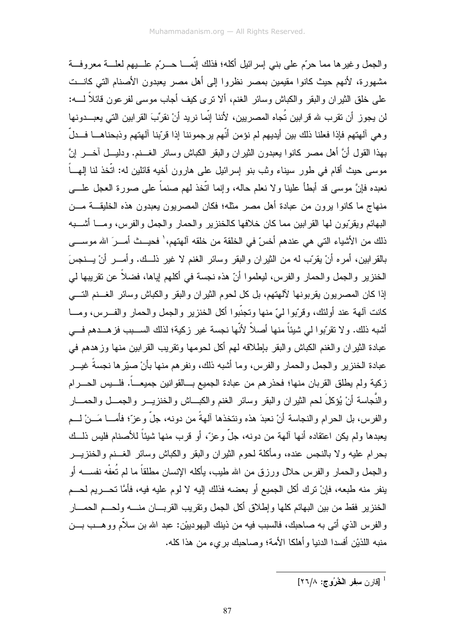والجمل وغيرها مما حرّم على بني إسرائيل أكله؛ فذلك إنّمـــا حـــرّم علــــبيهم لعلــــة معروفـــة مشهور ة، لأنهم حيث كانوا مقيمين بمصر نظروا إلى أهل مصر يعبدون الأصنام التي كانــت علمي خلق الثير إن والبقر والكباش وسائر الغنم، ألا نرى كيف أجاب موسى لفر عون قائلاً لــــه: لن يجوز أن نقرب لله قرابين تُجاه المصريين، لأننا إنَّما نريد أنْ نقرِّبَ القرابين التي يعبـــدونها وهي ألهتهم فإذا فعلنا ذلك بين أيديهم لم نؤمن أنَّهم يرجموننا إذا قرَّبنا ألهتهم وذبحناهــا فــدلّ بهذا القول أنَّ أهل مصر كانوا يعبدون الثيران والبقر الكباش وسائر الغـــنم. ودليـــل أخــــر إنَّ موسى حيث أقام فى طور سيناء وثب بنو ٳسرائيل على هارون أخيه قائلين له: اتَّخذ لنا الِهـــاً نعبده فإنَّ موسى قد أبطأ علينا و لا نعلم حاله، وإنما اتَّخذ لمهم صنماً على صور ة العجل علـــي منهاج ما كانوا برون من عبادة أهل مصر مثله؛ فكان المصريون يعبدون هذه الخليقـــة مـــن البهائم ويقرَّبون لمها القرابين مما كان خلافها كالخنزير والحمار والجمل والفرس، ومـــا أشــــبه ذلك من الأشباء التي هي عندهم أخسّ في الخلقة من خلقه آلهتهم، ٰ فحيــث أمـــرَ الله موســـي بالقرابين، أمره أنْ يقرَّب له من النيران والبقر وسائر الغنم لا غير ذلــك. وأمــــر أنْ يــــنـجسَ الخنزير والجمل والحمار والفرس، ليعلموا أنّ هذه نجسة في أكلهم إياها، فضلاً عن نقريبها لي إذا كان المصريون يقربونها لألهتهم، بل كل لحوم الثيران والبقر والكباش وسائر الغسنم التسي كانت ألهة عند أولئك، وقرَّبوا لميّ منها وتجنَّبوا أكل الخنزير والجمل والحمار والفـــرس، ومــــا أشبه ذلك. و لا تقرَّبو ا لي شبئاً منها أصلاً لأنَّها نجسة غير ز كبة؛ لذلك الســـبب فز هـــدهم فـــي عبادة الثير ان و الغنم الكباش و البقر بإطلاقه لهم أكل لحومها وتقريب القر ابين منها وز هدهم في عبادة الخنز ير و الجمل و الحمار و الفر س، و ما أشبه ذلك، و نفر هم منها بأنْ صبّر ها نجسةً غيـــر زكية ولم يطلق القربان منها؛ فحذرهم من عبادة الجميع بـــالقوانين جميعـــاً. فلـــيس الـحـــرام والنَّجاسة أنْ يُؤكِلَ لحم الثيران والبقر وسائر الغنم والكبـــاش والخنزيــــر والـجمـــل والحمـــار والفرس، بل الحرام والنجاسة أنْ نعبدَ هذه ونتخذها آلـهةً من دونه، جلَّ وعزَّ؛ فأمــــا مَـــنْ لــــم يعبدها ولم يكن اعتقاده أنها آلهة من دونه، جلَّ وعزَّ، أو قرب منها شيئاً للأصنام فليس ذلـــك بحرام عليه ولا بالنجس عنده، ومأكلة لحوم الثيران والبقر والكباش وسائر الغـــنم والخنزيــــر و الجمل و الحمار و الفرس حلال ورزق من الله طيب، يأكله الإنسان مطلقاً ما لم تُعفْه نفســـه أو ينفر منه طبعه، فإنْ ترك أكل الجميع أو بعضه فذلك إليه لا لوم عليه فيه، فأمَّا تحـــريم لحـــم الخنزير فقط من بين البهائم كلها وإطلاق أكل الجمل ونقريب القربــــان منـــــه ولحــــم الـحمــــار والفرس الذي أتـى بـه صـاحبك، فالسبب فيه من ذينك اليـهودييْن: عبد الله بن سلأم ووهـــب بـــن منبه اللذيْن أفسدا الدنيا وأهلكا الأمة؛ وصاحبك برىء من هذا كله.

 $\mathsf{I}^\mathsf{r}$ اقار ن سفر الْحُرُوج: ١٢٦/٨]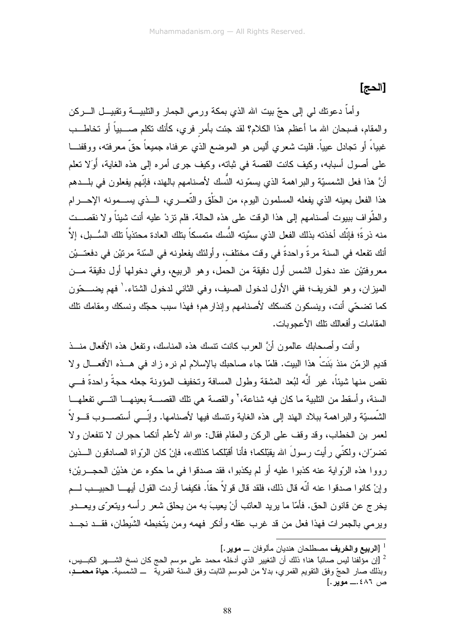[الحج]

وأماً دعونك لمي إلى حجّ ببيت الله الذي بمكة ورمي الجمار والنلبيـــة وتقبيـــل الــــركن والمقام، فسبحان الله ما أعظم هذا الكلام؟ لقد جئت بأمرٍ فرى، كأنك نكلم صــــبياً أو تخاطـــب غبيا،ً أو نجادل عيياً. فليت شعري أليس هو الموضع الذي عرفناه جميعاً حقَّ معرفته، ووقفنـــا على أصول أسبابه، وكيف كانت القصة في ثباته، وكيف جرى أمره إلى هذه الغاية، أَوَلا نعلم أنَّ هذا فعل الشمسيَّة والبراهمة الذي يسمَّونه النَّسك لأصنامهم بالهند، فإنَّهم يفعلون في بلـــدهم هذا الفعل بعينه الذي يفعله المسلمون البوم، من الحَلْق والتُّعــــري، الــــذي يســــمونـه الإحـــــرام والطُّواف ببيوت أصنامهم إلى هذا الوقت على هذه الحالة. فلم تزدْ عليه أنت شيئاً ولا نقصـــت منه ذر ةً؛ فإنَّك أخذته بذلك الفعل الذي سمَّيته النِّسك متمسكاً بتلك العادة محتذياً تلك السُّــبل، إلاّ أنك تفعله في السنة مرةً واحدةً في وقت مختلف، وأولئك يفعلونه في السّنة مرتيْن في دفعتــيْن معر و فتيْن عند دخول الشمس أول دقيقة من الحمل، و هو الربيع، و في دخولها أول دقيقة مـــن الميز ان، و هو الخريف؛ ففي الأول لدخول الصيف، و في الثاني لدخول الشتاء. ` فهم يضــــحّون كما نضحَّى أنت، وبنسكون كنسكك لأصنامهم وإنذارهم؛ فهذا سبب حجَّك ونسكك ومقامك نلك المقامات و أفعالك نلك الأعجو بات.

وأنت وأصحابك عالمون أنَّ العرب كانت نتسك هذه المناسك، ونفعل هذه الأفعال منـــذ قديم الزمّن منذ بَنَتْ هذا البيت. فلمّا جاء صاحبك بالإسلام لم نره زاد في هــذه الأفعـــال ولا نقص منها شيئاً، غير أنَّه لبُعد المشقة وطول المسافة وتخفيف المؤونة جعله حجةً واحدةً فـــي السنة، وأسقط من النلبية ما كان فيه شناعة،' والقصة هي نلك القصـــة بعينهـــا النـــي نفعلهـــا الشَّمسيَّة والبراهمة ببلاد الـهند إلى هذه الـغابـة ونتسك فيها لأصنامـها. وإنَّـــى أستصــــوب قـــولاً لعمر بن الخطاب، وقد وقف على الركن والمقام فقال: «والله لأعلم أنكما حجران لا نتفعان ولا نضرّ ان، ولكنّي ر أبت ر سولَ الله بقبّلكما؛ فأنا أقبّلكما كذلك»، فإنْ كان الرّ واة الصادقون الـــذبن رووا هذه الرّواية عنه كذبوا عليه أو لم يكذبوا، فقد صدقوا في ما حكوه عن هذيْن الحجـــريْن؛ و إنْ كانو ا صدقو ا عنه أنّه قال ذلك، فلقد قال قو لاً حقاً. فكيفما أر دت القو ل أيهـــا الحبيـــب لـــم يخر ج عن قانون الحق. فأمّا ما يريد العاتب أنْ يعيبَ به من يحلق شعر ر أسه ويتعرّ ي ويعـــدو ويرمى بالجمرات فهذا فعل من قد غرب عقله وأنكر فهمه ومن يتَّخبطه الشَّيطان، فقـــد نجـــد

<sup>&</sup>lt;sup>1</sup> [ا**لربيع والخريف** مصطلحان هندبان مألوفان ـــ موير .]

<sup>&</sup>lt;sup>2</sup> [إن مؤلفنا ليس صائباً هنا؛ ذلك أن التغيير الذي أدخله محمد على موسم الحج كان نسخ الشــــهر الكبـــيس، وبذلك صار الحجّ وفق النقويم القمري، بدلاً من الموسم الثابت وفق السنة القمرية ــ الشمسية. **حياة محمـــدٍ،** ص ٤٨٦.\_\_ موير .]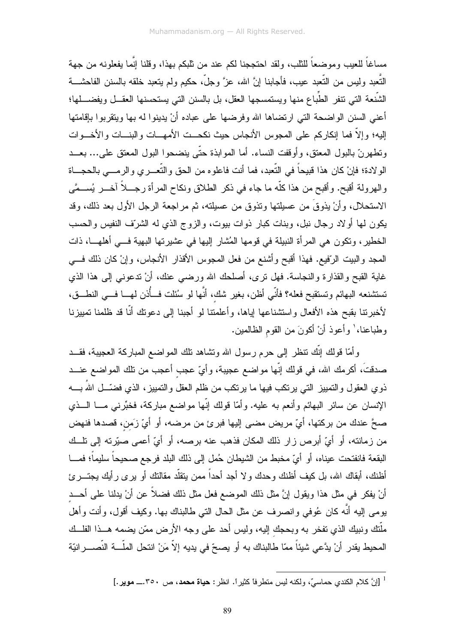مساغاً للعيب وموضعاً للثلب، ولقد احتججنا لكم عند من ثلبكم بهذا، وقلنا إنَّما يفعلونه من جهة النَّعبد وليس من النَّعبد عيب، فأجابنا إنَّ الله، عزَّ وجلَّ، حكيم ولم يتعبد خلقه بالسنن الفاحشــــة الشَّنعة التي نتفر الطُّباع منها ويستمسجها العقل، بل بالسنن التي يستحسنها العقـــل ويفضــــلها؛ أعنى السنن الواضحة التي ارتضاها الله وفرضها على عباده أنْ يدينوا له بها ويتقربوا بإقامتها إليه؛ وإلاَّ فما إنكاركم على المجوس الأنجاس حيث نكحــت الأمهـــات والبنــــات والأخــــوات وتطهرنّ بالبول المعتق، وأوقفت النساء. أما الموابذة حتّى ينضحوا البول المعتق على... بعــد الو لادة؛ فإنْ كان هذا قبيحاً في النّعبد، فما أنت فاعلوه من الحق والنّعــــري والرمــــي بالـحجــــاة والهرولة أقبح. وأقبح من هذا كلَّه ما جاء في ذكر الطلاق ونكاح المرأة رجـــلاً آخـــر يُســمَّى الاستحلال، وأنْ يذوقَ من عسيلتها ونذوق من عسيلته، ثم مراجعة الرجل الأول بعد ذلك، وقد يكون لمها أولاد رجال نبل، وبنات كبار ذوات بيوت، والزوج الذي له الشرّف النفيس والحسب الخطير، ونكون هي المرأة النبيلة في قومها المُشار إليها في عشيرتها البهية فـــي أهلهـــا، ذات المحد والببيت الرّفيع. فهذا أقبح وأشنع من فعل المحوس الأقذار الأنجاس، وإنْ كان ذلك فـــي غاية القبح والقذارة والنجاسة. فهل نرى، أصلحك الله ورضـي عنك، أنْ ندعونـي إلـي هذا الذي تستثننعه البهائم وتستقبح فعله؟ فأنّي أظن، بغير شك، أنَّها لو سُئلت فـــأُذن لهـــا فـــي النطـــق، لأخبرنتا بقبح هذه الأفعال واستثنناعها لياها، وأعلمتنا لو أجبنا إلى دعونك أنَّا قد ظلمنا نمييزنا وطباعنا،' وأعوذ أنْ أكونَ من القوم الظالمين.

وأمَّا قولك إنَّك نتظر إلى حرم رسول الله ونتثَّاهد نلك المواضع المباركة العجيبة، فقــد صدقتَ، أكرمك الله، في قولك إنّها مواضع عجيبة، وأيّ عجب أعجب من نلك المواضع عنـــد ذوى العقول والتمييز التي يرتكب فيها ما يرتكب من ظلم العقل والتمييز، الذي فضَّـــل اللهُ بــــه الإنسان عن سائر البهائم وأنعم به عليه. وأمّا قولك إنّها مواضع مباركة، فخبّرني مـــا الـــذي صحَّ عندك من بركتها، أيّ مريض مضبي إليها فبرئ من مرضه، أو أيّ زَمن، قصدها فنهض من زمانته، أو أيِّ أبرص زار ذلك المكان فذهب عنه برصه، أو أيِّ أعمى صبِّرته إلى نلَّــك البقعة فانفتحت عيناه، أو أيّ مخبط من الشيطان حُمل إلى ذلك البلد فرجع صحيحاً سليماً؛ فمــــا أظنك، أبقاك الله، بل كيف أظنك وحدك ولا أجد أحداً ممن ينقلَّد مقالنك أو يرى رأيك يجتــــرئ أنْ يفكر في مثل هذا ويقول إنَّ مثل ذلك الموضع فعل مثل ذلك فضلاً عن أنْ يدلنا على أحـــد يومي إليه أنَّه كان عُوفي وانصرف عن مثل الحال التي طالبناك بها. وكيف أقول، وأنت وأهل ملَّتك ونبيك الذي تفخر به وبحجك إليه، وليس أحد على وجه الأرض ممَّن يضمه هـــذا الفلـــك المحيط يقدر أنْ يدَّعي شيئاً ممّا طالبناك به أو يصحّ في يديه إلاّ مَنْ انتحل الملَّـــة النَّصـــــر انيّة

<sup>&</sup>lt;sup>1</sup> [إنَّ كلام الكندي حماسيٍّ، ولكنه ليس منظر فا كثير أ. انظر : **حياة محمد**، ص ٣٥٠.... **موير** .]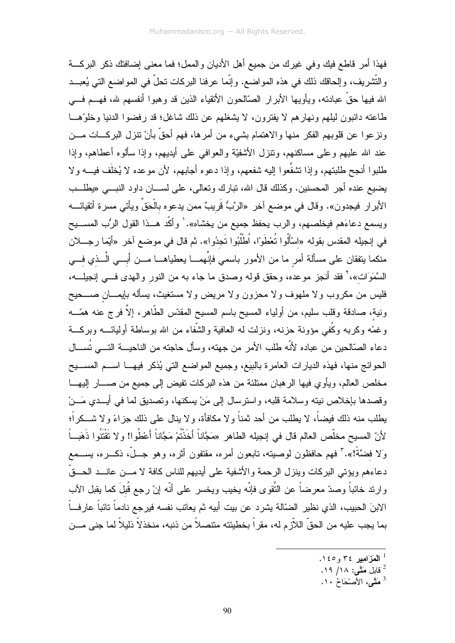فهذا أمر قاطع فيك وفي غيرك من جميع أهل الأديان والممل؛ فما معنى إضافتك ذكر البركـــة والتَّشْريف، وإلحاقك ذلك في هذه المواضع. وإنَّما عرفنا البركات تحلَّ في المواضع التي يُعبــد الله فيها حقَّ عبادته، ويأويها الأبرار الصَّالحون الأتقياء الذين قد وهبوا أنفسهم لله، فهـــم فـــي طاعته دائبون ليلهم ونهارهم لا يفترون، لا يشغلهم عن ذلك شاغل؛ قد رفضوا الدنيا وخلوَّهـــا ونزعوا عن قلوبهم الفكر منها والاهتمام بشيء من أمرها، فهم أحقَّ بأنْ نتزل البركـــات مـــن عند الله عليهم وعلى مساكنهم، ونتزل الأشفيَّة والعوافي على أيديهم، وإذا سألوه أعطاهم، وإذا طلبوا أنجح طلبنهم، وإذا نتثنفَّعوا إليه شفعهم، وإذا دعوه أجابهم، لأن موعده لا يُخلَّف فيـــه ولا يضيع عنده أجر المحسنين. وكذلك قال الله، نبارك وتعالى، على لســـان داود النبـــي «يطلـــب الأبرار فيجدون». وقال في موضع آخر «الرَّبُّ قُريبٌ ممن يدعوه بالْحَقَ ويأتـي مسرة أنقيائـــــه ويسمع دعاءَهم فيخلصهم، والرب يحفظ جميع من يخشاه». ٰ وأكَّد هــذا القول الرُّب المســـيح في إنجيله المقدس بقوله «اسْأَلُوا تُعْطَوَ"، اُطْلُبُوا تَجدُوا». ثم قال في موضع آخر «أيّما رجـــلان منكما يتفقان على مسألة أمر ما من الأمور باسمي فإنِّهمـــا يعطياهـــا مـــن أبــــي الَّـــذي فـــي السَّمَوَات»، ` فقد أنجز موعده، وحقق قوله وصدق ما جاء به من النور والـهدى فـــي إنجيلــــه، فليس من مكروب ولا ملهوف ولا محزون ولا مريض ولا مستغيث، بسأله بإيمـــان صــــحيح ونية، صادقة وقلب سليم، من أولياء المسيح باسم المسيح المقدّس الطَّاهر، إلاَّ فرج عنه همَّـــه وغمّه وكربه وكُفى مؤونة حزنه، ونزلت له العافية والشُّفاء من الله بوساطة أوليائــــه وبركـــة دعاء الصَّالحين من عباده لأنَّه طلب الأمر من جهته، وسأل حاجته من الناحيـــة التــــى تُســـال الحوائج منها، فهذه الديارات العامرة بالبيَع، وجميع المواضع التي يُذكر فيهـــا اســـم المســـيح مخلص العالم، ويأوي فيها الرهبان ممتلئة من هذه البركات نفيض إلى جميع من صــــار إليهـــا وقصدها بإخلاص نيته وسلامة قلبه، واسترسال إلى مَنْ يسكنها، وتصديق لما في أيــدي مَــنْ يطلب منه ذلك فيضاً، لا يطلب من أحد ثمناً ولا مكافأة، ولا ينال على ذلك جزاءً ولا شـــكراً؛ لأنّ المسيح مخلّص العالم قال في إنجيله الطاهر «مَجَّاناً أَخَذْتُمْ مَجَّاناً أَعْطُوا! و لا تَقْتَنُوا ذَهَبــاً وَلا فضَّةً!». ۚ فهم حافظون لوصيته، تابعون أمره، مقتفون أثره، وهو جــلٌ، ذكـــره، بســـمع دعاءهم ويؤتـي البركات وينزل الرحمـة والأشفيـة علـى أيديهم للنـاس كـافـة لا مــــن عـانــــد الـحـــقّ وارند خائباً وصدّ معرضاً عن النُّقوى فإنّه يخيب ويخسر على أنّه إنْ رجع قُبلَ كما يقبل الآب الابنَ الحبيب، الذي نظير الضّالة يشرد عن بيت أبيه ثم يعاتب نفسه فيرجع نادماً تائباً عارفــاً بما يجب عليه من الحقِّ اللاّزم له، مقراً بخطيئته متتصلاً من ذنبه، منخذلاً ذليلاً لما جني مـــن

- $1$  اَلْمَزَ امير ٣٤ و ١٤٥.
- قابل مَتَّحى: ١٨/ ١٩.
- <sup>3</sup> مَقَّى، الأصْحَاحُ ١٠.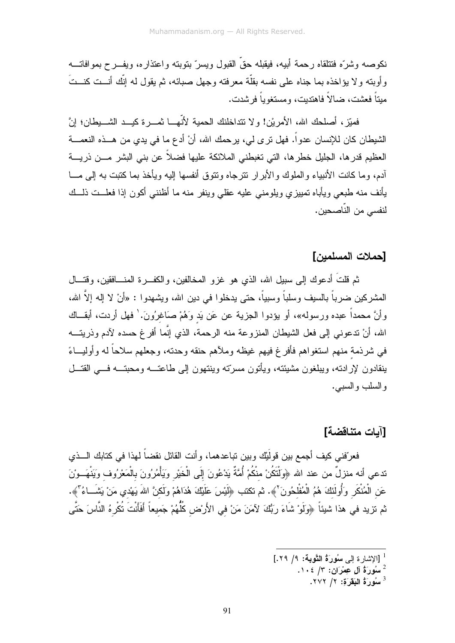نكوصه وشرَّه فتتلقاه رحمة أبيه، فيقبله حقَّ القبول ويسرَّ بتوبته واعتذاره، ويفـــرح بموافاتــــه وأوبته ولا يؤاخذه بما جناه على نفسه بقلَّة معرفته وجهل صبائه، ثم يقول له إنَّك أنــت كنــتَ مبتاً فعشت، ضالاً فاهتدبت، ومستغوباً فرشدت.

فمبّز، أصلحك الله، الأمريْن! ولا نتداخلنك الحمية لأنّهـــا نمــــرة كيـــد الشــــبطان؛ إنَّ الشيطان كان للإنسان عدواً. فهل نرى لي، يرحمك الله، أنْ أدع ما في يدي من هـــذه النعمــــة العظيم قدرها، الجليل خطرها، التي تغبطني الملائكة عليها فضلاً عن بني البشر مـــن ذريــــة أدم، وما كانت الأنبياء والملوك والأبرار تترجاه ونتوق أنفسها إليه ويأخذ بما كتبت به إلى مـــا يأنف منه طبعي ويأباه نمييزي ويلومني عليه عقلي وينفر منه ما أظنني أكون إذا فعلـــت ذلـــك لنفسي من النّاصحين.

### [حملات المسلمبن]

ثم قلتُ أدعوك إلى سبيل الله، الذي هو غزو المخالفين، والكفـــرة المنــــافقين، وقتـــال المشركين ضرباً بالسيف وسلباً وسبياً، حتى يدخلوا في دين الله، ويشهدوا : «أنْ لا إله إلاَّ الله، وأنَّ محمداً عبده ورسوله»، أو يؤدوا الجزية عن عَن يَد وَهُمْ صَاغِرُونَ.' فهل أردت، أبقـــاك الله، أنْ ندعوني إلى فعل الشيطان المنزوعة منه الرحمة، الذي إنَّما أفرغ حسده لآدم وذريتـــه في شرذمة منهم استغواهم فأفرغ فيهم غيظه وملأهم حنقه وحدته، وجعلهم سلاحاً له وأوليـــاءً ينقادون لإرادته، ويبلغون مشيئته، ويأتون مسرِّته وينتهون إلى طاعتــه ومحبتــه فـــى القتــل والسلب والسببي.

# [آيات متناقضة]

فعرّفني كيف أجمع بين قولَيْك وبين تباعدهما، وأنت القائل نقضاً لهذا في كتابك الـــذي تدعي أنه منزلٌ من عند الله ﴿وَلَتَكُنْ منْكُمْ أُمَّةٌ يَدْعُونَ إِلَى الْخَيْرِ وَيَأْمُرُونَ بِالْمَعْرُوف وَيَنْهَــوْنَ عَنِ الْمُنْكَرِ وَأُولَئَكَ هُمُ الْمُفْلَحُونَ ۚ﴾. ثم تكتب ﴿لَيْسَ عَلَيْكَ هُدَاهُمْ وَلَكنَّ اللهَ يَهْدي مَنْ يَشَــاءُ ۖ﴾. ثم تزيد في هذا شيئاً ﴿ولَو ْ شَاءَ رَبُّكَ لآمَنَ مَنْ في الأَرسُن كُلُّهُمْ جَميعاً أَفَأَنتَ تُكْرِهُ النَّاسَ حَتَّى

 $. YYY / 7$  سُورَةُ الْبَقَرَةَ: 1/ ٢٧٢.

أَ [الاشار ة الى سُورٍ َةُ التَّوِية: ٩/ ٢٩.]

 $\cdot$ سُورَةُ آلِ عِمْرَانِ: ٣/ ١٠٤.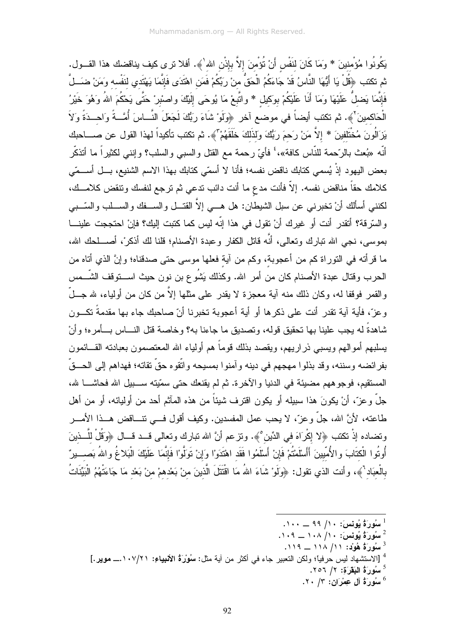يَكُونُوا مُؤْمِنينَ \* وَمَا كَانَ لَنَفْسٍ أَنْ نُؤْمِنَ إِلاَّ بِإِذْنِ اللهِ'﴾. أفلا نرى كيف يناقضك هذا القــول. ثم تكتب ﴿قُلْ يَا أَيُّهَا النَّاسُ قَدْ جَاءَكُمُ الْحَقُّ منْ رَبِّكُمْ فَمَن اهْتَدَى فَإِنَّمَا يَهْتَدي لنَفْسه وَمَنْ ضَـــلَّ فَإِنَّمَا يَضلُّ عَلَيْهَا وَمَا أَنَا عَلَيْكُمْ بوكيل \* واتَّبعْ مَا يُوحَى إلَيْكَ واصْبْرْ حَتَّى يَحْكُمَ اللهُ وَهُوَ خَيْرُ الْحَاكمينَ ۚ﴾. ثم تكتب أيضاً في موضع آخر ﴿وَلَوْ شَاءَ رَبُّكَ لَجَعَلَ النَّــاسَ أُمَّــةً وَاحــدَةً وَلاَ يَزَالُونَ مُخْتَلَفينَ \* إلاَّ مَنْ رَحمَ رَبُّكَ وَلذَلكَ خَلَقَهُمْ ۚ﴾. ثم تكتب تأكيداً لهذا القول عن صــــاحبك أنّه «بُعث بالرّحمة للنّاس كافة»،' فأيّ رحمة مع القتل والسببي والسلب؟ وإننـي لكثيراً ما أتذكّر بعض اليهود إذْ يُسمى كتابك ناقض نفسه؛ فأنا لا أسمّي كتابك بهذا الاسم الشنيع، بـــل أســـمّي كلامك حقاً مناقض نفسه. إلاّ فأنت مدع ما أنت دائب ندعي ثم ترجع لنفسك ونتقض كلامــك، لكننـي أسألك أنْ تخبرنـي عن سبل الشيطـان: هل هـــي إلاَّ القتـــل والســــفك والســـلب والسّـــبـي و السّرِقة؟ أتقدر أنت أو غيرِك أنْ تقول في هذا إنّه ليس كما كتبت إليك؟ فإنْ احتججت علينـــا بموسى، نجى الله نبارك وتعالى، أنَّه قاتل الكفار وعبدة الأصنام؛ قلنا لك أذكر ْ، أصــــلحك الله، ما قرأته في النوراة كم من أعجوبة، وكم من آية فعلها موسى حتى صدقناه؛ وإنَّ الذي أتاه من الحرب وقتال عبدة الأصنام كان من أمر الله. وكذلك بَشُوع بن نون حيث اســـتوقف الشّـــمس والقمر فوقفا له، وكان ذلك منه آية معجزة لا يقدر على مثلها إلاّ من كان من أولياء، لله جـــلّ وعزٌ، فأية آية تقدر أنت على ذكرها أو أية أعجوبة تخبرنا أنّ صاحبك جاء بها مقدمةً تكـــون شاهدةً له يجب علينا بها تحقيق قوله، وتصديق ما جاءنا به؟ وخاصة قتل النـــاس بـــأمره؛ وأنْ يسلبهم أمو الهم ويسبى ذر اريهم، ويقصد بذلك قوماً هم أولياء الله المعتصمون بعبادته القـــائمون بفر ائضـه وسننـه، و قد بذلو ا مـهجـهم فـي دينـه و آمنو ا بمسيـحـه و اتّقو م حقّ تقاتـه؛ فـهداهم إلـي الـحـــقّ المستقيم، فوجو ههم مضبيَّة في الدنيا و الآخر ة. ثم لم يقنعك حتى سمِّيته ســـبيل الله فحاشـــا لله، جلَّ وعزَّ، أنْ يكونَ هذا سبيله أو يكون اقترف شيئاً من هذه المآثم أحد من أوليائه، أو من أهل طاعته، لأنَّ الله، جلَّ وعزَّ، لا يحب عمل المفسدين. وكيف أقول فـــي نتـــاقض هـــذا الأمــــر ونضاده إذْ نكتب ﴿لا إِكْرَاهَ في الدِّين ْ﴾. ونزعم أنَّ الله نبارك ونعالى قـــد قـــال ﴿وَقُلْ للَّــذينَ أُوتُوا الْكتَابَ والأُمّبيينَ أَأَسْلَمْتُمْ فَإِنْ أَسْلَمُوا فَقَد اهْتَدَوْا وَإِنْ تَوَلَّوْا فَإنّمَا عَلَيْكَ الْبَلاغُ واللهُ بَصــــيرٌ بالْعبَاد ْ﴾، وأنت الذي نقول: ﴿وَلَوْ شَاءَ اللهُ مَا اقْتَتَلَ الَّذِينَ مِنْ بَعْدِهِمْ مِنْ بَعْدِ مَا جَاءَتْهُمُ الْبَيِّنَاتُ

- $\cdots$  سُورَةُ يُونِسَ $\cdots$  ( ۹۹  $\cdots$  . ۱۰۰  $\cdots$
- $\cdots$ سُورَةُ يُونِسَ: ١٠٨ /١٠٨ ــ ١٠٩.
- $119 11 \wedge / 11$ : هُولُد: ١١/ ١١٨)
- <sup>4</sup> [الاستشهاد ليس حر فياً؛ ولكن التعبير جاء في أكثر من آية مثل: **سُورَةُ الأنبياءِ: ١٠٧/٢١.\_ موير .]** 
	- دَّ سُورَةُ البَقَرَةِ: ٢/ ٢٥٦.
	- $\cdot$  سُورَةُ آلِ عِمْرَانِ: ٢٠ / ٢٠.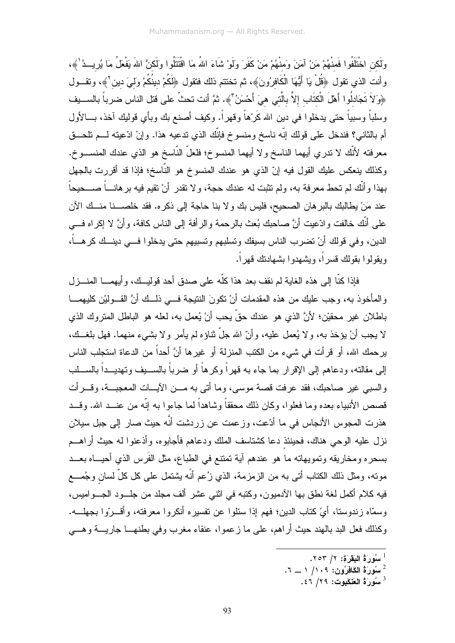وَلَكن اخْتَلَفُوا فَمنْهُمْ مَنْ آمَنَ وَمنْهُمْ مَنْ كَفَرَ وِلَوْ شَاءَ اللهُ مَا اقْتَتَلُوا وَلَكنَّ اللهَ يَفْعَلُ مَا يُرِيــدُ ٰ ﴾، وأنت الذي نقول ﴿قُلْ يَا أَيُّهَا الْكَافِرُونَ﴾، ثم تختتم ذلك فتقول ﴿لَكُمْ دينُكُمْ وَلَمِيَ دين ْ﴾، وتقـــول ﴿وَلاَ تَجَادِلُوا أَهْلَ الْكتَابِ إِلاَّ بِالَّتِي هِيَ أَحْسَنُ"﴾. ثمَّ أنت تحثّ على قتل الناس ضرباً بالســبف وسلباً وسبياً حتى يدخلوا في دين الله كَرْهاً وقهراً. وكيف أصنع بك وبأي قوليك آخذ، بــالأول أم بالثاني؟ فندخل على قولك إنَّه ناسخ ومنسوخ فإنَّك الذي ندعيه هذا. وإنْ ادَّعيته لـــم نلحـــق معرفته لأنَّك لا نندري أيهما الناسخ ولا أيهما المنسوخ؛ فلعلَّ النَّاسخ هو الذي عندك المنســـوخ. وكذلك ينعكس عليك القول فيه إنّ الذي هو عندك المنسوخ هو النَّاسخ؛ فإذا قد أقررت بالجهل بـهذا و أنَّك لم تـحط مـعر فـة بـه، ولم تثبت لـه عندك حـجـة، و لا تقدر ۖ أنْ تقيم فيه بر هانــــاً صــــحيحاً عند مَنْ بِطالبِكِ بِالبرِ هانِ الصحيحِ، فليس بِكِ وِلا بنا حاجة إلى ذكرهِ. فقد خلصــنا منــكِ الآنِ على أنَّك خالفت وادِّعيت أنَّ صاحبك بُعث بالرحمة والرأفة إلى الناس كافة، وأنَّ لا إكراه فـــي الدين، وفي قولك أنْ نضرب الناس بسبفك ونسلبهم ونسبيهم حتى يدخلوا فـــي دينـــك كرهــــاً، وبقولوا بقولك قسراً، وبشهدوا بشهادتك قهراً.

فإذا كنَّا إلى هذه الغاية لم نقف بعد هذا كلَّه على صدق أحد قوليــك، و أيهمـــا المنـــز ل والمأخوذ به، وجب عليك من هذه المقدمات أنْ تكونَ النتيجة فـــي ذلــك أنَّ القـــوليْن كليهمـــا باطلان غير محقيْن؛ لأنَّ الذي هو عندك حقٍّ بِحب أنْ يُعمل به، لعله هو الباطل المتروك الذي لا يجب أنْ يؤخذ به، ولا يُعمل عليه، وأنّ الله جلّ ثناؤه لم يأمر ولا بشيء منهما. فهل بلغــك، يرحمك الله، أو قرأت في شيء من الكتب المنزلة أو غيرها أنَّ أحداً من الدعاة استجلب الناس إلى مقالته، ودعاهم إلى الإقرار بما جاء به قهراً وكرهاً أو ضرباً بالســـبف وتهديـــداً بالســـلب والسببي غير اصلحيك، فقد عرفت قصة موسى، وما أتى به مـــن الآيـــات المعجبـــة، وقـــر أت قصص الأنبياء بعده وما فعلوا، وكان ذلك محققاً وشاهداً لما جاءوا به إنّه من عنــد الله. وقــد هذرت المجوس الأنجاس في ما أدّعت، وزعمت عن زردشت أنّه حيث صار إلى جبل سيلان نزل عليه الوحي هناك، فحينئذ دعا كشتاسف الملك ودعاهم فأجابوه، وأذعنوا له حيث أراهـــم بسحره ومخاريقه وتمويهاته ما هو عندهم آية تمتتع في الطباع، مثل الفَرس الذي أحيـــاه بعـــد مونه، ومثل ذلك الكتاب أنبي به من الزمزمة، الذي زُعم أنَّه بشتمل على كل كلِّ لسان وجُمـــع فيه كلام أكمل لغة نطق بها الأدميون، وكتبه في الثني عشر ألف مجلد من جلـــود الـجـــواميس، وسمَّاه زندوستا، أيْ كتاب الدين؛ فهم إذا سئلوا عن نفسيره أنكروا معرفته، وأقـــرّوا بجهلـــه. وكذلك فعل البد بالهند حيث أراهم، على ما زعمو ا، عنقاء مغرب وفي بطنهـــا جاريــــة وهــــى

لَّ سُوَرَةُ الْبَقَرَةِ: ٢/ ٢٥٣.

 $\cdot$ بَسُورَةُ الْكَافِرُونِ: ١٠٩/ ١ \_ ٦.

 $\frac{3}{2}$ سُورَةُ العَنْكَبِوتِ: ٢٩/ ٤٦.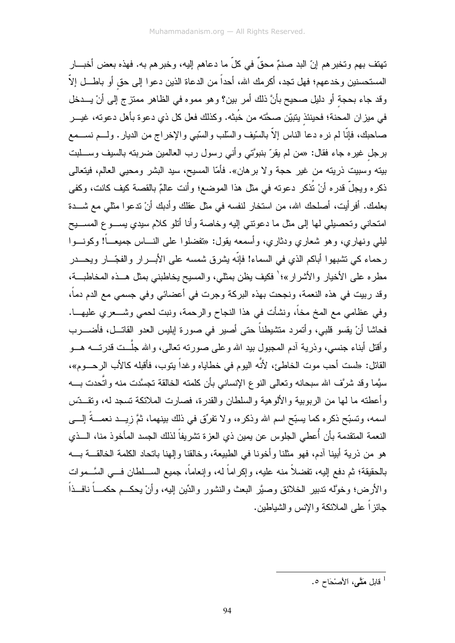تهتف بهم و تخبر هم إنّ البد صنمٌ محقٌ في كلّ ما دعاهم إليه، و خبر هم به. فهذه بعض أخبـــار المستحسنين وخدعهم؛ فهل تجد، أكرمك الله، أحداً من الدعاة الذين دعوا إلى حق أو باطـــل إلاّ وقد جاء بحجة أو دليل صحيح بأنَّ ذلك أمر بين؟ وهو مموه في الظاهر ممتزج إلى أنْ يـــدخل في ميزان المحنة؛ فحينئذ يتبيّن صحَّته من خُبثه. وكذلك فعل كل ذي دعوة بأهل دعوته، غيـــر صـاحبك، فإنَّا لم نره دعا الناس إلاَّ بالسَّيف والسَّلب والسَّبـى والإخراج من الديار . ولــــم نســـمع برجل غيره جاء فقال: «من لم يقرّ بنبوَّتي وأني رسول رب العالمين ضربته بالسيف وســـلبت بيته وسبيت ذريته من غير حجة ولا برهان». فأمّا المسيح، سيد البشر ومحيى العالم، فيتعالى ذكره ويجلُّ قدره أنْ تُذكر دعوته في مثل هذا الموضع؛ وأنت عالمٌ بالقصة كيف كانت، وكفي بعلمك. أفرأيت، أصلحك الله، من استخار لنفسه في مثل عقلك وأدبك أنْ تدعوا مثلي مع شـــدة امتحانبي وتحصيلبي لمها إلىي مثل ما دعونتبي إليه وخاصة وأنا أنلو كلام سيدي يســـوع المســـيح ليلي ونهاري، وهو شعاري ودثاري، وأسمعه بقول: «تفضلوا على النــــاس جميعـــاً! وكونــــوا رحماء كي تشبهوا أباكم الذي في السماء! فإنّه بِشرق شمسه على الأبــــرار والفجّـــار ويحــــدر مطره على الأخيار والأشرار»؛ ٰ فكيف يظن بمثلي، والمسيح يخاطبني بمثل هــذه المخاطبــة، وقد ربيت في هذه النعمة، ونجحت بهذه البركة وجرت في أعضائي وفي جسمي مع الدم دماً، وفي عظامي مع المخ مخاً، ونشأت في هذا النجاح والرحمة، ونبت لحمي وشـــعري عليهـــا. فحاشا أنْ بقسو قلبي، وأتمر د منشبطناً حتى أصبر ً في صور ة إبلبس العدو القاتـــل، فأضـــر ب و أقتل أبناء جنسي، و ذرية آدم المجبول بيد الله و علي صور ته تعالى، و الله جلَّــت قدر تـــه هـــو القائل: «لست أحب موت الخاطئ، لأنَّه اليوم في خطاياه وغداً يتوب، فأقبله كالأب الرحـــوم»، سيَّما وقد شرَّف الله سبحانه وتعالى النوع الإنساني بأن كلمته الخالقة تجسَّدت منه واتَّحدت بــــه و أعطته ما لها من الربوبية والألوهية والسلطان والقدر ة، فصارت الملائكة تسجد له، وتقــدِّس اسمه، وتسبَّح ذكره كما يسبَّح اسم الله وذكره، ولا نفرِّق في ذلك بينهما، ثمَّ زيـــد نعمـــةً إلـــي النعمة المتقدمة بأن أُعطى الجلوس عن يمين ذي العزة تشريفاً لذلك الجسد المأخوذ منا، الـــذي هو من ذرية أبينا آدم، فهو مثلنا وأخونا في الطبيعة، وخالقنا وإلهنا باتحاد الكلمة الخالقـــة بــــه بالحقيقة؛ ثم دفع إليه، تفضلاً منه عليه، وإكراماً له، وإنعاماً، جميع الســلطان فـــي السَّـــموات و الأرض؛ وخوَّله تدبير الخلائق وصيَّر البعث والنشور والدِّين اليه، و أنْ يحكــم حكمـــاً نافـــذاً جائز اً على الملائكة و الانس و الشباطين.

<sup>1</sup> قابل مَتَّمٍ، الأَصنْحَاح ٥.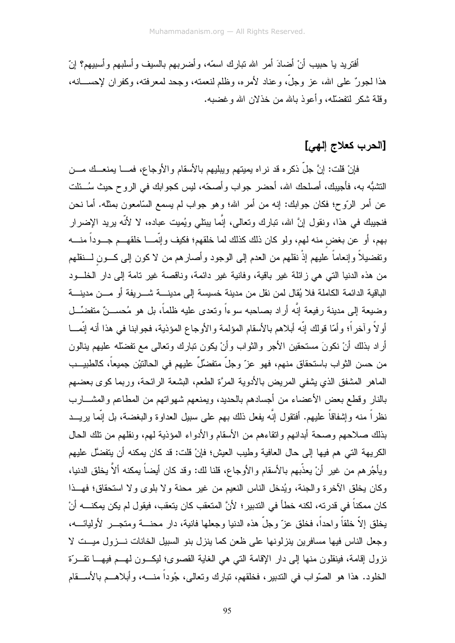أفتريد يا حبيب أنْ أضادَ أمرٍ الله نبارك اسمَّه، وأضربهم بالسيف وأسلبهم وأسبيهم؟ إنّ هذا لجورٌ على الله، عز وجلَّ، وعناد لأمره، وظلم لنعمنه، وجحد لمعرفته، وكفران لإحســـانه، وقلة شكر لتفضَّله، وأعوذ بالله من خذلان الله وغضبه.

## [الحرب كعلاج إلهي]

فإنْ قلت: إنَّ جلَّ ذكره قد نراه بميتهم ويبليهم بالأسقام والأوجاع، فمــــا بمنعـــك مـــن النُّشبُّه به، فأجيبك، أصلحك الله، أحضر جواب وأصحَّه، ليس كجوابك في الروح حيث سُــئلت عن أمر الرَّوح؛ فكان جوَّابِك: إنه من أمر الله؛ وهو جوَّاب لم يسمع السَّامعون بمثله. أما نحن فنجيبِك في هذا، ونقول إنَّ الله، تبارك وتعالى، إنَّما ببِتلي ويُميِت عباده، لا لأنَّه بريد الإضر ار بـهم، أو عن بـغض منه لـهم، ولو كان ذلك كذلك لما خلقهم؛ فكيف وإنَّمـــا خلقهـــم جـــوداً منــــه وتفضيلاً وإنعاماً عليهم إذْ نقلهم من العدم إلى الوجود وأصارهم من لا كون إلى كـــون لــــنقلهم من هذه الدنيا التبي هي زائلة غير باقية، وفانية غير دائمة، وناقصة غير نامة إلى دار الخلـــود الباقية الدائمة الكاملة فلا يُقال لمن نقل من مدينة خسيسة إلى مدينــــة شــــريفة أو مـــن مدينــــة وضيعة إلى مدينة رفيعة إنَّه أراد بصاحبه سوءاً وتعدى عليه ظلماً، بل هو مُحســـنٌ متفضَّـــل أو لاً وآخراً؛ وأمّا قولك إنّه أبلاهم بالأسقام المؤلمة والأوجاع المؤذية، فجوابنا في هذا أنه إنّمـــا أراد بذلك أنْ نكونَ مستحقين الأجر والثواب وأنْ يكون نبارك ونعالى مع نفضله عليهم بنالون من حسن الثواب باستحقاق منهم، فهو عزّ وجلّ متفضّلٌ عليهم في الحالتيْن جميعاً، كالطبيــب الماهر المشفق الذي يشفى المريض بالأدوية المرءَّ الطعم، البشعة الرائحة، وربما كوي بعضهم بالنار وقطع بعض الأعضاء من أجسادهم بالحديد، ويمنعهم شهواتهم من المطاعم والمشــــارب نظراً منه وإشفاقاً عليهم. أفتقول إنّه يفعل ذلك بهم على سبيل العداوة والبغضة، بل إنّما يريـــد بذلك صلاحهم وصحة أبدانهم وانقاءهم من الأسقام والأدواء المؤذبة لهم، ونقلهم من تلك الحال الكريهة التي هم فيها إلى حال العافية وطيب العيش؛ فإنْ قلت: قد كان يمكنه أن يتفضَّل عليهم ويأجُرهم من غيرٍ أنْ يعذِّبهم بالأسقام والأوجاع، قلنا لك: وقد كان أيضاً يمكنه ألاَّ يخلق الدنيا، وكان يخلق الأخرة والجنة، ويُدخل الناس النعيم من غير محنة ولا بلوى ولا استحقاق؛ فهــذا كان ممكناً في قدرته، لكنه خطأ في التدبير ؛ لأنَّ المتعقب كان يتعقب، فيقول لم يكن يمكنــــه أنْ يخلق إلاَّ خلقاً واحداً، فخلق عزّ وجلّ هذه الدنيا وجعلها فانية، دار محنــــة ومتجــــر الأوليائــــه، وجعل الناس فيها مسافرين ينزلونها على ظعن كما ينزل بنو السبيل الخانات نسزول ميست لا نزول إقامة، فينقلون منها إلى دار الإقامة التي هي الغاية القصوى؛ ليكــون لـهــم فيهـــا تقـــرّة الخلود. هذا هو الصَّواب في النَّدبير، فخلقهم، تبارك وتعالى، جُوداً منــــه، وأبلاهـــم بالأســـقام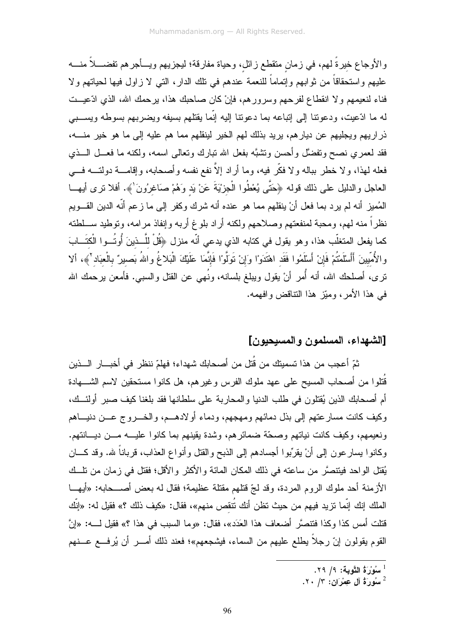والأوجاع خيرةً لهم، في زمان متقطع زائل، وحياة مفارقة؛ ليجزيهم ويــأجرهم تفضـــلاً منــــه عليهم واستحقاقاً من ثوابهم وإتماماً للنعمة عندهم في تلك الدار، التي لا زاول فيها لحياتهم ولا فناء لنعيمهم ولا انقطاع لفرحهم وسرورهم، فإنْ كان صاحبك هذا، برحمك الله، الذي ادّعيـــت له ما ادّعيت، ودعوننا إلى إنباعه بما دعوننا إليه إنّما يقتلهم بسيفه ويضربهم بسوطه ويســـبي ذراريهم ويجليهم عن ديارهم، يريد بذلك لهم الخير لينقلهم مما هم عليه إلى ما هو خير منــــه، فقد لمعمري نصح ونفضَّل وأحسن ونتثبَّه بفعل الله نبارك ونعالمي اسمه، ولكنه ما فعـــل الـــذي فعله لهذا، ولا خطر بباله ولا فكَّر فيه، وما أراد إلاَّ نفع نفسه وأصحابه، وإقامــــة دولتــــه فــــى العاجل والدليل على ذلك قوله ﴿حَتَّى يُعْطُوا الْجِزْيَةَ عَنْ يَد وَهُمْ صَاغِرُونَ ٰ﴾. أفلا نرى أيهــا الْمُميزِ أنه لم يرد بما فعل أنْ ينقلهم مما هو عنده أنه شرك وكفر إلى ما زعم أنَّه الدين القـــويم نظراً منه لهم، ومحبة لمنفعتهم وصلاحهم ولكنه أراد بلوغ أربه وإنفاذ مرامه، وتوطيد ســلطته كما يفعل المتغلَّب هذا، وهو يقول في كتابه الذي يدعى أنَّه منزل ﴿قُلْ للَّــذينَ أُوتُــوا الْكتَــابَ والأُمِّيينَ أَأَسْلَمْتُمْ فَإِنْ أَسْلَمُوا فَقَد اهْتَدَوْا وَإِنْ تَوَلَّوْا فَإِنَّمَا عَلَيْكَ الْبَلاغُ واللهُ بَصيرٌ بالْعبَاد'﴾، ألا نرى، أصلحك الله، أنه أُمر أنْ يقول ويبلغ بلسانه، ونُهي عن القتل والسبي. فأمعن يرحمك الله في هذا الأمر، وميّز هذا النتاقض وافهمه.

## [الشهداء، المسلمون والمسيحيون]

ثمّ أعجب من هذا تسميتك من قُتل من أصحابك شهداء؛ فهلمّ ننظر في أخبـــار الـــذين قُتلوا من أصـحاب المسيح علـى عـهد ملوك الفرس وغيرهم، هل كانوا مستحقين لاسم الشــــهادة أم أصحابك الذين يُقتلون في طلب الدنيا والمحاربة على سلطانها فقد بلغنا كيف صبر أولئــك، وكيف كانت مسارعتهم إلىي بذل دمائهم ومهجهم، ودماء أو لادهــم، والخـــروج عـــن دنيــــاهم ونعيمهم، وكيف كانت نياتهم وصحَّة ضمائرهم، وشدة يقينهم بما كانوا عليـــه مـــن ديـــانتهم. وكانوا بسارعون إلى أنْ بقرِّبوا أجسادهم إلى الذبح والقتل وأنواع العذاب، قرباناً لله. وقد كـــان يُقتل الواحد فيتتصَّر من ساعته في ذلك المكان المائة والأكثر والأقل؛ فقتل في زمان من تلَّــك الأزمنة أحد ملوك الروم المردة، وقد لجّ قتلهم مقتلة عظيمة؛ فقال له بعض أصـــحابه: «أبهـــا الملك إنك إنّما تزيد فيهم من حيث تظن أنك تُتقص منهم»، فقال: «كيف ذلك ؟» فقيل له: «إنّك قتلت أمس كذا وكذا فتتصرَّ أضعاف هذا العَدَد»، فقال: «وما السبب في هذا ؟» فقبل لــــه: «إنَّ القوم يقولون إنَّ رجلاً بطلع عليهم من السماء، فيشجعهم»؛ فعند ذلك أمــــر أن يُرفـــع عـــنهم

 $\cdot$ سُوْرَةُ التَّوبة: ٩/ ٢٩.

 $\cdot$  سُورَةُ آل عِمْرَانِ: ٢٠ .٢٠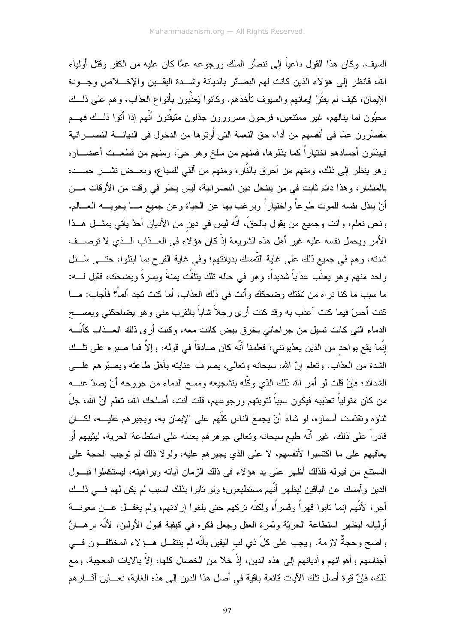السيف. وكان هذا القول داعياً إلى نتصُّر الملك ورجوعه عمًّا كان عليه من الكفر وقتل أولياء الله، فانظر إلى هؤلاء الذين كانت لهم البصائر بالديانة وشـــدة اليقـــين والإخــــلاص وجـــودة الإيمان، كيف لم يفتُرْ لِيمانهم والسيوف تأخذهم. وكانوا يُعذَّبون بأنواع العذاب، وهم على ذلـــك محبُّون لما ينالهم، غير ممتنعين، فرحون مسرورون جذلون منيقِّنون أنَّهم إذا أتوا ذلــك فهـــم مقصِّرون عمَّا في أنفسهم من أداء حق النعمة التي أُوتوها من الدخول في الديانــــة النصــــــرانية فيبذلون أجسادهم اختياراً كما بذلوها، فمنهم من سلخ وهو حيٍّ، ومنهم من قطعـــت أعضــــاؤه وهو ينظر إلى ذلك، ومنهم من أحرق بالنَّار، ومنهم من ألقى للسباع، وبعــض نشـــر جســـده بالمنشار ، وهذا دائم ثابت في من ينتحل دين النصر انية، ليس يخلو في وقت من الأوقات مـــن أنْ يبذل نفسه للموت طوعاً واختياراً ويرغب بها عن الحياة وعن جميع مـــا يحويــــه العــــالم. ونحن نعلم، وأنت وجميع من يقول بالحقِّ، أنَّه ليس في دين من الأديان أحدٌ يأتي بمثـــل هـــذا الأمر ويحمل نفسه عليه غير أهل هذه الشريعة إذْ كان هؤلاء في العــذاب الــذي لا توصـــف شدته، وهم في جميع ذلك على غاية التَّمسك بديانتهم؛ وفي غاية الفرح بما ابتلوا، حتـــي سُـــئل واحد منهم وهو يعذَّب عذاباً شديداً، وهو في حاله نلك ينلفَّت يمنةً ويسرةً ويضحك، فقيل لــــه: ما سبب ما كنا نراه من نلفتك وضحكك وأنت في ذلك العذاب، أما كنت نجد ألماً؟ فأجاب: مـــا كنت أحسّ فيما كنت أعذب به وقد كنت أرى رجلاً شاباً بالقرب منى وهو يضاحكنى ويمســـح الدماء التي كانت تسيل من جراحاتي بخرق بيض كانت معه، وكنت أرى ذلك العــذاب كأنّـــه إنَّما يقع بواحد من الذين يعذبونني؛ فعلمنا أنَّه كان صادقاً في قوله، وإلاَّ فما صبره على نلــك الشدة من العذاب. ونعلم إنَّ الله، سبحانه ونعالى، بصرف عنايته بأهل طاعته وبصبَّرهم علــــي الشدائد؛ فإنْ قلت لو أمر الله ذلك الذي وكَّله بنتثىجيعه ومسح الدماء من جروحه أنْ يصدّ عنــــه من كان متولياً تعذيبه فيكون سبباً لتوبتهم ورجوعهم، قلت أنت، أصلحك الله، تعلم أنَّ الله، جلَّ ثناؤه ونقدَّست أسماؤه، لو شاءَ أنْ يجمعَ الناس كلَّهم على الإيمان به، ويجبرهم عليـــه، لكــــان قادراً على ذلك، غير أنَّه طبع سبحانه وتعالى جوهرهم بعدله على استطاعة الحرية، ليثيبهم أو يعاقبهم على ما اكتسبوا لأنفسهم، لا على الذي يجبرهم عليه، ولولا ذلك لم نوجب الحجة على الممتنع من قبوله فلذلك أظهر على يد هؤلاء في ذلك الزمان آياته وبراهينه، ليستكملوا قبــول الدين وأمسك عن الباقين ليظهر أنَّهم مستطيعون؛ ولو نابوا بذلك السبب لم يكن لهم فـــي ذلـــك أجر، لأنَّهم إنما نابوا قهراً وقسراً، ولكنَّه نركهم حتى بلغوا إرادتهم، ولم يغفــل عــن معونـــة أوليائه ليظهر استطاعة الحريّة وثمرة العقل وجعل فكره في كيفية قبول الأولين، لأنّه برهـــانٌ واضح وحجةٌ لازمة. ويجب على كلّ ذي لب اليقين بأنّه لم ينتقـــل هـــؤلاء المختلفــون فـــي أجناسهم وأهوائهم وأديانهم إلىى هذه الدين، إذْ خلا من الخصال كلها، إلاَّ بالآيات المعجبة، ومع ذلك، فإنَّ قوة أصل نلك الآيات قائمة باقية في أصل هذا الدين إلى هذه الغاية، نعـــاين آثـــار هم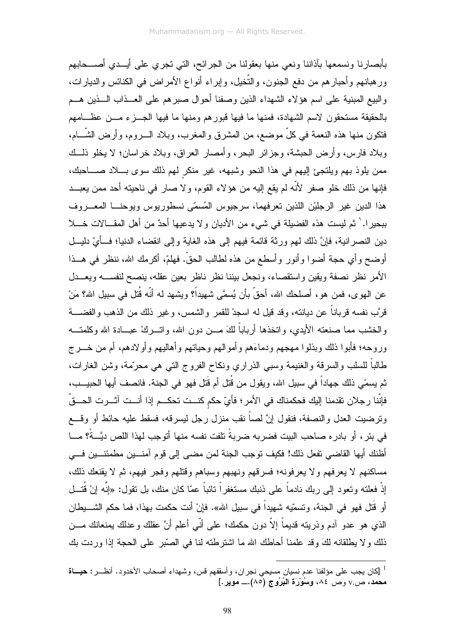بأبصارنا ونسمعها بآذاننا ونعى منها بعقولنا من الجرائح، التي تجرى على أيـــدى أصــــحابهم ور هبانهم وأحبار هم من دفع الجنون، والتَّخيل، وإبراء أنواع الأمراض في الكنائس والديارات، والبيع المبنية على اسم هؤلاء الشهداء الذين وصفنا أحوال صبرهم على العــذاب الـــذين هـــم بالحقيقة مستحقون لاسم الشهادة، فمنها ما فيها قبورهم ومنها ما فيها الجـــزء مـــن عظـــامهم فتكون منها هذه النعمة في كلِّ موضع، من المشرق والمغرب، وبلاد الـــــروم، وأرض الشَّــــام، وبلاد فارس، وأرض الحبشة، وجزائر البحر، وأمصار العراق، وبلاد خراسان؛ لا يخلو ذلــك ممن بلوذ بهم ويلتجئ إليهم في هذا النحو وشبهه، غير منكر لهم ذلك سوى بـــلاد صــــاحبك، فإنها من ذلك خلو صفر لأنَّه لم يقع إليه من هؤلاء القوم، ولا صار في ناحيته أحد ممن يعبــد هذا الدين غير الرجليْن اللذين تعرفهما، سرجيوس المُسمّى نسطوريوس ويوحنـــا المعـــروف ببحيرا. ` ثم ليست هذه الفضيلة في شيء من الأديان ولا يدعيها أحدٌ من أهل المقــالات خـــلا دين النصر انية، فإنَّ ذلك لهم ورثة قائمة فيهم إلى هذه الغاية وإلى انقضاء الدنيا؛ فــأيِّ دليـــل أوضح وأي حجة أضوا وأنور وأسطع من هذه لطالب الحقّ. فهلمّ، أكرمك الله، ننظر في هــذا الأمر نظر نصفة ويقين واستقصاء، ونجعل بيننا نظر ناظر بعين عقله، ينصح لنفســه ويعـــدل عن الـهوى، فمن هو، أصلحك الله، أحقَّ بأن يُسمَّى شهيداً؟ ويشهد له أنَّه قُتل في سبيل الله؟ مَنْ قرَّب نفسه قرباناً عن ديانته، وقد قيل له اسجدْ للقمر والشمس، وغير ذلك من الذهب والفضــــة والخشب مما صنعته الأبدي، واتخذها أرباباً لكَ مـــز، دون الله، واتـــركُ عبـــادة الله وكلمتـــه وروحه؛ فأبوا ذلك وبذلوا مهجهم ودماءَهم وأموالهم وحياتهم وأهاليهم وأولادهم، أم من خـــرج طالباً للسلب والسرقة والغنيمة وسبى الذراري ونكاح الفروج التي هي محرّمة، وشن الغارات، ثم يسمّي ذلك جهاداً في سبيل الله، ويقول من قُتل أم قَتل فهو في الجنة. فانصف أيها الحبيــب، فإنّنا رجلان تقدمنا إليك فحكمناك في الأمر ؛ فأيّ حكم كنـــت تحكـــم إذا أنـــت آشــرت الحـــقّ وترضيت العدل والنصفة، فنقول إنَّ لصاً نقب منزل رجل ليسرقه، فسقط عليه حائط أو وقسع في بئر ، أو بادر ، صاحب البيت فضربه ضربةً تلفت نفسه منها أتوجب لهذا اللص ديَّــةً؟ مــــا أظنك أيها القاضي تفعل ذلك! فكيف توجب الجنة لمن مضىي إلى قوم آمنــــين مطمئنـــين فـــي مساكنهم لا يعرفهم ولا يعرفونه؛ فسرقهم ونهبهم وسباهم وقتلهم وفجر فيهم، ثم لا يقنعك ذلك، إذْ فعلنـّه ونـعود إلـى ربك نـادماً علـى ذنبك مستغفراً نـائباً عمّا كـان منك، بل نقول: «إنَّه إنْ قُتـــل أو قُتل فهو في الجنة، وتسمّيه شهيداً في سبيل الله». فإنْ أنت حكمت بهذا، فما حكم الشـــبطان الذي هو عدو أدم وذريته قديماً إلاَّ دون حكمك؛ على أنَّى أعلم أنَّ عقلك وعدلك يمنعانك مـــن ذلك ولا يطلقانه لكَ وقد علمنا أحاطك الله ما اشترطته لنا في الصَّبر على الحجة إذا وردت بك

<sup>&</sup>lt;sup>1</sup> [كان يجب على مؤلفنا عدم نسيان مسيحي نجران، وأسقفهم قس، وشهداء أصحاب الأخدود. أنظـــر : **حيــــاة** محمد، ص v وصّ ٨٤، وسُوْرَة البُرُوج (٨٥).\_ موير .]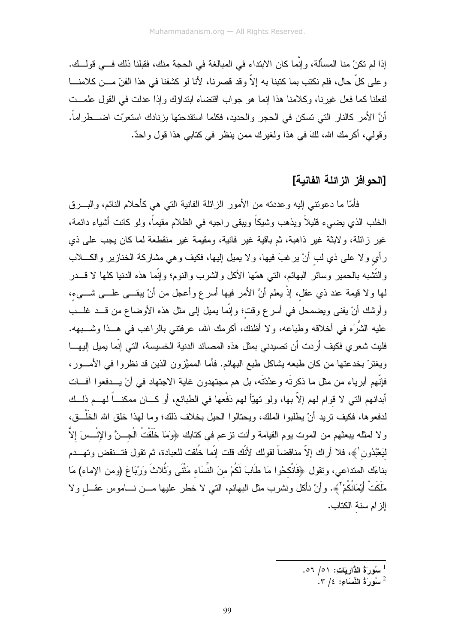إذا لم تكنْ منا المسألة، وإنَّما كان الابتداء في المبالغة في الحجة منك، فقبلنا ذلك فــي قولــك. و على كلِّ حال، فلم نكتب بما كتبنا به إلاَّ وقد قصرنا، لأنا لو كشفنا في هذا الفنّ مـــن كلامنــــا لفعلنا كما فعل غيرنا، وكلامنا هذا إنما هو جواب اقتضاه ابتداؤك وإذا عدلت في القول علمــت أنَّ الأمر كالنار التي تسكن في الحجر والحديد، فكلما استقدحتها بزنادك استعرّت اضــــطراماً. وقولي، أكرمك الله، لكَ في هذا ولغيرك ممن ينظر في كتابي هذا قول واحدٌ.

#### [الحو افز\_ الز\_ائلة\_الفانية]

فأمَّا ما دعونتـي الِيه وعددته من الأمور الزائلة الفانية التـي هـي كأحلام النائم، والبــــرق الخلب الذي يضبيء قليلاً ويذهب وشيكاً وبيقى ر اجيه في الظلام مقيماً، ولو كانت أشياء دائمة، غير زائلة، ولابثة غير ذاهبة، ثم باقية غير فانية، ومقيمة غير منقطعة لما كان يجب على ذي رأي ولا علىي ذي لب أنْ يرغبَ فيها، ولا يميل إليها، فكيف وهي مشاركة الخنازير والكــــلاب والتَّشْبه بالحمير وسائر البهائم، التبي همّها الأكل والشرب والنوم؛ وإنَّما هذه الدنيا كلها لا قـــدر لمها ولا قيمة عند ذي عقل، إذْ يعلم أنَّ الأمر فيها أسرع وأعجل من أنْ يبقـــي علــــي شــــيء، وأوشك أنْ يفني ويضمحل في أسرع وقت؛ وإنَّما يميل إلى مثل هذه الأوضاع من قـــد غلـــب عليه الشَّرَه في أخلاقه وطباعه، ولا أظنك، أكرمك الله، عرفتني بالراغب في هــذا وشــــبهه. فليت شعري فكيف أردت أن تصيدني بمثل هذه المصائد الدنية الخسيسة، التي إنّما يميل إليهـــا ويغترَ بخدعتها من كان طبعه بشاكل طبع البهائم. فأما المميَّزون الذين قد نظروا في الأمـــور، فإنَّهم أبرياء من مثل ما ذكرتَه وعدَّدْتَه، بل هم مجتهدون غاية الاجتهاد في أنْ يـــدفعوا أفـــات أبدانهم التي لا قوام لهم إلاّ بها، ولو تهيّاً لهم دَفْعها في الطبائع، أو كـــان ممكنـــاً لهـــم ذلــك لدفعوها، فكيف نريد أنْ يطلبوا الملك، ويحتالوا الحيل بخلاف ذلك؛ وما لمهذا خلق الله الخَلْـــق، ولا لمثله ببعثهم من الموت بوم القيامة وأنت نزعم في كتابك ﴿وَمَا خَلَقْتُ الْجِــنَّ والإِنْــسَ إِلاَّ لْيَعْبُدُون ﴾، فلا أراك إلاّ مناقضاً لقولك لأنّك قلت إنّما خُلقت للعبادة، ثم تقول فتــنقض وتهـــدم بناءَك المنداعي، وتقول ﴿فَانْكحُوا مَا طَابَ لَكُمْ منَ النِّسَاء مَثْنَى وَثُلاثَ وَرُبَاعَ (ومن الإماء) مَا مَلَكَتْ أَيْمَانُكُمْ ْ﴾. وأنْ نأكل ونشرب مثل البهائم، النبي لا خطر عليها مـــن نــــاموس عقـــل ولا الز ام سنة الكتاب.

- لَّ سُورَةُ الذَّارِيَاتِ: ٥١/ ٥٦.
	- $\mathcal{L}$ سُورَةُ النِّسَاءِ: 1/ ٣.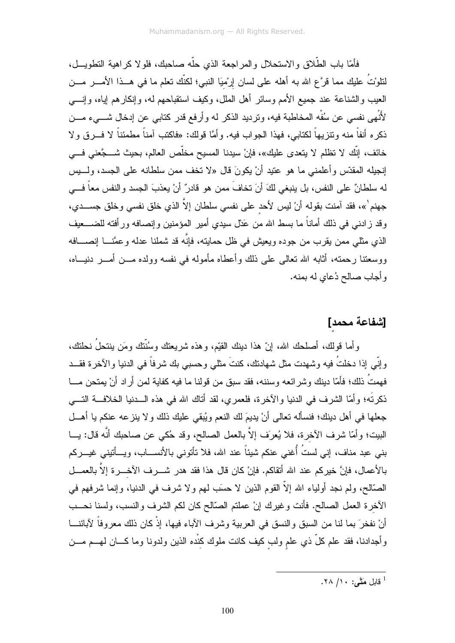فأمَّا باب الطَّلاق والاستحلال والمر اجعة الذي حلَّه صاحبك، فلو لا كر اهية التطويـــل، لتلوْتُ عليك مما قرَّع الله به أهله على لسان إرْميَا النبي؛ لكنَّك نعلم ما في هــذا الأمــــر مـــن العيب والشناعة عند جميع الأمم وسائر أهل الملل، وكيف استقباحهم له، وإنكارهم إياه، وإنسي لأُنْهي نفسي عن سُفْه المخاطبة فيه، ونرديد الذكر له وأرفع قدر كتابـي عن إدخال شــــيء مـــن ذكره أنفاً منه ونتزيهاً لكتابي، فهذا الجواب فيه. وأمَّا قولك: «فاكتب آمناً مطمئناً لا فـــرق ولا خائف، إنَّك لا تظلم لا يتعدى عليك»، فإنْ سيدنا المسيح مخلَّص العالم، بحيث شــــجَّعنى فـــي إنجيله المقدّس وأعلمني ما هو عتيد أنْ يكونَ قال «لا تخف ممن سلطانه على الجسد، ولــــبس له سلطانٌ على النفس، بل ينبغي لكَ أنَ تخافَ ممن هو قادرٌ أنْ يعذبَ الجسد والنفس معاً فـــي جهنم`»، فقد آمنت بقوله أنْ ليس لأحد على نفسي سلطان إلاَّ الذي خلق نفسي وخلق جســـدي، وقد زادني في ذلك أماناً ما بسط الله من عَدْل سيدي أمير المؤمنين وإنصافه ورأفته للضــــعيف الذي مثلـي ممن يقرب من جوده ويعيش في ظل حمايته، فإنَّه قد شملنا عدله وعمَّنـــا إنصــــافه ووسعتنا رحمته، أثابه الله نعالى على ذلك وأعطاه مأموله في نفسه وولده مـــن أمـــر دنيـــاه، وأجاب صالح دُعاي له بمنه.

# [شفاعة محمد]

وأما قولك، أصلحك الله، إنّ هذا دينك القيّم، وهذه شريعتك وسُنّتك ومَن ينتحلُ نحلتك، وإِنِّي إذا دخلتُ فيه وشهدت مثل شهادتك، كنتَ مثلي وحسبي بك شرفاً في الدنيا والآخرة فقـــد فهمتُ ذلك؛ فأمّا دينك وشر ائعه وسننه، فقد سبق من قولنا ما فيه كفاية لمن أر اد أنْ يمتحن مـــا ذكرتَه؛ وأمَّا الشرف في الدنيا والآخرة، فلعمري، لقد أناك الله في هذه الـــدنيا الخلافـــة التــــي جعلها في أهل دينك؛ فنسأله نعالي أنْ يديمَ لك النعم ويُبقى عليك ذلك ولا ينزعه عنكم يا أهـــل البيت؛ وأمَّا شرف الأخرة، فلا يُعرَف إلاَّ بالعمل الصالح، وقد حُكي عن صاحبك أنَّه قال: يـــا بني عبد مناف، إني لستُ أُغني عنكم شيئاً عند الله، فلا تأتوني بالأنســـاب، ويـــأتيني غيـــركم بالأعمال، فإنَّ خيركم عند الله أتقاكم. فإنْ كان قال هذا فقد هدر شــــرف الآخــــرة إلاَّ بالعمـــل الصَّالح، ولم نجد أولياء الله إلاَّ القوم الذين لا حسَب لمهم ولا شرف في الدنيا، وإنما شرفهم في الأخرة العمل الصالح. فأنت وغيرك إنْ عملتم الصَّالح كان لكم الشرف والنسب، ولسنا نحـــب أنْ نفخرَ بما لنا من السبق والنسق في العربية وشرف الآباء فيها، إذْ كان ذلك معروفاً لآبائنـــا وأجدادنا، فقد علم كلَّ ذي علم ولب كيف كانت ملوك كنْده الذين ولدونا وما كـــان لمهـــم مــــن

<sup>1</sup> قابل مَتَّے : ۱۰/ ۲۸.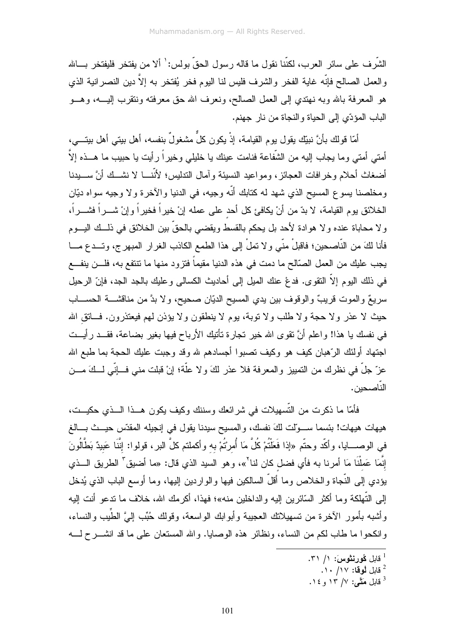الشَّرِ ف علي سائر العرب، لكنَّنا نقول ما قاله ر سول الحقِّ بولس: ٰ ألا من يفتخر ۖ فليفتخر ۖ بِسالله والعمل الصـالح فإنَّه غاية الفخر والشرف فليس لنـا اليوم فخر يُفتخر بـه إلاَّ دين النصـرانية الذي هو المعرفة بالله وبه نهتدي إلىي العمل الصالح، ونعرف الله حق معرفته ونتقرب اإيب، وهـــو الباب المؤدّي إلى الحياة والنجاة من نار جهنم.

أمّا قولك بأنَّ نبيّك يقول يوم القيامة، إذْ يكون كلَّ مشغولٌ بنفسه، أهل بيتي أهل بيتـــي، أمتـي أمتـي وما يـجاب الِيه من الشُّفاعة فنامت عينك يا خليلـي وخيراً رأيت يا حبيب ما هـــذه إلاَّ أضغاث أحلام وخرافات العجائز، ومواعيد النسيئة وآمال الندليس؛ لأنَّنــــا لا نشـــك أنَّ ســــبدنـا ومخلصنا بسوع المسبح الذي شهد له كتابك أنَّه وجيه، في الدنيا والآخرة ولا وجيه سواه ديَّان الخلائق بوم القيامة، لا بدّ من أنْ يكافئ كل أحد على عمله إنْ خيراً فخيراً وإنْ شــــراً فشــــراً، ولا محاباة عنده ولا هوادة لأحد بل يحكم بالقسط ويقضي بالحقِّ بين الخلائق في ذلــك اليـــوم فأنا لكَ من النّاصحين؛ فاقبلْ منّى و لا تملْ إلى هذا الطمع الكاذب الغرار المبهرج، وتــدع مـــا يجب عليك من العمل الصّالح ما دمت في هذه الدنيا مقيماً فتزود منها ما نتتفع به، فلـــن ينفـــع في ذلك اليوم إلاَّ النقوى. فدعْ عنك الميل إلى أحاديث الكسالي وعليك بالجد الجد، فإنّ الرحيل سريعٌ والموت قريبٌ والوقوف بين يدي المسيح الديّان صحيح، ولا بدَّ من مناقشــــة الحســــاب حيث لا عذر ولا حجة ولا طلب ولا نوبة، يوم لا ينطقون ولا يؤذن لمهم فيعتذرون. فساتق الله في نفسك يا هذا! واعلم أنَّ نقوى الله خير نجارة نأتيك الأرباح فيها بغير بضاعة، فقــد رأيــت اجتهاد أولئك الرّهبان كيف هو وكيف تصبوا أجسادهم لله وقد وجبت عليك الحجة بما طبع الله عزّ جلّ في نظرك من التمييز والمعرفة فلا عذر لكَ ولا علَّة؛ إنْ قبلت منى فــانِّي لــكَ مـــن الناصحين.

فأمَّا ما ذكرت من التَّسهيلات في شرائعك وسننك وكيف يكون هــذا الـــذي حكيــت، هيهات هيهات! بئسما ســـوّلت لكَ نفسك، والمسيح سيدنا يقول في إنجيله المقدّس حيـــث بـــالـغ في الوصــــايا، وأكّد وحتّم «إذا فَعَلْتُمْ كُلَّ مَا أُمرتُمْ بـه وأكملتم كلَّ البر ، قولوا: إنَّنَا عَبيدٌ بَطَّالُونَ إِنَّمَا عَملْنَا مَا أمرنا به فأي فضل كان لنا<sup>٢</sup>»، وهو السيد الذي قال: «ما أضيقٌ الطريق الـــذي يؤدي إلىي النَّجاة والخلاص وما أقلَّ السالكين فيها والواردين إليها، وما أوسع الباب الذي يُدخل إلى التَّهلكة وما أكثر السّائرين إليه والداخلين منه»؛ فهذا، أكرمك الله، خلاف ما ندعو أنت إليه وأشبه بأمور الأخرة من تسهيلاتك العجيبة وأبوابك الواسعة، وقولك حُبِّب إلىَّ الطَّيب والنساء، وانكحوا ما طاب لكم من النساء، ونظائر هذه الوصايا. والله المستعان على ما قد انشــــرح لـــــه

- . قابل لُوقا: ١٧/ ١٠.
- فابل مَقَّى: ١٢ / ١٣ و ١٤.

قابل كُورنشوس: ١/ ٣١.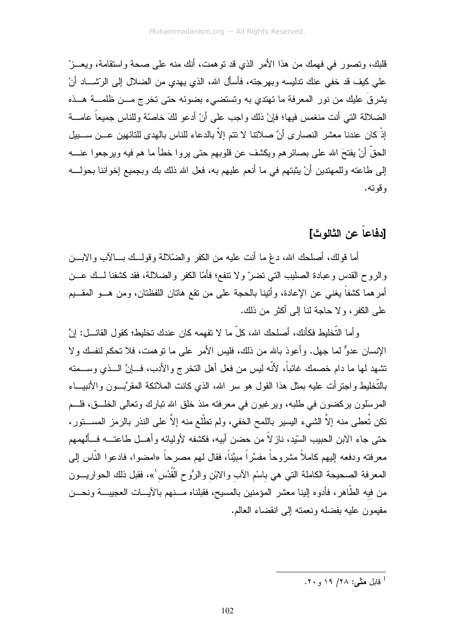قلبك، وتصور ً في فهمك من هذا الأمر الذي قد تو همت، أنك منه على صحة واستقامة، ويعـــز ّ على كيف قد خفى عنك ندليسه وبهرجته، فأسأل الله، الذي يهدي من الضلال إلى الرِّشـــاد أنْ يشرقَ عليك من نور المعرفة ما نهتدي به وتستضىء بضوئه حتى تخرج مـــن ظلمــــة هـــذه الضلالة التي أنت منغمس فيها؛ فإنْ ذلك واجب على أنْ أدعو لكَ خاصَّة وللناس جميعاً عامـــة إِذْ كان عندنا معشر النصار ي أنَّ صلاتنا لا نتم إلاَّ بالدعاء للناس بالهدى للتائهين عـــن ســـبيل الحقُّ أنْ يفتحَ الله على بصائر هم ويكثِّف عن قلوبهم حتى يروا خطأ ما هم فيه ويرجعوا عنــــه إلى طاعته وللمهتدين أنْ يثبتهم في ما أنعم عليهم به، فعل الله ذلك بك وبجميع إخواننا بحولـــه و قو ته.

## [دفاعاً عن الثالوث]

أما فولك، أصلحك الله، دعْ ما أنت عليه من الكفر والضَّلالة وفولــك بـــالآب والابـــن والروح القدس وعبادة الصليب التبي تضرّ ولا نتفع؛ فأمَّا الكفر والضلالة، فقد كشفنا لــك عـــن أمرهما كشفاً يغني عن الإعادة، وأتينا بالحجة على من نقع هاتان اللفظتان، ومن هـــو المقـــيم على الكفر، ولا حاجة لنا إلى أكثر من ذلك.

و أما التَّخليط فكأنك، أصلحك الله، كلّ ما لا نفهمه كان عندك تخليط؛ كقول القائـــل: إنَّ الإنسان عدوٌّ لما جهل. وأعوذ بالله من ذلك، فليس الأمر على ما نوهمت، فلا تحكم لنفسك ولا تشهد لها ما دام خصمك غائباً، لأنّه ليس من فعل أهل النخر ج والأدب، فـــانَّ الـــذي وســـمته بالتُّخليط واجترأت عليه بمثل هذا القول هو سر الله، الذي كانت الملائكة المقرَّبـــون والأنبيـــاء المرسِّلون بركضون في طلبه، ويرغبون في معرفته منذ خلق الله نبارك وتعالى الخلَّــق، فلـــم نكن نُعطى منه إلاَّ الشيء اليسير باللمح الخفي، ولم نطَّلع منه إلاَّ على النذر بالرمز المســــنور، حتى جاء الابن الحبيب السّيد، ناز لاً من حضن أبيه، فكشفه لأوليائه وأهـــل طاعتــــه فـــألهمهم معرفته ودفعه إليهم كاملاً مشروحاً مفسَّراً مبيَّناً، فقال لهم مصرحاً «امضوا، فادعوا النَّاس إلى المعرفة الصحيحة الكاملة التي هي باسْم الآب والابْن والرُّوح الْقُدُس ٰ»، فقبل ذلك الحواريـــون من فيه الطَّاهر، فأدوه الِينا معشر المؤمنين بالمسيح، فقبلناه مـــنهم بالآيـــات العجيبـــة ونحـــن مقيمون عليه بفضله ونعمته إلى انقضاء العالم.

<sup>1</sup> قابل مَتَّـم: ۲۸/ ۱۹ و ۲۰.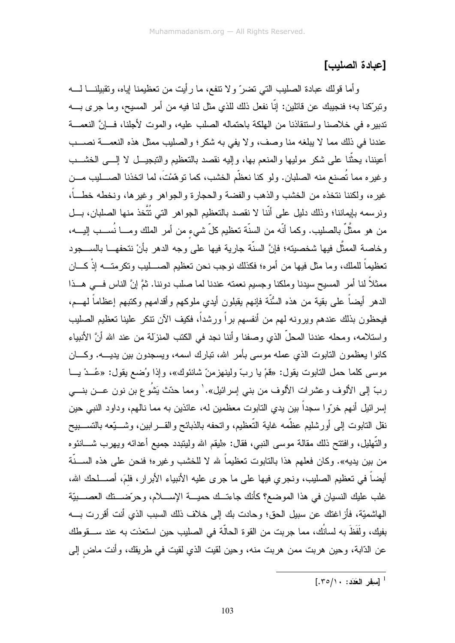## [عيادة الصليب]

و أما قولك عبادة الصليب التي تضرَّ ولا تتفع، ما رأيت من تعظيمنا إياه، وتقبيلنـــا لــــه وتبرِّكنا به؛ فنجيبك عن قائلين: إنَّا نفعل ذلك للذي مثل لنا فيه من أمر المسيح، وما جرى بــــه تدبير ه في خلاصنا واستنقاذنا من الهلكة باحتماله الصلب عليه، والموت لأجلنا، فسانَّ النعمسة عندنا في ذلك مما لا يبلغه منا وصف، ولا يفي به شكر؛ والصليب ممثل هذه النعمـــة نصـــب أعيننا، يحثُّنا على شكر موليها والمنعم بها، وإليه نقصد بالنعظيم والتبجيـــل لا إلــــى الخشــــب وغيره مما تُصنع منه الصلبان. ولو كنا نعظَّم الخشب، كما نوهَّمْتَ، لما انخذنا الصــــليب مـــن غيره، ولكننا نتخذه من الخشب والذهب والفضة والحجارة والجواهر وغيرها، ونخطه خطـــاً، ونرسمه بإيماننا؛ وذلك دليل على أنّنا لا نقصد بالتعظيم الجواهر التي نُتَّخذ منها الصلبان، بـــل من هو ممثَّلٌ بالصليب. وكما أنَّه من السنَّة تعظيم كلّ شيء من أمر الملك ومـــا نُســـب الليـــه، وخاصة الممثَّل فيها شخصيته؛ فإنَّ السنَّة جارية فيها على وجه الدهر بأنْ نتحفهـــا بالســــجود تعظيماً للملك، وما مثل فيها من أمر ه؛ فكذلك نوجب نحن تعظيم الصـــــليب وتكر متــــه إذْ كــــان ممثلاً لنا أمر المسيح سيدنا وملكنا وجسيم نعمته عندنا لما صلب دوننا. ثمَّ إنَّ الناس فـــي هـــذا الدهر أيضـاً علـى بقية من هذه السُّنَّة فإنـهم يقبلون أيدي ملوكـهم وأقدامـهم وكتبـهم إعظـاماً لـهـــم، فيحظون بذلك عندهم ويرونه لمهم من أنفسهم براً ورشداً، فكيف الأن نتكر علينا تعظيم الصليب واستلامه، ومحله عندنا المحلَّ الذي وصفنا وأننا نجد في الكتب المنزلة من عند الله أنَّ الأنبياء كانوا يعظمون النابوت الذي عمله موسى بأمر الله، نبارك اسمه، ويسجدون بين يديسه. وكـــان موسى كلما حمل التابوت يقول: «فمْ يا ربّ ولينهزمنّ شانئوك»، وإذا وُضع يقول: «عُــدْ يـــا ربِّ إلى الألوف وعشرات الألوف من بني إسرائيل». ٰ ومما حدّث يَشُو ع بن نون عـــن بنــــي إسرائيل أنهم خرّوا سجداً بين يدي التابوت معظمين له، عائذين به مما نالهم، وداود النبي حين نقل النابوت إلى أورشليم عظَّمه غاية التَّعظيم، واتحفه بالذبائح والقـــرابين، وشــــيَّعه بالتســـبيح والتَّهليل، وافتتح ذلك مقالة موسى النبي، فقال: «ليقم الله وليتبدد جميع أعدائه ويهرب شـــانئوه من بين يديه». وكان فعلهم هذا بالتابوت تعظيماً لله لا للخشب وغيره؛ فنحن على هذه الســـنَّة أيضاً في تعظيم الصليب، ونجري فيها على ما جرى عليه الأنبياء الأبرار، فلمَ، أصـــلحك الله، غلب عليك النسيان في هذا الموضع؟ كأنك جاءتــك حميـــة الإســــلام، و حر ّضــــتك العصــــبيّة الهاشميّة، فأز اغتك عن سبيل الحق؛ وحادت بك إلى خلاف ذلك السبب الذي أنت أقرر ت بــــه بفيك، ولَفَظَ به لسانُك، مما جربت من القوة الحالَّة في الصليب حين استعذت به عند ســـقوطك عن الدّابة، وحين هربت ممن هربت منه، وحين لقيت الذي لقيت في طريقك، وأنت ماض إلى

 $[.7 \circ / \cdot : : \mathcal{L}$  [سفر العَدَد ]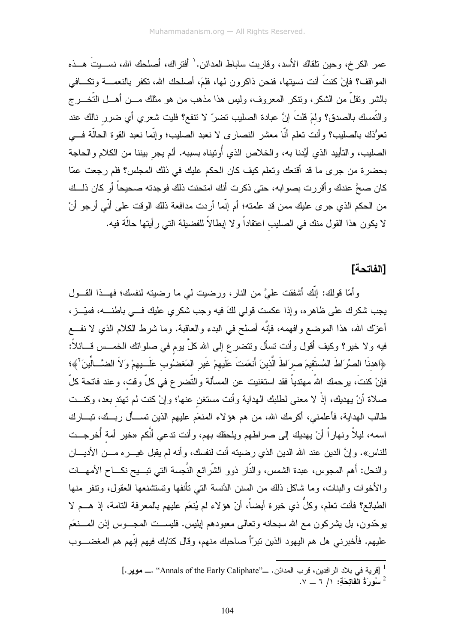عمر الكر خ، وحين تلقاك الأسد، وقاربت ساباط المدائن. ` أفتر اك، أصلحك الله، نســـبتَ هـــذه المواقف؟ فإنْ كنتَ أنت نسيتها، فنحن ذاكرون لـها، فلمَ، أصلحك الله، نكفر بالنعمـــة ونكـــافـي بالشر ونقلَّ من الشكر، ونتكر المعروف، وليس هذا مذهب من هو مثلك مـــن أهـــل التَّخـــرج والتَّمسك بالصدق؟ ولمَ قلتَ إنَّ عبادة الصليب تضرَّ لا نتفع؟ فليت شعري أي ضرر نالك عند نعوُّذك بالصليب؟ وأنت نعلم أنَّا معشر النصارى لا نعبد الصليب؛ وإنَّما نعبد القوة الحالَّة فـــي الصليب، والتأييد الذي أيَّدنا به، والخلاص الذي أُونيناه بسببه. ألم يجر بيننا من الكلام والحاجة بحضرة من جرى ما قد أقنعك وتعلم كيف كان الحكم عليك في ذلك المجلس؟ فلم رجعت عمّا كان صحَّ عندك وأقررت بصوابه، حتى ذكرت أنك امتحنت ذلك فوجدته صحيحاً أو كان ذلــك من الحكم الذي جرى عليك ممن قد علمته؛ أم إنَّما أردت مدافعة ذلك الوقت على أنِّي أرجو أنْ لا يكون هذا القول منك في الصليب اعتقاداً و لا إبطالاً للفضيلة التي رأيتها حالَّة فيه.

### [الفاتحة]

وأمَّا قولك: إنَّك أشفقت عليَّ من النار، ورضيت لي ما رضيته لنفسك؛ فهــذا القـــول يجب شكرك على ظاهره، وإذا عكست قولي لكَ فيه وجب شكري عليك فـــي باطنـــه، فميّـــز، أعزَّك الله، هذا الموضع وافهمه، فإنَّه أصلح في البدء والعاقبة. وما شرط الكلام الذي لا نفــع فيه و لا خير؟ وكيف أقول وأنت تسأل ونتضرع إلى الله كلَّ يوم في صلواتك الخمـــس قـــائلاً: ﴿اهدنَا الصِّرَاطَ المُستَقيمَ صرِاطَ الَّذينَ أَنعَمتَ عَلَيهمْ غَيرِ المَغضُوبِ عَلَــبِهمْ وَلاَ الضَّــالِّينَ ۚ﴾؛ فإنْ كنتَ، يرحمك اللهُ مهتدياً فقد استغنيت عن المسألة والتّضر ع في كلِّ وقت، وعند فاتحة كلَّ صـلاة أنْ يهديك، إذْ لا مـعنـى لطلبك الـهدايـة وأنت مستغن عنـها؛ وإنْ كنت لم تـهتد بـعد، وكنـــت طالب الهداية، فأعلمني، أكرمك الله، من هم هؤلاء المنعَم عليهم الذين تســأل ربــك، تبـــارك اسمه، ليلاً ونهاراً أنْ يهديك إلى صراطهم ويلحقك بهم، وأنت تدعى أنَّكم «خير أمة أُخرجت للناس». وإنَّ الدين عند الله الدين الذي رضيته أنت لنفسك، وأنه لم يقبل غيـــره مـــن الأديــــان والنحل: أهم المجوس، عبدة الشمس، والنَّار ذوو الشَّرائع النَّجسة التي نبسـيح نكـــاح الأمهـــات و الأخو ات و البنات، و ما شاكل ذلك من السنن الدَّنسة التي تأنفها و تستشنعها العقول، وتتفر ٍ منها الطبائع؟ فأنت نعلم، وكلَّ ذي خبرة أيضاً، أنَّ هؤلاء لم يُنعَم عليهم بالمعرفة التامة، إذ هـــم لا يوجَّدون، بل يشركون مع الله سبحانه وتعالى معبودهم إبليس. فليســت المجـــوس إذن المـــنعَم عليهم. فأخبرني هل هم اليهود الذين نبرّاً صـاحبك منهم، وقال كتابك فيهم إنّهم هم المغضــــوب

 $\cdot$  سُورَةُ الْفَاتِحَةَ: ١/ ٦ \_ ٧.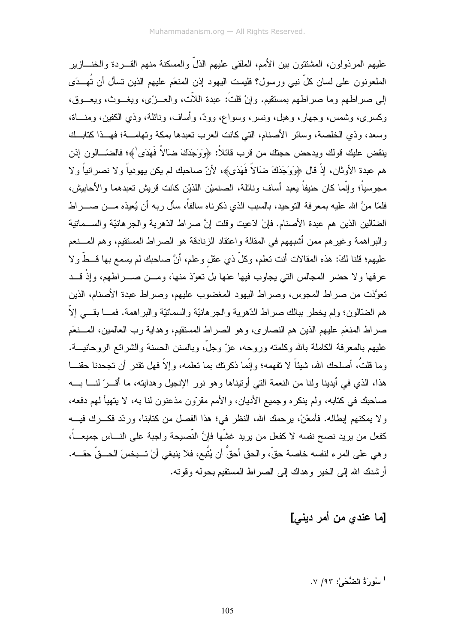عليهم المر ذولون، المشتتون بين الأمم، الملقى عليهم الذلِّ والمسكنة منهم القـــر دة والخنــــاز ير الملعونون على لسان كلِّ نبي ورسول؟ فليست اليهود إذن المنعَم عليهم الذين تسأل أن تُهِــدَى إلى صراطهم وما صراطهم بمستقيم. وإنْ قلتَ: عبدة اللَّت، والعـــزِّي، ويغـــوث، ويعـــوق، وكسرى، وشمس، وجهار، وهبل، ونسر، وسواع، وودٌ، وأساف، ونائلة، وذي الكفين، ومنساة، وسعد، وذي الخلصة، وسائر الأصنام، التي كانت العرب نعبدها بمكة وتهامــة؛ فهــذا كتابــك ينقض عليك قولك ويدحض حجتك من قرب قائلاً: ﴿وَوَجَدَكَ ضَالاً فَهَدَى ٰ﴾؛ فالضّـــالون إذن هم عبدة الأوثان، إذْ قال ﴿وَوَجَدَكَ ضَالاً فَهَدَى﴾، لأنّ صاحبك لم يكن يهودياً و لا نصر انياً و لا مجوسياً؛ وإنَّما كان حنيفاً يعبد أساف ونائلة، الصنميْن اللذيْن كانت قريش تعبدهما والأحابيش، فلمّا منَّ الله عليه بمعر فة النّوحيد، بالسبب الذي ذكر ناه سالفاً، سأل ر به أن يُعيذه مـــن صــــر اط الضَّالين الذين هم عبدة الأصنام. فإنْ ادِّعيت وقلت إنَّ صر اط الدِّهر بـة و الـجر هانبَّة و الســـماتية و البر اهمة و غير هم ممن أشبههم في المقالة و اعتقاد الزنادقة هو الصر اط المستقيم، و هم المسنعم عليهم؛ قلنا لكَ: هذه المقالات أنت نعلم، وكلَّ ذي عقل وعلم، أنَّ صاحبك لم يسمع بها قـــطَّ ولا عرفها ولا حضر المجالس التي يجاوب فيها عنها بل نعوّذ منها، ومـــن صــــراطهم، وإذْ قـــد تعوَّذت من صراط المجوس، وصراط اليهود المغضوب عليهم، وصراط عبدة الأصنام، الذين هم الضَّالون؛ ولم يخطر ببالك صراط الدَّهرية والجرهانيَّة والسمانيَّة والبراهمة. فمـــا بقـــي إلاَّ صر اط المنعَم عليهم الذين هم النصار ي، وهو الصر اط المستقيم، و هداية ر ب العالمين، المسنعَم عليهم بالمعرفة الكاملة بالله وكلمته وروحه، عزّ وجلَّ، وبالسنن الحسنة والشر ائع الروحانيـــة. وما قلتُ، أصلحك الله، شبئاً لا تفهمه؛ و إنَّما ذكر تك بما تعلمه، و إلاَّ فهل تقدر ۖ أن تجحدنا حقنـــا هذا، الذي في أيدينا ولنا من النعمة التي أوتيناها وهو نور الإنجيل وهدايته، ما أقبر ّ لنبا بسه صاحبك في كتابه، ولم ينكره وجميع الأديان، والأمم مقرَّون مذعنون لنا به، لا يتهيأ لهم دفعه، ولا يمكنهم إبطاله. فأمعْنْ، برحمك الله، النظر في؛ هذا الفصل من كتابنا، وردّد فكـــرك فيــــه كفعل من بريد نصح نفسه لا كفعل من بريد غشّها فإنَّ النّصيحة واجبة على النـــاس جميعـــاً، و هي على المر ء لنفسه خاصة حقٌ، والحق أحقٌ أن يُتَّبع، فلا ينبغي أنْ تـــبخسَ الحـــقٌ حقـــه. أرشدك الله إلى الخير و هداك إلى الصر اط المستقيم بحوله و فوته.

[ما عندي من أمر ديني]

1 سُورَةُ الضُّحَىٰ: ٧/٩٣.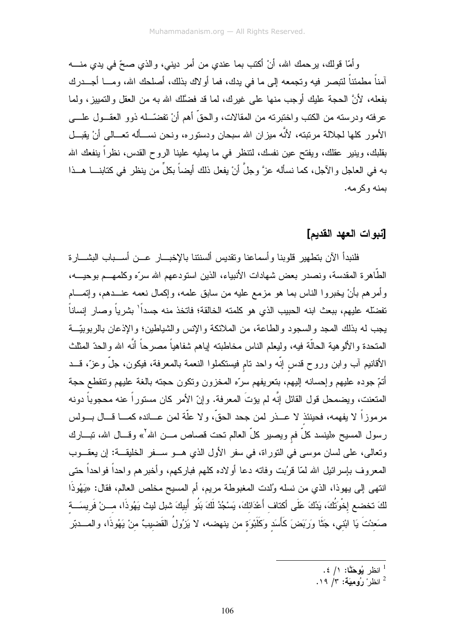وأمَّا قولك، برحمك الله، أنْ أكتب بما عندي من أمرٍ ديني، والذي صحِّ في يدي منــــه آمناً مطمئناً لتبصر فيه وتجمعه إلى ما في يدك، فما أو لاك بذلك، أصلحك الله، ومـــا أجـــدر ك بفعله، لأنَّ الحجة عليك أوجب منها على غيرك، لما قد فضَّلك الله به من العقل والتمييز، ولما عرفته ودرسته من الكتب واختبرته من المقالات، والحقِّ أهم أنْ تفضَّــله ذوو العقـــول علــــي الأمور كلها لجلالة مرتبته، لأنَّه ميزان الله سبحان ودستوره، ونحن نســأله تعــالـي أنْ يقبــل بقلبك، وينير عقلك، ويفتح عين نفسك، لنتظر في ما يمليه علينا الروح القدس، نظراً ينفعك الله به في العاجل والآجل، كما نسأله عزَّ وجلَّ أنْ يفعل ذلك أيضاً بكلٍّ من ينظر في كتابنــــا هـــذا بمنه و کر مه.

#### [نبوات العهد القديم]

فلنبدأ الآن بتطهير قلوبنا و أسماعنا وتقديس ألسنتنا بالإخبـــار عـــن أســـباب البشـــار ة الطَّاهرة المقدسة، ونصدر بعض شهادات الأنبياء، الذين استودعهم الله سرَّه وكلمهـــم بوحيــــه، وأمرهم بأنْ يخبروا الناس بما هو مزمع عليه من سابق علمه، وإكمال نعمه عنـــدهم، وإنمــــام تفضَّله عليهم، ببعث ابنه الحبيب الذي هو كلمته الخالقة؛ فاتخذ منه جسداً' بشرياً وصار إنساناً يجب له بذلك المجد والسجود والطاعة، من الملائكة والإنس والشياطين؛ والإذعان بالربوبيَّــة المتحدة والألوهية الحالَّة فيه، وليعلم الناس مخاطبته إياهم شفاهياً مصرحاً أنَّه الله والحدّ المثلث الأقانيم آب وابن وروح قدس إنَّه واحد نام فيستكملوا النعمة بالمعرفة، فيكون، جلَّ وعزَّ، قـــد أتتم جوده عليهم وإحسانه إليهم، بتعريفهم سرَّه المخزون وتكون حجته بالغة عليهم وتتقطع حجة المتعنت، ويضمحل قول القائل إنّه لم يؤتَ المعرفة. وإنّ الأمر كان مستوراً عنه محجوباً دونه مرموزاً لا يفهمه، فحينئذ لا عـــذر لمن جحد الحقّ، ولا علَّة لمن عـــانده كمـــا قـــال بـــولس رسول المسيح «لينسد كلٌّ فم ويصير كلُّ العالم نحت قصـاص مـــن الله<sup>7</sup>» وقـــال الله، نبـــارك ونعالى، على لسان موسى في التوراة، في سفر الأول الذي هــو ســفر الخليقــة: إن يعقــوب المعروف بإسرائيل الله لمّا قرُبت وفاته دعا أولاده كلهم فباركهم، وأخبرهم واحداً فواحداً حتى انتهى إلى يهوذا، الذي من نسله وُلدت المغبوطة مريم، أم المسيح مخلص العالم، فقال: «يَهُوذَا لَكَ تخضع إخْوَتُكَ، يَدُكَ عَلَى أكتاف أَعْدَائكَ، يَسْجُدُ لَكَ بَنُو أَبِيكَ شبل ليث يَهُوذَا، مــنْ فَريسَــة صَعدْتَ يَا ابْني، جَثَّا وَرَبَضَ كَأَسَد وَكَلَبْوَة من ينهضـه، لا يَزِوُلُ القَضيبُ منْ يَهُوذَا، والمــــدبّر

- انظر يُوهَّنَّا: ١/ ٤.
- انظر و و مبكة: ٣/ ١٩.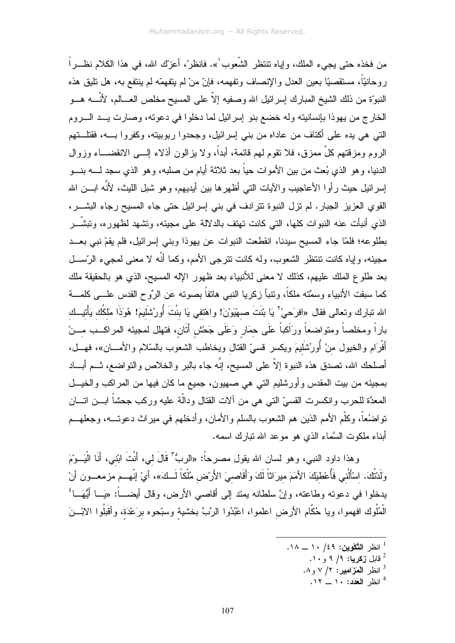من فخذه حتى يجيء الملك، و إياه تنتظر الشَّعوب ٰ». فانظر ْ، أعزَّك الله، في هذا الكلام نظــر اً روحانيّاً، مستقصيّا بعين العدل والإنصاف ونفهمه، فإنّ منْ لم يتفهمّه لم ينتفع به، هل تليق هذه النبوَّة من ذلك الشيخ المبارك إسرائيل الله وصفيه إلاَّ على المسيح مخلص العـــالم، لأنَّــــه هـــو الخارج من يهوذا بإنسانيته وله خضع بنو إسرائيل لما دخلوا في دعوته، وصارت يــد الــــروم التبي هي يده علي أكتاف من عاداه من بنبي إسرائيل، وجحدوا ربوبيته، وكفروا بــــه، فقتلـــتهم الروم ومزقتهم كلَّ ممزق، فلا نقوم لمهم قائمة، أبداً، ولا بزالون أذلاء إلـــى الانقضــــاء وزوال الدنيا، وهو الذي بُعث من بين الأموات حياً بعد ثلاثة أيام من صلبه، وهو الذي سجد لـــــه بنــــو إسر ائيل حيث ر أو ا الأعاجيب و الآيات التي أظهر ها بين أيديهم، و هو شبل الليث، لأنّه ابـــن الله القوى العزيز الجبار . لم نزل النبوة نتر ادف في بني إسر ائيل حتى جاء المسيح رجاء البشـــر ، الذي أنبأت عنه النبوات كلها، التي كانت نهتف بالدلالة على مجيئه، ونشهد لظهوره، ونبشَّـــر بطلوعه؛ فلمَّا جاء المسيح سيدنا، انقطعت النبوات عن يهوذا وبني إسرائيل، فلم يقمْ نبي بعــد مجيئه، وإياه كانت نتنظر الشعوب، وله كانت نترجى الأمم، وكما أنَّه لا معنى لمجيء الرَّســـل بعد طلوع الملك عليهم، كذلك لا معنى للأنبياء بعد ظهور الإله المسيح، الذي هو بالحقيقة ملك كما سبقت الأنبياء وسمَّته ملكاً، ونتبأ زكريا النبي هاتفاً بصونه عن الرِّوح القدس علـــي كلمـــة الله نبارك وتعالى فقال «افرَحيْ<sup>7</sup> يَا بْنَتَ صهْيَوْنَ! واهْتفي يَا بنْتَ أُورُشَليمَ! هُوَذَا مَلكُك يَأْتيــك باراً ومخلصاً ومتواضعاً ورَاَكباً عَلَى حمَارٍ وَعَلَى جَحْش أَنَانٍ، فتهلل لمحبيئه المراكــب مـــنْ أَفْرَام والخيول منْ أُورُشَلَيمَ ويكسر قسيّ القتال ويخاطب الشعوب بالسّلام والأمــــان»، فهـــل، أصلحك الله، نصدق هذه النبوة إلاَّ على المسيح، إنَّه جاء بالبر والخلاص والنواضع، ثـــم أبــــاد بمجيئه من بيت المقدس وأورشليم التي هي صهيون، جميع ما كان فيها من المراكب والخيــل المعدَّة للحرب وانكسرت القسيِّ النبي هي من ألات القتال ودالَّة عليه وركب جحشاً ابـــن اتــــان نواضُعاً، وكلَّم الأمم الذين هم الشعوب بالسلم والأمان، وأدخلهم في ميراث دعوتـــه، وجعلهـــم أبناء ملكوت السَّماء الذي هو موعد الله نبارك اسمه.

وهذا داود النبي، وهو لسان الله يقول مصرحاً: «الربُّ" قَالَ لمي، أَنْتَ ابْني، أَنَا الْيَــوْمَ ولَدْتُكَ. اسْأَلْني فَأُعْطيَكَ الأمَمَ ميرَاثاً لَكَ وَأَقَاصـيَ الأَرْض مُلْكاً لَــكَ»، أيْ إنّهــم مزمعـــون أنْ يدخلوا في دعونه وطاعته، وإنَّ سلطانه بمند إلى أقاصـي الأرض، وقال أيضـــــاً: «يَـــا أَيُّهَـــا ُّ الْمُلُوك افهموا، ويا حُكَّام الأرض اعلموا، اعْبُدُوا الرَّبَّ بخشية وسبّحوه برَعْدَة، وأقَبلُوا الابْـــنَ

انظر العَدَد: ١٠ \_ ١٢.

<sup>.</sup> انظر التَّكْوين: ١٤٩ . ١ \_ ١٨.

<sup>،</sup> قابل **زکریا:** ۹/ ۹ و ۱۰.

انظر العَزَامِير: ٢/ ٧ و ٨.  $^3$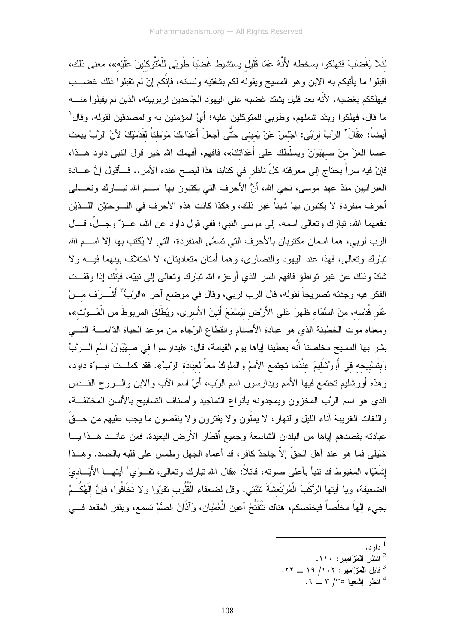لنَّلا يَغْضَبَ فتهلكوا بسخطه لأَنَّهُ عَمّا قَليل يستشيط غَضبَاً طُوبَى للْمُتَّوكلينَ عَلَيْه»، معنى ذلك، اقبلوا ما بأنبكم به الابن وهو المسيح ويقوله لكم بشفتيه ولسانه، فإنَّكم إنْ لم نقبلوا ذلك غضــــب فيهلككم بغضبه، لأنَّه بعد قليل يشتد غضبه على اليهود الجَّاحدين لربوبيته، الذين لم يقبلوا منــــه ما قال، فهلكوا وبدَّد شملهم، وطوبي للمتوكلين عليه؛ أيْ المؤمنين به والمصدقين لقوله. وقال ٰ أيضاً: «قَالَ<sup>7</sup> الرَّبُّ لربِّي: اجْلسْ عَنْ يَميني حَتَّى أجعلَ أَعْدَاءَكَ مَوْطْنَاً لقَدَمَيْكَ لأنَّ الرَّبَّ يبعث عصـا الـعزَّ منْ صـهْيَوْنَ ويسلَّطك علـى أعْدَائكَ»، فافهم، أفهمك الله خير قول النبـي داود هـــذا، فإنَّ فيه سراً بحتاج إلى معرفته كلِّ ناظرٍ في كتابنا هذا ليصح عنده الأمر .. فــأقول إنَّ عـــادة العبر انبين منذ عهد موسى، نجى الله، أنَّ الأحرف التي يكتبون بها اســـم الله نبــــارك ونعــــالي أحرف منفردة لا يكتبون بها شيئاً غير ذلك، وهكذا كانت هذه الأحرف في اللــــوحتيْن اللــــذيْن دفعهما الله، نبارك وتعالى اسمه، إلى موسى النبي؛ ففي قول داود عن الله، عـــزٌ وجــلٌ، قـــال الرب لربي، هما اسمان مكتوبان بالأحرف التي تسمَّى المنفردة، التي لا يُكتب بها إلا اســـم الله تبارك وتعالى، فهذا عند اليهود والنصارى، وهما أمتان متعاديتان، لا اختلاف بينهما فيـــه ولا شكَّ وذلك عن غير نواطوً فافهم السر الذي أوعزه الله نبارك ونعالـي إلـي نبيّه، فإنَّك إذا وقفــت الفكر فيه وجدته تصريحاً لقوله، قال الرب لربي، وقال في موضع آخر «الرَّبُّ" أَشْــرَفَ مـــنْ عُلْو قُدْسه، منَ السَّمَاء ظهرَ عَلى الأَرْض ليَسْمَعَ أنينَ الأَسرى، ويُطْلقَ المربوطَ من الْمَــوْت»، ومعناه موت الخطيئة الذي هو عبادة الأصنام وانقطاع الرّجاء من موعد الحياة الدّائمـــة التــــي بشر بها المسيح مخلصنا أنّه يعطينا إياها يوم القيامة، قال: «ليدارسوا في صـهْيَورْنَ اسْمِ الـــرَّبِّ وَبِتَسْبِيحِه في أُورُشَلَيمَ عِنْدَما تجتمع الأممُ والملوكُ معاً لعبَادَة الرَّبِّ». فقد كملــت نبــوّة داود، وهذه أورشليم تجتمع فيها الأمم ويدارسون اسم الربّ، أيْ اسم الأب والابن والــــروح القــــدس الذي هو اسم الرَّب المخزون ويمجدونه بأنواع التماجيد وأصناف التسابيح بالألسن المختلفــة، واللغات الغريبة أناء الليل والنهار، لا يملُّون ولا يفترون ولا ينقصون ما يجب عليهم من حـــقَّ عبادته بقصدهم إياها من البلدان الشاسعة وجميع أقطار الأرض البعيدة. فمن عانـــد هـــذا يــــا خليلي فما هو عند أهل الحقِّ إلاَّ جاحدٌ كافرٍ، قد أعماه الجهل وطمس على قلبه بالحسد. وهـــذا إِشْعْيَاء المغبوط قد نتبأ بأعلى صوته، قائلاً: «قال الله نبارك وتعالى، نقــوتي<sup>،</sup> أيتهـــا الأَيَـــاديَ الضعيفة، ويا أيتها الرُكَبَ الْمُرْتَعِشَةَ نتثبّتى. وقل لضعفاء الْقُلُوب نقوّوا ولا نَخَافُوا، فإنَّ إلَهُكُـمُ يجيء إلهاَ مخلَّصاً فيخلصكم، هناك نَتَفَتَّحُ أعين الْعُمْيان، وآذَانُ الصُمِّ تسمع، ويقفز المقعد فـــي

- $.$  داو د $^{-1}$
- <sup>2</sup> انظر المَزَامِير: ١١٠.
- قابل اَلْمَزَامِيرِ: ١٠٢/ ١٩ \_ ٢٢.
	- انظر اشعبا ٣٥/ ٣ \_ ٦.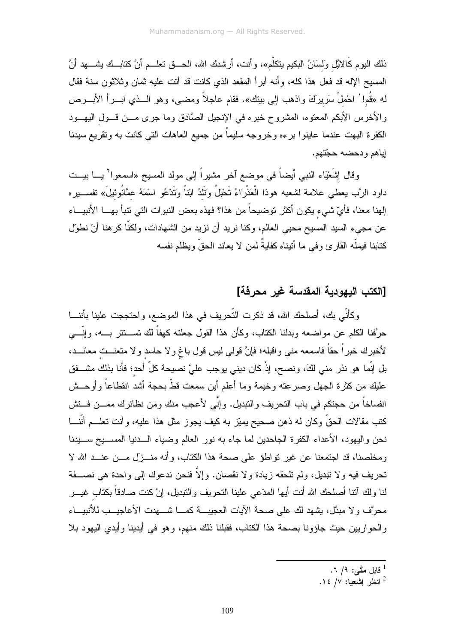ذلك اليوم كَالائِل وَلسَانُ البكيم يتكلَّم»، وأنت، أرشدك الله، الحـــق نعلـــم أنَّ كتابــك يشــــهد أنَّ المسبح الإله قد فعل هذا كله، وأنه أبرأ المقعد الذي كانت قد أنت عليه ثمان وثلاثون سنة فقال له «قُم!' احْملْ سَرِيرَكَ واذهب إلى بيتك». فقام عاجلاً ومضـى، وهو الـــذي ابــــرأ الأبــــرص والأخرس الأبكم المعتوه، المشروح خبره في الإنجيل الصَّادق وما جرى مـــن قـــول اليهـــود الكفرة البهت عندما عاينوا برءه وخروجه سليماً من جميع العاهات التي كانت به وتقريع سيدنا إياهم ودحضه حجّتهم.

وقال إشَعْيَاء النبي أيضاً في موضع آخر مشيراً إلى مولد المسيح «اسمعوا<sup>٢</sup> يـــا بيـــت داود الرَّب يعطي علامة لشعبه هوذا الْعَذْرَاءُ تَحْبَلُ وَتَلَدُ ابْناً وَتَدْعُو اسْمَهُ عمَّانُوئيلَ» تفســيره إلهنا معنا، فأيِّ شيء يكون أكثر توضيحاً من هذا؟ فهذه بعض النبوات التي تتبأ بهـــا الأنبيـــاء عن مجيء السيد المسيح محيي العالم، وكنا نريد أن نزيد من الشهادات، ولكنَّا كرهنا أنْ نطول كتابنا فبملّه القار ئ و في ما أتبناه كفايةً لمن لا بعاند الحقّ وبظلم نفسه

# [الكتب البهودبة المقدسة غبر محرفة]

وكأنَّى بك، أصلحك الله، قد ذكرت التَّحريف في هذا الموضع، واحتججت علينا بأننــــا حرَّفنا الكلم عن مواضعه وبدلنا الكتاب، وكأن هذا القول جعلته كهفاً لك تســـنتر بــــه، وإنّــــى لأخبرك خبراً حقاً فاسمعه مني واقبله؛ فإنَّ قولي ليس قول باغ ولا حاسد ولا متعنـــت معانـــد، بل إنَّما هو نذر منى لكَ، ونصح، إذْ كان ديني يوجب عليَّ نصيحة كلِّ أحد؛ فأنا بذلك مشـــفق عليك من كثرة الجهل وصرعته وخيمة وما أعلم أين سمعت قطّ بحجة أشد انقطاعاً وأوحــش انفساخاً من حجتكم في باب التحريف والتبديل. وإنّي لأعجب منك ومن نظائرك ممـــن فـــتش كتب مقالات الحقَّ وكان له ذهن صحيح يميّز به كيف يجوز مثل هذا عليه، وأنت تعلـــم أنَّنـــا نحن واليهود، الأعداء الكفرة الجاحدين لما جاء به نور العالم وضياء الــدنيا المســـيح ســـيدنا ومخلصنا، قد اجتمعنا عن غير نواطؤ على صحة هذا الكتاب، وأنه منـــزل مـــن عنـــد الله لا تحريف فيه ولا تبديل، ولم تلحقه زيادة ولا نقصان. وإلاَّ فنحن ندعوك إلى واحدة هي نصـــفة لنا ولك آنتا أصلحك الله أنت أبها المدّعى علينا التحريف والنبديل، إنْ كنت صادقاً بكتاب غيــــر محرَّف ولا مبدَّل، بشهد لك على صحة الأيات العجيبـــة كمــــا شــــهدت الأعاجيـــب للأنبيـــاء والحواريين حيث جاؤونا بصحة هذا الكتاب، فقبلنا ذلك منهم، وهو في أيدينا وأيدي اليهود بلا

- قابل مَتَّى: ٩/ ٦.
- $\cdot$ انظر اشعبا: ١٤/٧.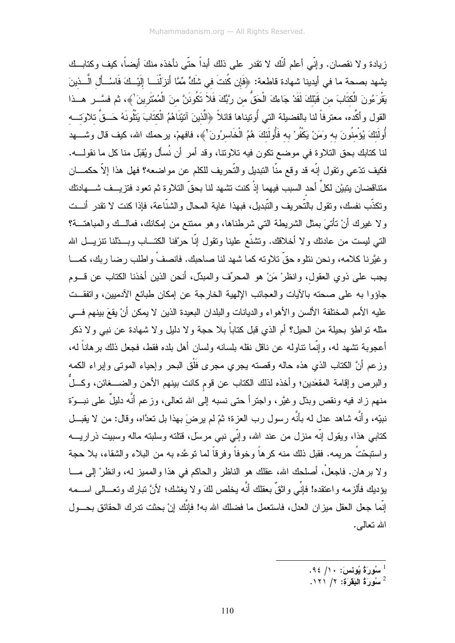زيادة و لا نقصان. وإنِّي أعلم أنَّك لا نقدر على ذلك أبداً حتَّى نأخذه منكَ أيضاً، كيف وكتابــك يشهد بصحة ما في أيدينا شهادة قاطعة: ﴿فَإِن كُنتَ في شَكٍّ مِّمَّا أَنزَلْنَــا إِلَيْــكَ فَاسْــأَل الَّــذينَ يَقْرَءُونَ الْكتَابَ من قَبْلكَ لَقَدْ جَاءكَ الْحَقُّ من رَبَّكَ فَلاَ تكُونَنَّ منَ الْمُمْتَرِينَ'﴾، ثم فسَّـــر هـــذا القول وأكَّده، معترفاً لنا بالفضيلة التي أُوتيناها قائلاً ﴿الَّذِينَ آتَيْنَاهُمُ الْكِتَابَ يَتْلُونَهُ حَــقّ تلاوَتـــه أُولَئكَ يُؤمنُونَ به وَمَنْ يَكْفُرْ به فَأُولَئكَ هُمُ الْخَاسرُونَ ۚ ﴾، فافهمْ، برحمك الله، كيف قال وشــــهد لنا كتابك بحق التلاوة في موضع نكون فيه تلاونتا، وقد أمر أن نُسأل ويُقبّل منا كل ما نقولــــه. فكيف تدّعي وتقول إنّه قد وقع منّا التبديل والتّحريف للكلم عن مواضعه؟ فهل هذا إلاّ حكمـــان متناقضان يتبيْن لكلِّ أحد السبب فيهما إذْ كنت تشهد لنا بحقّ التلاوة ثم تعود فتزيـــف شــــهادتك ونكذَّب نفسك، ونقول بالتَّحريف والنُّبديل، فبهذا غاية المحال والشنَّاعة، فإذا كنت لا نقدر أنـــت ولا غيرك أنْ نأتـىَ بمثل الشريطة التـى شرطناها، وهو ممتنع من إمكانك، فمالــك والمباهنـــة؟ التي ليست من عادنك ولا أخلاقك. ونتنىَّع علينا ونقول إنَّا حرَّفنا الكتـــاب وبـــدَّلنا نتزيـــل الله وغيَّرنا كلامه، ونحن نتلوه حقَّ تلاوته كما شهد لنا صاحبك. فانصفْ واطلب رضا ربك، كمـــا يجب على ذوي العقول، وانظرْ مَنْ هو المحرِّف والمبدِّل، أنحن الذين أخذنا الكتاب عن قـــوم جاؤوا به على صحته بالأيات والعجائب الإلهية الخارجة عن إمكان طبائع الأدميين، وانفقــت عليه الأمم المختلفة الألسن والأهواء والديانات والبلدان البعيدة الذين لا يمكن أنْ يقعَ بينهم فسي مثله نواطؤ بحيلة من الحيل؟ أم الذي قبل كتاباً بلا حجة و لا دليل و لا شهادة عن نبي و لا ذكر أعجوبـة نتشهد لـه، وإنَّمـا نتـاولـه عن نـاقل نقلـه بلسـانـه ولسـان أهل بلده فقط، فـجعل ذلك برهانـاً لـه، وزعم أنَّ الكتاب الذي هذه حاله وقصته يجري مجرى فَلْق البحر وإحياء الموتى وإبراء الكمه والبرص وإقامة المقعَدين؛ وأخذه لذلك الكتاب عن قوم كانت بينهم الأحن والضــــغائن، وكــــلٌّ منهم زاد فيه ونقص وبدّل وغيَّر، واجترأ حتى نسبه إلى الله نعالى، وزعم أنَّه دليلٌ على نبــوّة نبيِّه، وأنَّه شاهد عدل له بأنَّه رسول رب العزة؛ ثمّ لم يرضَ بهذا بل نعدَّاه، وقال: من لا يقبـــل كتابـي هذا، ويقول إنَّه منزل من عند الله، وإنِّي نبـي مرسل، قتلته وسلبته ماله وسبيت ذراريــــه واستبحْتُ حريمه. فقبل ذلك منه كرهاً وخوفاً وفرقاً لما نوعَّده به من البلاء والشقاء، بلا حجة و لا بر هان. فاجعلْ، أصلحك الله، عقلك هو الناظر والحاكم في هذا والمميز له، وانظرْ إلى مـــا بؤديك فألزمه واعتقده! فإنِّـي واثقٌ بعقلك أنَّه يخلص لكَ و لا يغشك؛ لأنَّ نبارك وتعـــالـي اســـمه إنَّما جعل العقل ميز ان العدل، فاستعمل ما فضلك الله به! فإنَّك إنْ بحثت تدر ك الحقائق بحـــول الله نـعالمي.

- سُورَةُ يُونِسَ: ١٠/ ٩٤.
- $1$ سُورَةُ الْبَقَرَة: ١/ ١٢١.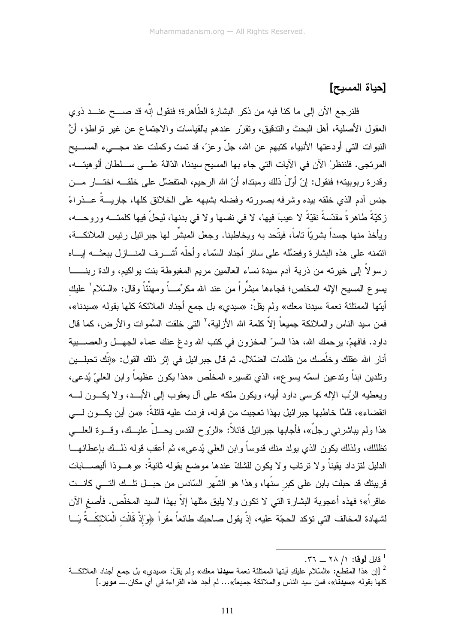## [حياة المسيح]

فلنرجع الآن إلى ما كنا فيه من ذكر البشارة الطّاهرة؛ فنقول إنّه قد صـــح عنـــد ذوي العقول الأصلية، أهل البحث والندقيق، ونقرَّر عندهم بالقياسات والاجتماع عن غير نواطؤ، أنَّ النبوات التي أودعتها الأنبياء كتبهم عن الله، جلَّ وعزَّ، قد تمت وكملت عند مجـــيء المســـيح المرتجي. فلننظرْ الآن في الآيات التي جاء بها المسيح سيدنا، الدّالة علـــي ســـلطان ألو هيتــــه، وقدرة ربوبيته؛ فنقول: إنَّ أولَ ذلك ومبتداه أنَّ الله الرحيم، المتفضَّل على خلقـــه اختـــار مـــن جنس آدم الذي خلقه بيده وشرفه بصورته وفضله بشبهه على الخلائق كلها، جاريـــةٌ عـــذراءً زكيّةً طاهرةً مقدّسةً نقيّةً لا عيبَ فيها، لا في نفسها ولا في بدنها، ليحلّ فيها كلمتـــه وروحـــه، ويأخذ منها جسدًا بشريّاً ناماً، فيتّحد به ويخاطبنا. وجعل المبشَّر لمها جبرائيل رئيس الملائكـــة، ائتمنه على هذه البشار ة وفضلًاه على سائر أجناد السّماء وأحلّه أشـــرف المنــــاز ل ببعثـــه إيــــاه ر سو لاً إلى خير ته من ذر ية آدم سيدة نساء العالمين مر يم المغبوطة بنت يو اكيم، و الدة ر بنـــــــا يسو ع المسيح الإله المخلص؛ فجاءها مبشِّر أ من عند الله مكر ِّمـــاً و مهنِّئاً و قال: «السّلام ٰ عليك أيتها الممتلئة نعمة سيدنا معك» ولم يقلّ: «سيدي» بل جمع أجناد الملائكة كلها بقوله «سيدنا»، فمن سيد الناس والملائكة جميعاً إلاّ كلمة الله الأزلية،' التي خلقت السَّموات والأرض، كما قال داود. فافهمْ، برحمك الله، هذا السرِّ المخزون في كتب الله ودعْ عنك عماء الجهــل والعصــــبية أنار الله عقلك وخلَّصك من ظلمات الضَّلال. ثم قال جبر ائيل في إثر ذلك القول: «إنَّك تحبلـــين ونلدين ابناً وندعين اسمّه يسوع»، الذي نفسيره المخلّص «هذا يكون عظيماً وابن العليّ يُدعى، ويعطيه الرَّب اﻹله كرسي داود أبيه، ويكون ملكه على آل يعقوب إلى اﻷبــد، وﻻ يكـــون لــــه انقضاء»، فلمَّا خاطبها جبر ائيل بهذا تعجبت من قوله، فريت عليه قائلةً: «من أين يكـــون لـــــى هذا ولم يباشرنبي رجلٌ»، فأجابها جبرائيل قائلاً: «الرّوح القدس يحـــلّ عليـــك، وقـــوة العلــــي تظللك، ولذلك يكون الذي يولد منك قدوساً وابن العلي يُدعى»، ثم أعقب قوله ذلـــك بإعطائهـــا الدليل لنزداد بقيناً ولا نرناب ولا يكون للشكّ عندها موضع بقوله ثانيةً: «وهـــوذا أليصـــــابات قريبتك قد حبلت بابن على كبر سنَّها، وهذا هو الشَّهر السَّادس من حبـــل نلـــك التــــي كانـــت عاقراً»؛ فهذه أعجوبة البشارة التبي لا نكون ولا يليق مثلها إلاّ بهذا السيد المخلَّص. فأصغ الآن لشهادة المخالف التي تؤكد الحجّة عليه، إذْ يقول صاحبك طائعاً مقراً ﴿وَإِذْ قَالَت الْمَلائكَــةُ يَـــا

<sup>.</sup> قابل له قا: ١/ ٢٨ \_ ٣٦.

<sup>ً [</sup>إن هذا المقطـع: «السَّلام عليكِ أيتها الممتلئة نـعمة **سبيدنـا** مـعك» ولم يقلْ: «سبدي» بل جمـع أجناد الملائكـــة كلها بقوله «**سيدنّا**»، فمن سيد الناس والملائكة جميعاً»… لم أجد هذه القراءة في أي مكان.ـــ **موير .**]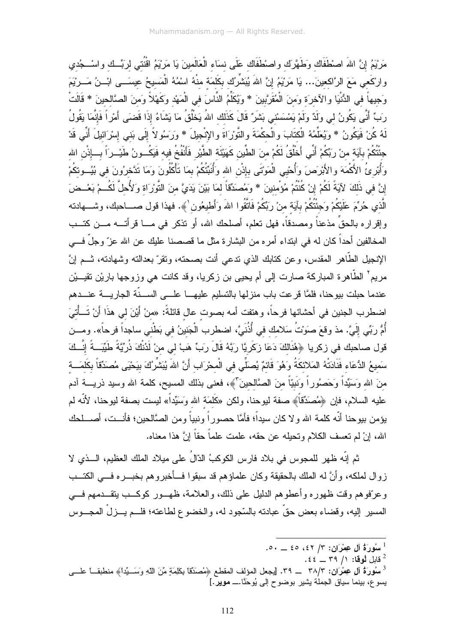مَرْيَمُ إِنَّ اللهَ اصْطَفَاك وَطَهَّرَك واصْطَفَاك عَلَى نسَاء الْعَالَمينَ يَا مَرْيَمُ اقْنُننى لربِّب ك واسْــجُدي وارْكَعي مَعَ الرَّاكعينَ... يَا مَرْيَمُ إِنَّ اللهَ يُبَشِّرُك بكَلَمَة منْهُ اسْمُهُ الْمَسيحُ عيسَـــي ابْـــنُ مَـــريْمَ وَجبهاً في الدُّنْيَا والآخرَة وَمنَ الْمُقَرَّبينَ \* وَيُكَلِّمُ النَّاسَ في الْمَهْد وكَهْلاً وَمنَ الصَّالحينَ \* فَالَتْ رَبِّ أَنَّى يَكُونُ لي وَلَدٌ ولَمْ يَمْسَسْني بَشَرٌ قَالَ كَذَلك اللهُ يَخْلُقُ مَا يَشَاءُ إِذَا قَضَى أَمْراً فَإِنَّمَا يَقُولُ لَهُ كُنْ فَيَكُونُ \* وَيُعَلِّمُهُ الْكَتَابَ والْحكْمَةَ والتَّوْرَاةَ والإِنْجيلَ \* وَرَسُولاً إِلَى بَنِي إِسْرَائِيلَ أَنِّي قَدْ جنْتُكُمْ بآيَة منْ رَبِّكُمْ أَنِّي أَخْلُقُ لَكُمْ منَ الطِّين كَهَيْئَة الطَّيْر فَأَنْفُخُ فيه فَيَكُــونُ طَيْــرَاً بـــإذْن الله وَأَبْرِئُ الأَكْمَهَ والأَبْرَصَ وَأُحْيِي الْمَوْتَى بِإِذْنِ الله وَأَنَبِّئُكُمْ بِمَا تَأْكُلُونَ وَمَا تَذَخرُونَ في بُيُـــوتكُمْ إِنَّ فِي ذَلِكَ لِآيَةً لَكُمْ إِنْ كُنْتُمْ مُؤْمنينَ \* وَمُصنَدِّقاً لمَا بَيْنَ يَدَيَّ منَ التَّوْرَاة وَلأُحلَّ لَكُــمْ بَعْــضَ الَّذي حُرِّمَ عَلَيْكُمْ وَجئْنُكُمْ بآيَة منْ رَبِّكُمْ فَاتَّقُوا اللهَ وَأَطيعُون ٰ﴾. فهذا قول صــــاحبك، وشــــهادنه وإقراره بالحقِّ مذعناً ومصدقاً، فهل نعلم، أصلحك الله، أو ننكر في مـــا قرأتــــه مـــن كتـــب المخالفين أحداً كان له في ابتداء أمره من البشارة مثل ما قصصنا عليك عن الله عزّ وجلّ فـــي الإنجيل الطَّاهر المقدس، وعن كتابك الذي تدعي أنت بصحته، وتقرَّ بعدالته وشهادته، ثـــم إنَّ مريم ْ الطَّاهرة المباركة صارت إلى أم يحيى بن زكريا، وقد كانت هي وزوجها باريْن نقيـــيْن عندما حبلت بيوحنا، فلمَّا قرعت باب منزلها بالتسليم عليهـــا علــــى الســـنَّة الجاريــــة عنـــدهم اضطرب الجنين في أحشائها فرحاً، وهتفت أمه بصوت عال قائلةً: «منْ أَيْنَ لي هذَا أَنْ تَــأْتِيَ أُمُّ رَبِّي إِلَيَّ. مذ وقعَ صوَنتُ سَلامك في أُذُنَيَّ، اضطرب الْجَنينُ في بَطْني ساجداً فرحاً». ومـــن قول صاحبك في زكريا ﴿هُنَالِكَ دَعَا زِكَرِيَّا رَبَّهُ قَالَ رَبِّ هَبْ لي منْ لَاُنْكَ ذُرِّيَّةً طَيِّبَـةً إنّــكَ سَميعُ الدُّعَاء فَنَادَتْهُ المَلائكَةُ وَهُوَ قَائمٌ يُصلِّي في الْمحْرَاب أَنَّ اللهَ يُبَشِّرُكَ بيَحْيَى مُصدَقّاً بكَلَمَـــة منَ الله وَسَيِّداً وَحَصُوراً وَنَبيّاً منَ الصَّالحينَ<sup>؟</sup>﴾، فعنى بذلك المسيح، كلمة الله وسيد ذريــــة آدم عليه السلام، فإن ﴿مُصَدِّقَاۚ﴾ صفة ليوحنا، ولكن «كَلَمَة الله وَسَيِّداً» ليست بصفة ليوحنا، لأنَّه لم يؤمن بيوحنا أنّه كلمة الله ولا كان سيداً؛ فأمَّا حصوراً ونبياً ومن الصَّالحين؛ فأنــت، أصـــلحك الله، إنْ لم نعسف الكلام ونحيله عن حقه، علمت علماً حقاً إنَّ هذا معناه.

ثم إنَّه ظهر للمجوس في بلاد فارس الكوكبُ الدّالُ على ميلاد الملك العظيم، الـــذي لا زوال لملكه، وأنَّ له الملك بالحقيقة وكان علماؤهم قد سبقوا فــأخبروهم بخبـــره فـــي الكتـــب وعرّفوهم وقت ظهوره وأعطوهم الدليل على ذلك، والعلامة، ظهـــور كوكـــب يتقـــدمهم فـــي المسير إليه، وقضاء بعض حقٍّ عبادته بالسّجود له، والخضوع لطاعته؛ فلـــم يـــزلْ المجـــوس

 $\cdot \circ \cdot = \circ \circ \circ \circ \cdot \circ \circ \circ$ سُورَةُ آل عِمْرَان : ٣/ ٤٢، ٥٠.

<sup>.</sup> قابل لُوقا: ١/ ٣٩ \_ ٤٤.

<sup>&</sup>lt;sup>3</sup> سُ**ورَةُ آلِ عِمْرَان: ٣٨/٣ \_ ٣٩.** [يجعل المؤلف المقطع ﴿مُصدِّقًا بِكَلِمَةٍ مِّنَ اللَّهِ وَسَــبِّدا﴾ منطبقــا علـــي يسوع، بينما سياق الجملة يشير بوضوح إلى يُوحَنَّا.ـــ مويرٍ.]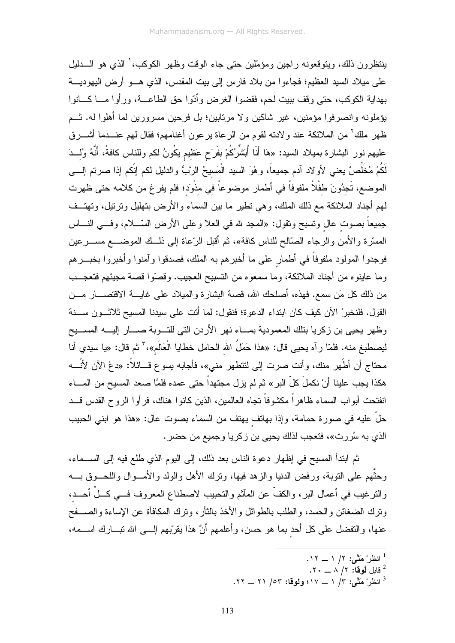ينتظرون ذلك، ويتوقعونه راجين ومؤمَّلين حتى جاء الوقت وظهر الكوكب، ٰ الذي هو الــــدليل على ميلاد السيد العظيم؛ فجاءوا من بلاد فارس إلى بيت المقدس، الذي هـــو أرض اليهوديـــة بهداية الكوكب، حتى وقف ببيت لحم، فقضوا الغرض وأدّوا حق الطاعــة، ورأوا مـــا كـــانوا بؤملونه وانصرفوا مؤمنين، غير شاكين ولا مرتابين؛ بل فرحين مسرورين لما أهلوا له. شـم ظهر ملك<sup>7</sup> من الملائكة عند ولادته لقوم من الرعاة برعون أغنامهم؛ فقال لهم عنـــدما أشـــرق عليهم نور البشارة بميلاد السيد: «هَا أَنَا أُبَشَّرُكُمْ بِفَرَحٍ عَظيمٍ يَكُونُ لكم وللناس كافةً، أَنَّهُ وُلِــدَ لَكُمُ مُخَلِّصٌ يعني لأولاد آدم جميعاً، وهُوَ السيد الْمَسيحُ الرَّبُّ والدليل لكم إنَّكم إذا صرتم إلــــي الموضع، تَجدُونَ طفْلاً ملفوفاً في أطمار موضوعاً في مذْوَد؛ فلم يفر غ من كلامه حتى ظهرت لمهم أجناد الملائكة مع ذلك الملك، وهي نطير ما بين السماء والأرض بنهليل ونرتيل، وتهتــف جميعاً بصوت عال وتسبح وتقول: «المحد لله في العلا وعلى الأرض السّـــلام، وفـــي النــــاس المسترة والأمن والرجاء الصَّالح للناس كافة»، ثم أقبل الرِّعاة إلى ذلــك الموضـــع مســـرعين فوجدوا المولود ملفوفاً في أطمار على ما أخبرهم به الملك، فصدقوا وآمنوا وأخبروا بخبــرهم وما عاينوه من أجناد الملائكة، وما سمعوه من التسبيح العجيب. وقصّوا قصة مجيئهم فتعجـــب من ذلك كل مَن سمع. فهذه، أصلحك الله، قصة البشارة والميلاد على غايــــة الاقتصــــار مـــن القول. فلنخبر ْ الآن كيف كان ابتداء الدعوة؛ فنقول: لما أنت على سيدنا المسيح ثلاثـــون ســـنة وظهر يحيى بن زكريا بنلك المعمودية بمساء نهر الأردن التي للتسوبة صسار إليسه المسسيح ليصطبغ منه. فلمّا رآه يحيى قال: «هذا حَمَلُ الله الحامل خطايا الْعَالَم»،" ثم قال: «يا سيدي أنا محتاج أن أطُّهر منك، وأنت صرت إلى لتتطهر مني»، فأجابه بسوع قـــائلاً: «دعْ الآن لأنَّـــه هكذا يجب علينا أنْ نكملَ كلّ البر » ثم لم يزل مجتهداً حتى عمده فلمَّا صعد المسيح من المـــاء انفتحت أبواب السماء ظاهراً مكشوفاً نجاه العالمين، الذين كانوا هناك، فرأوا الروح القدس قـــد حلَّ عليه في صورة حمامة، وإذا بهاتف يهتف من السماء بصوت عال: «هذا هو ابني الحبيب الذي به سُررت»، فتعجب لذلك يحيى بن زكريا وجميع من حضر .

ثم ابندأ المسيح في إظهار دعوة الناس بعد ذلك، إلى اليوم الذي طلع فيه إلى الســـماء، وحثُّهم على النوبة، ورفض الدنيا والزهد فيها، ونرك الأهل والولد والأمـــوال واللحـــوق بــــه والنزغيب في أعمال البر، والكفَّ عن المآثم والنحبيب لاصطناع المعروف فـــي كـــلَ أحـــد، ونزك الضغائن والحسد، والطلب بالطوائل والأخذ بالثأر، ونزك المكافأة عن الإساءة والصـــفح عنها، والنفضل على كل أحد بما هو حسن، وأعلمهم أنَّ هذا يقرَّبهم إلـــي الله نبـــارك اســـمه،

- $\mathcal{N} \cdot \mathcal{N} \wedge \mathcal{N}$ قابل لُوقا:  $\mathcal{N} \wedge \mathcal{N}$ .
- انظر ْ مَتَّى: ٣/ ١ \_ ١٧؛ ولوقا: ٥٣/ ٢١ \_ ٢٢.

 $\cdot$ انظر ْهَتَّى: ١/ ١ ــ ١٢.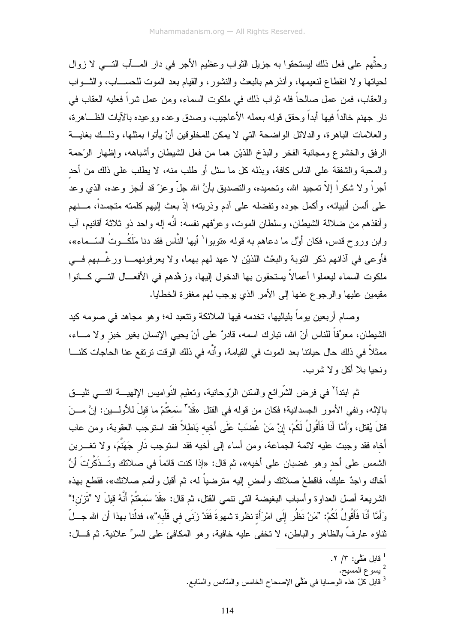وحثُّهم على فعل ذلك ليستحقوا به جزيل الثواب وعظيم الأجر في دار المسأب التسبي لا زوال لحياتها ولا انقطاع لنعيمها، وأنذرهم بالبعث والنشور، والقيام بعد الموت للحســـاب، والثـــواب والعقاب، فمن عمل صالحاً فله ثواب ذلك في ملكوت السماء، ومن عمل شراً فعليه العقاب في نار جهنع خالداً فيها أبداً وحقق قوله بعمله الأعاجيب، وصدق وعده ووعيده بالآيات الظـــاهرة، والعلامات الباهرة، والدلائل الواضحة التي لا يمكن للمخلوقين أنْ يأتوا بمثلها، وذلــك بغايـــة الرفق والخشوع ومجانبة الفخر والبذخ اللذين هما من فعل الشبطان وأشباهه، وإظهار الرّحمة والمحبة والشفقة على الناس كافة، وبذله كل ما سئل أو طلب منه، لا يطلب على ذلك من أحد أجر اً و لا شكر اً إلاّ تمجيد الله، وتحميده، والتصديق بأنَّ الله جلَّ و عز ّ قد أنجز و عده، الذي و عد على ألسن أنبيائه، وأكمل جوده وتفضله على آدم وذريته؛ إذْ بعث إليهم كلمته متجسداً، مــــنهم وأنقذهم من ضلالة الشيطان، وسلطان الموت، وعرَّفهم نفسه: أنَّه إله واحد ذو ثلاثة أقانيم، آب وابن وروح قدس، فكان أوَّل ما دعاهم به قوله «توبوا` أيها النَّاس فقد دنا مَلَكُــوتُ السّــماء»، فأوعى في أذانهم ذكر النوبة والبعْث اللذيْن لا عهد لهم بهما، ولا يعرفونهمـــا ورغَّـــبهم فـــي ملكوت السماء ليعملوا أعمالاً يستحقون بها الدخول إليها، وزهَّدهم في الأفعـــال النــــي كــــانوا مقيمين عليها والرجوع عنها إلى الأمر الذي يوجب لهم مغفرة الخطايا.

وصام أربعين يوماً بلياليها، تخدمه فيها الملائكة وتتعبد له؛ وهو مجاهد في صومه كيد الشيطان، معرِّفاً للناس أنّ الله، نبارك اسمه، فادرٌ على أنْ يحيي الإنسان بغير خبز ولا مـــاء، ممثلاً في ذلك حال حياتنا بعد الموت في القيامة، وأنَّه في ذلك الوقت ترتفع عنا الحاجات كلنـــا ونحيا بلا أكل و لا شرب.

ثم ابندأ<sup>٢</sup> في فرض الشّرائع والسّنن الرّوحانية، وتعليم النّواميس الإلهيـــة التــــى تليـــق بالإله، ونفي الأمور الجسدانية؛ فكان من قوله في القتل «قَدْ" سَمعْتُمْ ما قيلَ للأولـــين: إنَّ مـــنَ قتلَ يُقتل، وَأَمَّا أَنَا فَأَقُولُ لَكُمْ، إِنَّ مَنْ غُضَبَ ۢ عَلَى أَخيه بَاطلاً فقد استوجب العقوبة، ومن عاب أخاه فقد وجبت عليه لائمة الجماعة، ومن أساء إلى أخيه فقد استوجب نَارٍ جَهَنَّمَ، ولا تغـــربن الشمس على أحد وهو غضبان على أخيه»، ثم قال: «إذا كنت قائماً في صلاتك وتَــذَكَّرْتَ أنَّ أخاك واجدٌ عليك، فاقطعْ صلانك وأمض إليه مترضياً له، ثم أقبل وأتمم صلانك»، فقطع بهذه الشريعة أصل العداوة وأسباب البغيضة التي نتمي القتل، ثم قال: «قَدْ سَمعْتُمْ أَنَّهُ قَيلَ لا 'تَزَرْن!'' وَأَمَّا أَنَا فَأَقُولُ لَكُمْ: "مَنْ نَظُر إِلَى امْرَأَة نظرة شهوةَ فَقَدْ زَنَى في قَلْبه"»، فدلّنا بهذا أن الله جــلّ ثناؤه عارفٌ بالظاهر والباطن، لا نخفى عليه خافية، وهو المكافئ على السرِّ علانية. ثم قـــال:

- <sup>2</sup> يسوع المسيح.
- <sup>3</sup> قابل كلّ هذه الوصابا في مَتَّى الإصحاح الخامس والسّادس والسّابع.

قابل مَتَّـى: ٣/ ٢.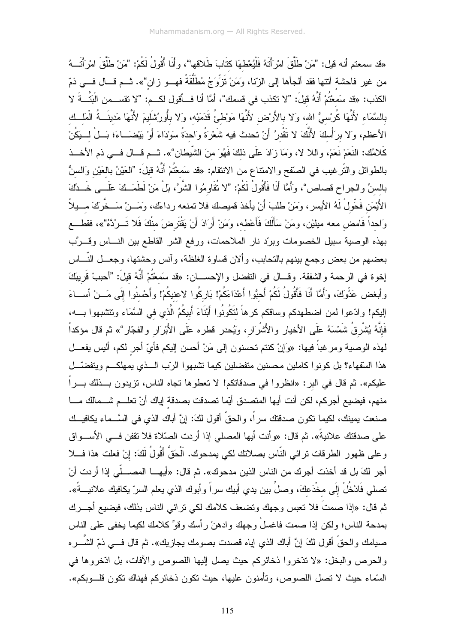«قد سمعتم أنه قيل: "مَنْ طَلَّقَ امْرَأَتَهُ فَلْيُعْطهَا كذَابَ طَلاقها"، وأَنَا أَقُولُ لَكُمْ: "مَنْ طَلَّقَ امْرَأَتَــهُ من غير فاحشة أتتها فقد ألجأها إلى الزّنا، وَمَنْ تَزَوَّجُ مُطلَّقَةً فهـــو زان"». ثـــم قـــال فـــي ذمّ الكذب: «قد سَمعْتُمْ أَنَّهُ قيلَ: "لا تكذب في قسمك"، أمَّا أنا فــأقول لكـــم: "لا تقســـمن الْبَتَّـــةَ لا بِالسَّمَاءِ لأَنَّهَا كُرْسيُّ الله، وَلا بِالأَرْض لأَنَّهَا مَوْطئُ قَدَمَيْه، وَلا بِأُورُشَليمَ لأَنَّهَا مَدينَــةُ الْمَلْــك الأعظم، وَلا برَأْسكَ لأَنَّكَ لا تَقْدرُ أَنْ تحدث فيه شَعْرَةً وَاحدَةً سَوْدَاءَ أَوْ بَيْضَــاءَ؛ بَــلْ لــيَكُنْ كَلامُك: النَعَمْ نَعَمْ، واللا لا، وَمَا زَادَ عَلَى ذلكَ فَهُوَ منَ الشَّيطان"». ثـــم قـــال فـــي ذم الأخـــذ بالطوائل والتّرغيب في الصّقح والامتناع من الانتقام: «قد سَمعْتُمْ أَنَّهُ قيلَ: "العَيْنُ بالعَيْن وَالسنُّ بالسنِّ والجراح قصاص"، وَأَمَّا أَنَا فَأَقُولُ لَكُمْ: "لا نُقَاوِمُوا الشَّرَّ، بَلْ مَنْ لَطَمَــكَ عَلَــي خَــدِّكَ الأَيْمَنِ فَحِّولْ لَهُ الأيسرِ ، وَمَنْ طلبَ أَنْ يأخذ قميصك فلا تمنعه رداءَك، وَمَـــنْ سَــخَّرِكَ مـــيلاً وَاحداً فَامض معه مبليْن، ومَنْ سَأَلَكَ فَأَعْطه، وَمَنْ أَرَادَ أَنْ يَقْتَرِضَ منْكَ فَلا تَـــرُدَّهُ"»، فقطـــع بهذه الوصية سبيل الخصومات وبردّ نار الملاحمات، ورفع الشر القاطع بين النـــاس وقـــرَّب بعضهم من بعض وجمع بينهم بالتحابب، وألان قساوة الغلظة، وأنس وحشتها، وجعــل النّـــاس إخوة في الرحمة والشفقة. وقـــال في التفضل والإحســـان: «قد سَمعْتُمْ أَنَّهُ قَلِلَ: "أحببْ قَريبَكَ وأبغض عَذِّوكَ، وَأَمَّا أَنَا فَأَقُولُ لَكُمْ أَحبُّوا أَعْدَاءَكُمْ! بَارِكُوا لاعنيكُمْ! وأَحْسنُوا إِلَى مَـــنْ أســـاءَ إليكم! وادّعوا لمن اضطهدكم وساقكم كرهاً لتَكُونُوا أَبْنَاءَ أَبِيكُمُ الَّذي في السَّمَاء وتتشبهوا بــــه، فَإِنَّهُ يُشْرِقُ شَمْسَهُ عَلَى الأخيار والأَشْرَار، وَيُحدر قطره عَلَى الأَبْرَار والفجّار"» ثم قال مؤكداً لـهذه الوصـيـة ومر غباً فيـها: «وَإنْ كنتم تـحسنون إلـى مَنْ أحسن إليكم فأيّ أجر لكم، أليس يفعـــل هذا السَّفهاء؟ بل كونوا كاملين محسنين متفضلين كيما تشبهوا الرّب الــذي يمهلكــم ويتفضّــل عليكم». ثم قال في البر: «انظروا في صدقاتكم! لا تعطوها تجاه الناس، تزيدون بـــذلك بـــراً منهم، فيضيع أجركم، لكن أنت أيها المتصدق أيِّما تصدقت بصدقة إياك أنْ تعلـــم شـــمالك مــــا صنعت بمبنك، لكيما نكون صدقتك سراً، والحقِّ أقول لكَ: إنَّ أباك الذي في السَّــماء بكافيــك على صدقتك علانيةً». ثم قال: «وأنت أيها المصلي إذا أردت الصّلاة فلا تقفن فــي الأســـواق وعلى ظهور الطرقات ترائي النَّاس بصلاتك لكي يمدحوك. الْحَقَّ أَقُولُ لَكَ: إنْ فعلت هذا فـــلا أجر لكَ بل قد أخذت أجرك من الناس الذين مدحوك». ثم قال: «أيهــــا المصــــلّـي إذا أردت أنْ نصلي فَادْخُلْ إلَى مخْدَعكَ، وصلٍّ بين يدي أبيك سراً وأبوك الذي يعلم السرّ يكافيك علانيــــةً». ثم قال: «إذا صمتَ فلا نعبس وجهك ونضعف كلامك لكي نرائي الناس بذلك، فيضيع أجـــرك بمدحة الناس؛ ولكن إذا صمت فاغسلْ وجهك وادهنْ رأسك وقوٍّ كلامك لكيما يخفي على الناس صبامك والحقُّ أقول لكَ إنَّ أباك الذي إياه قصدت بصومك يجازيك». ثم قال فـــي ذمّ الشّـــره والحرص والبخل: «لا نتَخروا ذخائركم حيث يصل الِيها اللصوص والأفات، بل ادّخروها في السَّماء حيث لا تصل اللصوص، وتأمنون عليها، حيث تكون ذخائركم فهناك تكون قلـــوبكم».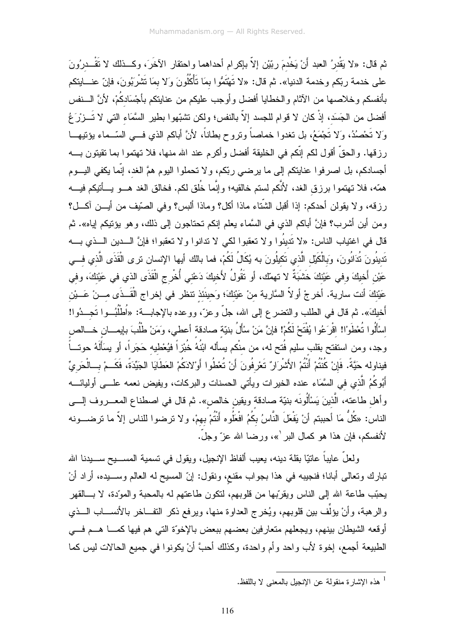ثم قال: «لا يَقْدرُ العبد أَنْ يَخْدمَ ربّيْن إلاّ بإكرام أحداهما واحتقار الآخَرَ، وكـــذلك لا نَقْـــدرُونَ على خدمة ربِّكم وخدمة الدنيا». ثم قال: «لا تَهْتَمُّوا بمَا تَأْكُلُونَ وَلا بمَا تَشْرِبُونَ، فإنّ عنـــايتكم بأنفسكم وخلاصها من الآثام والخطايا أفضل وأوجب عليكم من عنايتكم بأجْسَادكُمْ، لأنَّ الـــنفس أفضل من الجَسَد، إذْ كان لا قوام للجسد إلاّ بالنفس؛ ولكن تشبّهوا بطير السَّمَاء التي لا تَـــزرَغُ وَلا تَحْصُدُ، وَلا تَجْمَعُ، بل تغدوا خماصاً ونروح بطاناً، لأنَّ أباكم الذي فــي السّــماء يؤنيهـــا رزقها. والحقِّ أقول لكم إنَّكم في الخليقة أفضل وأكرم عند الله منها، فلا تهتموا بما تقيتون بــــه أجسادكم، بل اصرفوا عنايتكم إلى ما يرضيي ربّكم، ولا تحملوا اليوم همَّ الغد، إنَّما يكفي اليـــوم همّه، فلا تهتموا برزق الغد، لأنَّكم لستم خالقيه؛ وإنَّما خُلق لكم. فخالق الغد هـــو يـــأتيكم فيــــه رزقه، ولا يقولن أحدكم: إذا أقبل الشَّناء ماذا أكل؟ وماذا ألبس؟ وفي الصَّيف من أيـــن آكـــل؟ ومن أين أشرب؟ فإنَّ أباكم الذي في السَّماء يعلم إنكم تحتاجون إلى ذلك، وهو يؤتيكم إياه». ثم قال في اغتياب الناس: «لا تَدينُوا ولا تعقبوا لكي لا تدانوا ولا تعقبوا؛ فإنَّ الـــدين الـــذي بــــه تَدينُونَ تُدَانُونَ، وَبِالْكَيْلِ الَّذي تَكيلُونَ به يُكَالُ لَكُمْ، فما بالك أيها الإنسان ترى الْقَذَى الَّذي فـــى عَيْنِ أَخيكَ وفي عَيْنكَ خَشْبَةٌ لا تهمّك، أو تَقُولُ لأَخيكَ دَعْني أُخْرِجِ الْقَذَى الذي في عَيْنكَ، وفي عَيْنَكَ أنت سارية. أخرجْ أولاّ السَّارية منْ عَيْنكَ؛ وَحينَنَذ نتظر في إخراج الْقَــذَى مـــنْ عَـــيْن أخيك». ثم قال في الطلب والنضر ع إلى الله، جلَّ وعزَّ، ووعده بالإجابـــة: «اُطْلُبُـــوا تَجـــدُوا! اسْأَلُوا تُعْطَوْا! اقْرَعُوا يُفْتَحْ لَكُمْ! فإنَّ مَنْ سْأَلُ بنيّة صادقة أعطى، ومَنْ طْلُبَ بإيمــان خـــالص وجد، ومن استفتح بقلب سليم فُتح له، من منْكم يسأله ابْنُهُ خُبْزٍ أفيُعْطيه حَجَرٍ أ، أو يسَأَلَهُ حوتـــاً فيناوله حَيَّةً. فَإِنْ كُنْتُمْ أَنْتُمْ الأَشْرَارُ تَعْرِفُونَ أَنْ تُعْطُوا أَوْلادَكُمْ العَطَايَا الجَيِّدَةَ، فَكَــمْ بـــالْحَرِيِّ أَبُوكُمُ الَّذي في السَّمَاء عنده الخيرات ويأتي الحسنات والبركات، ويفيض نعمه علـــي أوليائــــه وأهل طاعته، الَّذينَ يَسْأَلُونَه بنيّة صادقة ويقين خالص». ثم قال في اصطناع المعــــروف الٍــــي الناس: «كُلُّ مَا أحببتم أنْ يَفْعَلَ النَّاسُ بكُمُ افْعَلُوه أَنتُمْ بهمْ، و لا ترضوا للناس إلاّ ما ترضـــونه لأنفسكم، فإن هذا هو كمال البر '»، ورضـا الله عزّ وجلّ.

ولعلٌ عايباً عانتيّا بقلة دينه، يعيب ألفاظ الإنجيل، ويقول في نسمية المســــيح ســـــيدنا الله نبارك وتعالى أبانا؛ فنجيبه في هذا بجواب مقنع، ونقول: إنَّ المسيح له العالم وســـيده، أراد أنْ يحبَّب طاعة الله إلى الناس ويقرِّبها من قلوبهم، لنكون طاعتهم له بالمحبة والمودِّد، لا بـــالقهر والرهبة، وأنْ يؤلِّف بين قلوبهم، ويُخرج العداوة منها، ويرفع ذكر النفــاخر بالأنســـاب الـــذي أوقعه الشيطان بينهم، ويجعلهم متعارفين بعضهم ببعض بالإخوّة التي هم فيها كمسا هسم فسي الطبيعة أجمع، إخوة لأب واحد وأم واحدة، وكذلك أحبَّ أنْ يكونوا في جميع الحالات ليس كما

<sup>&</sup>lt;sup>1</sup> هذه الإشار ة منقولة عن الإنجيل بالمعنى لا باللفظ.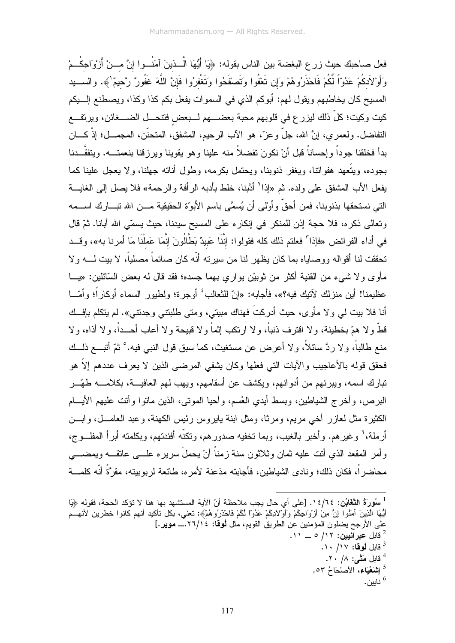فعل صاحبك حيث زر ع البغضة بين الناس بقوله: ﴿يَا أَيُّهَا الَّـــذينَ آمَنُـــوا إنَّ مـــنْ أَرْوَاجكُــمْ وَأَوْلاَدكُمْ عَدُوّاً لَّكُمْ فَاحْذَرُوهُمْ وَإِن تَعْفُوا وَتَصْفَحُوا وَتَغْفرُوا فَإِنَّ اللَّهَ غَفُورٌ رَّحيمٌ لَهه. والســـيد المسيح كان يخاطبهم ويقول لهم: أبوكم الذي في السموات يفعل بكم كذا وكذا، ويصطنع إلـــبكم كيت وكيت؛ كلِّ ذلك ليزر ع في قلوبهم محبة بعضــــهم لـــبعض فتنحـــل الضــــغائن، ويرتفـــع النفاضل. ولعمري، إنَّ الله، جلَّ وعزَّ، هو الآب الرحيم، المشفق، المنحنَّن، المجمـــل؛ إذْ كــــان بدأ فخلقنا جوداً وإحساناً قبل أنْ نكونَ تفضلاً منه علينا وهو يقوينا ويرزقنا بنعمتـــه. ويتفقَّـــدنا بجوده، وبتَّعهد هفواتنا، وبغفر ذنوبنا، وبحتمل بكر مه، وطول أناته جهلنا، و لا بعجل علبنا كما يفعل الأب المشفق على ولده. ثم «إذا<sup>٢</sup> أدَّبنا، خلط بأدبه الر أفة و الر حمة» فلا يصل إلى الغايسة التي نستحقها بذنوبنا، فمن أحقَّ وأوْلىي أن يُسمَّى باسم الأبوَّة الحقيقية مـــن الله نبـــارك اســـمه وتعالى ذكره، فلا حجة إذن للمنكر في إنكاره على المسيح سيدنا، حيث يسمّى الله أبانا. ثمّ قال في أداء الفرائض «فإذا" فعلتم ذلك كله فقولوا: إنَّنَا عَبيدٌ بَطَّالُونَ إنَّمَا عَملْنَا مَا أمرنا به»، وقــد تحققت لنا أقواله ووصاياه بما كان يظهر لنا من سيرته أنّه كان صائماً مصلياً، لا بيت لــــه ولا مأوى ولا شيء من القنية أكثر من ثوبيْن بواري بهما جسده؛ فقد قال له بعض السَّائلين: «يـــا عظيمنا! أين منزلك لآتيك فيه؟»، فأجابه: «إنّ للثعالب<sup>؛</sup> أوجرة؛ ولطيور السماء أوكاراً؛ وأمّـــا أنا فلا بيت لمي ولا مأوى، حيث أدركتَ فهناك مبيتي، ومتى طلبتني وجدتني». لم يتكلم بإفــك قطَّ و لا همّ بخطبئة، و لا اقتر ف ذنباً، و لا ارتكب إثماً و لا قبيحة و لا أعاب أحــداً، و لا أذاه، و لا منع طالباً، و لا ر دَّ سائلاً، و لا أعرض عن مستغيث، كما سبق قول النبي فيه. ْ ثمّ أُتبِـــع ذلـــك فحقق قوله بالأعاجيب والآيات التي فعلها وكان يشفى المرضى الذين لا يعرف عددهم إلاّ هو تبار ك اسمه، وبير ئـهم من أدو ائـهم، ويكشف عن أسقامـهم، ويـهب لـهم الـعافيــــة، بـكـلامـــــه طـهّـــر البرص، وأخرج الشياطين، وبسط أيدي العُسم، وأحيا الموتبي، الذين ماتوا وأنت عليهم الأيـــام الكثيرة مثل لعازر أخبى مريع، ومرثًا، ومثل ابنة بايروس رئيس الكهنة، وعبد العامـــل، وابـــن أرملة،' وغيرهم. وأخبر بالغيب، وبما تخفيه صدورهم، وتكنَّه أفئدتهم، وبكلمته أبرأ المفلـــوج، وأمر المقعد الذي أنت عليه ثمان وثلاثون سنة زمناً أنْ يحملُ سريره علـــي عانقـــه ويمضــــي محاضر أ، فكان ذلك؛ ونادي الشباطين، فأجابته مذعنة لأمر ه، طائعة لر بوبيته، مقرَّةً أنَّه كلمـــة

5 اللُّعَيّاء، الأَصنْحَاحُ ٥٣.

<sup>&</sup>lt;sup>1</sup> سُورَةُ ا**لتَّغَابُن: ١٤/٦٤.** [على أي حال يجب ملاحظة أنّ الآية المستشهد بها هنا لا تؤكد الحجة، فقوله ﴿يَا أَيُّهَا الَّذِينَ آمَنُوا إِنَّ مِنْ أَرْوَاجِكُمْ وَأَوْلادِكُمْ عَدُوّاً لَكُمْ فَاحْذَرُوهُمْ﴾: تعني، بكل نأكيد أنهم كانوا خطرين لأنهــُم على الأرجح بضلون المؤمنين عن الطريق القويم، مثل لهوقا: ١٢٦/١٤.\_ موير.] ، قابل عبرانيين: ١٢/ ٥ \_ ١١. فَابِلِ لَمُوقَا: ١٧/ ١٠. <sup>4</sup> قابل مَتَّى: ١/ ٢٠.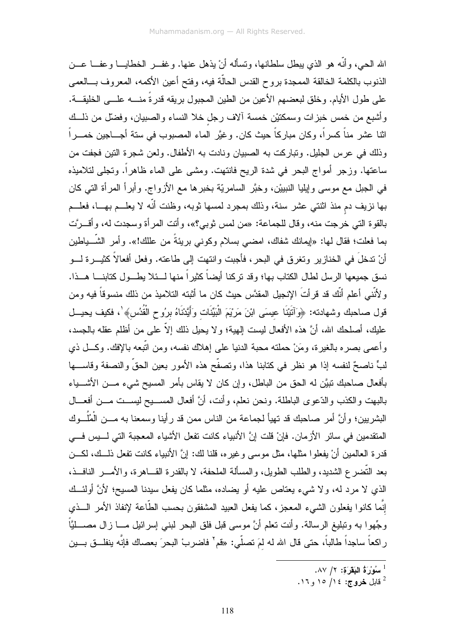الله الحي، و أنَّه هو الذي يبطل سلطانها، وتسأله أنْ يذهل عنها. و غفــر الخطايـــا و عفـــا عـــن الذنوب بالكلمة الخالقة الممجدة بروح القدس الحالَّة فيه، وفتح أعين الأكمه، المعروف بـــالعمى على طول الأيام. وخلق لبعضهم الأعين من الطين المجبول بريقه قدرةً منــــه علــــى الخليقـــة. وأشبع من خمس خبزات وسمكتيْن خمسة ألاف رجل خلا النساء والصبيان، وفضلَّ من ذلـــك اثنا عشر مناً كسراً، وكان مباركاً حيث كان. وغيَّر الماء المصبوب في سنة أجـــاجين خمــــراً وذلك في عرس الجليل. ونباركت به الصبيان ونادت به الأطفال. ولعن شجرة النين فجفت من ساعتها. وزجر أمواج البحر في شدة الريح فانتهت. ومشى على الماء ظاهراً. وتجلى لتلاميذه في الجبل مع موسى وإيليا النبييْن، وخبَّر السامريَّة بخبرها مع الأزواج. وأبرأ المرأة التي كان بـها نزيف دم منذ اثنتـي عشر سنة، وذلك بمجرد لمسها ثوبـه، وظنت أنَّه لا يـعلـــم بـهـــا، فعلـــم بالقوة التي خرجت منه، وقال للجماعة: «من لمس ثوبي؟»، وأنت المرأة وسجدت له، وأقـــرَّت بما فعلت؛ فقال لـها: «إيمانك شفاك، امضـي بسلام وكونـي بريئةً من عللك!». وأمر الشّـــياطين أنْ ندخلَ في الخنازير وتغرق في البحر ، فأجبت وانتهت إلى طاعته. وفعل أفعالاً كثيـــرة لـــو نسق جميعها الرسل لطال الكتاب بها؛ وقد نركنا أيضاً كثيراً منها لـــئلا يطـــول كتابنــــا هـــذا. و لأنَّني أعلم أنَّك قد قرأتَ الإنجيل المقدَّس حيث كان ما أثبته التلاميذ من ذلك منسوقاً فيه ومن قول صـاحبك وشـهادته: ﴿وَأَتَيْنَا عِيسَى ابْنَ مَرْيَمَ الْبَيِّنَات وَأَيَّدْنَاهُ برُوح الْقُدُسِ﴾ ٰ، فكيف يحيـــل عليكِ، أصلحكِ الله، أنَّ هذه الأفعال ليست إلـهية؛ ولا يـحيل ذلك إلاَّ علـى من أظلم عقله بالـجسد، وأعصى بصره بالغيرة، ومَنْ حملته محبة الدنيا على إهلاك نفسه، ومن اتَّبعه باﻹفك. وكـــل ذي لبٍّ ناصحٌ لنفسه إذا هو نظرٍ في كتابنا هذا، وتصفَّح هذه الأمور بعين الحقَّ والنصفة وقاســـها بأفعال صاحبك نبيَّن له الحق من الباطل، وإن كان لا يقاس بأمر المسيح شيء مـــن الأشـــياء بالبهت والكذب والدّعوى الباطلة. ونحن نعلم، وأنت، أنَّ أفعال المســـبح لبســـت مــــن أفعــــال البشريين؛ وأنَّ أمر صاحبك قد تهيأ لجماعة من الناس ممن قد رأينا وسمعنا به مـــن الْمُلُـــوك المنقدمين في سائر الأزمان. فإنْ قلت إنَّ الأنبياء كانت تفعل الأشياء المعجبة التي لـــيس فـــي قدرة العالمين أنْ يفعلوا مثلها، مثل موسى وغيره، قلنا لك: إنَّ الأنبياء كانت نفعل ذلــك، لكـــن بعد النَّضر ع الشَّديد، و الطلب الطويل، و المسألة الملحفة، لا بالقدر ة القـــاهر ة، و الأمــــر ِ النافـــذ، الذي لا مرد له، ولا شيء يعتاص عليه أو يضاده، مثلما كان يفعل سيدنا المسيح؛ لأنَّ أولئـــك إنَّما كانوا يفعلون الشَّيء المعجز، كما يفعل العبيد المشفقون بحسب الطَّاعة لإنفاذ الأمر الـــذي وجِّهوا به ونبليغ الرسالة. وأنت تعلم أنَّ موسى قبل فلق البحر لبني إسرائيل مــــا زال مصـــــائيَّاً ر اكعاً ساجداً طالباً، حتى قال الله له لمَ تصلّي: «قم' فاضربْ البحرَ بعصاك فإنّه ينفلــق بـــين

<sup>&</sup>lt;sup>1</sup> سُوْرَةُ الْبَقَرَةِ: ١/ ٨٧.

قابل **خروج:** ١٤/ ١٥, ١٦.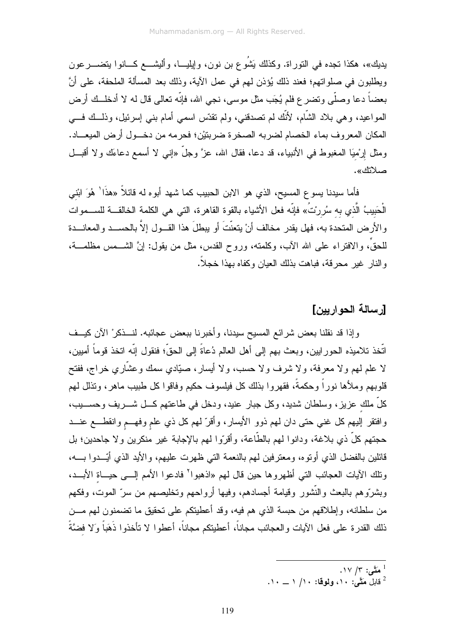يديك»، هكذا تجده في النوراة. وكذلك يَشُوع بن نون، وإيليـــا، وأليشـــع كـــانوا يتضــــرعون ويطلبون في صلواتهم؛ فعند ذلك يُؤذن لهم في عمل الآية، وذلك بعد المسألة الملحفة، على أنَّ بعضاً دعا وصلَّى ونضر ع فلم يُجَب مثل موسى، نجى الله، فإنَّه نعالى قال له لا أدخلــك أرض المواعيد، وهي بلاد الشَّام، لأنَّك لم تصدَّقني، ولم تقدَّس اسمي أمام بني إسرئيل، وذلَّــك فـــي المكان المعروف بماء الخصام لضربه الصخرة ضربتيْن؛ فحرمه من دخــول أرض الميعـــاد. ومثل إرْميَا المغبوط في الأنبياء، قد دعا، فقال الله، عزَّ وجلَّ «إنـي لا أسمع دعاءَك ولا أقبـــل صلاتك».

فأما سيدنا يسوع المسيح، الذي هو الابن الحبيب كما شهد أبوه له قائلاً «هذَا' هُوَ ابْني الْحَبيبُ الَّذي به سُررتُ» فإنّه فعل الأشياء بالقوة القاهرة، التي هي الكلمة الخالقـــة للســـموات والأرض المتحدة به، فهل يقدر مخالف أنْ يتعنَّتَ أو يبطلَ هذا القــول إلاَّ بالحســد والمعانـــدة للحقِّ، والافتر اء علي الله الآب، وكلمته، وروح القدس، مثل من بقول: إنَّ الشَّــمس مظلمـــة، و النار خبر محر قة، فباهت بذلك العبان وكفاه بهذا خجلاً.

#### [رسالة الحواربين]

وإذا قد نقلنا بعض شرائع المسيح سيدنا، وأخبرنا ببعض عجائبه. لنـــذكرْ الأن كيــف اتَّخذ تلاميذه الحورابين، وبعث بهم إلى أهل العالم دُعاةً إلى الحقِّ؛ فنقول إنَّه اتخذ قوماً أميين، لا علم لمهم ولا معرفة، ولا شرف ولا حسب، ولا أيسار، صبّادي سمك وعشَّاري خراج، ففتح قلوبهم وملأها نوراً وحكمةً، فقهروا بذلك كل فيلسوف حكيم وفاقوا كل طبيب ماهر، وتذلل لهم كلِّ ملك عزيزٍ، وسلطان شديدٍ، وكل جبار عنيدٍ، ودخل في طاعتهم كـــل شــــريف وحســــيبٍ، وافتقر إليهم كل غني حتى دان لمهم ذوو الأيسار، وأقرَّ لمهم كل ذي علم وفهـــم وانقطـــع عنـــد حجتهم كلِّ ذي بلاغة، ودانوا لهم بالطَّاعة، وأقرَّوا لهم بالإجابة غير منكرين ولا جاحدين؛ بل قائلين بالفضل الذي أونوه، ومعترفين لمهم بالنعمة التي ظهرت عليهم، والأيد الذي أُيِّــدوا بــــه، وتلك الآيات العجائب التي أظهروها حين قال لهم «اذهبوا<sup>٢</sup> فادعوا الأمم إلـــي حيـــاة الأبـــد، وبشررُّوهم بالبعث والنُّشور وقيامة أجسادهم، وفيها أرواحهم وتخليصهم من سرِّ الموت، وفكهم من سلطانه، وإطلاقهم من حبسة الذي هم فيه، وقد أعطيتكم على تحقيق ما تضمنون لمهم مـــن ذلك القدرة على فعل الآيات والعجائب مجاناً، أعطيتكم مجاناً، أعطوا لا تأخذوا ذَهَباً وَلا فضَّةً

- . مَتَّى: ١٧/ ١٧.
- $\cdots$  قابل مَتَّى: ١٠، ولوفا: ١٠/ ١ \_ ١٠.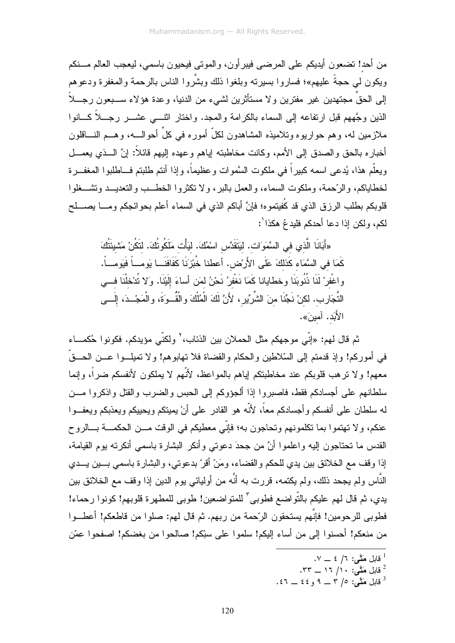من أحد! تضعون أيديكم على المرضى فيبر أون، والموتى فيحيون باسمي، ليعجب العالم مـــنكم ويكون لـى حجةً عليهم»؛ فساروا بسيرته وبلغوا ذلك وبشَّروا الناس بالرحمة والمغفرة ودعوهم إلى الحقِّ مجتهدين غير مفترين ولا مستأثرين لشيء من الدنيا، وعدة هؤلاء ســـبعون رجـــلاً الذين وجَّههم قبل ارتفاعه إلى السماء بالكرامة والمجد. واختار انثــــى عشــــر رجــــلاً كــــانوا ملازمين له، وهم حواريوه وتلاميذه المشاهدون لكلَّ أموره في كلِّ أحوالـــه، وهـــم النــــاقلون أخباره بالحق والصدق إلىي الأمم، وكانت مخاطبته إياهم وعهده إليهم فائلأ: إنَّ الـــذي يعمـــل ويعلُّم هذا، يُدعى اسمه كبيراً في ملكوت السَّموات وعظيماً، وإذا أنتم طلبتم فـــاطلبوا المغفـــرة لخطاياكم، و الرَّحمة، وملكوت السماء، و العمل بالبر ، و لا تكثر و ا الخطــب و التعديـــد وتشـــغلو ا قلوبكم بطلب الرزق الذي قد كَفيتموه؛ فإنَّ أباكم الذي في السماء أعلم بحوائجكم ومــــا بصـــــلح لكم، ولكن إذا دعا أحدكم فلبدعُ هكذا':

«أَبَانَا الَّذ*ي* في السَّمَوَات. لَيَتَقَدَّس اسْمُكَ. لَيَأْت مَلَكُوتُكَ. لتَكُنْ مَشْيئَتُكَ كَمَا في السَّمَاء كَذلكَ عَلَى الأَرْض. أعطنا خُبْزِنَا كَفَافَنَــا يَومـــاً فَيَومـــاً. واغْفِرْ لَنَا ذُنُوبَنَا وخطايانا كَمَا نَغْفِرُ نَحْنُ لِمَن أساءَ إِلَيْنَا. وَلا نُدْخلْنَا فـــي التَّجَارِب. لكنْ نَجِّنَا منَ الشَّرِّيرِ، لأَنَّ لَكَ الْمُلْكَ والْقُــوَةَ، والْمَجْــدَ، إلَـــى الأَبَد. آمبنَ».

ثم قال لهم: «إنّي موجهكم مثل الحملان بين الذئاب، ` ولكنّي مؤيدكم. فكونوا حُكمـــاء في أموركم! وإذ قدمتم إلى السّلاطين والحكام والقضاة فلا تهابوهم! ولا تميلـــوا عـــن الحـــقّ معهم! و لا نر هب قلوبكم عند مخاطبتكم اياهم بالمو اعظ، لأنَّهم لا يملكون لأنفسكم ضر اً، وإنما سلطانهم على أجسادكم فقط، فاصبر و١ إذا ألجؤوكم إلى الحبس والضرب والقتل واذكر و١ مـــن له سلطان على أنفسكم وأجسادكم معاً، لأنَّه هو القادر على أنْ بِمبتكم ويحييكم ويعذبكم ويعفــوا عنكم، ولا تهتموا بما تكلمونهم وتحاجون به؛ فإنّي معطيكم في الوقت مـــن الحكمـــة بـــالروح القدس ما نحتاجون إليه واعلموا أنَّ من جحدَ دعوتـي وأنكر البشارة باسمـي أنكرنـه بوم القيامـة، إذا وقف مع الخلائق بين يدي للحكم والقضاء، ومَنْ أقرّ بدعوتي، والبشار ة باسمي بسين يسدى النَّاس ولم يجحد ذلك، ولم يكتمه، قررت به أنَّه من أوليائي يوم الدين إذا وقف مع الخلائق بين يدي، ثم قال لهم عليكم بالتّواضع فطوبي ّ للمتواضعين! طوبي للمطهرة قلوبهم! كونوا رحماء! فطوبي للرحومين! فإنَّهم يستحقون الرَّحمة من ربهم. ثم قال لهم: صلوا من قاطعكم! أعطـــوا من منعكم! أحسنوا إلى من أساء إليكم! سلموا على سبّكم! صالحوا من بغضكم! اصفحوا عمّن

- $\cdot$  قابل مَتَّى: ٦/ ٤ \_ ٧.
- .۳۳ \_ ۱۶ /۱ .۳۳ \_ ۳۳.
- . فايل مَتَّحٍى: ٥/ ٣ \_ ٩ و ٤٤ \_ ٤٦ .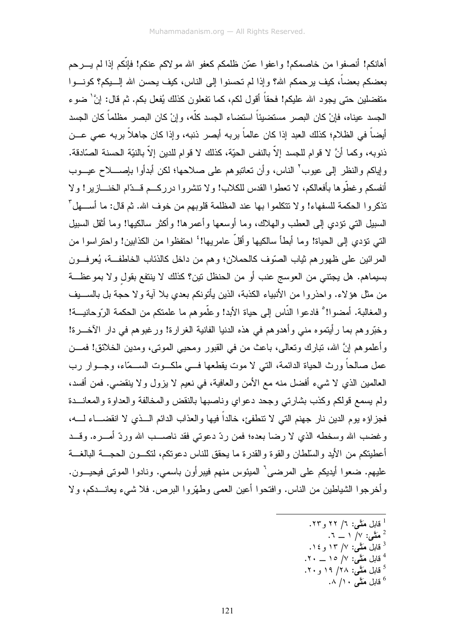أهانكم! أنصفوا من خاصمكم! واعفوا عمّن ظلمكم كعفو الله مو لاكم عنكم! فإنّكم إذا لم يسر حم بعضكم بعضاً، كيف يرحمكم الله؟ وإذا لم تحسنوا إلى الناس، كيف يحسن الله إلــــيكم؟ كونــــوا متفضلين حتى يجود الله عليكم! فحقاً أقول لكم، كما تفعلون كذلك يُفعل بكم. ثم قال: إنَّ ٰ ضوع الجسد عيناه، فإنْ كان البصر ِ مستضيئاً استضاء الجسد كلُّه، و إنْ كان البصر ِ مظلماً كان الجسد أيضـاً في الظـلام؛ كذلك العبد إذا كان عالماً بربه أبصر ذنبه، وإذا كان جاهلاً بربه عمي عـــن ذنوبه، وكما أنَّ لا قوام للجسد إلاَّ بالنفس الحيّة، كذلك لا قوام للدين إلاَّ بالنيّة الحسنة الصّادقة. ولِياكم والنظر إلى عيوب ْ الناس، وأن تعاتبوهم على صلاحها؛ لكن أبدأوا بإصــــلاح عيـــوب أنفسكم و غطُّو ها بأفعالكم، لا تعطوا القدس للكلاب! و لا نتشر وا در ركسم قسدَّام الخنساز بر ! و لا تذكروا الحكمة للسفهاء! ولا تتكلموا بها عند المظلمة قلوبهم من خوف الله. ثم قال: ما أســـهل ّ السبيل التي تؤدي إلى العطب والملاك، وما أوسعها وأعمر ها! وأكثر سالكيها! وما أثقل السبيل التي نؤدي إلى الحياة! وما أبطأ سالكيها وأقلَّ عامريها! ۚ احتفظوا من الكذابين! واحتراسوا من المرائين على ظهورهم ثياب الصَّوف كالحملان؛ وهم من داخل كالذئاب الخاطفــة، يُعرفــون بسيماهم. هل يجتني من العوسج عنب أو من الحنظل نين؟ كذلك لا ينتفع بقول ولا بموعظــة من مثل هؤلاء. واحذروا من الأنبياء الكذبة، الذين يأتونكم بعدي بلا آية ولا حجة بل بالســـيف والمغالبة. أمضوا!° فادعوا النَّاس إلى حياة الأبد! وعلَّموهم ما علمتكم من الحكمة الرّوحانيـــة! وخُبِّروهم بما رأيتموه منبي وأهدوهم في هذه الدنيا الفانية الغرارة! ورغبوهم في دار الآخـــرة! وأعلموهم إنَّ الله، تبارك وتعالى، باعث من في القبور ومحيى الموتى، ومدين الخلائق! فمـــن عمل صالحاً ورث الحياة الدائمة، التي لا موت يقطعها فـــي ملكـــوت الســـمّاء، وجـــوار (ب العالمين الذي لا شيء أفضل منه مع الأمن والعافية، في نعيم لا يزول ولا ينقضي. فمن أفسد، ولم يسمع قولكم وكذب بشارتي وجحد دعواي وناصبها بالنقض والمخالفة والعداوة والمعانــدة فجزاؤه يوم الدين نار جهنم التي لا نتطفئ، خالداً فيها والعذاب الدائم الـــذي لا انقضــــاء لــــه، وغضب الله وسخطه الذي لا رضا بعده؛ فمن ردِّ دعوتي فقد ناصـب الله وردِّ أمــره. وقــد أعطيتكم من الأيد والسلطان والقوة والقدرة ما يحقق للناس دعونكم، لتكـــون الـحجــــة البالغــــة عليهم. ضعوا أيديكم على المرضى ْ الميئوس منهم فيبر أون باسمي. ونادوا الموتى فيحيــون. وأخرجوا الشياطين من الناس. وافتحوا أعين العمي وطهَّروا البرص. فلا شيء يعانـــدكم، ولا

- قابل مَتَّـى: ٦/ ٢٢ و ٢٣.
- $\mathcal{N} = \sqrt{N}$  هَتَّى: ٧/ ١
- فابل مَتَّمی: ۷/ ۱۳ و ۱۶.  $\mathcal{S}$
- قابل مَتَّـى: ٧/ ١٥ \_ ٢٠.
- قابل مَقًى: ١٨/ ١٩ و ٢٠.
	- قابل مَقٌى ١٠/ ٨.  $\sim$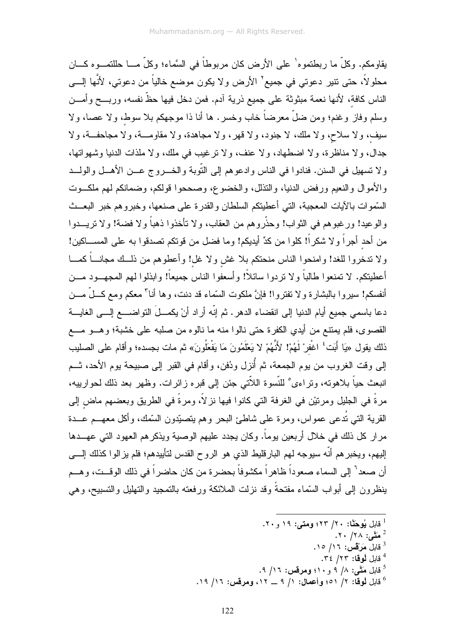يقاومكم. وكلَّ ما ربطتمو ه' علي الأرض كان مربوطاً في السَّماء؛ وكلَّ مـــا حللتمـــو ه كـــان محلولاً، حتى نتير دعوتي في جميع ْ الأرض ولا يكون موضع خالياً من دعوتي، لأنَّها إلـــي الناس كافة، لأنها نعمة مبثوثة على جميع ذرية آدم. فمن دخل فيها حظَّ نفسه، وربـــح وأمـــن وسلم وفاز وغنم؛ ومن ضلَّ معرضاً خاب وخسر. ها أنا ذا موجهكم بلا سوط، ولا عصا، ولا سيف، ولا سلاح، ولا ملك، لا جنود، ولا قهر، ولا مجاهدة، ولا مقاومـــة، ولا مجاحفــة، ولا جدال، ولا مناظرة، ولا اضطهاد، ولا عنف، ولا نرغيب في ملك، ولا ملذات الدنيا وشهواتها، و لا تسهيل في السنن. فنادوا في الناس و ادعو هم إلى النَّوبة و الخـــروج عـــن الأهـــل و الولـــد و الأمو ال و النعيم ور فض الدنيا، و التذلل، و الخضوع، وصححو ا قولكم، وضمانكم لهم ملك وت السَّموات بالآيات المعجبة، التي أعطيتكم السلطان والقدرة على صنعها، وخبروهم خبر البعــث والو عبد! ور غبو هم في الثواب! وحذَّر و هم من العقاب، و لا تأخذوا ذهباً و لا فضية! و لا تربيب دوا من أحد أجراً ولا شكراً! كلوا من كدٍّ أيديكم! وما فضل من قوتكم تصدقوا به على المســـاكين! ولا نتـخروا للغد! وامنحوا الناس منحتكم بلا غش ولا غل! وأعطوهم من ذلــك مجانـــاً كمـــا أعطيتكم. لا تمنعوا طالباً ولا نردوا سائلاً! وأسعفوا الناس جميعاً! وابذلوا لمهم المجهـــود مـــن أنفسكم! سبيروا بالبشارة ولا نفتروا! فإنَّ ملكوت السَّماء قد دنت، وها أنا" معكم ومع كـــلٌ مـــن دعا باسمي جميع أيام الدنيا إلى انقضاء الدهر. ثم إنّه أراد أنْ يكمـــلَ النواضــــع إلــــي الغايــــة القصوى، فلم بمنتع من أبدى الكفر ة حتى نالوا منه ما نالوه من صلبه على خشبة؛ و هــو مــع ذلك يقول «يَا أَبَت<sup>}</sup> اغْفرْ لَهُمْ! لأَنَّهُمْ لا يَعْلَمُونَ مَا يَفْعَلُونَ» ثم مات بجسده؛ وأقام على الصليب إلى وقت الغروب من يوم الجمعة، ثم أُنزل ودُفن، وأقام في القبر إلى صبيحة يوم الأحد، ثــم انبعث حياً بلاهونه، وتراءى° للنَّسوة اللاَّتى جئن إلى قبره زائرات. وظهر بعد ذلك لحوارييه، مرةٌ في الجليل ومرتيْن في الغرفة التي كانوا فيها نز لاً، ومرةٌ في الطريق وبعضهم ماض إلى القرية التي تُدعى عمواس، ومرة على شاطئ البحر وهم يتصبّدون السّمك، وأكل معهـــم عـــدة مرار كل ذلك في خلال أربعين يوماً. وكان يجدد عليهم الوصية ويذكرهم العهود التي عهـــدها إليهم، ويخبرهم أنَّه سيوجه لمهم البارقليط الذي هو الروح القدس لتأييدهم؛ فلم يز الوا كذلك إلــــى أن صعد" إلى السماء صعوداً ظاهر ا مكشوفاً بحضر ة من كان حاضر اً في ذلك الوقــت، و هـــم بنظرون إلىي أبواب السّماء مفتحةً وقد نزلت الملائكة ورفعته بالتمجيد والتهليل والتسبيح، وهي

- <sup>1</sup> قابل **يُوحَثَّا: ٢٠/ ٤٢٣؛ ومتى: ١٩ و ٢٠.** 
	- مَتَّى: ٢٨/ ٢٠.
	- قابل مَرْقَس: ١٦/ ١٥. قابل لُوقا: ٢٢/ ٣٤.
- <sup>5</sup> قابل مَتَّـم : ٨/ ۹ و ۱۰؛ ومرقس: ١٦/ ۹.
- فايل لوقا: ٢/ ٥١؛ وأعمال: ١/ ٩ \_ ١٢، ومرقس: ١٦/ ١٩.  $\,$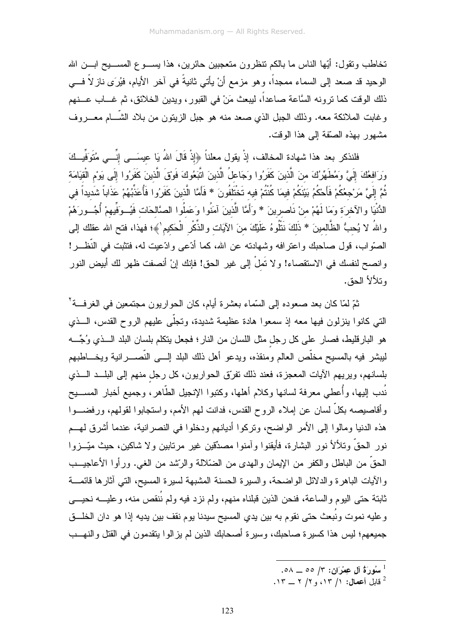تخاطب وتقول: أَيِّها الناس ما بالكم تنظرون متعجبين حائرين، هذا يســـوع المســـيح ابـــن الله الوحيد قد صعد إلى السماء ممجداً، وهو مزمع أنْ يأتي ثانيةً في آخر الأيام، فيُرَى ناز لاً فـــي ذلك الوقت كما نرونه السَّاعة صاعداً، ليبعث مَنْ في القبور ، ويدين الخلائق، ثم غـــاب عـــنهم وغابت الملائكة معه. وذلك الجبل الذي صعد منه هو جبل الزينون من بلاد الشَّـــام معــــروف مشهور بهذه الصّقة إلى هذا الوقت.

فلنذكر بعد هذا شهادة المخالف، إذْ يقول معلناً ﴿إِذْ قَالَ اللهُ يَا عيسَـــى إنِّــــي مُتَوَفِّيــكَ وَرَافعُكَ إِلَىَّ وَمُطَهِّرُكَ منَ الَّذينَ كَفَرُوا وَجَاعلُ الَّذينَ اتَّبَعُوكَ فَوقٍ الَّذينَ كَفَرُوا إِلَى يَوْم الْقِيَامَة ثُمَّ إِلَىَّ مَرْجعُكُمْ فَأَحْكُمُ بَيْنَكُمْ فيمَا كُنْتُمْ فيه تَخْتَلَفُونَ \* فَأَمَّا الَّذِينَ كَفَرُوا فَأُعَذِّبُهُمْ عَذَاباً شَديداً في الدُّنْيَا والآخرَة وَمَا لَهُمْ منْ نَاصرينَ \* وَأَمَّا الَّذينَ آمَنُوا وَعَملُوا الصَّالحَات فَيُـ وَفّيهمْ أُجُــورَهُمْ واللهُ لا يُحبُّ الظَّالمينَ \* ذَلكَ نَنْلُوهُ عَلَيْكَ منَ الآيَات والذِّكْرِ الْحَكيمِ ٰ﴾؛ فهذا، فتح الله عقلك إلى الصَّواب، قول صاحبك واعترافه وشهادته عن الله، كما أدَّعي وادَّعيت له، فتثبت في النُّظـــر! و انصح لنفسك في الاستقصاء! و لا تَملْ إلى غير الحق! فإنك إنْ أنصفت ظهر لك أبيض النور وتلألأ الحق.

ثمّ لمّا كان بعد صعوده إلى السّماء بعشرة أيام، كان الحواريون مجتمعين في الغرفـــة ْ التبي كانوا بنزلون فيها معه إذ سمعوا هادة عظيمة شديدة، وتجلَّى عليهم الروح القدس، الـــذي هو البارقليط، فصار على كل رجل مثل اللسان من النار؛ فجعل يتكلم بلسان البلد الـــذي وُجِّـــه ليبشر فيه بالمسيح مخلَّص العالم ومنقذه، ويدعو أهل ذلك البلد إلــــى النَّصـــــرانية ويخــــاطبهم بلسانهم، ويريهم الأيات المعجزة، فعند ذلك نفرِّق الحواريون، كل رجل منهم إلى البلـــد الـــذي نُدب إليها، وأُعطي معرفة لسانها وكلام أهلها، وكتبوا الإنجيل الطَّاهر، وجميع أخبار المســـبح وأقاصيصه بكلِّ لسان عن إملاء الروح القدس، فدانت لمهم الأمم، واستجابوا لقولهم، ورفضــــوا هذه الدنيا ومالوا إلى الأمر الواضح، ونركوا أديانهم ودخلوا في النصرانية، عندما أشرق لهــم نور الحقِّ وتلألأ نور البشارة، فأيقنوا وآمنوا مصدِّقين غير مرتابين ولا شاكين، حيث ميَّــزوا الحقِّ من الباطل والكفر من الإيمان والهدى من الضَّلالة والرَّشد من الغي. ورأوا الأعاجيـــب والأيات الباهرة والدلائل الواضحة، والسيرة الحسنة المشبهة لسيرة المسيح، التي أثارها فائمـــة ثابتة حتى اليوم والساعة، فنحن الذين قبلناه منهم، ولم نزد فيه ولم نُنقص منه، وعليــــه نحيــــى وعليه نموت ونُبعث حتى نقوم به بين يدي المسيح سيدنا يوم نقف بين يديه إذا هو دان الخلـــق جميعهم؛ ليس هذا كسيرة صاحبك، وسيرة أصحابك الذين لم يزالوا ينقدمون في القتل والنهــب

- $\sim$ ا سُورَةُ آل عِمْرَانِ: ٣/ ٥٥ \_ ٥٨.
- $\cdot$ 1۳ آفايل أعمال: ١/ ١٣، و ٢/ ٢ ١٣.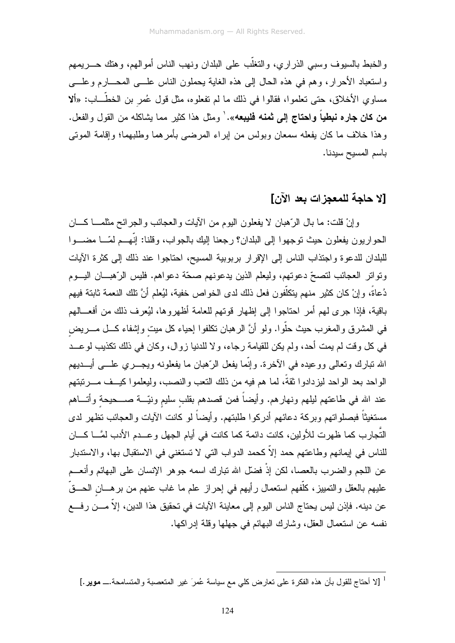و الخبط بالسبو ف وسبي الذر ار ي، و التغلُّب على البلدان و نهب الناس أمو الهم، و هتك حــــر بمهم واستعباد الأحرار، وهم في هذه الحال إلى هذه الغابة بحملون الناس علـــي المحــــارم وعلــــي مساوي الأخلاق، حتى نعلموا، فقالوا في ذلك ما لم نفعلوه، مثل قول عُمر بن الخطَّـــاب: «ألا **من كان جاره نبطياً واحتاج إلى ثمنه فليبعه**». ٰ ومثل هذا كثير مما بشاكله من القول والفعل. وهذا خلاف ما كان يفعله سمعان وبولس من إبراء المرضىي بأمرهما وطلبهما؛ وإقامة الموتى باسم المسيح سيدنا.

## [لا حاجة للمعجز ات بعد الآن]

وإنْ قلت: ما بال الرَّهبان لا يفعلون اليوم من الأيات والعجائب والجرائح مثلمـــا كــــان الحواريون يفعلون حيث توجهوا إلىي البلدان؟ رجعنا إليك بالجواب، وقلنا: إنَّهــم لمّـــا مضـــوا للبلدان للدعوة واجتذاب الناس إلى الإقرار بربوبية المسيح، احتاجوا عند ذلك إلى كثرة الأيات وتواتر العجائب لتصحّ دعوتهم، وليعلم الذين يدعونهم صحّة دعواهم. فليس الرّهبـــان اليـــوم دُعاةً، وإنْ كان كثير منهم يتكلُّفون فعل ذلك لدى الخواص خفية، ليُعلم أنَّ نلك النعمة ثابتة فيهم باقية، فإذا جرى لهم أمر احتاجوا إلى إظهار قوتهم للعامة أظهروها، ليُعرف ذلك من أفعـــالهم في المشرق والمغرب حيث حلُّوا. ولو أنَّ الرهبان نكلفوا إحياء كل ميت وإشفاء كـــل مــــريض في كل وقت لم يمت أحد، ولم يكن للقيامة رجاء، ولا للدنيا زوال، وكان في ذلك تكذيب لو عــد الله نبارك وتعالى ووعيده في الآخرة. وإنَّما يفعل الرَّهبان ما يفعلونه ويجــــري علــــي أيــــديهم الواحد بعد الواحد ليزدادوا نقةً، لما هم فيه من ذلك النعب والنصب، وليعلموا كيــف مـــرنبتهم عند الله في طاعتهم ليلهم ونهارهم. وأيضاً فمن قصدهم بقلب سليم ونيّـــة صــــحيحة وأتــــاهم مستغيثًا فبصلواتهم وبركة دعائهم أدركوا طلبتهم. وأيضاً لو كانت الآيات والعجائب تظهر لدى النُّجارب كما ظهرت للأولين، كانت دائمة كما كانت في أيام الجهل وعـــدم الأدب لمَّـــا كــــان للناس في إيمانهم وطاعتهم حمد إلاّ كحمد الدواب التي لا تستغني في الاستقبال بها، والاستدبار عن اللجم والضرب بالعصا، لكن إذْ فضلَّل الله نبارك اسمه جوهر الإنسان على البهائم وأنعـــم عليهم بالعقل و التمييز ، كلُّفهم استعمال ر أيهم في إحر از ٍ علم ما غاب عنهم من بر هــــان الحــــقَّ عن دينه. فإذن ليس يحتاج الناس اليوم إلى معاينة الآيات في تحقيق هذا الدين، إلاَّ مـــن رفــــع نفسه عن استعمال العقل، وشارك البهائم في جهلها وقلة إدر اكها.

<sup>&</sup>lt;sup>1</sup> [لا أحتاج للقول بأن هذه الفكرة على تعارض كلي مع سياسة عُمرَ غير المتعصبة والمتسامحة.ـــ موير .]